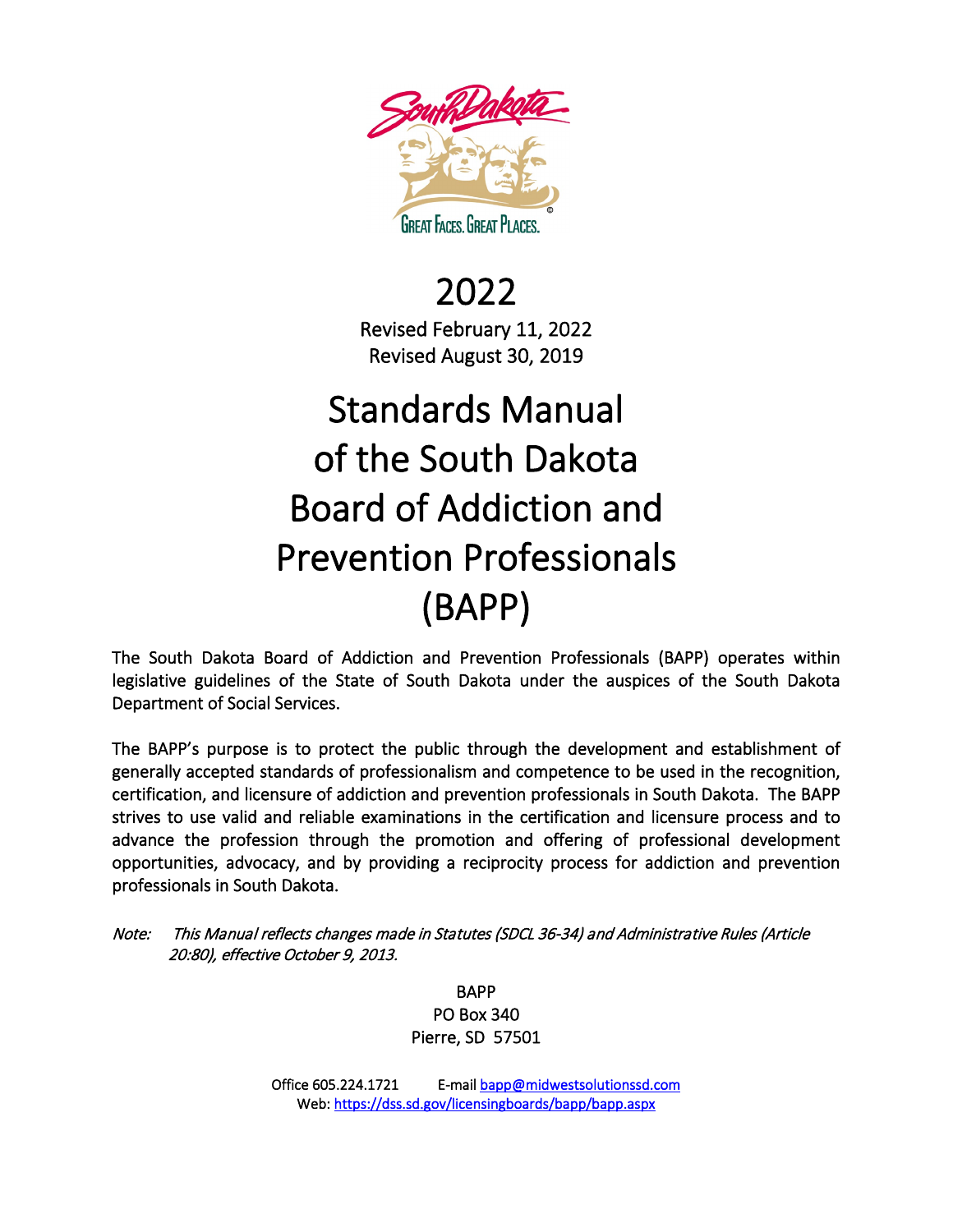

2022 Revised February 11, 2022 Revised August 30, 2019

# Standards Manual of the South Dakota Board of Addiction and Prevention Professionals (BAPP)

The South Dakota Board of Addiction and Prevention Professionals (BAPP) operates within legislative guidelines of the State of South Dakota under the auspices of the South Dakota Department of Social Services.

The BAPP's purpose is to protect the public through the development and establishment of generally accepted standards of professionalism and competence to be used in the recognition, certification, and licensure of addiction and prevention professionals in South Dakota. The BAPP strives to use valid and reliable examinations in the certification and licensure process and to advance the profession through the promotion and offering of professional development opportunities, advocacy, and by providing a reciprocity process for addiction and prevention professionals in South Dakota.

Note: This Manual reflects changes made in Statutes (SDCL 36-34) and Administrative Rules (Article 20:80), effective October 9, 2013.

> BAPP PO Box 340 Pierre, SD 57501

 Office 605.224.1721 E-mai[l bapp@midwestsolutionssd.com](mailto:bapp@midwestsolutionssd.com)  Web[: https://dss.sd.gov/licensingboards/bapp/bapp.aspx](https://dss.sd.gov/licensingboards/bapp/bapp.aspx)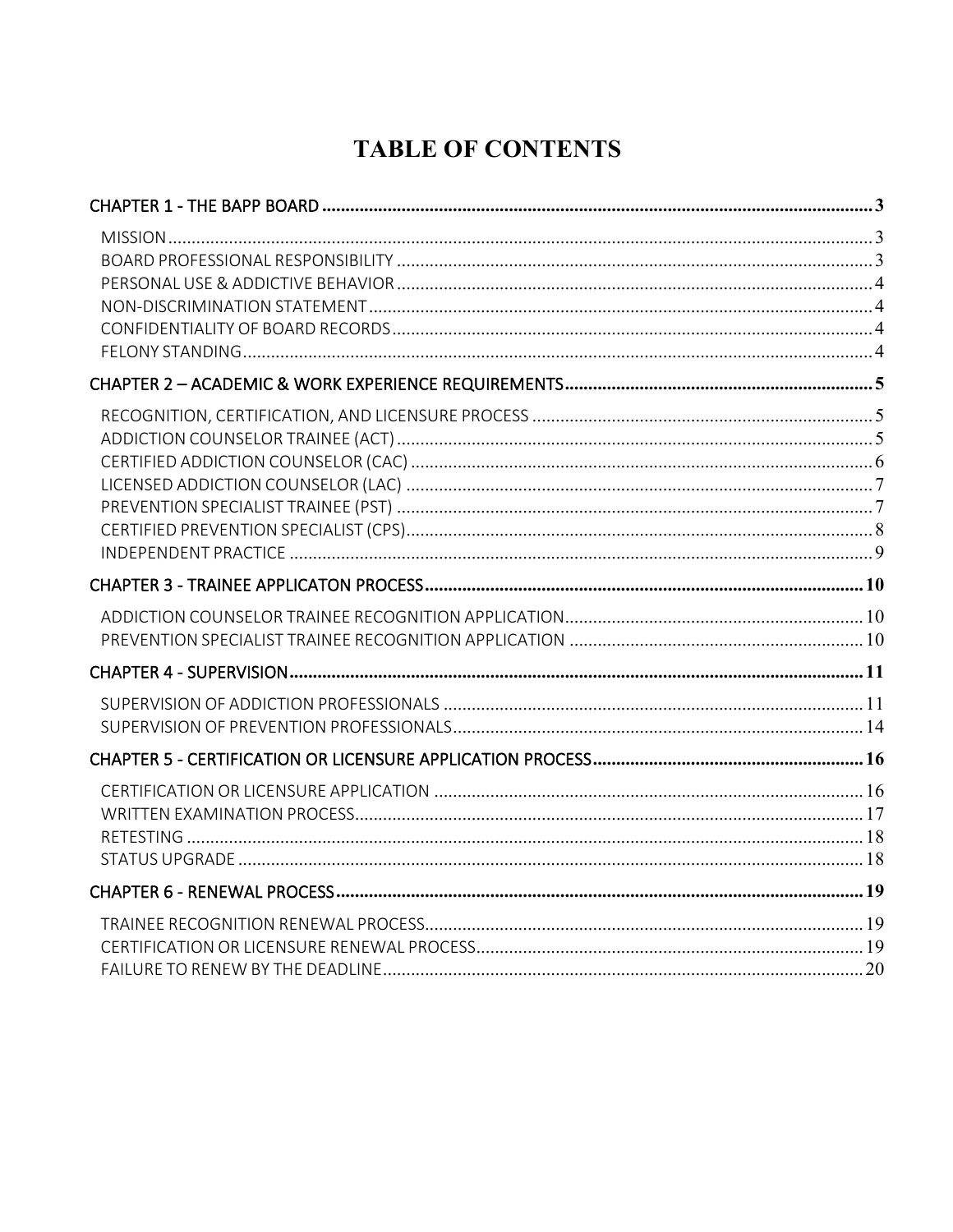## **TABLE OF CONTENTS**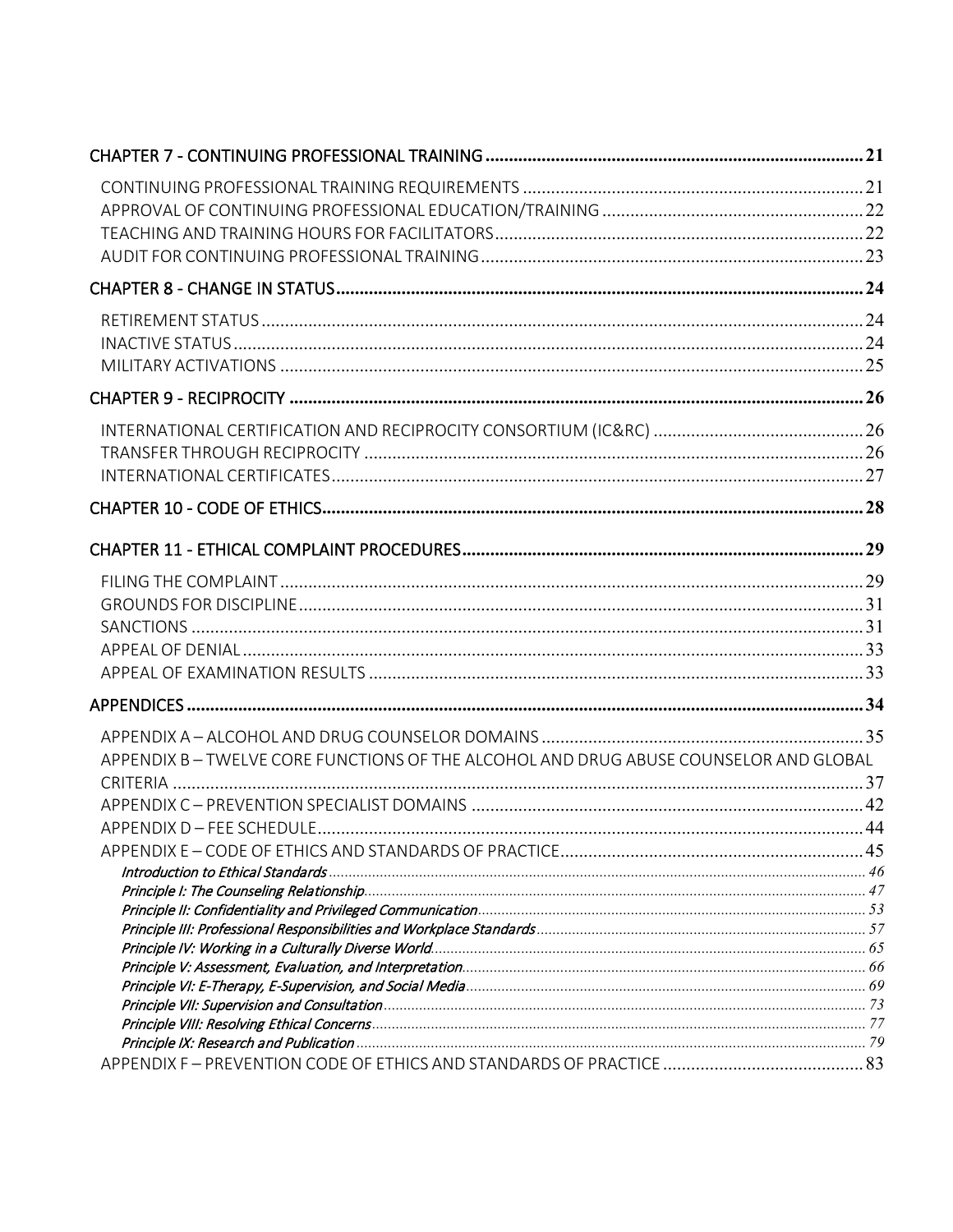| APPENDIX B-TWELVE CORE FUNCTIONS OF THE ALCOHOL AND DRUG ABUSE COUNSELOR AND GLOBAL |  |
|-------------------------------------------------------------------------------------|--|
|                                                                                     |  |
|                                                                                     |  |
|                                                                                     |  |
|                                                                                     |  |
|                                                                                     |  |
|                                                                                     |  |
|                                                                                     |  |
|                                                                                     |  |
|                                                                                     |  |
|                                                                                     |  |
|                                                                                     |  |
|                                                                                     |  |
|                                                                                     |  |
|                                                                                     |  |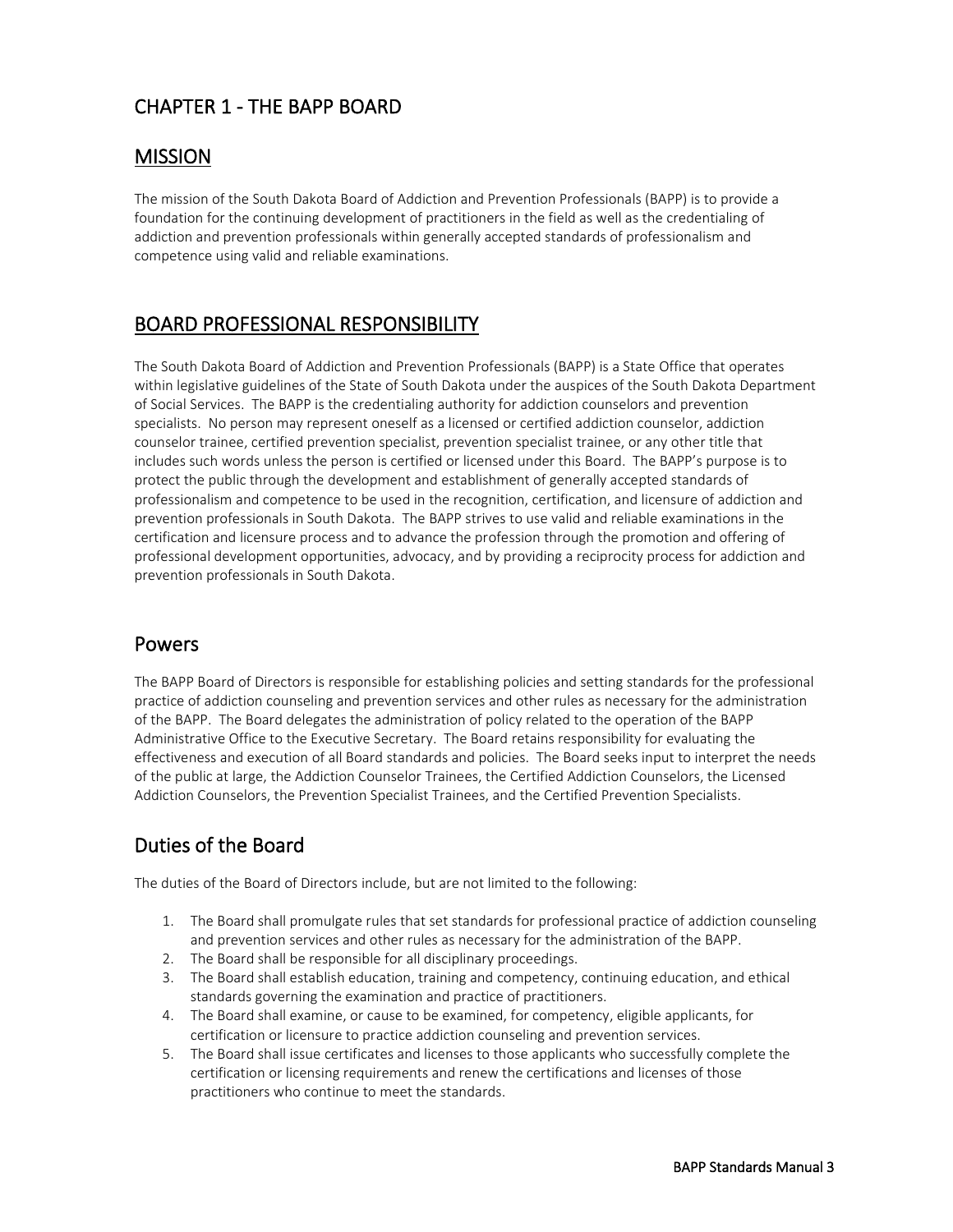### <span id="page-4-0"></span>CHAPTER 1 - THE BAPP BOARD

#### <span id="page-4-1"></span>MISSION

The mission of the South Dakota Board of Addiction and Prevention Professionals (BAPP) is to provide a foundation for the continuing development of practitioners in the field as well as the credentialing of addiction and prevention professionals within generally accepted standards of professionalism and competence using valid and reliable examinations.

### <span id="page-4-2"></span>BOARD PROFESSIONAL RESPONSIBILITY

The South Dakota Board of Addiction and Prevention Professionals (BAPP) is a State Office that operates within legislative guidelines of the State of South Dakota under the auspices of the South Dakota Department of Social Services. The BAPP is the credentialing authority for addiction counselors and prevention specialists. No person may represent oneself as a licensed or certified addiction counselor, addiction counselor trainee, certified prevention specialist, prevention specialist trainee, or any other title that includes such words unless the person is certified or licensed under this Board. The BAPP's purpose is to protect the public through the development and establishment of generally accepted standards of professionalism and competence to be used in the recognition, certification, and licensure of addiction and prevention professionals in South Dakota. The BAPP strives to use valid and reliable examinations in the certification and licensure process and to advance the profession through the promotion and offering of professional development opportunities, advocacy, and by providing a reciprocity process for addiction and prevention professionals in South Dakota.

#### Powers

The BAPP Board of Directors is responsible for establishing policies and setting standards for the professional practice of addiction counseling and prevention services and other rules as necessary for the administration of the BAPP. The Board delegates the administration of policy related to the operation of the BAPP Administrative Office to the Executive Secretary. The Board retains responsibility for evaluating the effectiveness and execution of all Board standards and policies. The Board seeks input to interpret the needs of the public at large, the Addiction Counselor Trainees, the Certified Addiction Counselors, the Licensed Addiction Counselors, the Prevention Specialist Trainees, and the Certified Prevention Specialists.

### Duties of the Board

The duties of the Board of Directors include, but are not limited to the following:

- 1. The Board shall promulgate rules that set standards for professional practice of addiction counseling and prevention services and other rules as necessary for the administration of the BAPP.
- 2. The Board shall be responsible for all disciplinary proceedings.
- 3. The Board shall establish education, training and competency, continuing education, and ethical standards governing the examination and practice of practitioners.
- 4. The Board shall examine, or cause to be examined, for competency, eligible applicants, for certification or licensure to practice addiction counseling and prevention services.
- 5. The Board shall issue certificates and licenses to those applicants who successfully complete the certification or licensing requirements and renew the certifications and licenses of those practitioners who continue to meet the standards.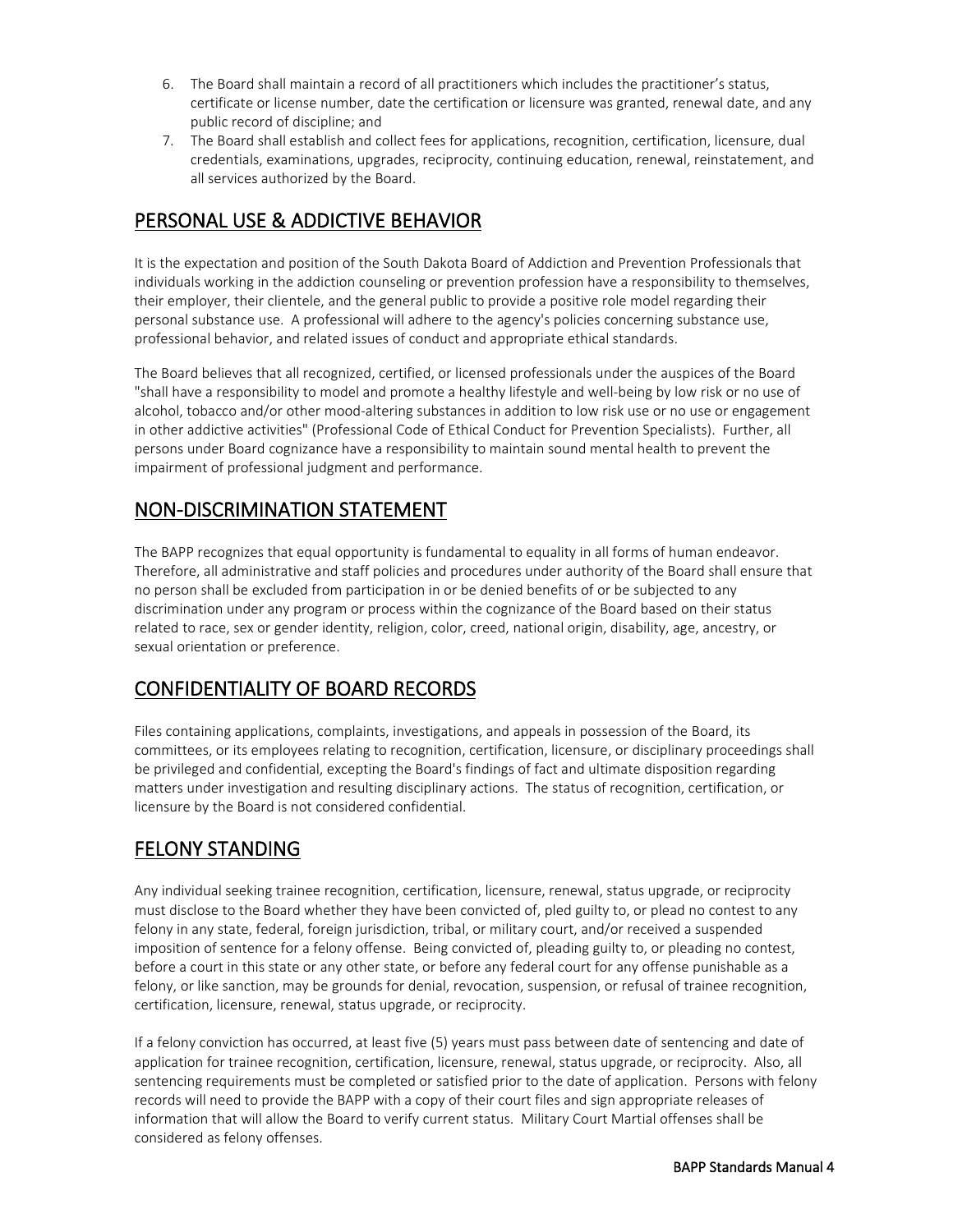- 6. The Board shall maintain a record of all practitioners which includes the practitioner's status, certificate or license number, date the certification or licensure was granted, renewal date, and any public record of discipline; and
- 7. The Board shall establish and collect fees for applications, recognition, certification, licensure, dual credentials, examinations, upgrades, reciprocity, continuing education, renewal, reinstatement, and all services authorized by the Board.

### <span id="page-5-0"></span>PERSONAL USE & ADDICTIVE BEHAVIOR

It is the expectation and position of the South Dakota Board of Addiction and Prevention Professionals that individuals working in the addiction counseling or prevention profession have a responsibility to themselves, their employer, their clientele, and the general public to provide a positive role model regarding their personal substance use. A professional will adhere to the agency's policies concerning substance use, professional behavior, and related issues of conduct and appropriate ethical standards.

The Board believes that all recognized, certified, or licensed professionals under the auspices of the Board "shall have a responsibility to model and promote a healthy lifestyle and well-being by low risk or no use of alcohol, tobacco and/or other mood-altering substances in addition to low risk use or no use or engagement in other addictive activities" (Professional Code of Ethical Conduct for Prevention Specialists). Further, all persons under Board cognizance have a responsibility to maintain sound mental health to prevent the impairment of professional judgment and performance.

### <span id="page-5-1"></span>NON-DISCRIMINATION STATEMENT

The BAPP recognizes that equal opportunity is fundamental to equality in all forms of human endeavor. Therefore, all administrative and staff policies and procedures under authority of the Board shall ensure that no person shall be excluded from participation in or be denied benefits of or be subjected to any discrimination under any program or process within the cognizance of the Board based on their status related to race, sex or gender identity, religion, color, creed, national origin, disability, age, ancestry, or sexual orientation or preference.

### <span id="page-5-2"></span>CONFIDENTIALITY OF BOARD RECORDS

Files containing applications, complaints, investigations, and appeals in possession of the Board, its committees, or its employees relating to recognition, certification, licensure, or disciplinary proceedings shall be privileged and confidential, excepting the Board's findings of fact and ultimate disposition regarding matters under investigation and resulting disciplinary actions. The status of recognition, certification, or licensure by the Board is not considered confidential.

### <span id="page-5-3"></span>FELONY STANDING

Any individual seeking trainee recognition, certification, licensure, renewal, status upgrade, or reciprocity must disclose to the Board whether they have been convicted of, pled guilty to, or plead no contest to any felony in any state, federal, foreign jurisdiction, tribal, or military court, and/or received a suspended imposition of sentence for a felony offense. Being convicted of, pleading guilty to, or pleading no contest, before a court in this state or any other state, or before any federal court for any offense punishable as a felony, or like sanction, may be grounds for denial, revocation, suspension, or refusal of trainee recognition, certification, licensure, renewal, status upgrade, or reciprocity.

If a felony conviction has occurred, at least five (5) years must pass between date of sentencing and date of application for trainee recognition, certification, licensure, renewal, status upgrade, or reciprocity. Also, all sentencing requirements must be completed or satisfied prior to the date of application. Persons with felony records will need to provide the BAPP with a copy of their court files and sign appropriate releases of information that will allow the Board to verify current status. Military Court Martial offenses shall be considered as felony offenses.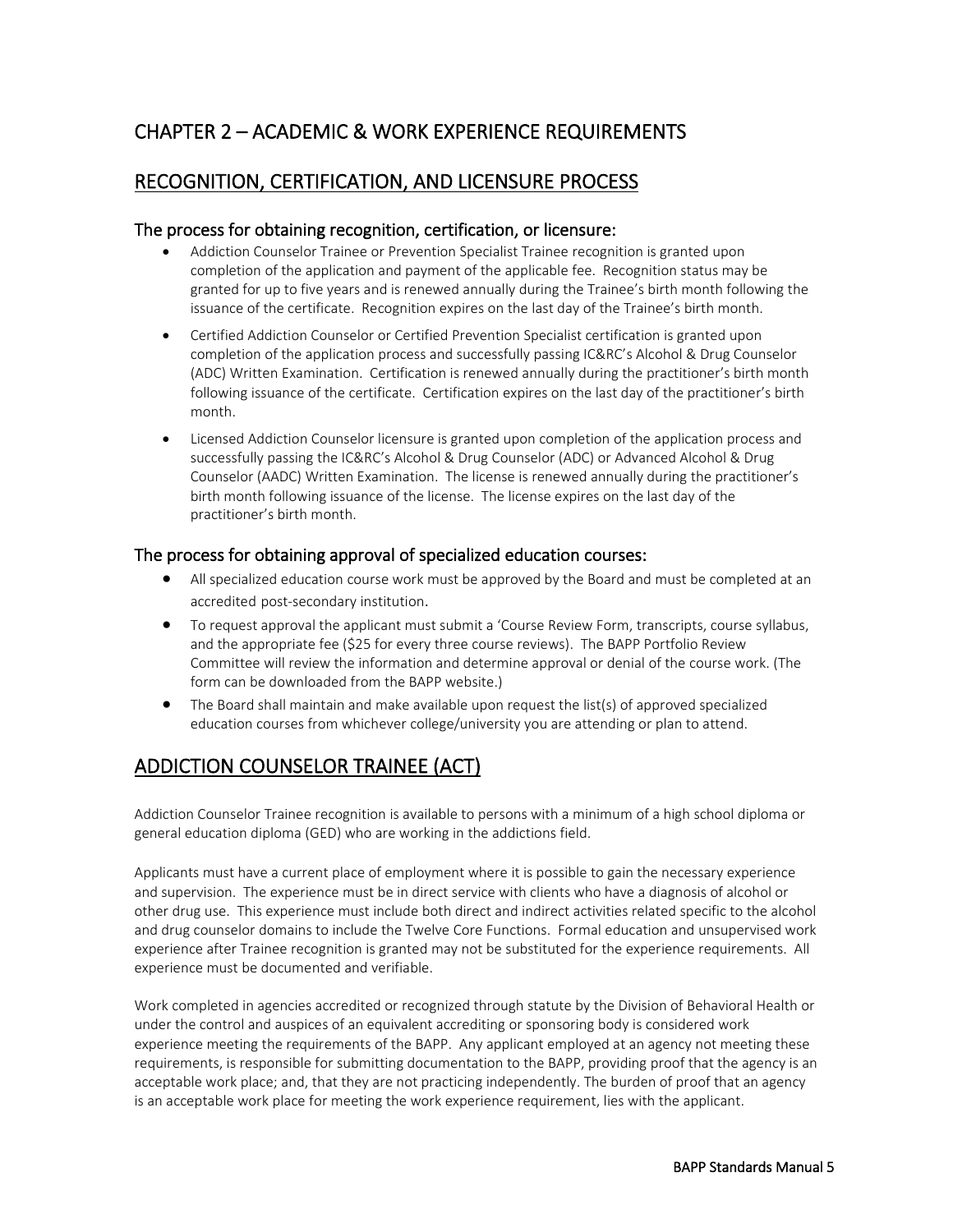### <span id="page-6-0"></span>CHAPTER 2 – ACADEMIC & WORK EXPERIENCE REQUIREMENTS

#### <span id="page-6-1"></span>RECOGNITION, CERTIFICATION, AND LICENSURE PROCESS

#### The process for obtaining recognition, certification, or licensure:

- Addiction Counselor Trainee or Prevention Specialist Trainee recognition is granted upon completion of the application and payment of the applicable fee. Recognition status may be granted for up to five years and is renewed annually during the Trainee's birth month following the issuance of the certificate. Recognition expires on the last day of the Trainee's birth month.
- Certified Addiction Counselor or Certified Prevention Specialist certification is granted upon completion of the application process and successfully passing IC&RC's Alcohol & Drug Counselor (ADC) Written Examination. Certification is renewed annually during the practitioner's birth month following issuance of the certificate. Certification expires on the last day of the practitioner's birth month.
- Licensed Addiction Counselor licensure is granted upon completion of the application process and successfully passing the IC&RC's Alcohol & Drug Counselor (ADC) or Advanced Alcohol & Drug Counselor (AADC) Written Examination. The license is renewed annually during the practitioner's birth month following issuance of the license. The license expires on the last day of the practitioner's birth month.

#### The process for obtaining approval of specialized education courses:

- All specialized education course work must be approved by the Board and must be completed at an accredited post-secondary institution.
- To request approval the applicant must submit a 'Course Review Form, transcripts, course syllabus, and the appropriate fee (\$25 for every three course reviews). The BAPP Portfolio Review Committee will review the information and determine approval or denial of the course work. (The form can be downloaded from the BAPP website.)
- The Board shall maintain and make available upon request the list(s) of approved specialized education courses from whichever college/university you are attending or plan to attend.

### <span id="page-6-2"></span>ADDICTION COUNSELOR TRAINEE (ACT)

Addiction Counselor Trainee recognition is available to persons with a minimum of a high school diploma or general education diploma (GED) who are working in the addictions field.

Applicants must have a current place of employment where it is possible to gain the necessary experience and supervision. The experience must be in direct service with clients who have a diagnosis of alcohol or other drug use. This experience must include both direct and indirect activities related specific to the alcohol and drug counselor domains to include the Twelve Core Functions. Formal education and unsupervised work experience after Trainee recognition is granted may not be substituted for the experience requirements. All experience must be documented and verifiable.

Work completed in agencies accredited or recognized through statute by the Division of Behavioral Health or under the control and auspices of an equivalent accrediting or sponsoring body is considered work experience meeting the requirements of the BAPP. Any applicant employed at an agency not meeting these requirements, is responsible for submitting documentation to the BAPP, providing proof that the agency is an acceptable work place; and, that they are not practicing independently. The burden of proof that an agency is an acceptable work place for meeting the work experience requirement, lies with the applicant.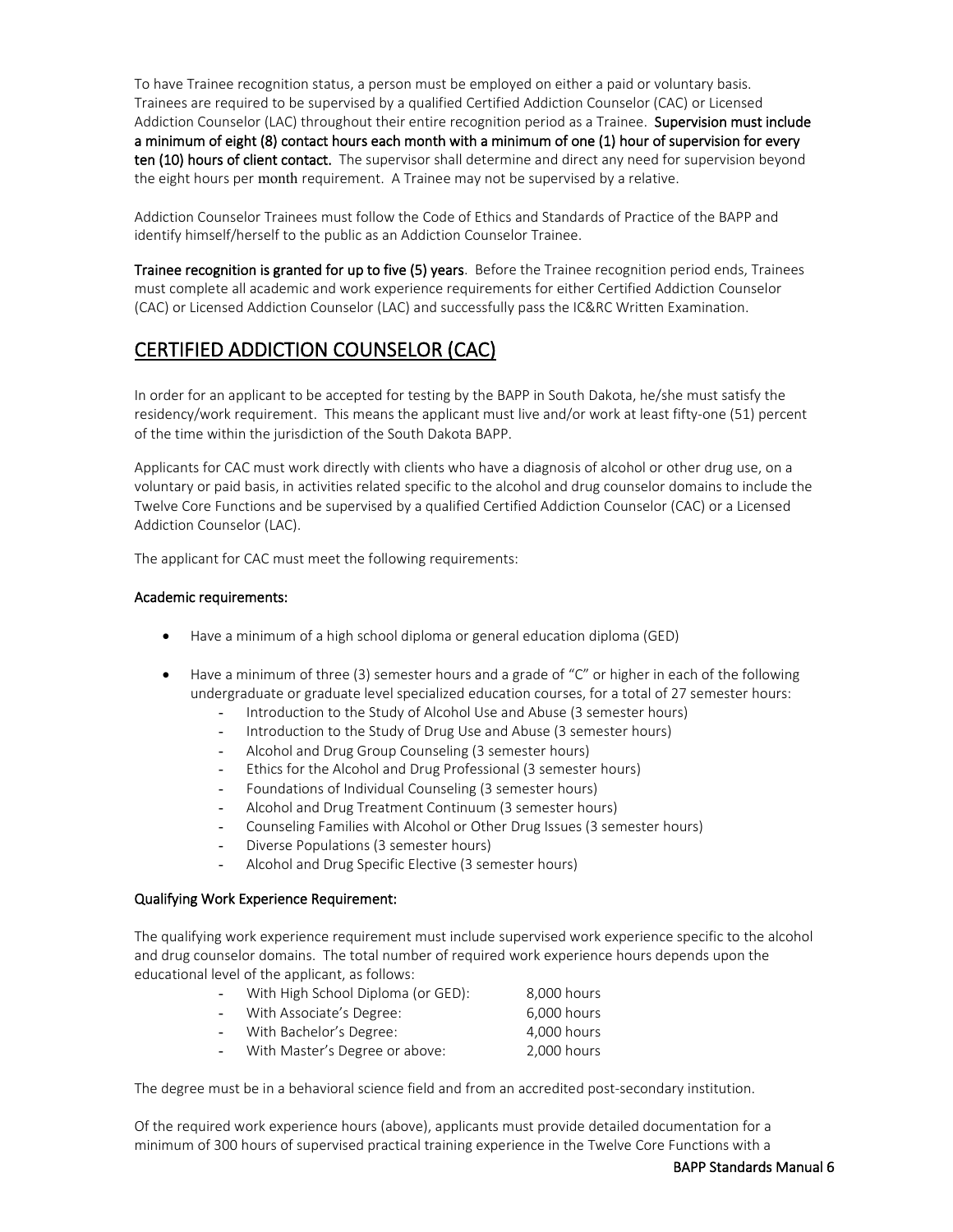To have Trainee recognition status, a person must be employed on either a paid or voluntary basis. Trainees are required to be supervised by a qualified Certified Addiction Counselor (CAC) or Licensed Addiction Counselor (LAC) throughout their entire recognition period as a Trainee. Supervision must include a minimum of eight (8) contact hours each month with a minimum of one (1) hour of supervision for every ten (10) hours of client contact. The supervisor shall determine and direct any need for supervision beyond the eight hours per month requirement. A Trainee may not be supervised by a relative.

Addiction Counselor Trainees must follow the Code of Ethics and Standards of Practice of the BAPP and identify himself/herself to the public as an Addiction Counselor Trainee.

Trainee recognition is granted for up to five (5) years. Before the Trainee recognition period ends, Trainees must complete all academic and work experience requirements for either Certified Addiction Counselor (CAC) or Licensed Addiction Counselor (LAC) and successfully pass the IC&RC Written Examination.

### <span id="page-7-0"></span>CERTIFIED ADDICTION COUNSELOR (CAC)

In order for an applicant to be accepted for testing by the BAPP in South Dakota, he/she must satisfy the residency/work requirement. This means the applicant must live and/or work at least fifty-one (51) percent of the time within the jurisdiction of the South Dakota BAPP.

Applicants for CAC must work directly with clients who have a diagnosis of alcohol or other drug use, on a voluntary or paid basis, in activities related specific to the alcohol and drug counselor domains to include the Twelve Core Functions and be supervised by a qualified Certified Addiction Counselor (CAC) or a Licensed Addiction Counselor (LAC).

The applicant for CAC must meet the following requirements:

#### Academic requirements:

- Have a minimum of a high school diploma or general education diploma (GED)
- Have a minimum of three (3) semester hours and a grade of "C" or higher in each of the following undergraduate or graduate level specialized education courses, for a total of 27 semester hours:
	- Introduction to the Study of Alcohol Use and Abuse (3 semester hours)
	- Introduction to the Study of Drug Use and Abuse (3 semester hours)
	- Alcohol and Drug Group Counseling (3 semester hours)
	- Ethics for the Alcohol and Drug Professional (3 semester hours)
	- Foundations of Individual Counseling (3 semester hours)
	- Alcohol and Drug Treatment Continuum (3 semester hours)
	- Counseling Families with Alcohol or Other Drug Issues (3 semester hours)
	- Diverse Populations (3 semester hours)
	- Alcohol and Drug Specific Elective (3 semester hours)

#### Qualifying Work Experience Requirement:

The qualifying work experience requirement must include supervised work experience specific to the alcohol and drug counselor domains. The total number of required work experience hours depends upon the educational level of the applicant, as follows:

| $\blacksquare$           | With High School Diploma (or GED): | 8.000 hours |
|--------------------------|------------------------------------|-------------|
| $\blacksquare$           | With Associate's Degree:           | 6.000 hours |
| ÷.                       | With Bachelor's Degree:            | 4,000 hours |
| $\overline{\phantom{0}}$ | With Master's Degree or above:     | 2,000 hours |

The degree must be in a behavioral science field and from an accredited post-secondary institution.

Of the required work experience hours (above), applicants must provide detailed documentation for a minimum of 300 hours of supervised practical training experience in the Twelve Core Functions with a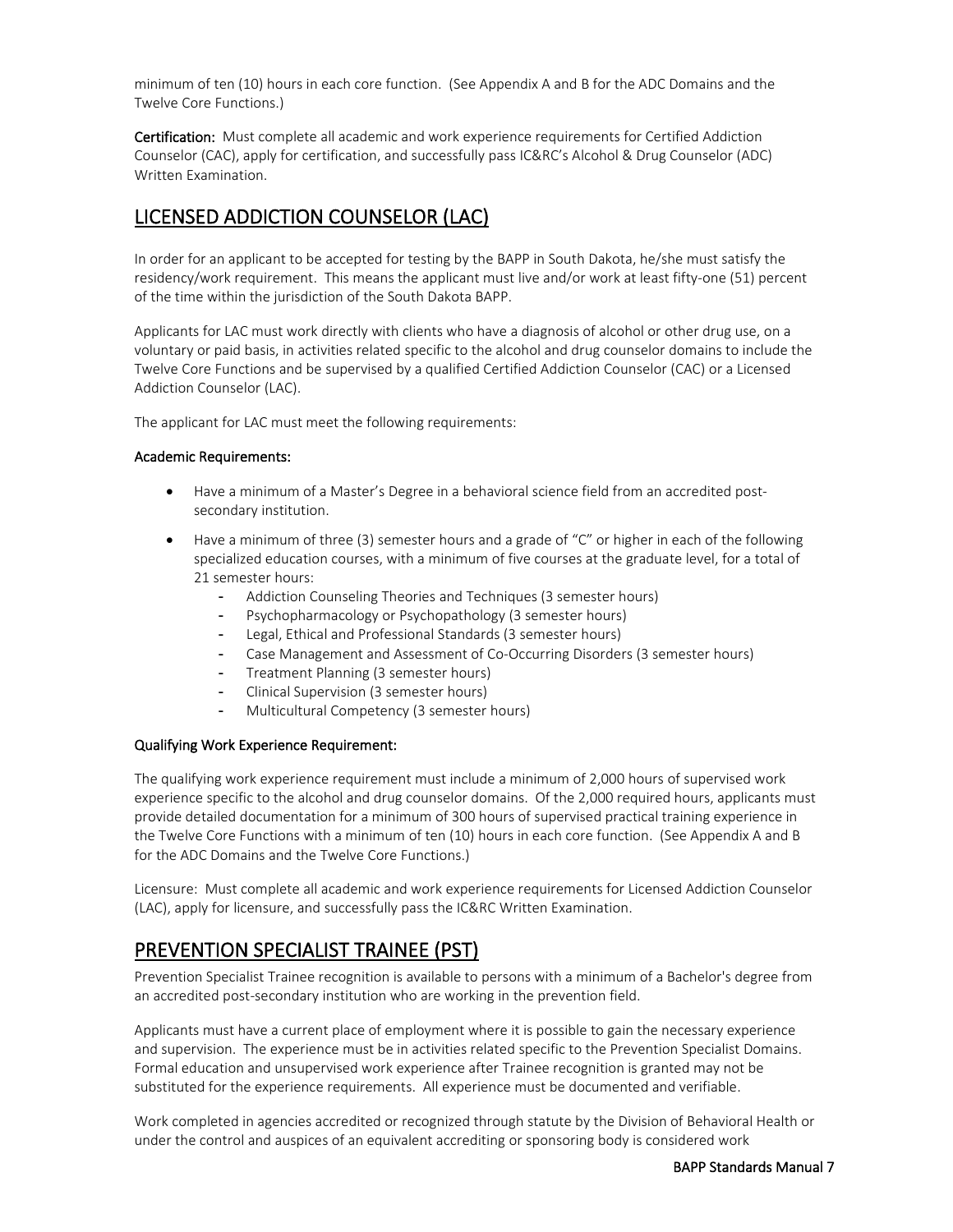minimum of ten (10) hours in each core function. (See Appendix A and B for the ADC Domains and the Twelve Core Functions.)

Certification: Must complete all academic and work experience requirements for Certified Addiction Counselor (CAC), apply for certification, and successfully pass IC&RC's Alcohol & Drug Counselor (ADC) Written Examination.

### <span id="page-8-0"></span>LICENSED ADDICTION COUNSELOR (LAC)

In order for an applicant to be accepted for testing by the BAPP in South Dakota, he/she must satisfy the residency/work requirement. This means the applicant must live and/or work at least fifty-one (51) percent of the time within the jurisdiction of the South Dakota BAPP.

Applicants for LAC must work directly with clients who have a diagnosis of alcohol or other drug use, on a voluntary or paid basis, in activities related specific to the alcohol and drug counselor domains to include the Twelve Core Functions and be supervised by a qualified Certified Addiction Counselor (CAC) or a Licensed Addiction Counselor (LAC).

The applicant for LAC must meet the following requirements:

#### Academic Requirements:

- Have a minimum of a Master's Degree in a behavioral science field from an accredited postsecondary institution.
- Have a minimum of three (3) semester hours and a grade of "C" or higher in each of the following specialized education courses, with a minimum of five courses at the graduate level, for a total of 21 semester hours:
	- Addiction Counseling Theories and Techniques (3 semester hours)
	- Psychopharmacology or Psychopathology (3 semester hours)
	- Legal, Ethical and Professional Standards (3 semester hours)
	- Case Management and Assessment of Co-Occurring Disorders (3 semester hours)
	- Treatment Planning (3 semester hours)
	- Clinical Supervision (3 semester hours)
	- Multicultural Competency (3 semester hours)

#### Qualifying Work Experience Requirement:

The qualifying work experience requirement must include a minimum of 2,000 hours of supervised work experience specific to the alcohol and drug counselor domains. Of the 2,000 required hours, applicants must provide detailed documentation for a minimum of 300 hours of supervised practical training experience in the Twelve Core Functions with a minimum of ten (10) hours in each core function. (See Appendix A and B for the ADC Domains and the Twelve Core Functions.)

Licensure: Must complete all academic and work experience requirements for Licensed Addiction Counselor (LAC), apply for licensure, and successfully pass the IC&RC Written Examination.

#### <span id="page-8-1"></span>PREVENTION SPECIALIST TRAINEE (PST)

Prevention Specialist Trainee recognition is available to persons with a minimum of a Bachelor's degree from an accredited post-secondary institution who are working in the prevention field.

Applicants must have a current place of employment where it is possible to gain the necessary experience and supervision. The experience must be in activities related specific to the Prevention Specialist Domains. Formal education and unsupervised work experience after Trainee recognition is granted may not be substituted for the experience requirements. All experience must be documented and verifiable.

Work completed in agencies accredited or recognized through statute by the Division of Behavioral Health or under the control and auspices of an equivalent accrediting or sponsoring body is considered work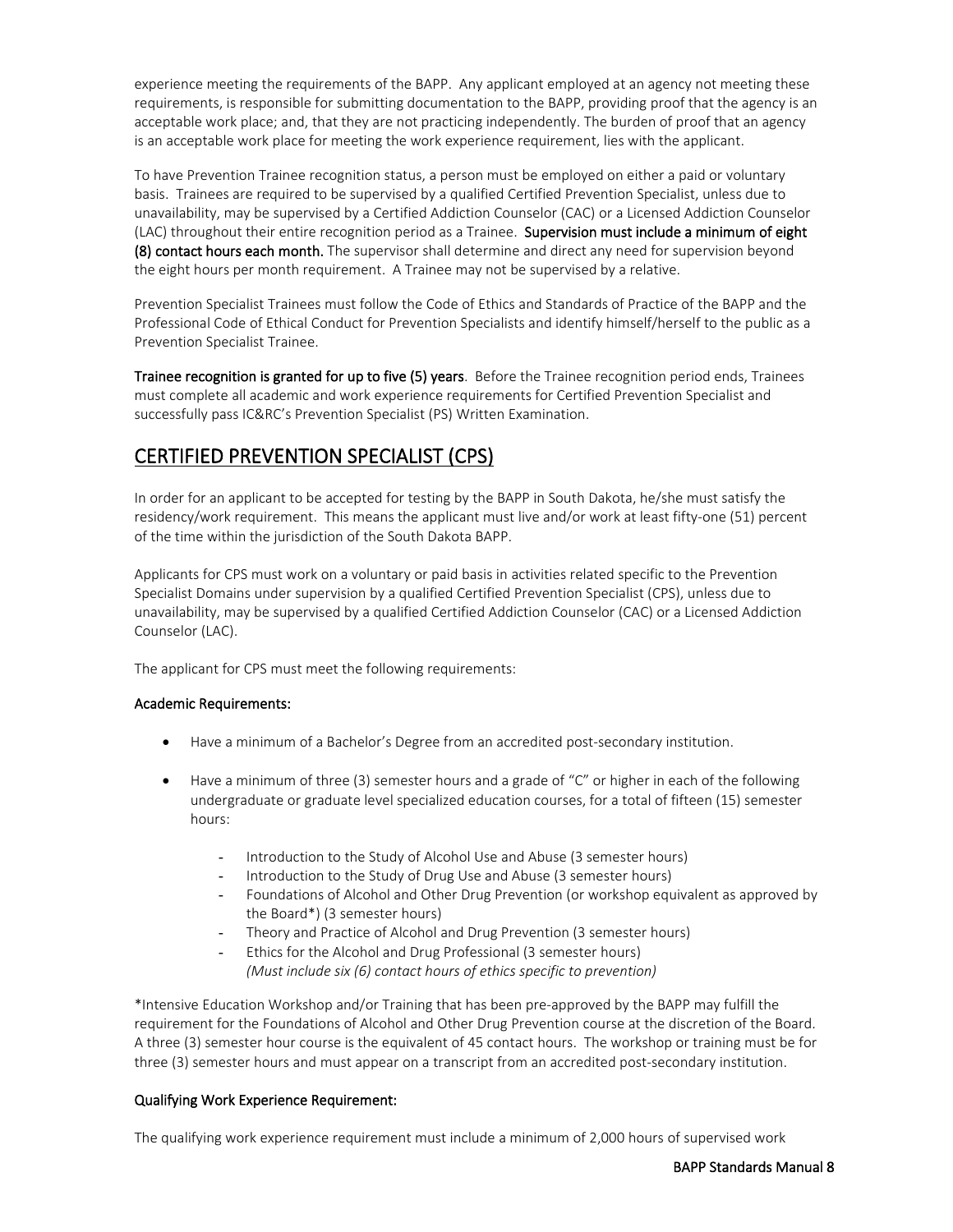experience meeting the requirements of the BAPP. Any applicant employed at an agency not meeting these requirements, is responsible for submitting documentation to the BAPP, providing proof that the agency is an acceptable work place; and, that they are not practicing independently. The burden of proof that an agency is an acceptable work place for meeting the work experience requirement, lies with the applicant.

To have Prevention Trainee recognition status, a person must be employed on either a paid or voluntary basis. Trainees are required to be supervised by a qualified Certified Prevention Specialist, unless due to unavailability, may be supervised by a Certified Addiction Counselor (CAC) or a Licensed Addiction Counselor (LAC) throughout their entire recognition period as a Trainee. Supervision must include a minimum of eight (8) contact hours each month. The supervisor shall determine and direct any need for supervision beyond the eight hours per month requirement. A Trainee may not be supervised by a relative.

Prevention Specialist Trainees must follow the Code of Ethics and Standards of Practice of the BAPP and the Professional Code of Ethical Conduct for Prevention Specialists and identify himself/herself to the public as a Prevention Specialist Trainee.

Trainee recognition is granted for up to five (5) years. Before the Trainee recognition period ends, Trainees must complete all academic and work experience requirements for Certified Prevention Specialist and successfully pass IC&RC's Prevention Specialist (PS) Written Examination.

### <span id="page-9-0"></span>CERTIFIED PREVENTION SPECIALIST (CPS)

In order for an applicant to be accepted for testing by the BAPP in South Dakota, he/she must satisfy the residency/work requirement. This means the applicant must live and/or work at least fifty-one (51) percent of the time within the jurisdiction of the South Dakota BAPP.

Applicants for CPS must work on a voluntary or paid basis in activities related specific to the Prevention Specialist Domains under supervision by a qualified Certified Prevention Specialist (CPS), unless due to unavailability, may be supervised by a qualified Certified Addiction Counselor (CAC) or a Licensed Addiction Counselor (LAC).

The applicant for CPS must meet the following requirements:

#### Academic Requirements:

- Have a minimum of a Bachelor's Degree from an accredited post-secondary institution.
- Have a minimum of three (3) semester hours and a grade of "C" or higher in each of the following undergraduate or graduate level specialized education courses, for a total of fifteen (15) semester hours:
	- Introduction to the Study of Alcohol Use and Abuse (3 semester hours)
	- Introduction to the Study of Drug Use and Abuse (3 semester hours)
	- Foundations of Alcohol and Other Drug Prevention (or workshop equivalent as approved by the Board\*) (3 semester hours)
	- Theory and Practice of Alcohol and Drug Prevention (3 semester hours)
	- Ethics for the Alcohol and Drug Professional (3 semester hours) *(Must include six (6) contact hours of ethics specific to prevention)*

\*Intensive Education Workshop and/or Training that has been pre-approved by the BAPP may fulfill the requirement for the Foundations of Alcohol and Other Drug Prevention course at the discretion of the Board. A three (3) semester hour course is the equivalent of 45 contact hours. The workshop or training must be for three (3) semester hours and must appear on a transcript from an accredited post-secondary institution.

#### Qualifying Work Experience Requirement:

The qualifying work experience requirement must include a minimum of 2,000 hours of supervised work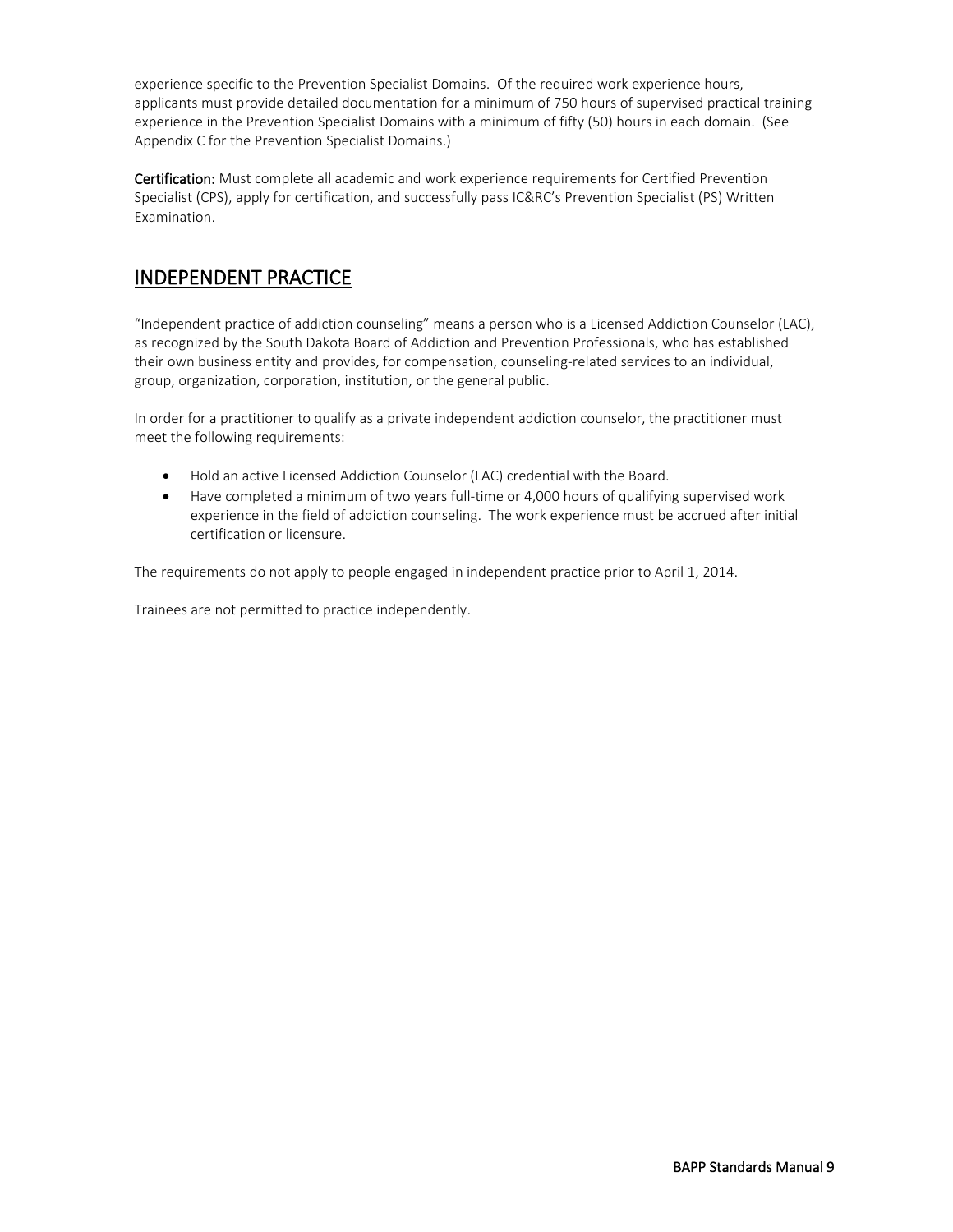experience specific to the Prevention Specialist Domains. Of the required work experience hours, applicants must provide detailed documentation for a minimum of 750 hours of supervised practical training experience in the Prevention Specialist Domains with a minimum of fifty (50) hours in each domain. (See Appendix C for the Prevention Specialist Domains.)

Certification: Must complete all academic and work experience requirements for Certified Prevention Specialist (CPS), apply for certification, and successfully pass IC&RC's Prevention Specialist (PS) Written Examination.

### <span id="page-10-0"></span>INDEPENDENT PRACTICE

"Independent practice of addiction counseling" means a person who is a Licensed Addiction Counselor (LAC), as recognized by the South Dakota Board of Addiction and Prevention Professionals, who has established their own business entity and provides, for compensation, counseling-related services to an individual, group, organization, corporation, institution, or the general public.

In order for a practitioner to qualify as a private independent addiction counselor, the practitioner must meet the following requirements:

- Hold an active Licensed Addiction Counselor (LAC) credential with the Board.
- Have completed a minimum of two years full-time or 4,000 hours of qualifying supervised work experience in the field of addiction counseling. The work experience must be accrued after initial certification or licensure.

The requirements do not apply to people engaged in independent practice prior to April 1, 2014.

Trainees are not permitted to practice independently.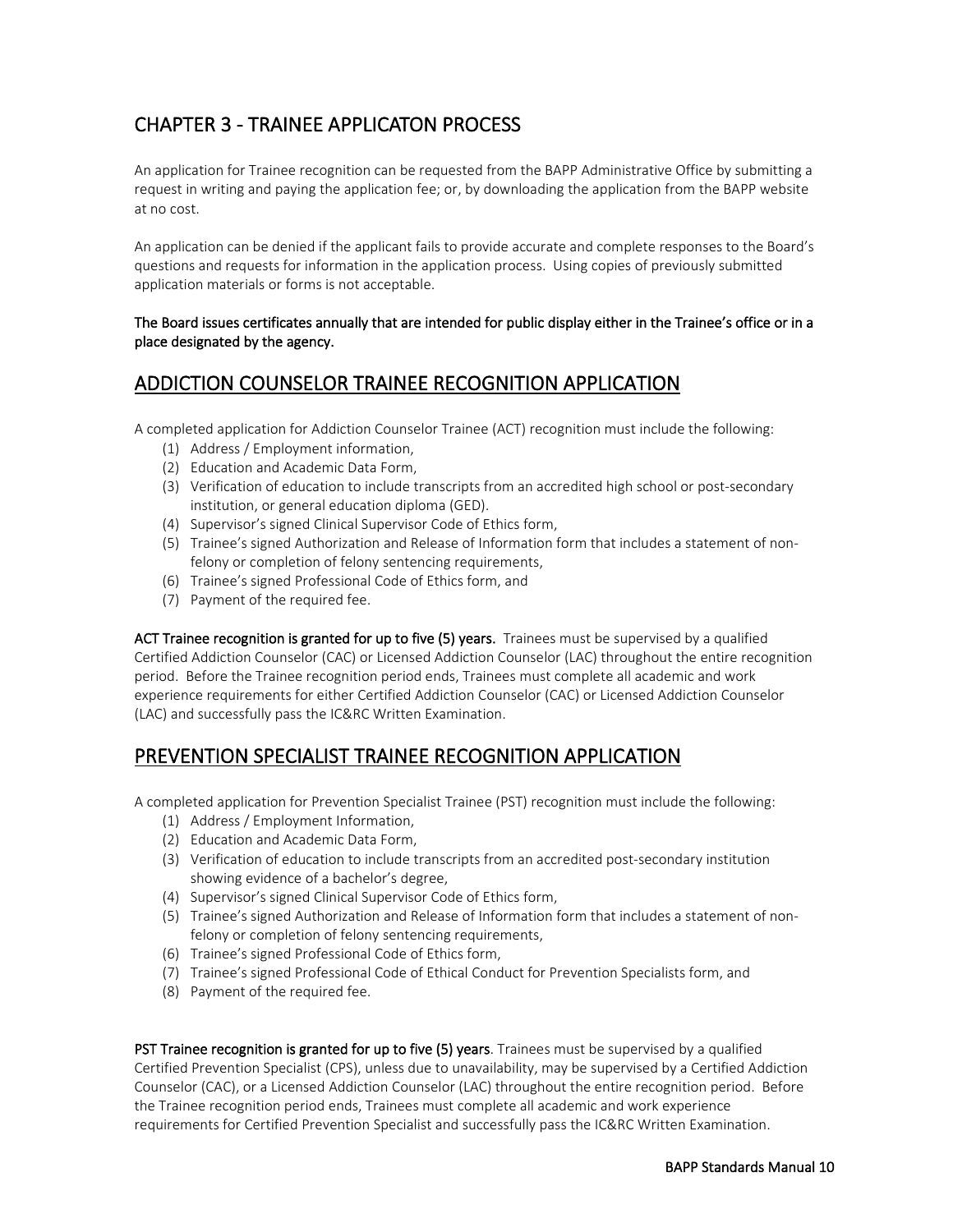### <span id="page-11-0"></span>CHAPTER 3 - TRAINEE APPLICATON PROCESS

An application for Trainee recognition can be requested from the BAPP Administrative Office by submitting a request in writing and paying the application fee; or, by downloading the application from the BAPP website at no cost.

An application can be denied if the applicant fails to provide accurate and complete responses to the Board's questions and requests for information in the application process. Using copies of previously submitted application materials or forms is not acceptable.

#### The Board issues certificates annually that are intended for public display either in the Trainee's office or in a place designated by the agency.

### <span id="page-11-1"></span>ADDICTION COUNSELOR TRAINEE RECOGNITION APPLICATION

A completed application for Addiction Counselor Trainee (ACT) recognition must include the following:

- (1) Address / Employment information,
- (2) Education and Academic Data Form,
- (3) Verification of education to include transcripts from an accredited high school or post-secondary institution, or general education diploma (GED).
- (4) Supervisor's signed Clinical Supervisor Code of Ethics form,
- (5) Trainee's signed Authorization and Release of Information form that includes a statement of nonfelony or completion of felony sentencing requirements,
- (6) Trainee's signed Professional Code of Ethics form, and
- (7) Payment of the required fee.

ACT Trainee recognition is granted for up to five (5) years. Trainees must be supervised by a qualified Certified Addiction Counselor (CAC) or Licensed Addiction Counselor (LAC) throughout the entire recognition period. Before the Trainee recognition period ends, Trainees must complete all academic and work experience requirements for either Certified Addiction Counselor (CAC) or Licensed Addiction Counselor (LAC) and successfully pass the IC&RC Written Examination.

### <span id="page-11-2"></span>PREVENTION SPECIALIST TRAINEE RECOGNITION APPLICATION

A completed application for Prevention Specialist Trainee (PST) recognition must include the following:

- (1) Address / Employment Information,
- (2) Education and Academic Data Form,
- (3) Verification of education to include transcripts from an accredited post-secondary institution showing evidence of a bachelor's degree,
- (4) Supervisor's signed Clinical Supervisor Code of Ethics form,
- (5) Trainee's signed Authorization and Release of Information form that includes a statement of nonfelony or completion of felony sentencing requirements,
- (6) Trainee's signed Professional Code of Ethics form,
- (7) Trainee's signed Professional Code of Ethical Conduct for Prevention Specialists form, and
- (8) Payment of the required fee.

PST Trainee recognition is granted for up to five (5) years. Trainees must be supervised by a qualified Certified Prevention Specialist (CPS), unless due to unavailability, may be supervised by a Certified Addiction Counselor (CAC), or a Licensed Addiction Counselor (LAC) throughout the entire recognition period. Before the Trainee recognition period ends, Trainees must complete all academic and work experience requirements for Certified Prevention Specialist and successfully pass the IC&RC Written Examination.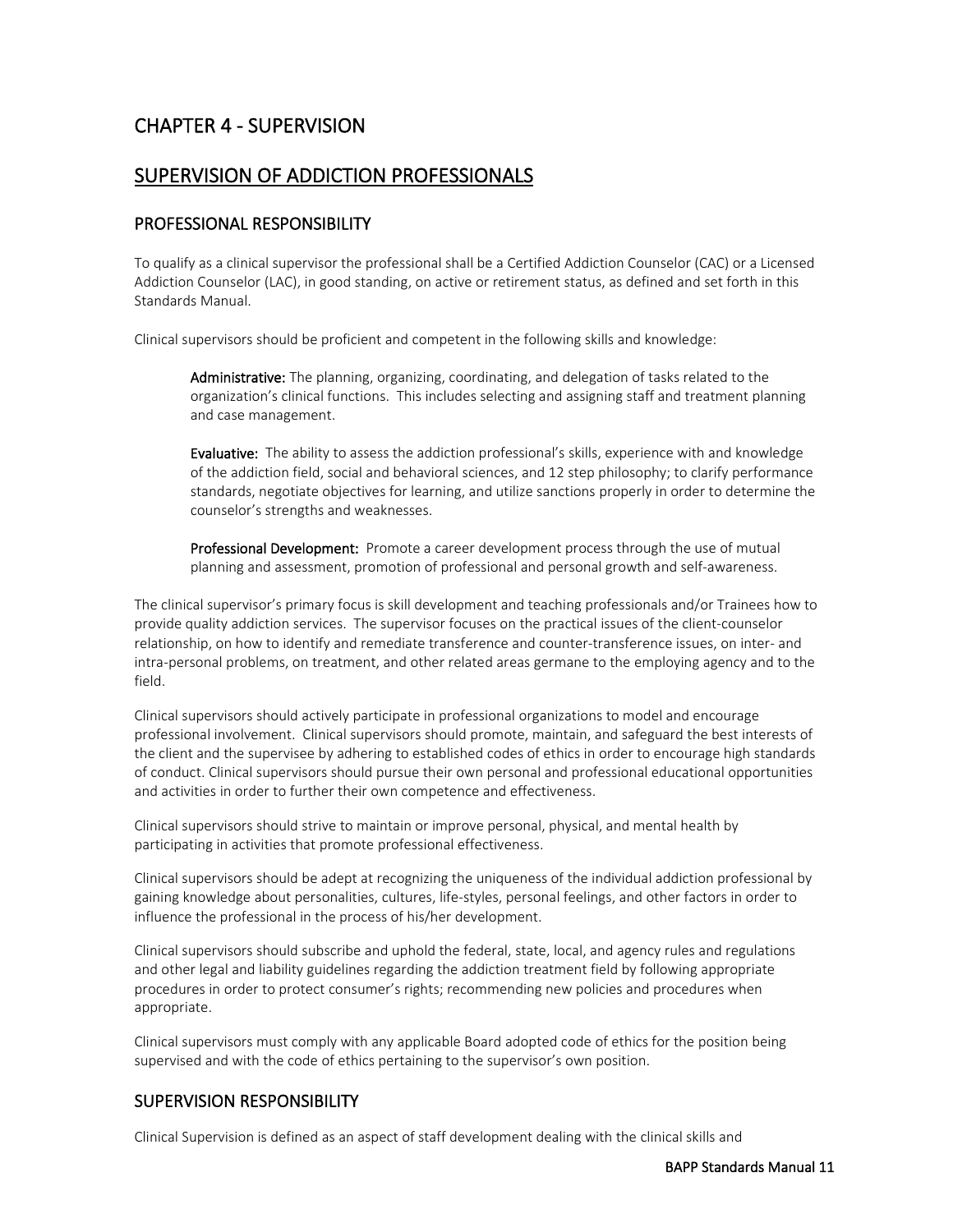### <span id="page-12-0"></span>CHAPTER 4 - SUPERVISION

#### <span id="page-12-1"></span>SUPERVISION OF ADDICTION PROFESSIONALS

#### PROFESSIONAL RESPONSIBILITY

To qualify as a clinical supervisor the professional shall be a Certified Addiction Counselor (CAC) or a Licensed Addiction Counselor (LAC), in good standing, on active or retirement status, as defined and set forth in this Standards Manual.

Clinical supervisors should be proficient and competent in the following skills and knowledge:

Administrative: The planning, organizing, coordinating, and delegation of tasks related to the organization's clinical functions. This includes selecting and assigning staff and treatment planning and case management.

Evaluative: The ability to assess the addiction professional's skills, experience with and knowledge of the addiction field, social and behavioral sciences, and 12 step philosophy; to clarify performance standards, negotiate objectives for learning, and utilize sanctions properly in order to determine the counselor's strengths and weaknesses.

Professional Development: Promote a career development process through the use of mutual planning and assessment, promotion of professional and personal growth and self-awareness.

The clinical supervisor's primary focus is skill development and teaching professionals and/or Trainees how to provide quality addiction services. The supervisor focuses on the practical issues of the client-counselor relationship, on how to identify and remediate transference and counter-transference issues, on inter- and intra-personal problems, on treatment, and other related areas germane to the employing agency and to the field.

Clinical supervisors should actively participate in professional organizations to model and encourage professional involvement. Clinical supervisors should promote, maintain, and safeguard the best interests of the client and the supervisee by adhering to established codes of ethics in order to encourage high standards of conduct. Clinical supervisors should pursue their own personal and professional educational opportunities and activities in order to further their own competence and effectiveness.

Clinical supervisors should strive to maintain or improve personal, physical, and mental health by participating in activities that promote professional effectiveness.

Clinical supervisors should be adept at recognizing the uniqueness of the individual addiction professional by gaining knowledge about personalities, cultures, life-styles, personal feelings, and other factors in order to influence the professional in the process of his/her development.

Clinical supervisors should subscribe and uphold the federal, state, local, and agency rules and regulations and other legal and liability guidelines regarding the addiction treatment field by following appropriate procedures in order to protect consumer's rights; recommending new policies and procedures when appropriate.

Clinical supervisors must comply with any applicable Board adopted code of ethics for the position being supervised and with the code of ethics pertaining to the supervisor's own position.

#### SUPERVISION RESPONSIBILITY

Clinical Supervision is defined as an aspect of staff development dealing with the clinical skills and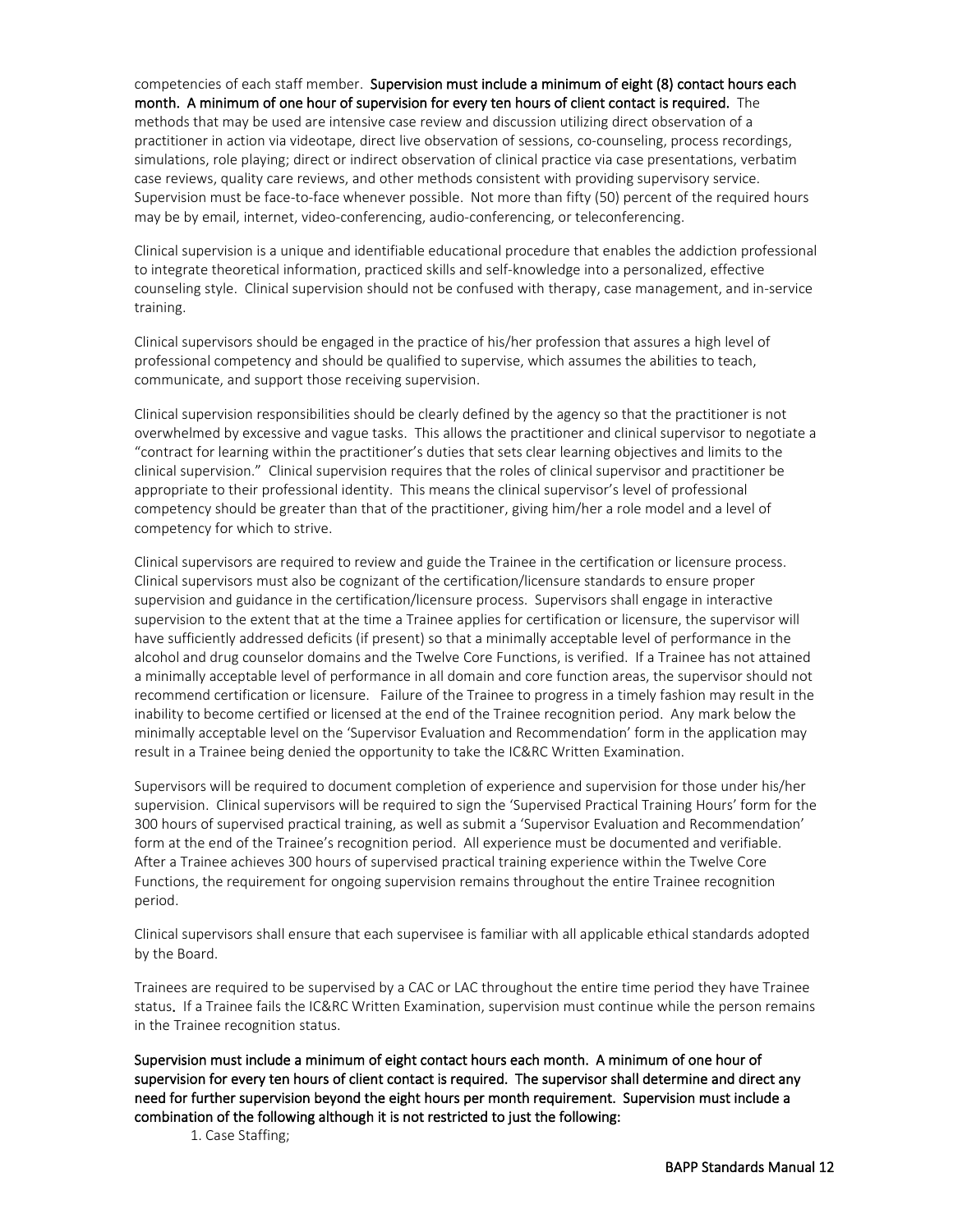competencies of each staff member. Supervision must include a minimum of eight (8) contact hours each month. A minimum of one hour of supervision for every ten hours of client contact is required. The

methods that may be used are intensive case review and discussion utilizing direct observation of a practitioner in action via videotape, direct live observation of sessions, co-counseling, process recordings, simulations, role playing; direct or indirect observation of clinical practice via case presentations, verbatim case reviews, quality care reviews, and other methods consistent with providing supervisory service. Supervision must be face-to-face whenever possible. Not more than fifty (50) percent of the required hours may be by email, internet, video-conferencing, audio-conferencing, or teleconferencing.

Clinical supervision is a unique and identifiable educational procedure that enables the addiction professional to integrate theoretical information, practiced skills and self-knowledge into a personalized, effective counseling style. Clinical supervision should not be confused with therapy, case management, and in-service training.

Clinical supervisors should be engaged in the practice of his/her profession that assures a high level of professional competency and should be qualified to supervise, which assumes the abilities to teach, communicate, and support those receiving supervision.

Clinical supervision responsibilities should be clearly defined by the agency so that the practitioner is not overwhelmed by excessive and vague tasks. This allows the practitioner and clinical supervisor to negotiate a "contract for learning within the practitioner's duties that sets clear learning objectives and limits to the clinical supervision." Clinical supervision requires that the roles of clinical supervisor and practitioner be appropriate to their professional identity. This means the clinical supervisor's level of professional competency should be greater than that of the practitioner, giving him/her a role model and a level of competency for which to strive.

Clinical supervisors are required to review and guide the Trainee in the certification or licensure process. Clinical supervisors must also be cognizant of the certification/licensure standards to ensure proper supervision and guidance in the certification/licensure process. Supervisors shall engage in interactive supervision to the extent that at the time a Trainee applies for certification or licensure, the supervisor will have sufficiently addressed deficits (if present) so that a minimally acceptable level of performance in the alcohol and drug counselor domains and the Twelve Core Functions, is verified. If a Trainee has not attained a minimally acceptable level of performance in all domain and core function areas, the supervisor should not recommend certification or licensure. Failure of the Trainee to progress in a timely fashion may result in the inability to become certified or licensed at the end of the Trainee recognition period. Any mark below the minimally acceptable level on the 'Supervisor Evaluation and Recommendation' form in the application may result in a Trainee being denied the opportunity to take the IC&RC Written Examination.

Supervisors will be required to document completion of experience and supervision for those under his/her supervision. Clinical supervisors will be required to sign the 'Supervised Practical Training Hours' form for the 300 hours of supervised practical training, as well as submit a 'Supervisor Evaluation and Recommendation' form at the end of the Trainee's recognition period. All experience must be documented and verifiable. After a Trainee achieves 300 hours of supervised practical training experience within the Twelve Core Functions, the requirement for ongoing supervision remains throughout the entire Trainee recognition period.

Clinical supervisors shall ensure that each supervisee is familiar with all applicable ethical standards adopted by the Board.

Trainees are required to be supervised by a CAC or LAC throughout the entire time period they have Trainee status. If a Trainee fails the IC&RC Written Examination, supervision must continue while the person remains in the Trainee recognition status.

Supervision must include a minimum of eight contact hours each month. A minimum of one hour of supervision for every ten hours of client contact is required. The supervisor shall determine and direct any need for further supervision beyond the eight hours per month requirement. Supervision must include a combination of the following although it is not restricted to just the following:

1. Case Staffing;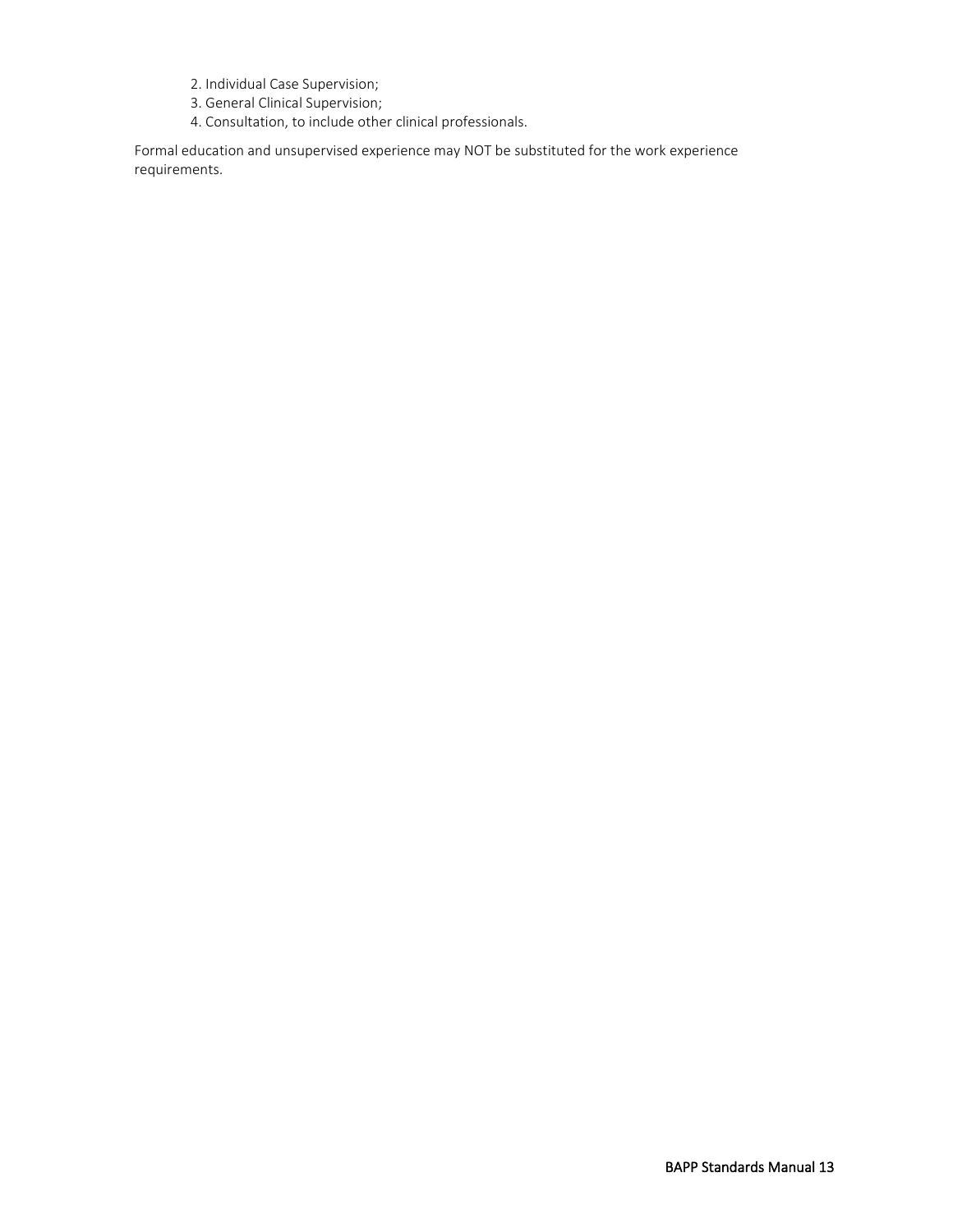- 2. Individual Case Supervision;
- 3. General Clinical Supervision;
- 4. Consultation, to include other clinical professionals.

Formal education and unsupervised experience may NOT be substituted for the work experience requirements.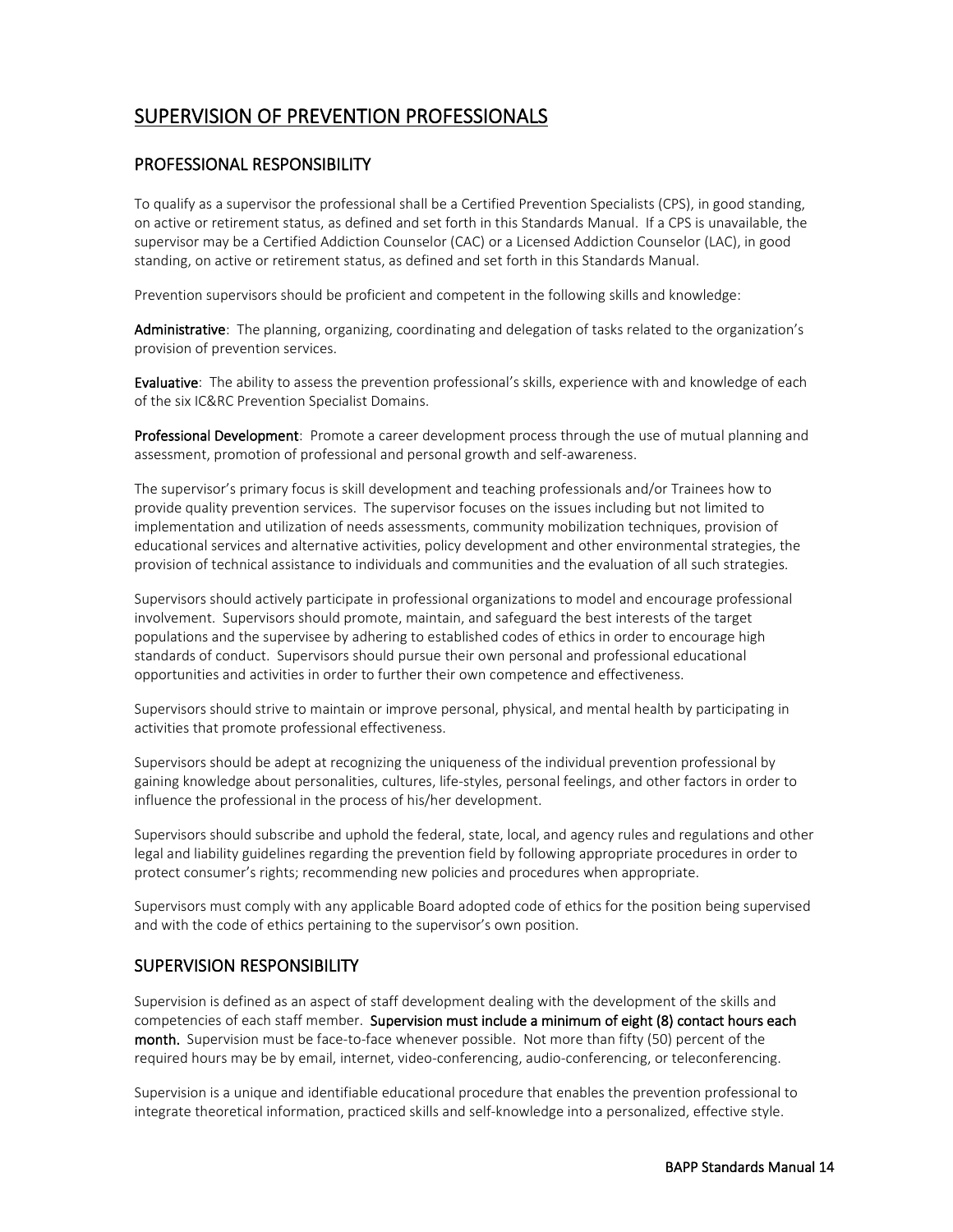### <span id="page-15-0"></span>SUPERVISION OF PREVENTION PROFESSIONALS

#### PROFESSIONAL RESPONSIBILITY

To qualify as a supervisor the professional shall be a Certified Prevention Specialists (CPS), in good standing, on active or retirement status, as defined and set forth in this Standards Manual. If a CPS is unavailable, the supervisor may be a Certified Addiction Counselor (CAC) or a Licensed Addiction Counselor (LAC), in good standing, on active or retirement status, as defined and set forth in this Standards Manual.

Prevention supervisors should be proficient and competent in the following skills and knowledge:

Administrative: The planning, organizing, coordinating and delegation of tasks related to the organization's provision of prevention services.

Evaluative: The ability to assess the prevention professional's skills, experience with and knowledge of each of the six IC&RC Prevention Specialist Domains.

Professional Development: Promote a career development process through the use of mutual planning and assessment, promotion of professional and personal growth and self-awareness.

The supervisor's primary focus is skill development and teaching professionals and/or Trainees how to provide quality prevention services. The supervisor focuses on the issues including but not limited to implementation and utilization of needs assessments, community mobilization techniques, provision of educational services and alternative activities, policy development and other environmental strategies, the provision of technical assistance to individuals and communities and the evaluation of all such strategies.

Supervisors should actively participate in professional organizations to model and encourage professional involvement. Supervisors should promote, maintain, and safeguard the best interests of the target populations and the supervisee by adhering to established codes of ethics in order to encourage high standards of conduct. Supervisors should pursue their own personal and professional educational opportunities and activities in order to further their own competence and effectiveness.

Supervisors should strive to maintain or improve personal, physical, and mental health by participating in activities that promote professional effectiveness.

Supervisors should be adept at recognizing the uniqueness of the individual prevention professional by gaining knowledge about personalities, cultures, life-styles, personal feelings, and other factors in order to influence the professional in the process of his/her development.

Supervisors should subscribe and uphold the federal, state, local, and agency rules and regulations and other legal and liability guidelines regarding the prevention field by following appropriate procedures in order to protect consumer's rights; recommending new policies and procedures when appropriate.

Supervisors must comply with any applicable Board adopted code of ethics for the position being supervised and with the code of ethics pertaining to the supervisor's own position.

#### SUPERVISION RESPONSIBILITY

Supervision is defined as an aspect of staff development dealing with the development of the skills and competencies of each staff member. Supervision must include a minimum of eight (8) contact hours each month. Supervision must be face-to-face whenever possible. Not more than fifty (50) percent of the required hours may be by email, internet, video-conferencing, audio-conferencing, or teleconferencing.

Supervision is a unique and identifiable educational procedure that enables the prevention professional to integrate theoretical information, practiced skills and self-knowledge into a personalized, effective style.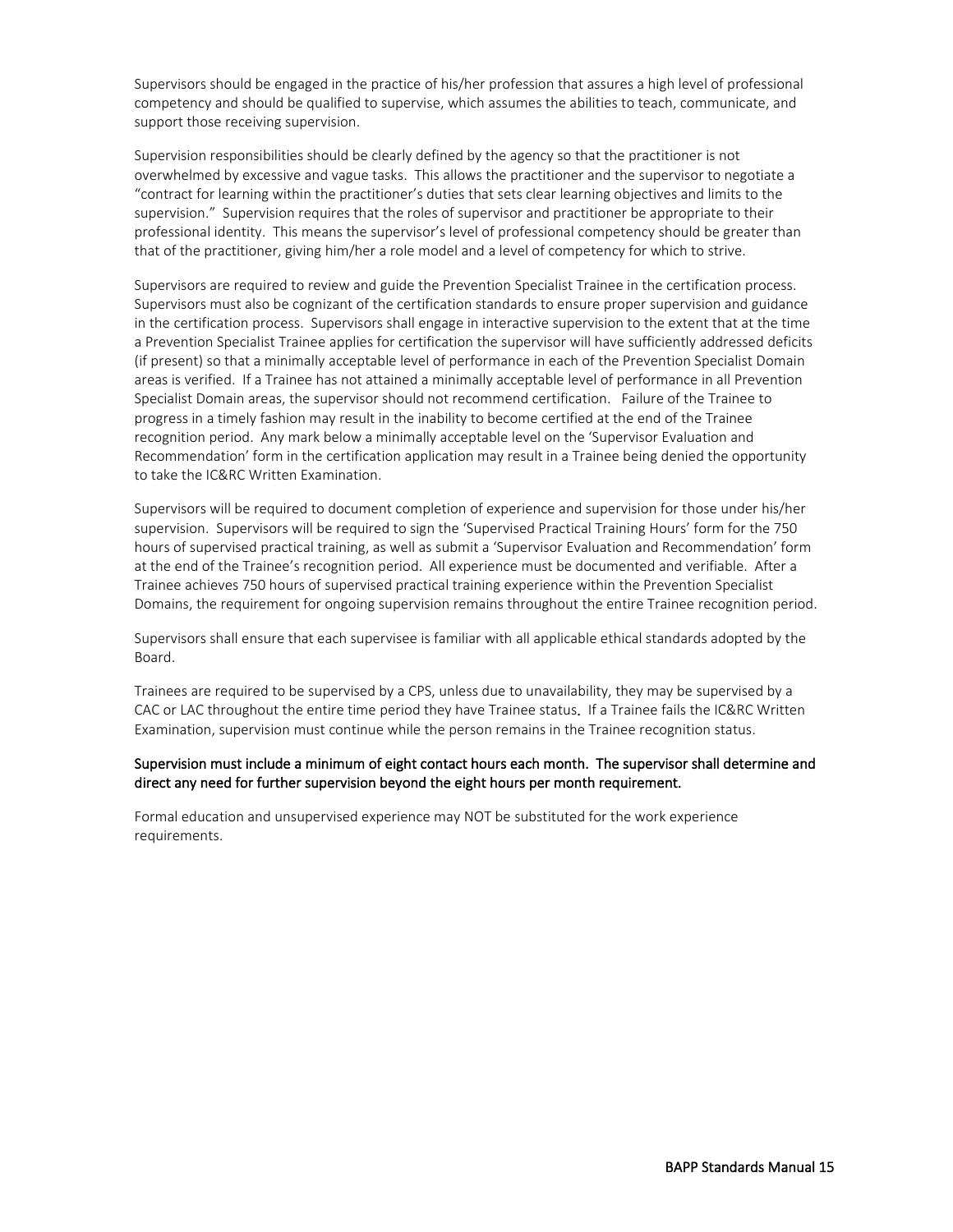Supervisors should be engaged in the practice of his/her profession that assures a high level of professional competency and should be qualified to supervise, which assumes the abilities to teach, communicate, and support those receiving supervision.

Supervision responsibilities should be clearly defined by the agency so that the practitioner is not overwhelmed by excessive and vague tasks. This allows the practitioner and the supervisor to negotiate a "contract for learning within the practitioner's duties that sets clear learning objectives and limits to the supervision." Supervision requires that the roles of supervisor and practitioner be appropriate to their professional identity. This means the supervisor's level of professional competency should be greater than that of the practitioner, giving him/her a role model and a level of competency for which to strive.

Supervisors are required to review and guide the Prevention Specialist Trainee in the certification process. Supervisors must also be cognizant of the certification standards to ensure proper supervision and guidance in the certification process. Supervisors shall engage in interactive supervision to the extent that at the time a Prevention Specialist Trainee applies for certification the supervisor will have sufficiently addressed deficits (if present) so that a minimally acceptable level of performance in each of the Prevention Specialist Domain areas is verified. If a Trainee has not attained a minimally acceptable level of performance in all Prevention Specialist Domain areas, the supervisor should not recommend certification. Failure of the Trainee to progress in a timely fashion may result in the inability to become certified at the end of the Trainee recognition period. Any mark below a minimally acceptable level on the 'Supervisor Evaluation and Recommendation' form in the certification application may result in a Trainee being denied the opportunity to take the IC&RC Written Examination.

Supervisors will be required to document completion of experience and supervision for those under his/her supervision. Supervisors will be required to sign the 'Supervised Practical Training Hours' form for the 750 hours of supervised practical training, as well as submit a 'Supervisor Evaluation and Recommendation' form at the end of the Trainee's recognition period. All experience must be documented and verifiable. After a Trainee achieves 750 hours of supervised practical training experience within the Prevention Specialist Domains, the requirement for ongoing supervision remains throughout the entire Trainee recognition period.

Supervisors shall ensure that each supervisee is familiar with all applicable ethical standards adopted by the Board.

Trainees are required to be supervised by a CPS, unless due to unavailability, they may be supervised by a CAC or LAC throughout the entire time period they have Trainee status. If a Trainee fails the IC&RC Written Examination, supervision must continue while the person remains in the Trainee recognition status.

#### Supervision must include a minimum of eight contact hours each month. The supervisor shall determine and direct any need for further supervision beyond the eight hours per month requirement.

Formal education and unsupervised experience may NOT be substituted for the work experience requirements.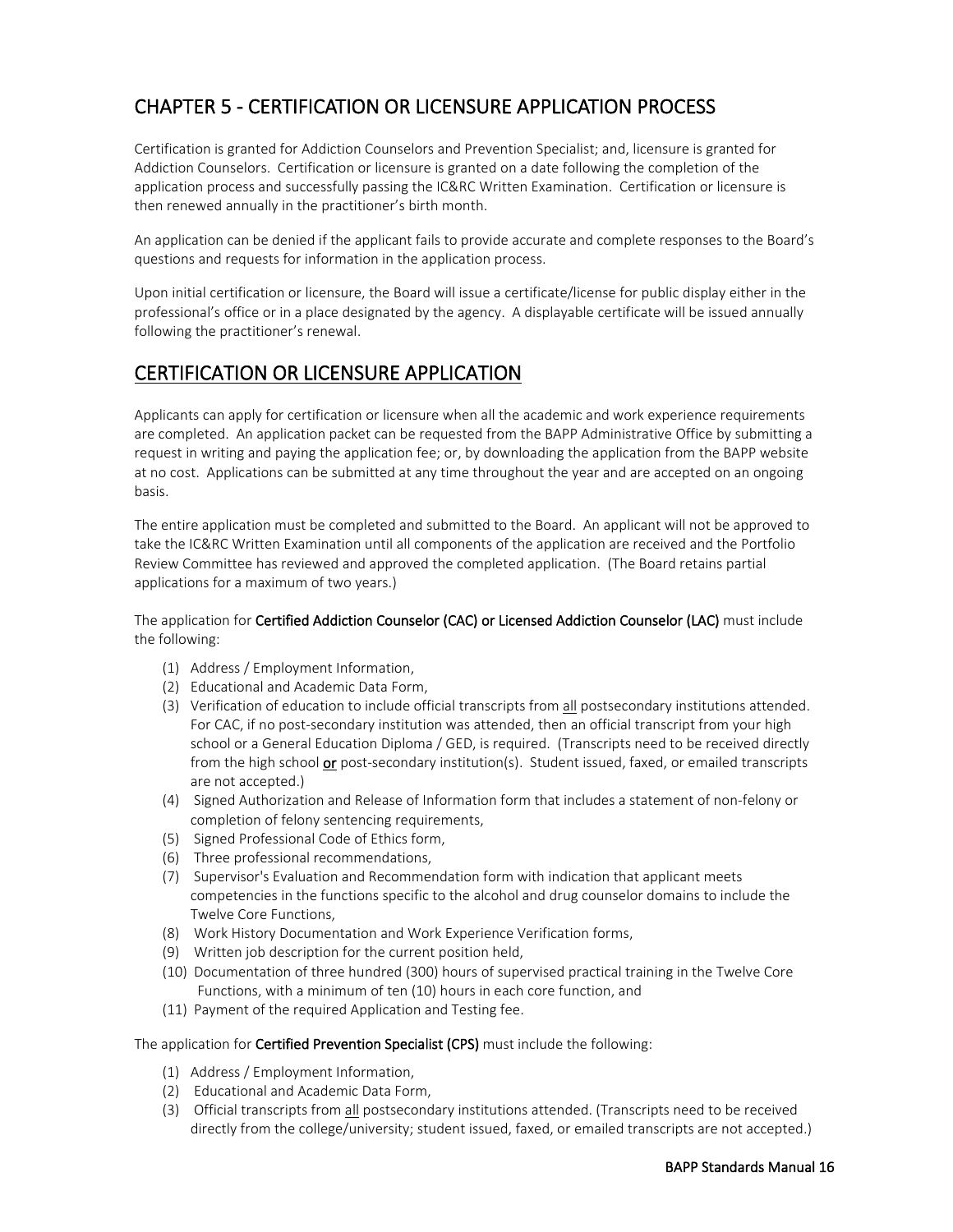### <span id="page-17-0"></span>CHAPTER 5 - CERTIFICATION OR LICENSURE APPLICATION PROCESS

Certification is granted for Addiction Counselors and Prevention Specialist; and, licensure is granted for Addiction Counselors. Certification or licensure is granted on a date following the completion of the application process and successfully passing the IC&RC Written Examination. Certification or licensure is then renewed annually in the practitioner's birth month.

An application can be denied if the applicant fails to provide accurate and complete responses to the Board's questions and requests for information in the application process.

Upon initial certification or licensure, the Board will issue a certificate/license for public display either in the professional's office or in a place designated by the agency. A displayable certificate will be issued annually following the practitioner's renewal.

#### <span id="page-17-1"></span>CERTIFICATION OR LICENSURE APPLICATION

Applicants can apply for certification or licensure when all the academic and work experience requirements are completed. An application packet can be requested from the BAPP Administrative Office by submitting a request in writing and paying the application fee; or, by downloading the application from the BAPP website at no cost. Applications can be submitted at any time throughout the year and are accepted on an ongoing basis.

The entire application must be completed and submitted to the Board. An applicant will not be approved to take the IC&RC Written Examination until all components of the application are received and the Portfolio Review Committee has reviewed and approved the completed application. (The Board retains partial applications for a maximum of two years.)

#### The application for Certified Addiction Counselor (CAC) or Licensed Addiction Counselor (LAC) must include the following:

- (1) Address / Employment Information,
- (2) Educational and Academic Data Form,
- (3) Verification of education to include official transcripts from all postsecondary institutions attended. For CAC, if no post-secondary institution was attended, then an official transcript from your high school or a General Education Diploma / GED, is required. (Transcripts need to be received directly from the high school or post-secondary institution(s). Student issued, faxed, or emailed transcripts are not accepted.)
- (4) Signed Authorization and Release of Information form that includes a statement of non-felony or completion of felony sentencing requirements,
- (5) Signed Professional Code of Ethics form,
- (6) Three professional recommendations,
- (7) Supervisor's Evaluation and Recommendation form with indication that applicant meets competencies in the functions specific to the alcohol and drug counselor domains to include the Twelve Core Functions,
- (8) Work History Documentation and Work Experience Verification forms,
- (9) Written job description for the current position held,
- (10) Documentation of three hundred (300) hours of supervised practical training in the Twelve Core Functions, with a minimum of ten (10) hours in each core function, and
- (11) Payment of the required Application and Testing fee.

#### The application for Certified Prevention Specialist (CPS) must include the following:

- (1) Address / Employment Information,
- (2) Educational and Academic Data Form,
- (3) Official transcripts from all postsecondary institutions attended. (Transcripts need to be received directly from the college/university; student issued, faxed, or emailed transcripts are not accepted.)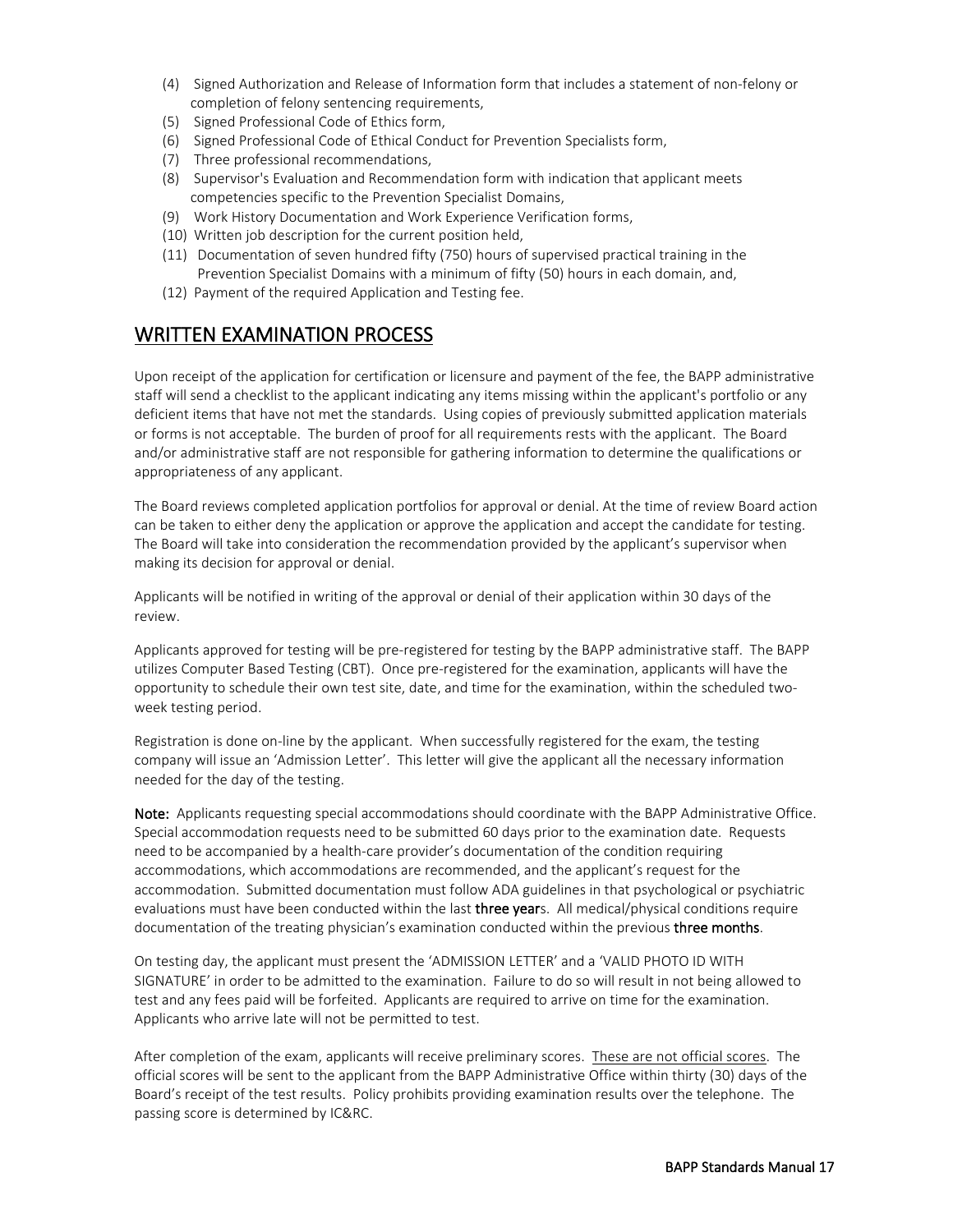- (4) Signed Authorization and Release of Information form that includes a statement of non-felony or completion of felony sentencing requirements,
- (5) Signed Professional Code of Ethics form,
- (6) Signed Professional Code of Ethical Conduct for Prevention Specialists form,
- (7) Three professional recommendations,
- (8) Supervisor's Evaluation and Recommendation form with indication that applicant meets competencies specific to the Prevention Specialist Domains,
- (9) Work History Documentation and Work Experience Verification forms,
- (10) Written job description for the current position held,
- (11) Documentation of seven hundred fifty (750) hours of supervised practical training in the Prevention Specialist Domains with a minimum of fifty (50) hours in each domain, and,
- (12) Payment of the required Application and Testing fee.

#### <span id="page-18-0"></span>WRITTEN EXAMINATION PROCESS

Upon receipt of the application for certification or licensure and payment of the fee, the BAPP administrative staff will send a checklist to the applicant indicating any items missing within the applicant's portfolio or any deficient items that have not met the standards. Using copies of previously submitted application materials or forms is not acceptable. The burden of proof for all requirements rests with the applicant. The Board and/or administrative staff are not responsible for gathering information to determine the qualifications or appropriateness of any applicant.

The Board reviews completed application portfolios for approval or denial. At the time of review Board action can be taken to either deny the application or approve the application and accept the candidate for testing. The Board will take into consideration the recommendation provided by the applicant's supervisor when making its decision for approval or denial.

Applicants will be notified in writing of the approval or denial of their application within 30 days of the review.

Applicants approved for testing will be pre-registered for testing by the BAPP administrative staff. The BAPP utilizes Computer Based Testing (CBT). Once pre-registered for the examination, applicants will have the opportunity to schedule their own test site, date, and time for the examination, within the scheduled twoweek testing period.

Registration is done on-line by the applicant. When successfully registered for the exam, the testing company will issue an 'Admission Letter'. This letter will give the applicant all the necessary information needed for the day of the testing.

Note: Applicants requesting special accommodations should coordinate with the BAPP Administrative Office. Special accommodation requests need to be submitted 60 days prior to the examination date. Requests need to be accompanied by a health-care provider's documentation of the condition requiring accommodations, which accommodations are recommended, and the applicant's request for the accommodation. Submitted documentation must follow ADA guidelines in that psychological or psychiatric evaluations must have been conducted within the last three years. All medical/physical conditions require documentation of the treating physician's examination conducted within the previous three months.

On testing day, the applicant must present the 'ADMISSION LETTER' and a 'VALID PHOTO ID WITH SIGNATURE' in order to be admitted to the examination. Failure to do so will result in not being allowed to test and any fees paid will be forfeited. Applicants are required to arrive on time for the examination. Applicants who arrive late will not be permitted to test.

After completion of the exam, applicants will receive preliminary scores. These are not official scores. The official scores will be sent to the applicant from the BAPP Administrative Office within thirty (30) days of the Board's receipt of the test results. Policy prohibits providing examination results over the telephone. The passing score is determined by IC&RC.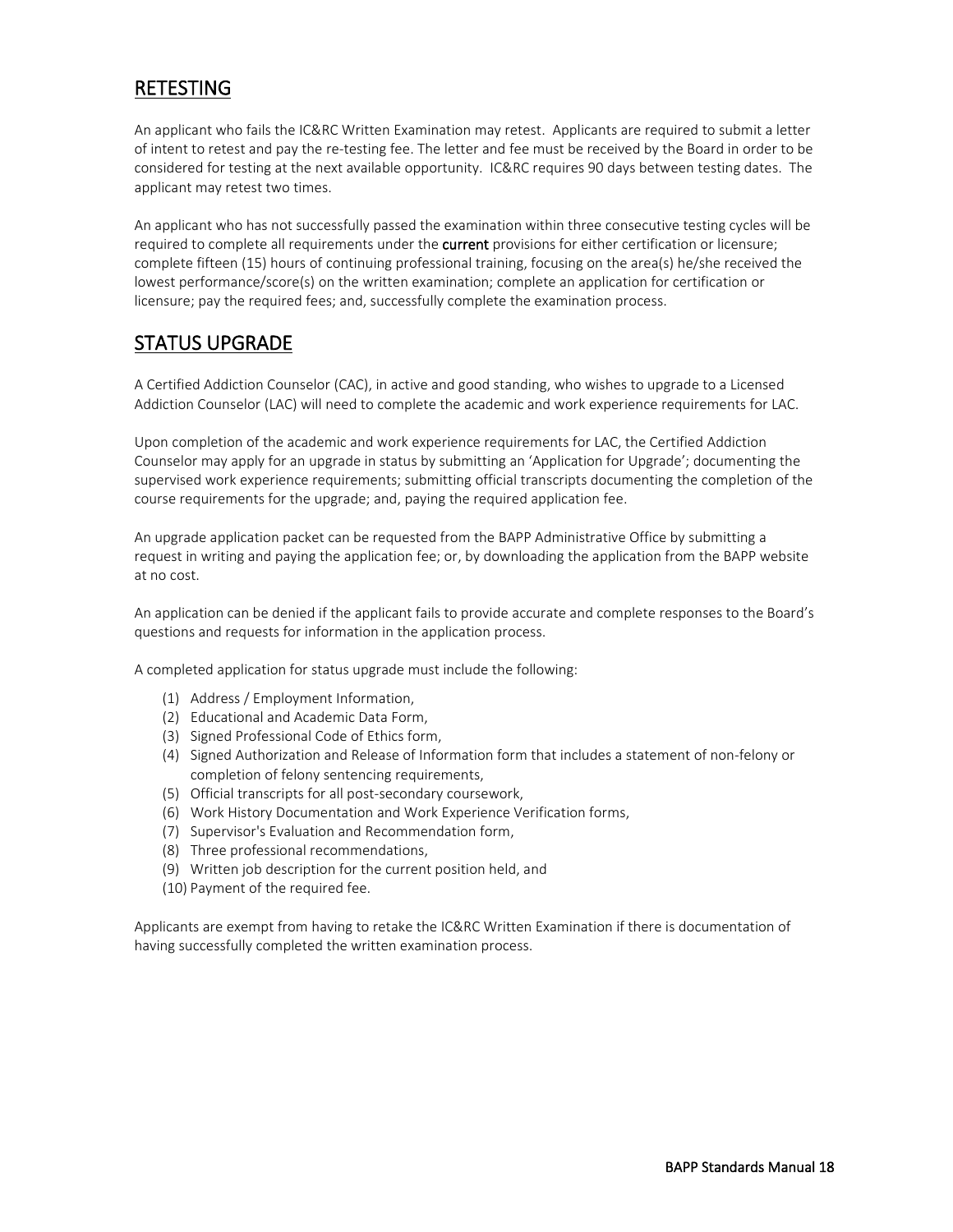### <span id="page-19-0"></span>RETESTING

An applicant who fails the IC&RC Written Examination may retest. Applicants are required to submit a letter of intent to retest and pay the re-testing fee. The letter and fee must be received by the Board in order to be considered for testing at the next available opportunity. IC&RC requires 90 days between testing dates. The applicant may retest two times.

An applicant who has not successfully passed the examination within three consecutive testing cycles will be required to complete all requirements under the **current** provisions for either certification or licensure; complete fifteen (15) hours of continuing professional training, focusing on the area(s) he/she received the lowest performance/score(s) on the written examination; complete an application for certification or licensure; pay the required fees; and, successfully complete the examination process.

#### <span id="page-19-1"></span>STATUS UPGRADE

A Certified Addiction Counselor (CAC), in active and good standing, who wishes to upgrade to a Licensed Addiction Counselor (LAC) will need to complete the academic and work experience requirements for LAC.

Upon completion of the academic and work experience requirements for LAC, the Certified Addiction Counselor may apply for an upgrade in status by submitting an 'Application for Upgrade'; documenting the supervised work experience requirements; submitting official transcripts documenting the completion of the course requirements for the upgrade; and, paying the required application fee.

An upgrade application packet can be requested from the BAPP Administrative Office by submitting a request in writing and paying the application fee; or, by downloading the application from the BAPP website at no cost.

An application can be denied if the applicant fails to provide accurate and complete responses to the Board's questions and requests for information in the application process.

A completed application for status upgrade must include the following:

- (1) Address / Employment Information,
- (2) Educational and Academic Data Form,
- (3) Signed Professional Code of Ethics form,
- (4) Signed Authorization and Release of Information form that includes a statement of non-felony or completion of felony sentencing requirements,
- (5) Official transcripts for all post-secondary coursework,
- (6) Work History Documentation and Work Experience Verification forms,
- (7) Supervisor's Evaluation and Recommendation form,
- (8) Three professional recommendations,
- (9) Written job description for the current position held, and
- (10) Payment of the required fee.

Applicants are exempt from having to retake the IC&RC Written Examination if there is documentation of having successfully completed the written examination process.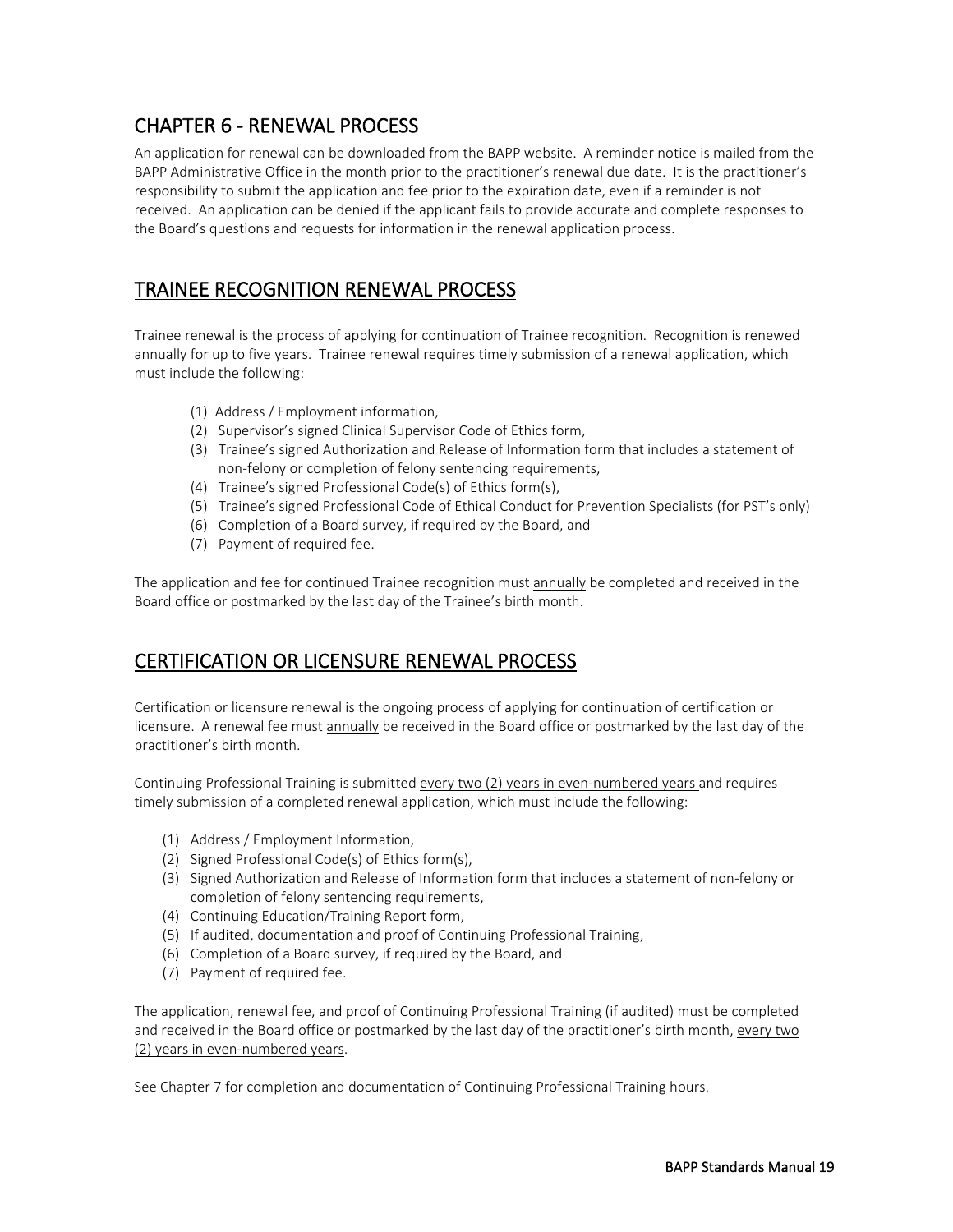### <span id="page-20-0"></span>CHAPTER 6 - RENEWAL PROCESS

An application for renewal can be downloaded from the BAPP website. A reminder notice is mailed from the BAPP Administrative Office in the month prior to the practitioner's renewal due date. It is the practitioner's responsibility to submit the application and fee prior to the expiration date, even if a reminder is not received. An application can be denied if the applicant fails to provide accurate and complete responses to the Board's questions and requests for information in the renewal application process.

### <span id="page-20-1"></span>TRAINEE RECOGNITION RENEWAL PROCESS

Trainee renewal is the process of applying for continuation of Trainee recognition. Recognition is renewed annually for up to five years. Trainee renewal requires timely submission of a renewal application, which must include the following:

- (1) Address / Employment information,
- (2) Supervisor's signed Clinical Supervisor Code of Ethics form,
- (3) Trainee's signed Authorization and Release of Information form that includes a statement of non-felony or completion of felony sentencing requirements,
- (4) Trainee's signed Professional Code(s) of Ethics form(s),
- (5) Trainee's signed Professional Code of Ethical Conduct for Prevention Specialists (for PST's only)
- (6) Completion of a Board survey, if required by the Board, and
- (7) Payment of required fee.

The application and fee for continued Trainee recognition must annually be completed and received in the Board office or postmarked by the last day of the Trainee's birth month.

### <span id="page-20-2"></span>CERTIFICATION OR LICENSURE RENEWAL PROCESS

Certification or licensure renewal is the ongoing process of applying for continuation of certification or licensure. A renewal fee must annually be received in the Board office or postmarked by the last day of the practitioner's birth month.

Continuing Professional Training is submitted every two (2) years in even-numbered years and requires timely submission of a completed renewal application, which must include the following:

- (1) Address / Employment Information,
- (2) Signed Professional Code(s) of Ethics form(s),
- (3) Signed Authorization and Release of Information form that includes a statement of non-felony or completion of felony sentencing requirements,
- (4) Continuing Education/Training Report form,
- (5) If audited, documentation and proof of Continuing Professional Training,
- (6) Completion of a Board survey, if required by the Board, and
- (7) Payment of required fee.

The application, renewal fee, and proof of Continuing Professional Training (if audited) must be completed and received in the Board office or postmarked by the last day of the practitioner's birth month, every two (2) years in even-numbered years.

See Chapter 7 for completion and documentation of Continuing Professional Training hours.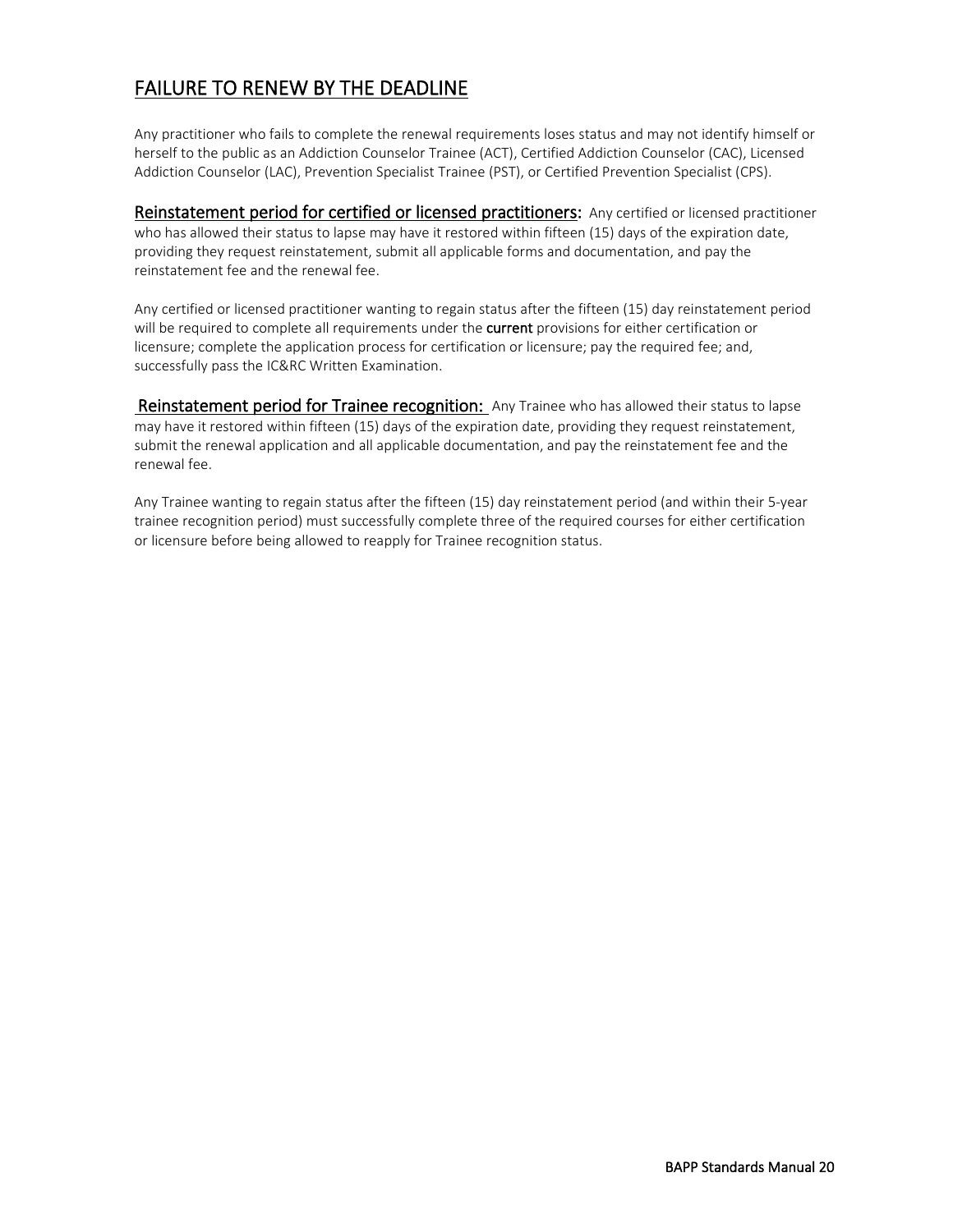### <span id="page-21-0"></span>FAILURE TO RENEW BY THE DEADLINE

Any practitioner who fails to complete the renewal requirements loses status and may not identify himself or herself to the public as an Addiction Counselor Trainee (ACT), Certified Addiction Counselor (CAC), Licensed Addiction Counselor (LAC), Prevention Specialist Trainee (PST), or Certified Prevention Specialist (CPS).

Reinstatement period for certified or licensed practitioners: Any certified or licensed practitioner who has allowed their status to lapse may have it restored within fifteen (15) days of the expiration date, providing they request reinstatement, submit all applicable forms and documentation, and pay the reinstatement fee and the renewal fee.

Any certified or licensed practitioner wanting to regain status after the fifteen (15) day reinstatement period will be required to complete all requirements under the **current** provisions for either certification or licensure; complete the application process for certification or licensure; pay the required fee; and, successfully pass the IC&RC Written Examination.

Reinstatement period for Trainee recognition: Any Trainee who has allowed their status to lapse may have it restored within fifteen (15) days of the expiration date, providing they request reinstatement, submit the renewal application and all applicable documentation, and pay the reinstatement fee and the renewal fee.

Any Trainee wanting to regain status after the fifteen (15) day reinstatement period (and within their 5-year trainee recognition period) must successfully complete three of the required courses for either certification or licensure before being allowed to reapply for Trainee recognition status.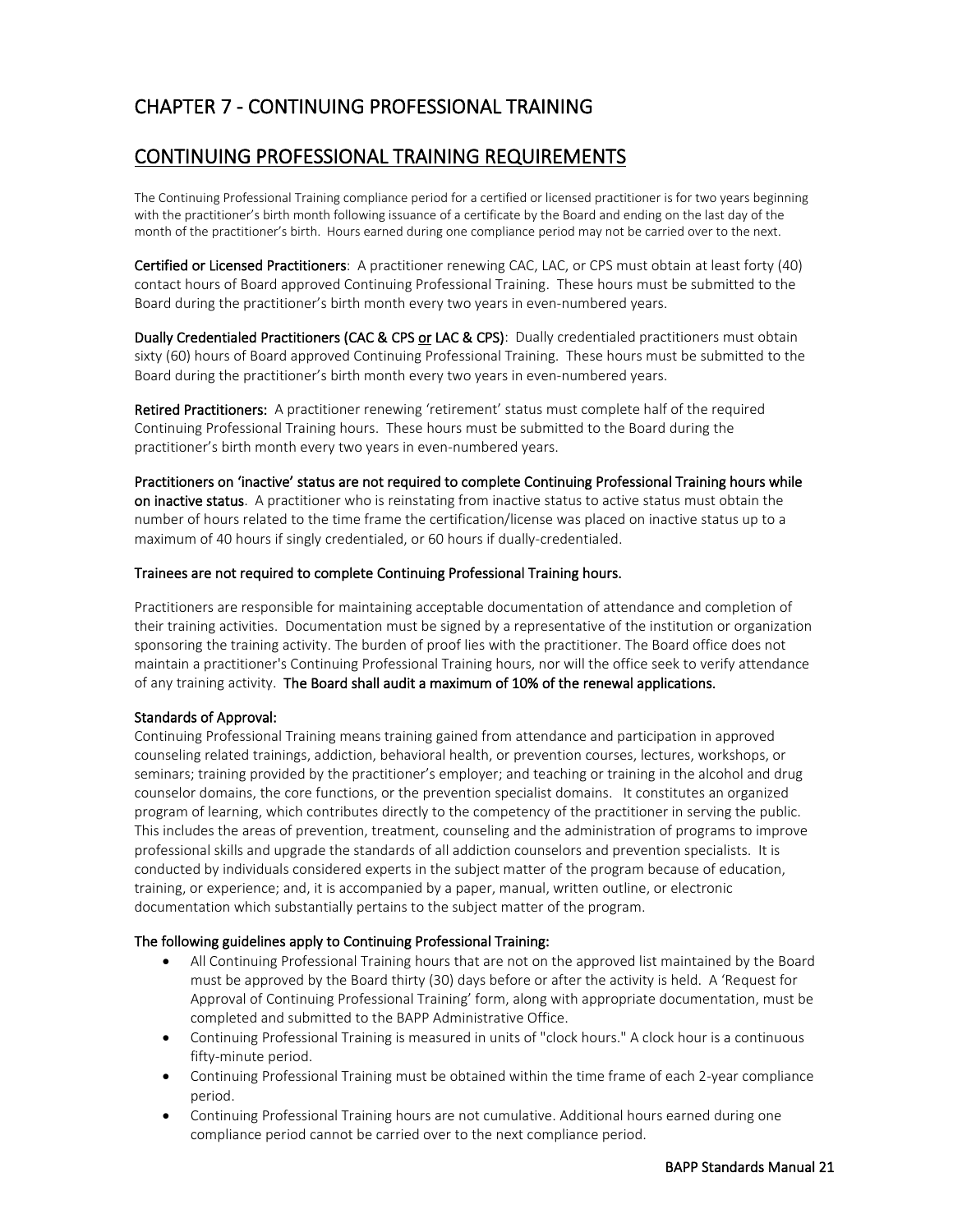### <span id="page-22-0"></span>CHAPTER 7 - CONTINUING PROFESSIONAL TRAINING

#### <span id="page-22-1"></span>CONTINUING PROFESSIONAL TRAINING REQUIREMENTS

The Continuing Professional Training compliance period for a certified or licensed practitioner is for two years beginning with the practitioner's birth month following issuance of a certificate by the Board and ending on the last day of the month of the practitioner's birth. Hours earned during one compliance period may not be carried over to the next.

Certified or Licensed Practitioners: A practitioner renewing CAC, LAC, or CPS must obtain at least forty (40) contact hours of Board approved Continuing Professional Training. These hours must be submitted to the Board during the practitioner's birth month every two years in even-numbered years.

Dually Credentialed Practitioners (CAC & CPS or LAC & CPS): Dually credentialed practitioners must obtain sixty (60) hours of Board approved Continuing Professional Training. These hours must be submitted to the Board during the practitioner's birth month every two years in even-numbered years.

Retired Practitioners: A practitioner renewing 'retirement' status must complete half of the required Continuing Professional Training hours. These hours must be submitted to the Board during the practitioner's birth month every two years in even-numbered years.

Practitioners on 'inactive' status are not required to complete Continuing Professional Training hours while on inactive status. A practitioner who is reinstating from inactive status to active status must obtain the number of hours related to the time frame the certification/license was placed on inactive status up to a maximum of 40 hours if singly credentialed, or 60 hours if dually-credentialed.

#### Trainees are not required to complete Continuing Professional Training hours.

Practitioners are responsible for maintaining acceptable documentation of attendance and completion of their training activities. Documentation must be signed by a representative of the institution or organization sponsoring the training activity. The burden of proof lies with the practitioner. The Board office does not maintain a practitioner's Continuing Professional Training hours, nor will the office seek to verify attendance of any training activity. The Board shall audit a maximum of 10% of the renewal applications.

#### Standards of Approval:

Continuing Professional Training means training gained from attendance and participation in approved counseling related trainings, addiction, behavioral health, or prevention courses, lectures, workshops, or seminars; training provided by the practitioner's employer; and teaching or training in the alcohol and drug counselor domains, the core functions, or the prevention specialist domains. It constitutes an organized program of learning, which contributes directly to the competency of the practitioner in serving the public. This includes the areas of prevention, treatment, counseling and the administration of programs to improve professional skills and upgrade the standards of all addiction counselors and prevention specialists. It is conducted by individuals considered experts in the subject matter of the program because of education, training, or experience; and, it is accompanied by a paper, manual, written outline, or electronic documentation which substantially pertains to the subject matter of the program.

#### The following guidelines apply to Continuing Professional Training:

- All Continuing Professional Training hours that are not on the approved list maintained by the Board must be approved by the Board thirty (30) days before or after the activity is held. A 'Request for Approval of Continuing Professional Training' form, along with appropriate documentation, must be completed and submitted to the BAPP Administrative Office.
- Continuing Professional Training is measured in units of "clock hours." A clock hour is a continuous fifty-minute period.
- Continuing Professional Training must be obtained within the time frame of each 2-year compliance period.
- Continuing Professional Training hours are not cumulative. Additional hours earned during one compliance period cannot be carried over to the next compliance period.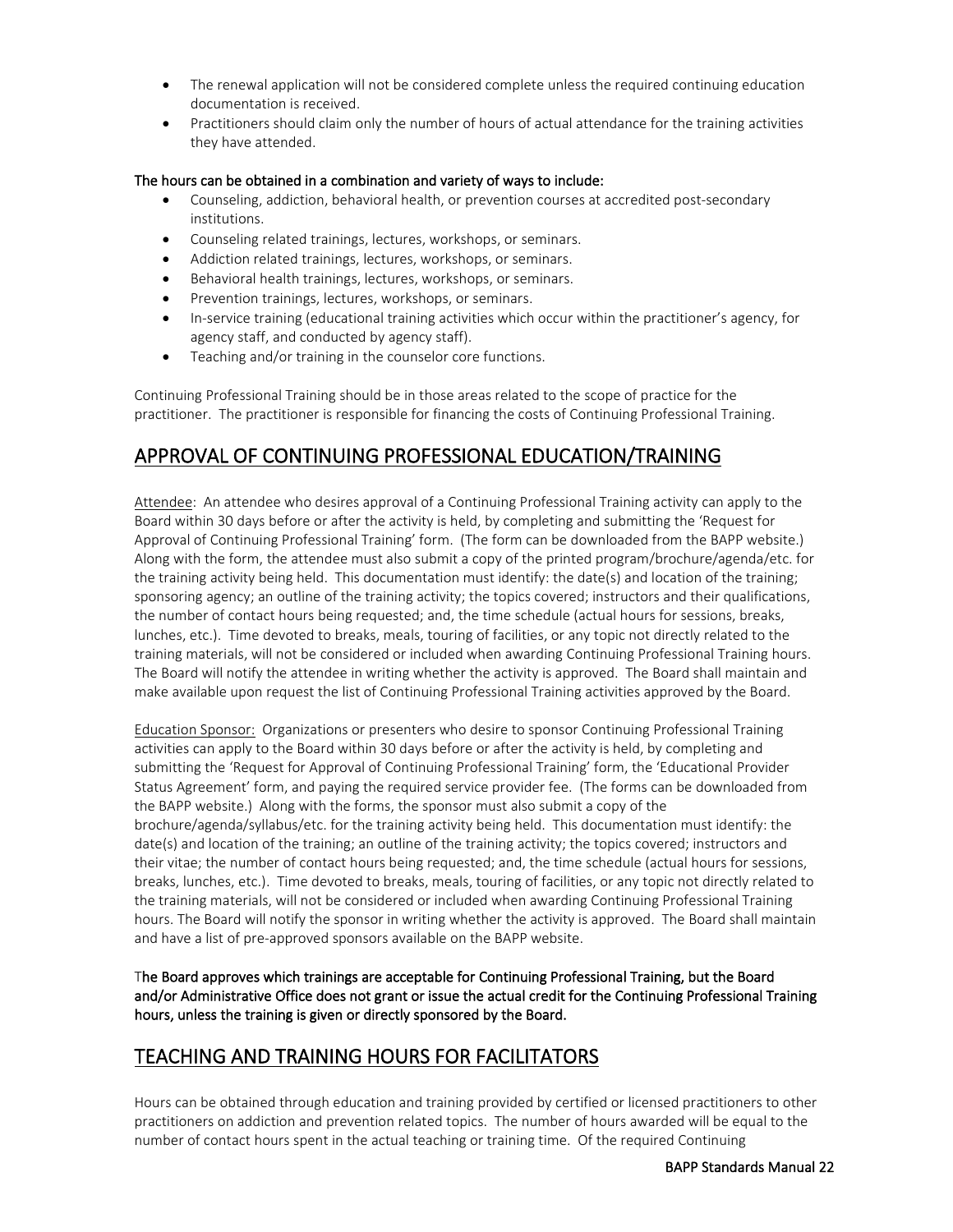- The renewal application will not be considered complete unless the required continuing education documentation is received.
- Practitioners should claim only the number of hours of actual attendance for the training activities they have attended.

#### The hours can be obtained in a combination and variety of ways to include:

- Counseling, addiction, behavioral health, or prevention courses at accredited post-secondary institutions.
- Counseling related trainings, lectures, workshops, or seminars.
- Addiction related trainings, lectures, workshops, or seminars.
- Behavioral health trainings, lectures, workshops, or seminars.
- Prevention trainings, lectures, workshops, or seminars.
- In-service training (educational training activities which occur within the practitioner's agency, for agency staff, and conducted by agency staff).
- Teaching and/or training in the counselor core functions.

Continuing Professional Training should be in those areas related to the scope of practice for the practitioner. The practitioner is responsible for financing the costs of Continuing Professional Training.

#### <span id="page-23-0"></span>APPROVAL OF CONTINUING PROFESSIONAL EDUCATION/TRAINING

Attendee: An attendee who desires approval of a Continuing Professional Training activity can apply to the Board within 30 days before or after the activity is held, by completing and submitting the 'Request for Approval of Continuing Professional Training' form. (The form can be downloaded from the BAPP website.) Along with the form, the attendee must also submit a copy of the printed program/brochure/agenda/etc. for the training activity being held. This documentation must identify: the date(s) and location of the training; sponsoring agency; an outline of the training activity; the topics covered; instructors and their qualifications, the number of contact hours being requested; and, the time schedule (actual hours for sessions, breaks, lunches, etc.). Time devoted to breaks, meals, touring of facilities, or any topic not directly related to the training materials, will not be considered or included when awarding Continuing Professional Training hours. The Board will notify the attendee in writing whether the activity is approved. The Board shall maintain and make available upon request the list of Continuing Professional Training activities approved by the Board.

Education Sponsor: Organizations or presenters who desire to sponsor Continuing Professional Training activities can apply to the Board within 30 days before or after the activity is held, by completing and submitting the 'Request for Approval of Continuing Professional Training' form, the 'Educational Provider Status Agreement' form, and paying the required service provider fee. (The forms can be downloaded from the BAPP website.) Along with the forms, the sponsor must also submit a copy of the brochure/agenda/syllabus/etc. for the training activity being held. This documentation must identify: the date(s) and location of the training; an outline of the training activity; the topics covered; instructors and their vitae; the number of contact hours being requested; and, the time schedule (actual hours for sessions, breaks, lunches, etc.). Time devoted to breaks, meals, touring of facilities, or any topic not directly related to the training materials, will not be considered or included when awarding Continuing Professional Training hours. The Board will notify the sponsor in writing whether the activity is approved. The Board shall maintain and have a list of pre-approved sponsors available on the BAPP website.

The Board approves which trainings are acceptable for Continuing Professional Training, but the Board and/or Administrative Office does not grant or issue the actual credit for the Continuing Professional Training hours, unless the training is given or directly sponsored by the Board.

#### <span id="page-23-1"></span>TEACHING AND TRAINING HOURS FOR FACILITATORS

Hours can be obtained through education and training provided by certified or licensed practitioners to other practitioners on addiction and prevention related topics. The number of hours awarded will be equal to the number of contact hours spent in the actual teaching or training time. Of the required Continuing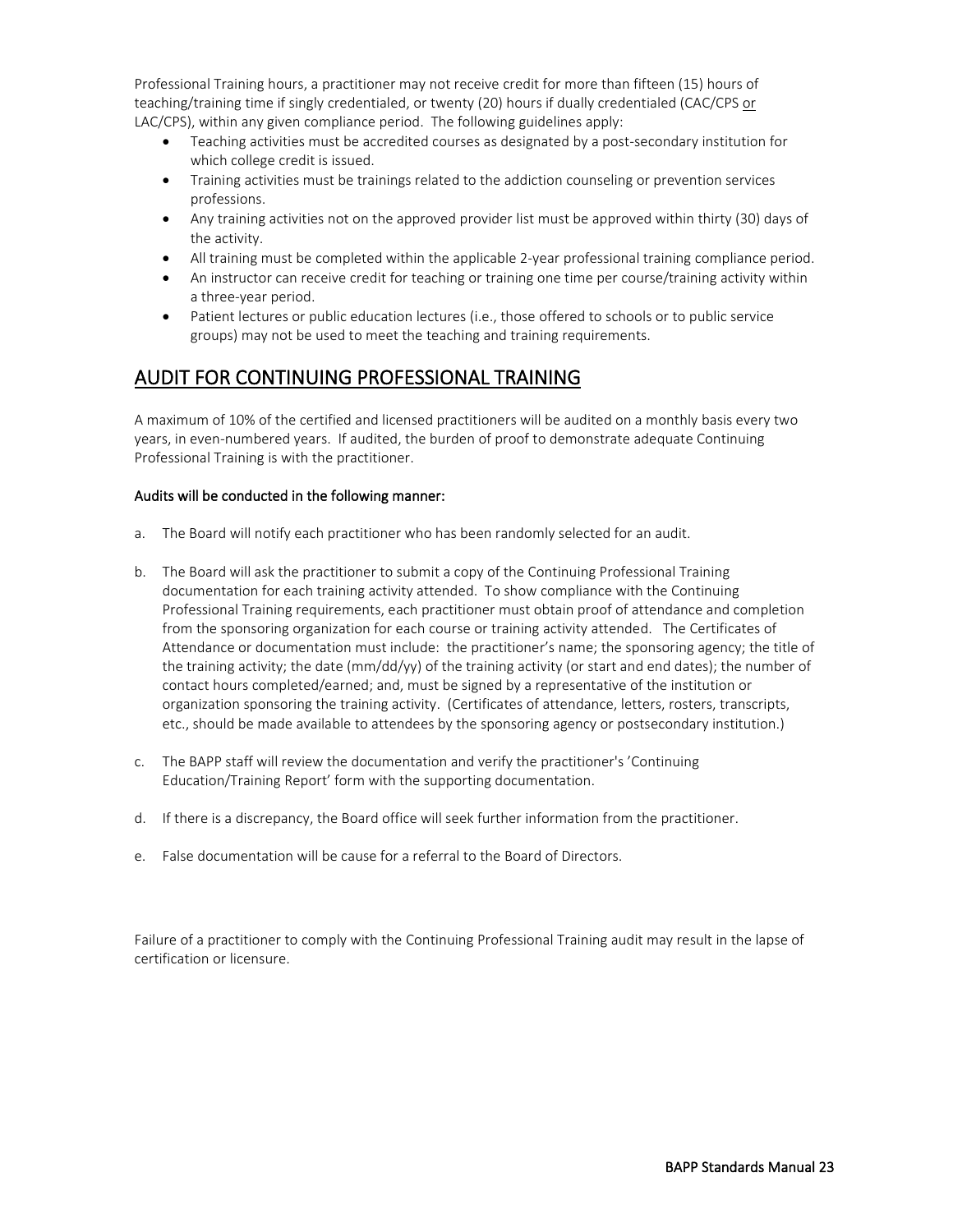Professional Training hours, a practitioner may not receive credit for more than fifteen (15) hours of teaching/training time if singly credentialed, or twenty (20) hours if dually credentialed (CAC/CPS or LAC/CPS), within any given compliance period. The following guidelines apply:

- Teaching activities must be accredited courses as designated by a post-secondary institution for which college credit is issued.
- Training activities must be trainings related to the addiction counseling or prevention services professions.
- Any training activities not on the approved provider list must be approved within thirty (30) days of the activity.
- All training must be completed within the applicable 2-year professional training compliance period.
- An instructor can receive credit for teaching or training one time per course/training activity within a three-year period.
- Patient lectures or public education lectures (i.e., those offered to schools or to public service groups) may not be used to meet the teaching and training requirements.

### <span id="page-24-0"></span>AUDIT FOR CONTINUING PROFESSIONAL TRAINING

A maximum of 10% of the certified and licensed practitioners will be audited on a monthly basis every two years, in even-numbered years. If audited, the burden of proof to demonstrate adequate Continuing Professional Training is with the practitioner.

#### Audits will be conducted in the following manner:

- a. The Board will notify each practitioner who has been randomly selected for an audit.
- b. The Board will ask the practitioner to submit a copy of the Continuing Professional Training documentation for each training activity attended. To show compliance with the Continuing Professional Training requirements, each practitioner must obtain proof of attendance and completion from the sponsoring organization for each course or training activity attended. The Certificates of Attendance or documentation must include: the practitioner's name; the sponsoring agency; the title of the training activity; the date (mm/dd/yy) of the training activity (or start and end dates); the number of contact hours completed/earned; and, must be signed by a representative of the institution or organization sponsoring the training activity. (Certificates of attendance, letters, rosters, transcripts, etc., should be made available to attendees by the sponsoring agency or postsecondary institution.)
- c. The BAPP staff will review the documentation and verify the practitioner's 'Continuing Education/Training Report' form with the supporting documentation.
- d. If there is a discrepancy, the Board office will seek further information from the practitioner.
- e. False documentation will be cause for a referral to the Board of Directors.

Failure of a practitioner to comply with the Continuing Professional Training audit may result in the lapse of certification or licensure.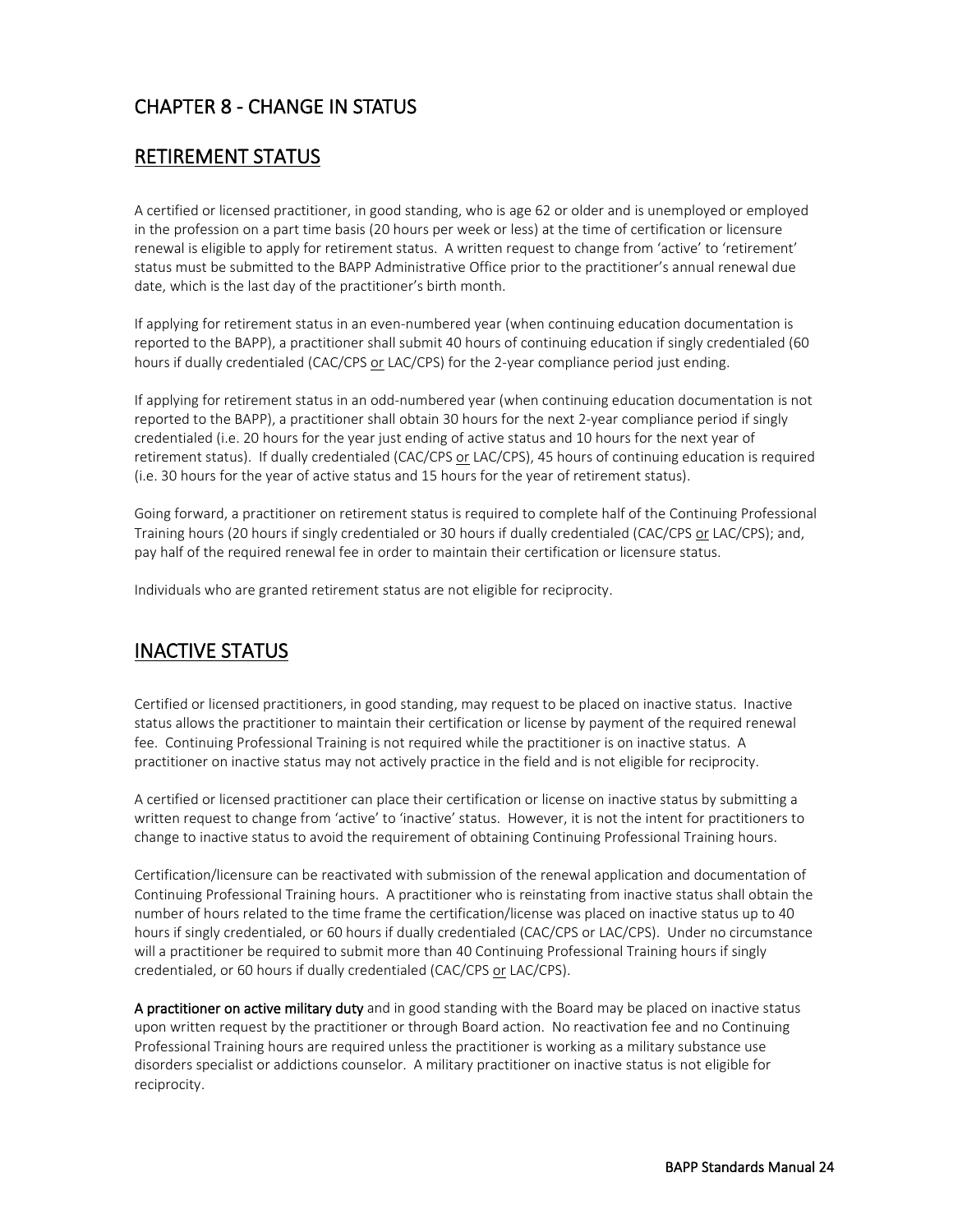### <span id="page-25-0"></span>CHAPTER 8 - CHANGE IN STATUS

#### <span id="page-25-1"></span>RETIREMENT STATUS

A certified or licensed practitioner, in good standing, who is age 62 or older and is unemployed or employed in the profession on a part time basis (20 hours per week or less) at the time of certification or licensure renewal is eligible to apply for retirement status. A written request to change from 'active' to 'retirement' status must be submitted to the BAPP Administrative Office prior to the practitioner's annual renewal due date, which is the last day of the practitioner's birth month.

If applying for retirement status in an even-numbered year (when continuing education documentation is reported to the BAPP), a practitioner shall submit 40 hours of continuing education if singly credentialed (60 hours if dually credentialed (CAC/CPS or LAC/CPS) for the 2-year compliance period just ending.

If applying for retirement status in an odd-numbered year (when continuing education documentation is not reported to the BAPP), a practitioner shall obtain 30 hours for the next 2-year compliance period if singly credentialed (i.e. 20 hours for the year just ending of active status and 10 hours for the next year of retirement status). If dually credentialed (CAC/CPS or LAC/CPS), 45 hours of continuing education is required (i.e. 30 hours for the year of active status and 15 hours for the year of retirement status).

Going forward, a practitioner on retirement status is required to complete half of the Continuing Professional Training hours (20 hours if singly credentialed or 30 hours if dually credentialed (CAC/CPS or LAC/CPS); and, pay half of the required renewal fee in order to maintain their certification or licensure status.

Individuals who are granted retirement status are not eligible for reciprocity.

### <span id="page-25-2"></span>INACTIVE STATUS

Certified or licensed practitioners, in good standing, may request to be placed on inactive status. Inactive status allows the practitioner to maintain their certification or license by payment of the required renewal fee. Continuing Professional Training is not required while the practitioner is on inactive status. A practitioner on inactive status may not actively practice in the field and is not eligible for reciprocity.

A certified or licensed practitioner can place their certification or license on inactive status by submitting a written request to change from 'active' to 'inactive' status. However, it is not the intent for practitioners to change to inactive status to avoid the requirement of obtaining Continuing Professional Training hours.

Certification/licensure can be reactivated with submission of the renewal application and documentation of Continuing Professional Training hours. A practitioner who is reinstating from inactive status shall obtain the number of hours related to the time frame the certification/license was placed on inactive status up to 40 hours if singly credentialed, or 60 hours if dually credentialed (CAC/CPS or LAC/CPS). Under no circumstance will a practitioner be required to submit more than 40 Continuing Professional Training hours if singly credentialed, or 60 hours if dually credentialed (CAC/CPS or LAC/CPS).

A practitioner on active military duty and in good standing with the Board may be placed on inactive status upon written request by the practitioner or through Board action. No reactivation fee and no Continuing Professional Training hours are required unless the practitioner is working as a military substance use disorders specialist or addictions counselor. A military practitioner on inactive status is not eligible for reciprocity.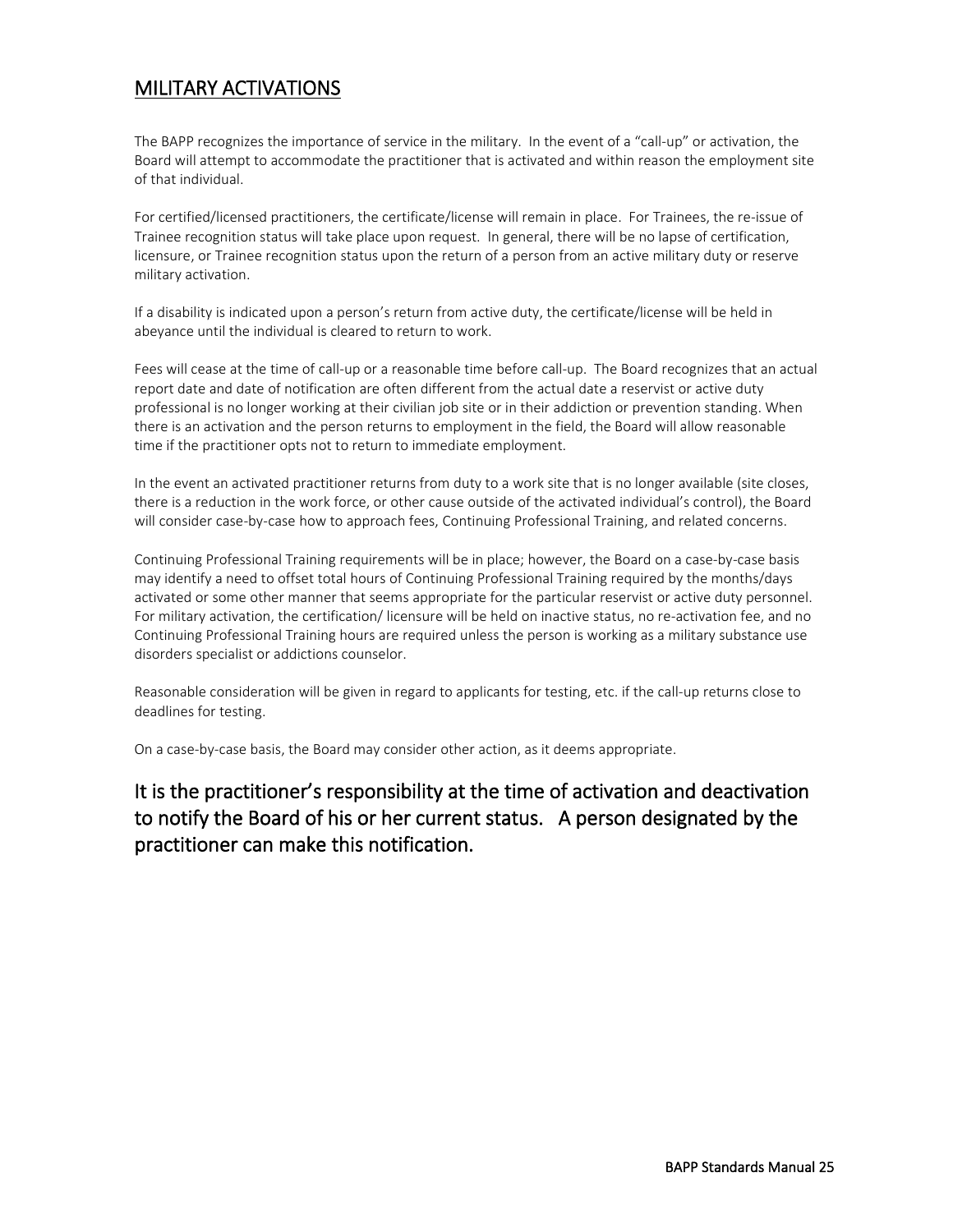### <span id="page-26-0"></span>MILITARY ACTIVATIONS

The BAPP recognizes the importance of service in the military. In the event of a "call-up" or activation, the Board will attempt to accommodate the practitioner that is activated and within reason the employment site of that individual.

For certified/licensed practitioners, the certificate/license will remain in place. For Trainees, the re-issue of Trainee recognition status will take place upon request. In general, there will be no lapse of certification, licensure, or Trainee recognition status upon the return of a person from an active military duty or reserve military activation.

If a disability is indicated upon a person's return from active duty, the certificate/license will be held in abeyance until the individual is cleared to return to work.

Fees will cease at the time of call-up or a reasonable time before call-up. The Board recognizes that an actual report date and date of notification are often different from the actual date a reservist or active duty professional is no longer working at their civilian job site or in their addiction or prevention standing. When there is an activation and the person returns to employment in the field, the Board will allow reasonable time if the practitioner opts not to return to immediate employment.

In the event an activated practitioner returns from duty to a work site that is no longer available (site closes, there is a reduction in the work force, or other cause outside of the activated individual's control), the Board will consider case-by-case how to approach fees, Continuing Professional Training, and related concerns.

Continuing Professional Training requirements will be in place; however, the Board on a case-by-case basis may identify a need to offset total hours of Continuing Professional Training required by the months/days activated or some other manner that seems appropriate for the particular reservist or active duty personnel. For military activation, the certification/ licensure will be held on inactive status, no re-activation fee, and no Continuing Professional Training hours are required unless the person is working as a military substance use disorders specialist or addictions counselor.

Reasonable consideration will be given in regard to applicants for testing, etc. if the call-up returns close to deadlines for testing.

On a case-by-case basis, the Board may consider other action, as it deems appropriate.

### It is the practitioner's responsibility at the time of activation and deactivation to notify the Board of his or her current status. A person designated by the practitioner can make this notification.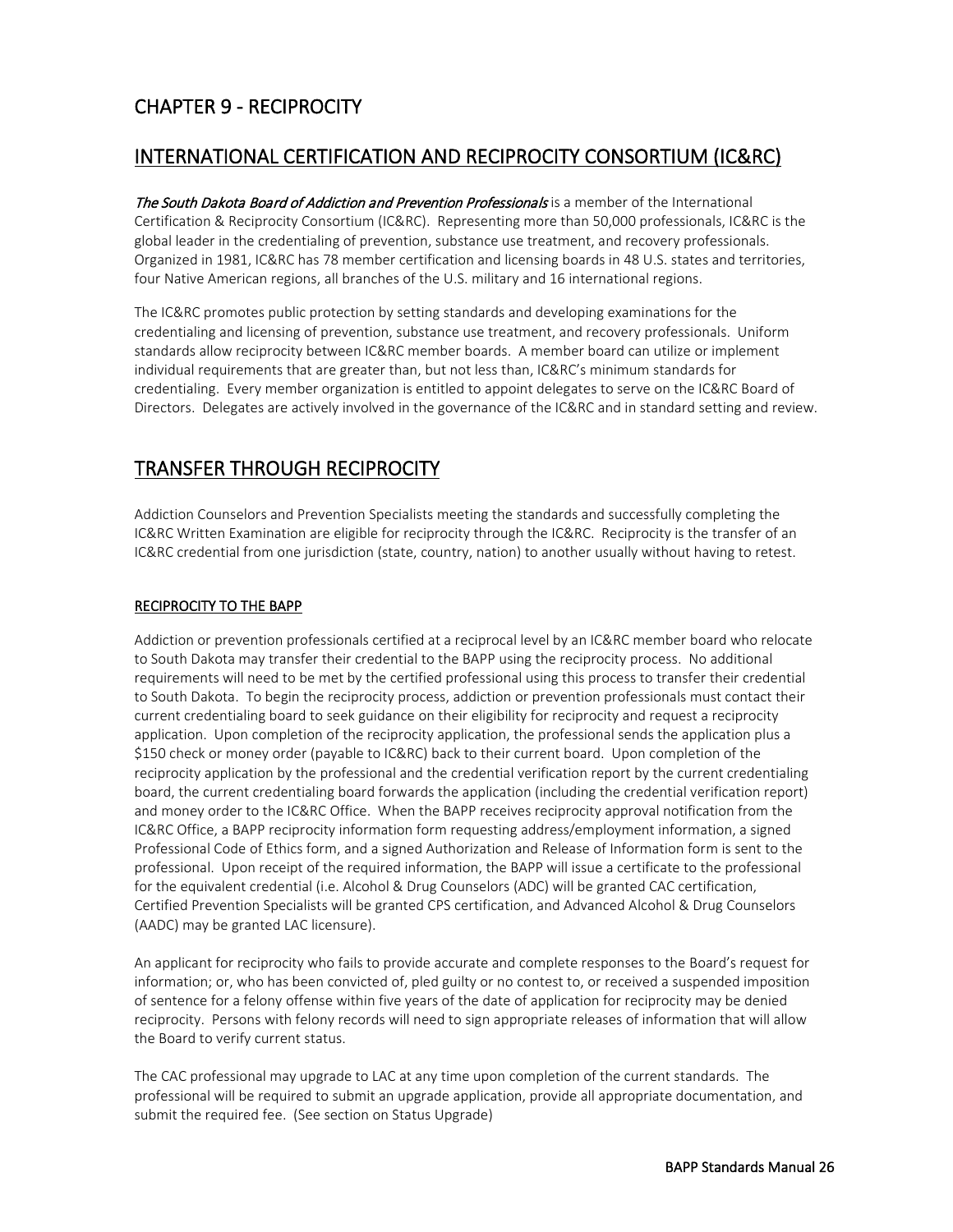### <span id="page-27-0"></span>CHAPTER 9 - RECIPROCITY

#### <span id="page-27-1"></span>INTERNATIONAL CERTIFICATION AND RECIPROCITY CONSORTIUM (IC&RC)

The South Dakota Board of Addiction and Prevention Professionals is a member of the International Certification & Reciprocity Consortium (IC&RC). Representing more than 50,000 professionals, IC&RC is the global leader in the credentialing of prevention, substance use treatment, and recovery professionals. Organized in 1981, IC&RC has 78 member certification and licensing boards in 48 U.S. states and territories, four Native American regions, all branches of the U.S. military and 16 international regions.

The IC&RC promotes public protection by setting standards and developing examinations for the credentialing and licensing of prevention, substance use treatment, and recovery professionals. Uniform standards allow reciprocity between IC&RC member boards. A member board can utilize or implement individual requirements that are greater than, but not less than, IC&RC's minimum standards for credentialing. Every member organization is entitled to appoint delegates to serve on the IC&RC Board of Directors. Delegates are actively involved in the governance of the IC&RC and in standard setting and review.

### <span id="page-27-2"></span>TRANSFER THROUGH RECIPROCITY

Addiction Counselors and Prevention Specialists meeting the standards and successfully completing the IC&RC Written Examination are eligible for reciprocity through the IC&RC. Reciprocity is the transfer of an IC&RC credential from one jurisdiction (state, country, nation) to another usually without having to retest.

#### RECIPROCITY TO THE BAPP

Addiction or prevention professionals certified at a reciprocal level by an IC&RC member board who relocate to South Dakota may transfer their credential to the BAPP using the reciprocity process. No additional requirements will need to be met by the certified professional using this process to transfer their credential to South Dakota. To begin the reciprocity process, addiction or prevention professionals must contact their current credentialing board to seek guidance on their eligibility for reciprocity and request a reciprocity application. Upon completion of the reciprocity application, the professional sends the application plus a \$150 check or money order (payable to IC&RC) back to their current board. Upon completion of the reciprocity application by the professional and the credential verification report by the current credentialing board, the current credentialing board forwards the application (including the credential verification report) and money order to the IC&RC Office. When the BAPP receives reciprocity approval notification from the IC&RC Office, a BAPP reciprocity information form requesting address/employment information, a signed Professional Code of Ethics form, and a signed Authorization and Release of Information form is sent to the professional. Upon receipt of the required information, the BAPP will issue a certificate to the professional for the equivalent credential (i.e. Alcohol & Drug Counselors (ADC) will be granted CAC certification, Certified Prevention Specialists will be granted CPS certification, and Advanced Alcohol & Drug Counselors (AADC) may be granted LAC licensure).

An applicant for reciprocity who fails to provide accurate and complete responses to the Board's request for information; or, who has been convicted of, pled guilty or no contest to, or received a suspended imposition of sentence for a felony offense within five years of the date of application for reciprocity may be denied reciprocity. Persons with felony records will need to sign appropriate releases of information that will allow the Board to verify current status.

The CAC professional may upgrade to LAC at any time upon completion of the current standards. The professional will be required to submit an upgrade application, provide all appropriate documentation, and submit the required fee. (See section on Status Upgrade)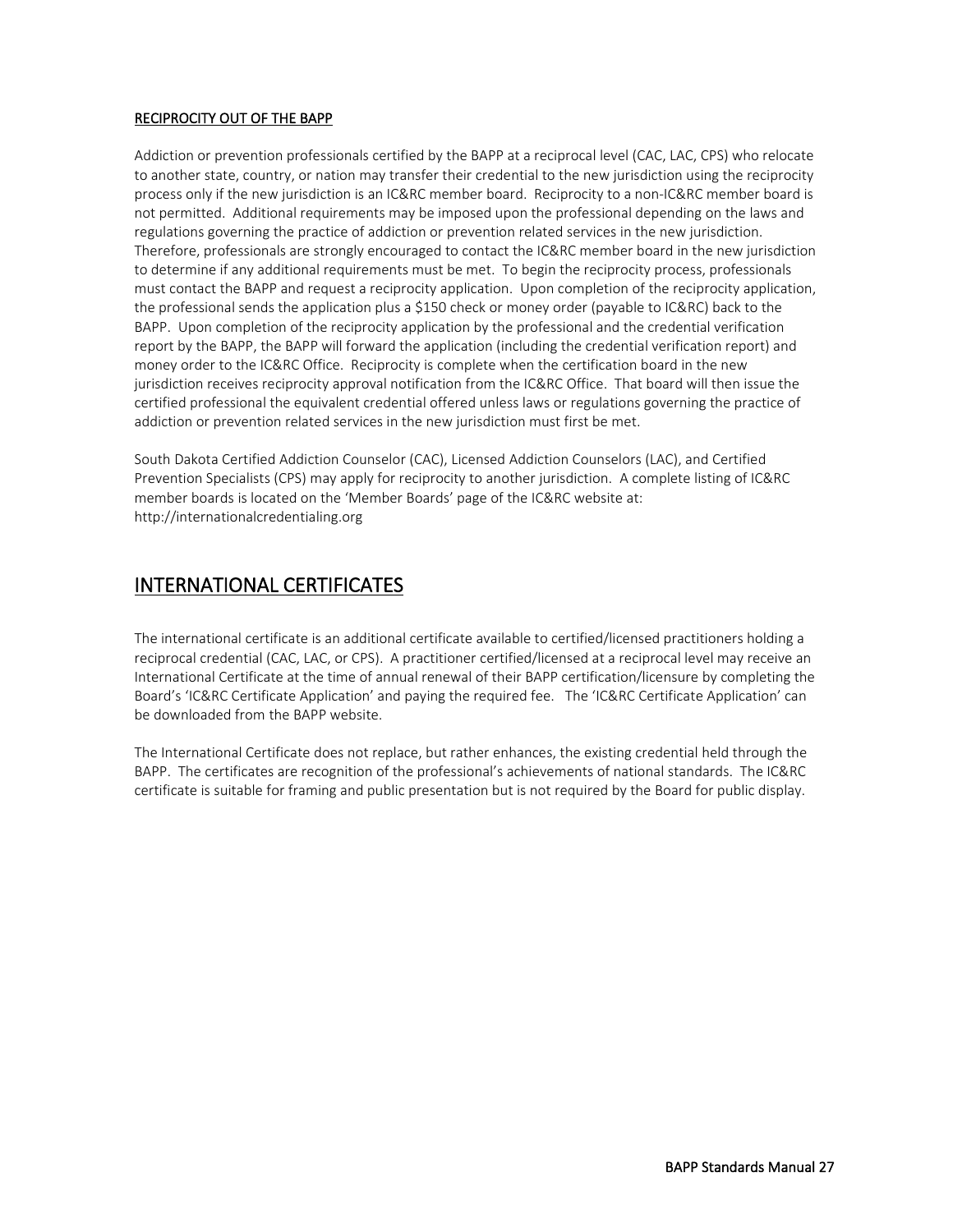#### RECIPROCITY OUT OF THE BAPP

Addiction or prevention professionals certified by the BAPP at a reciprocal level (CAC, LAC, CPS) who relocate to another state, country, or nation may transfer their credential to the new jurisdiction using the reciprocity process only if the new jurisdiction is an IC&RC member board. Reciprocity to a non-IC&RC member board is not permitted. Additional requirements may be imposed upon the professional depending on the laws and regulations governing the practice of addiction or prevention related services in the new jurisdiction. Therefore, professionals are strongly encouraged to contact the IC&RC member board in the new jurisdiction to determine if any additional requirements must be met. To begin the reciprocity process, professionals must contact the BAPP and request a reciprocity application. Upon completion of the reciprocity application, the professional sends the application plus a \$150 check or money order (payable to IC&RC) back to the BAPP. Upon completion of the reciprocity application by the professional and the credential verification report by the BAPP, the BAPP will forward the application (including the credential verification report) and money order to the IC&RC Office. Reciprocity is complete when the certification board in the new jurisdiction receives reciprocity approval notification from the IC&RC Office. That board will then issue the certified professional the equivalent credential offered unless laws or regulations governing the practice of addiction or prevention related services in the new jurisdiction must first be met.

South Dakota Certified Addiction Counselor (CAC), Licensed Addiction Counselors (LAC), and Certified Prevention Specialists (CPS) may apply for reciprocity to another jurisdiction. A complete listing of IC&RC member boards is located on the 'Member Boards' page of the IC&RC website at: http://internationalcredentialing.org

#### <span id="page-28-0"></span>INTERNATIONAL CERTIFICATES

The international certificate is an additional certificate available to certified/licensed practitioners holding a reciprocal credential (CAC, LAC, or CPS). A practitioner certified/licensed at a reciprocal level may receive an International Certificate at the time of annual renewal of their BAPP certification/licensure by completing the Board's 'IC&RC Certificate Application' and paying the required fee. The 'IC&RC Certificate Application' can be downloaded from the BAPP website.

The International Certificate does not replace, but rather enhances, the existing credential held through the BAPP. The certificates are recognition of the professional's achievements of national standards. The IC&RC certificate is suitable for framing and public presentation but is not required by the Board for public display.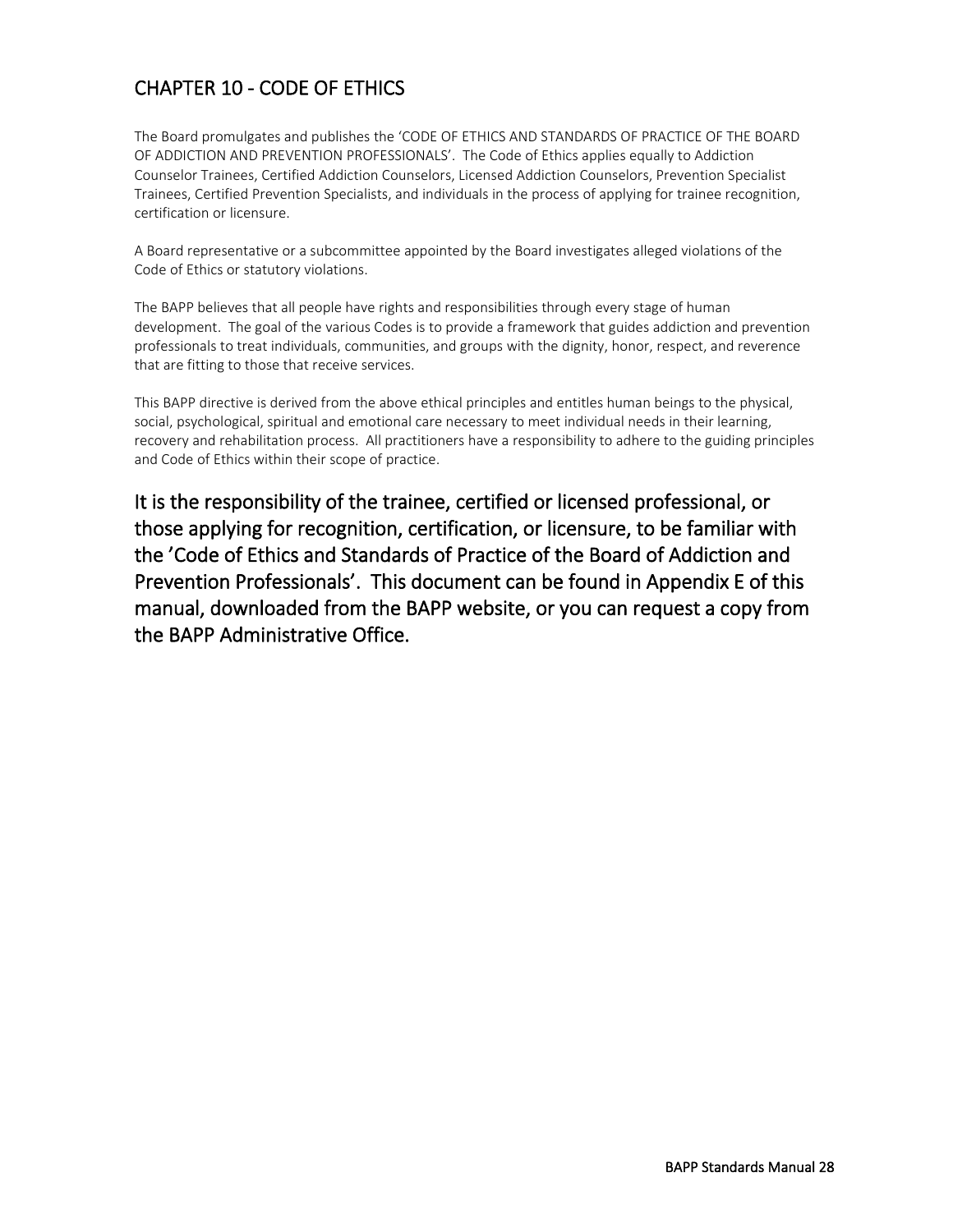### <span id="page-29-0"></span>CHAPTER 10 - CODE OF ETHICS

The Board promulgates and publishes the 'CODE OF ETHICS AND STANDARDS OF PRACTICE OF THE BOARD OF ADDICTION AND PREVENTION PROFESSIONALS'. The Code of Ethics applies equally to Addiction Counselor Trainees, Certified Addiction Counselors, Licensed Addiction Counselors, Prevention Specialist Trainees, Certified Prevention Specialists, and individuals in the process of applying for trainee recognition, certification or licensure.

A Board representative or a subcommittee appointed by the Board investigates alleged violations of the Code of Ethics or statutory violations.

The BAPP believes that all people have rights and responsibilities through every stage of human development. The goal of the various Codes is to provide a framework that guides addiction and prevention professionals to treat individuals, communities, and groups with the dignity, honor, respect, and reverence that are fitting to those that receive services.

This BAPP directive is derived from the above ethical principles and entitles human beings to the physical, social, psychological, spiritual and emotional care necessary to meet individual needs in their learning, recovery and rehabilitation process. All practitioners have a responsibility to adhere to the guiding principles and Code of Ethics within their scope of practice.

It is the responsibility of the trainee, certified or licensed professional, or those applying for recognition, certification, or licensure, to be familiar with the 'Code of Ethics and Standards of Practice of the Board of Addiction and Prevention Professionals'. This document can be found in Appendix E of this manual, downloaded from the BAPP website, or you can request a copy from the BAPP Administrative Office.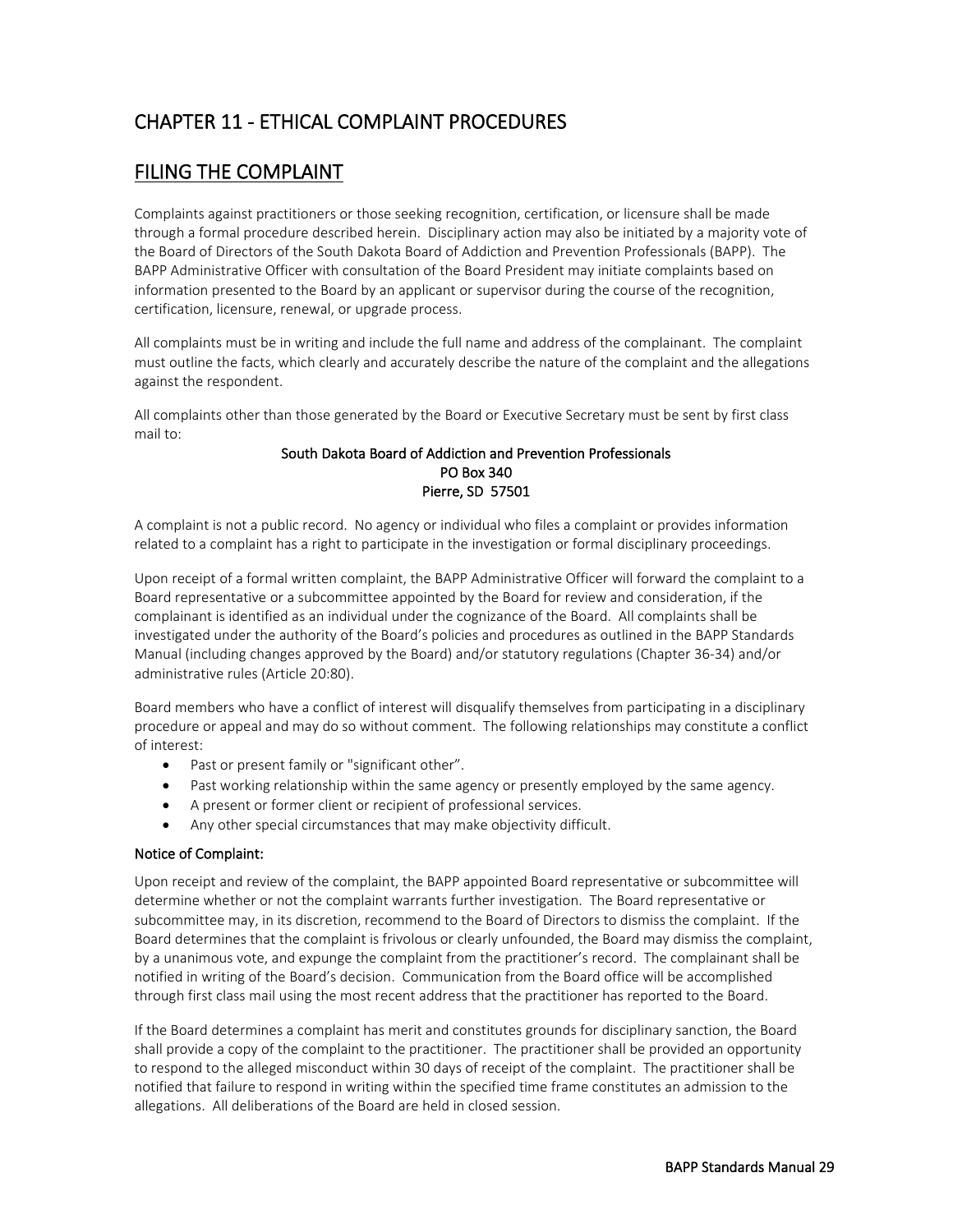### <span id="page-30-0"></span>CHAPTER 11 - ETHICAL COMPLAINT PROCEDURES

#### <span id="page-30-1"></span>FILING THE COMPLAINT

Complaints against practitioners or those seeking recognition, certification, or licensure shall be made through a formal procedure described herein. Disciplinary action may also be initiated by a majority vote of the Board of Directors of the South Dakota Board of Addiction and Prevention Professionals (BAPP). The BAPP Administrative Officer with consultation of the Board President may initiate complaints based on information presented to the Board by an applicant or supervisor during the course of the recognition, certification, licensure, renewal, or upgrade process.

All complaints must be in writing and include the full name and address of the complainant. The complaint must outline the facts, which clearly and accurately describe the nature of the complaint and the allegations against the respondent.

All complaints other than those generated by the Board or Executive Secretary must be sent by first class mail to:

#### South Dakota Board of Addiction and Prevention Professionals PO Box 340 Pierre, SD 57501

A complaint is not a public record. No agency or individual who files a complaint or provides information related to a complaint has a right to participate in the investigation or formal disciplinary proceedings.

Upon receipt of a formal written complaint, the BAPP Administrative Officer will forward the complaint to a Board representative or a subcommittee appointed by the Board for review and consideration, if the complainant is identified as an individual under the cognizance of the Board. All complaints shall be investigated under the authority of the Board's policies and procedures as outlined in the BAPP Standards Manual (including changes approved by the Board) and/or statutory regulations (Chapter 36-34) and/or administrative rules (Article 20:80).

Board members who have a conflict of interest will disqualify themselves from participating in a disciplinary procedure or appeal and may do so without comment. The following relationships may constitute a conflict of interest:

- Past or present family or "significant other".
- Past working relationship within the same agency or presently employed by the same agency.
- A present or former client or recipient of professional services.
- Any other special circumstances that may make objectivity difficult.

#### Notice of Complaint:

Upon receipt and review of the complaint, the BAPP appointed Board representative or subcommittee will determine whether or not the complaint warrants further investigation. The Board representative or subcommittee may, in its discretion, recommend to the Board of Directors to dismiss the complaint. If the Board determines that the complaint is frivolous or clearly unfounded, the Board may dismiss the complaint, by a unanimous vote, and expunge the complaint from the practitioner's record. The complainant shall be notified in writing of the Board's decision. Communication from the Board office will be accomplished through first class mail using the most recent address that the practitioner has reported to the Board.

If the Board determines a complaint has merit and constitutes grounds for disciplinary sanction, the Board shall provide a copy of the complaint to the practitioner. The practitioner shall be provided an opportunity to respond to the alleged misconduct within 30 days of receipt of the complaint. The practitioner shall be notified that failure to respond in writing within the specified time frame constitutes an admission to the allegations. All deliberations of the Board are held in closed session.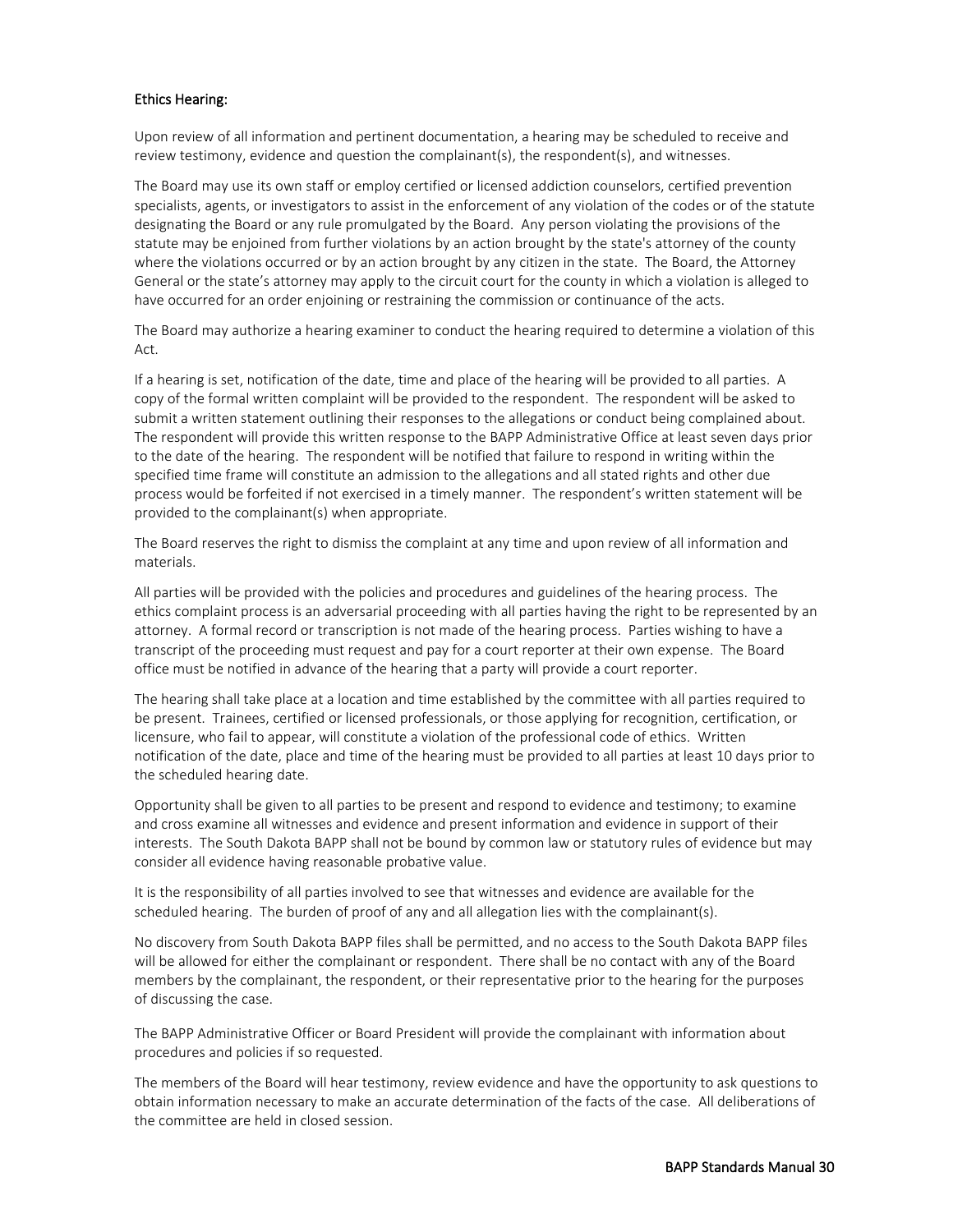#### Ethics Hearing:

Upon review of all information and pertinent documentation, a hearing may be scheduled to receive and review testimony, evidence and question the complainant(s), the respondent(s), and witnesses.

The Board may use its own staff or employ certified or licensed addiction counselors, certified prevention specialists, agents, or investigators to assist in the enforcement of any violation of the codes or of the statute designating the Board or any rule promulgated by the Board. Any person violating the provisions of the statute may be enjoined from further violations by an action brought by the state's attorney of the county where the violations occurred or by an action brought by any citizen in the state. The Board, the Attorney General or the state's attorney may apply to the circuit court for the county in which a violation is alleged to have occurred for an order enjoining or restraining the commission or continuance of the acts.

The Board may authorize a hearing examiner to conduct the hearing required to determine a violation of this Act.

If a hearing is set, notification of the date, time and place of the hearing will be provided to all parties. A copy of the formal written complaint will be provided to the respondent. The respondent will be asked to submit a written statement outlining their responses to the allegations or conduct being complained about. The respondent will provide this written response to the BAPP Administrative Office at least seven days prior to the date of the hearing. The respondent will be notified that failure to respond in writing within the specified time frame will constitute an admission to the allegations and all stated rights and other due process would be forfeited if not exercised in a timely manner. The respondent's written statement will be provided to the complainant(s) when appropriate.

The Board reserves the right to dismiss the complaint at any time and upon review of all information and materials.

All parties will be provided with the policies and procedures and guidelines of the hearing process. The ethics complaint process is an adversarial proceeding with all parties having the right to be represented by an attorney. A formal record or transcription is not made of the hearing process. Parties wishing to have a transcript of the proceeding must request and pay for a court reporter at their own expense. The Board office must be notified in advance of the hearing that a party will provide a court reporter.

The hearing shall take place at a location and time established by the committee with all parties required to be present. Trainees, certified or licensed professionals, or those applying for recognition, certification, or licensure, who fail to appear, will constitute a violation of the professional code of ethics. Written notification of the date, place and time of the hearing must be provided to all parties at least 10 days prior to the scheduled hearing date.

Opportunity shall be given to all parties to be present and respond to evidence and testimony; to examine and cross examine all witnesses and evidence and present information and evidence in support of their interests. The South Dakota BAPP shall not be bound by common law or statutory rules of evidence but may consider all evidence having reasonable probative value.

It is the responsibility of all parties involved to see that witnesses and evidence are available for the scheduled hearing. The burden of proof of any and all allegation lies with the complainant(s).

No discovery from South Dakota BAPP files shall be permitted, and no access to the South Dakota BAPP files will be allowed for either the complainant or respondent. There shall be no contact with any of the Board members by the complainant, the respondent, or their representative prior to the hearing for the purposes of discussing the case.

The BAPP Administrative Officer or Board President will provide the complainant with information about procedures and policies if so requested.

The members of the Board will hear testimony, review evidence and have the opportunity to ask questions to obtain information necessary to make an accurate determination of the facts of the case. All deliberations of the committee are held in closed session.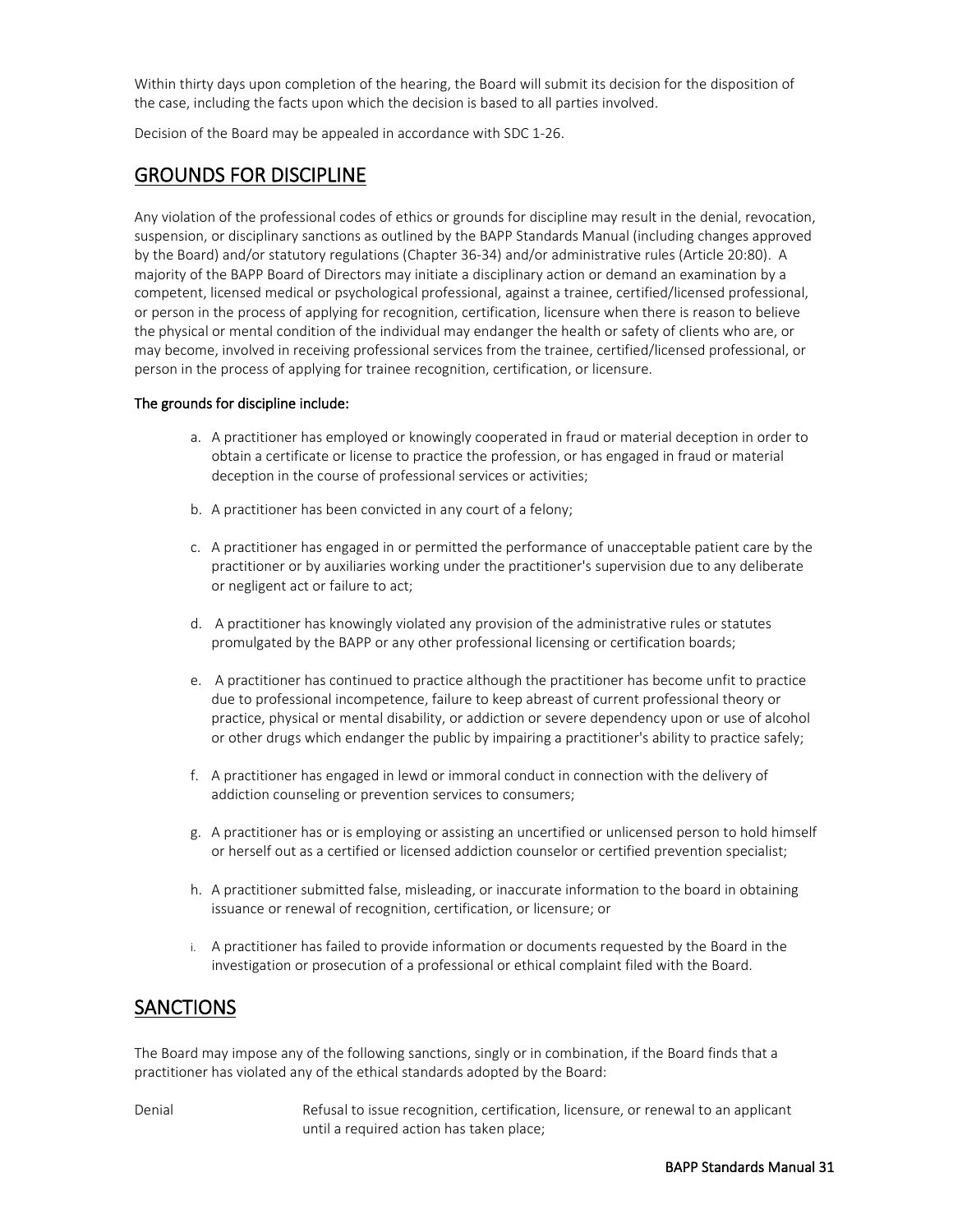Within thirty days upon completion of the hearing, the Board will submit its decision for the disposition of the case, including the facts upon which the decision is based to all parties involved.

<span id="page-32-0"></span>Decision of the Board may be appealed in accordance with SDC 1-26.

#### GROUNDS FOR DISCIPLINE

Any violation of the professional codes of ethics or grounds for discipline may result in the denial, revocation, suspension, or disciplinary sanctions as outlined by the BAPP Standards Manual (including changes approved by the Board) and/or statutory regulations (Chapter 36-34) and/or administrative rules (Article 20:80). A majority of the BAPP Board of Directors may initiate a disciplinary action or demand an examination by a competent, licensed medical or psychological professional, against a trainee, certified/licensed professional, or person in the process of applying for recognition, certification, licensure when there is reason to believe the physical or mental condition of the individual may endanger the health or safety of clients who are, or may become, involved in receiving professional services from the trainee, certified/licensed professional, or person in the process of applying for trainee recognition, certification, or licensure.

#### The grounds for discipline include:

- a. A practitioner has employed or knowingly cooperated in fraud or material deception in order to obtain a certificate or license to practice the profession, or has engaged in fraud or material deception in the course of professional services or activities;
- b. A practitioner has been convicted in any court of a felony;
- c. A practitioner has engaged in or permitted the performance of unacceptable patient care by the practitioner or by auxiliaries working under the practitioner's supervision due to any deliberate or negligent act or failure to act;
- d. A practitioner has knowingly violated any provision of the administrative rules or statutes promulgated by the BAPP or any other professional licensing or certification boards;
- e. A practitioner has continued to practice although the practitioner has become unfit to practice due to professional incompetence, failure to keep abreast of current professional theory or practice, physical or mental disability, or addiction or severe dependency upon or use of alcohol or other drugs which endanger the public by impairing a practitioner's ability to practice safely;
- f. A practitioner has engaged in lewd or immoral conduct in connection with the delivery of addiction counseling or prevention services to consumers;
- g. A practitioner has or is employing or assisting an uncertified or unlicensed person to hold himself or herself out as a certified or licensed addiction counselor or certified prevention specialist;
- h. A practitioner submitted false, misleading, or inaccurate information to the board in obtaining issuance or renewal of recognition, certification, or licensure; or
- i. A practitioner has failed to provide information or documents requested by the Board in the investigation or prosecution of a professional or ethical complaint filed with the Board.

#### <span id="page-32-1"></span>**SANCTIONS**

The Board may impose any of the following sanctions, singly or in combination, if the Board finds that a practitioner has violated any of the ethical standards adopted by the Board:

Denial **Refusal to issue recognition, certification**, licensure, or renewal to an applicant until a required action has taken place;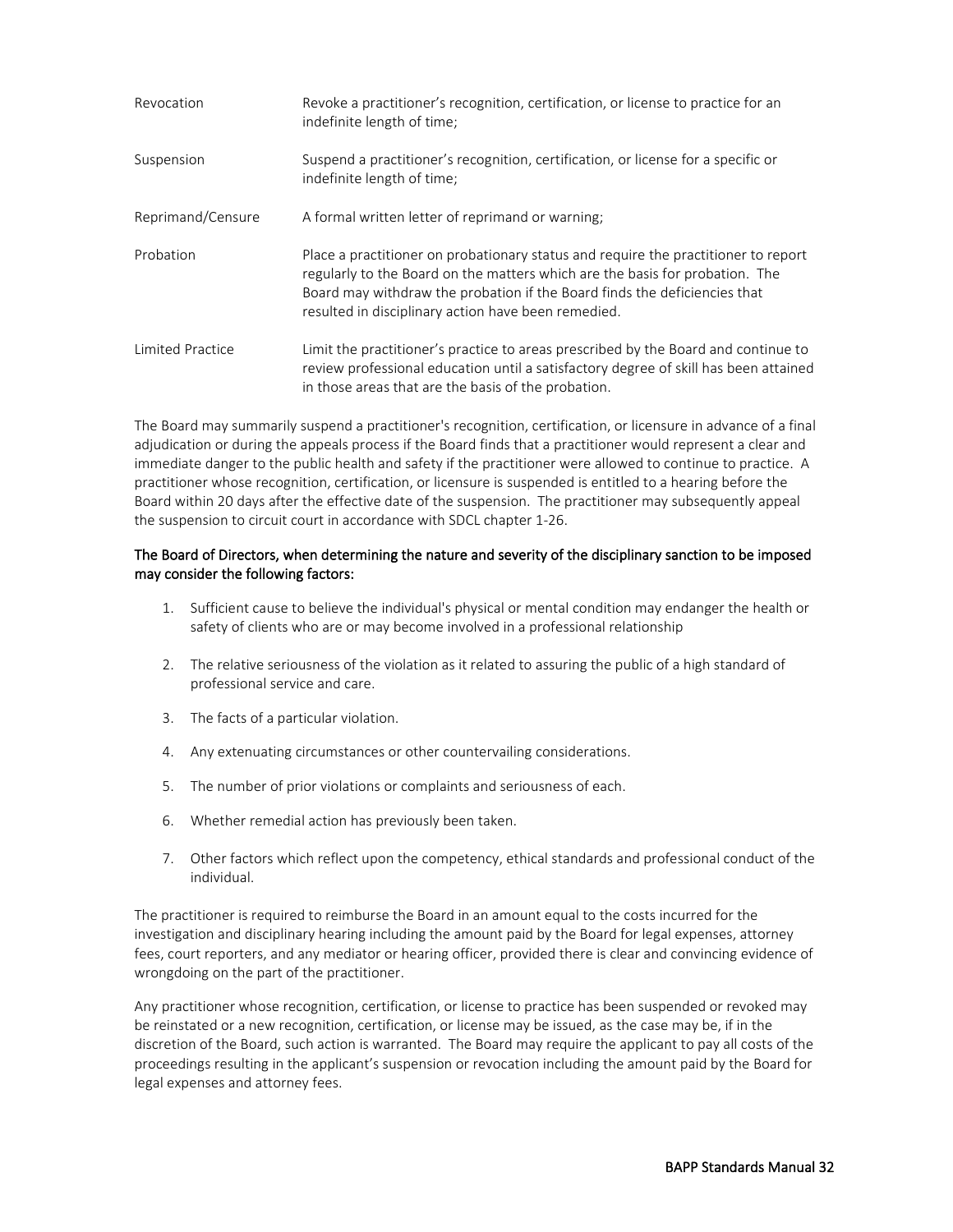| Revocation        | Revoke a practitioner's recognition, certification, or license to practice for an<br>indefinite length of time;                                                                                                                                                                                        |
|-------------------|--------------------------------------------------------------------------------------------------------------------------------------------------------------------------------------------------------------------------------------------------------------------------------------------------------|
| Suspension        | Suspend a practitioner's recognition, certification, or license for a specific or<br>indefinite length of time;                                                                                                                                                                                        |
| Reprimand/Censure | A formal written letter of reprimand or warning;                                                                                                                                                                                                                                                       |
| Probation         | Place a practitioner on probationary status and require the practitioner to report<br>regularly to the Board on the matters which are the basis for probation. The<br>Board may withdraw the probation if the Board finds the deficiencies that<br>resulted in disciplinary action have been remedied. |
| Limited Practice  | Limit the practitioner's practice to areas prescribed by the Board and continue to<br>review professional education until a satisfactory degree of skill has been attained<br>in those areas that are the basis of the probation.                                                                      |

The Board may summarily suspend a practitioner's recognition, certification, or licensure in advance of a final adjudication or during the appeals process if the Board finds that a practitioner would represent a clear and immediate danger to the public health and safety if the practitioner were allowed to continue to practice. A practitioner whose recognition, certification, or licensure is suspended is entitled to a hearing before the Board within 20 days after the effective date of the suspension. The practitioner may subsequently appeal the suspension to circuit court in accordance with SDCL chapter 1-26.

#### The Board of Directors, when determining the nature and severity of the disciplinary sanction to be imposed may consider the following factors:

- 1. Sufficient cause to believe the individual's physical or mental condition may endanger the health or safety of clients who are or may become involved in a professional relationship
- 2. The relative seriousness of the violation as it related to assuring the public of a high standard of professional service and care.
- 3. The facts of a particular violation.
- 4. Any extenuating circumstances or other countervailing considerations.
- 5. The number of prior violations or complaints and seriousness of each.
- 6. Whether remedial action has previously been taken.
- 7. Other factors which reflect upon the competency, ethical standards and professional conduct of the individual.

The practitioner is required to reimburse the Board in an amount equal to the costs incurred for the investigation and disciplinary hearing including the amount paid by the Board for legal expenses, attorney fees, court reporters, and any mediator or hearing officer, provided there is clear and convincing evidence of wrongdoing on the part of the practitioner.

Any practitioner whose recognition, certification, or license to practice has been suspended or revoked may be reinstated or a new recognition, certification, or license may be issued, as the case may be, if in the discretion of the Board, such action is warranted. The Board may require the applicant to pay all costs of the proceedings resulting in the applicant's suspension or revocation including the amount paid by the Board for legal expenses and attorney fees.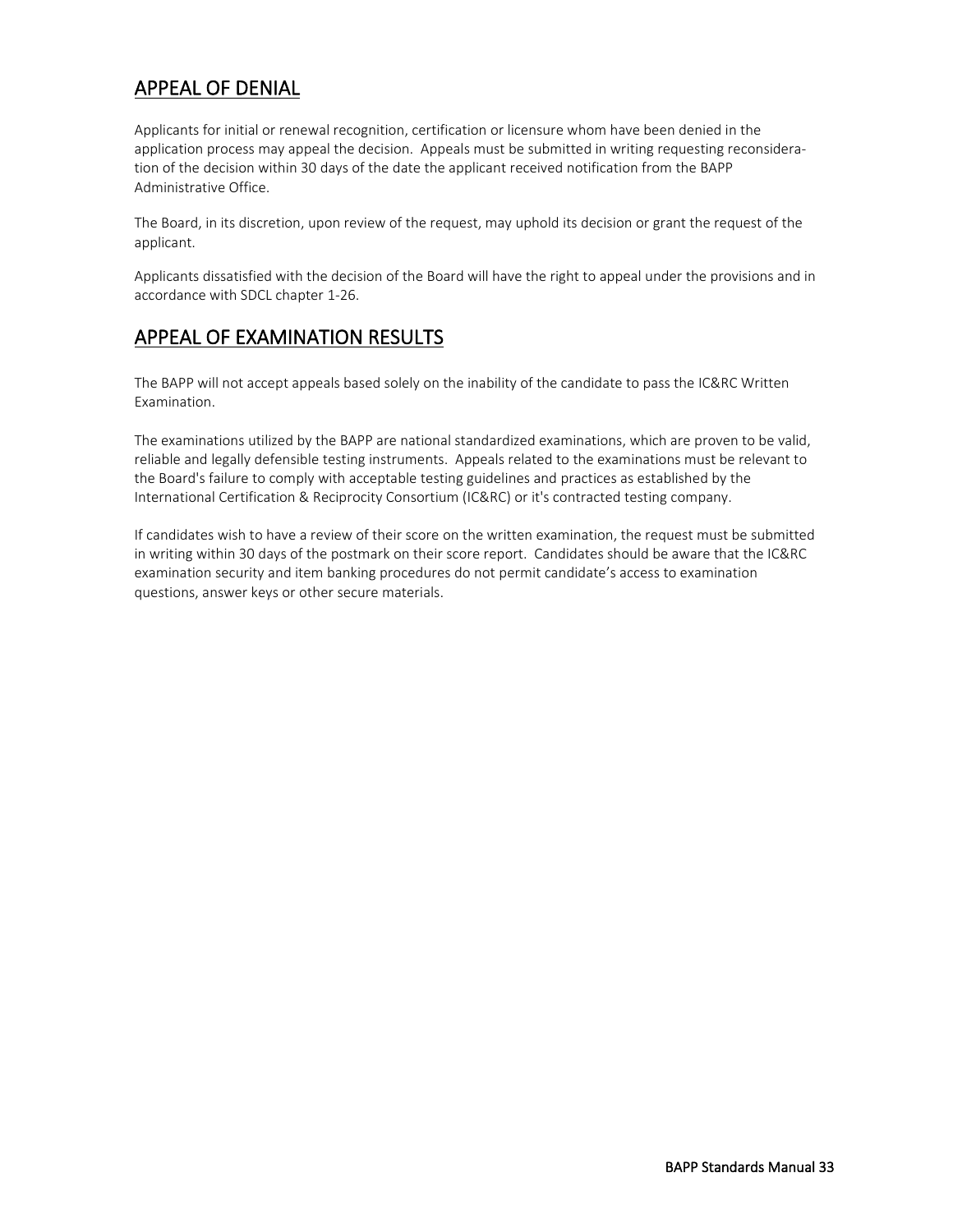### <span id="page-34-0"></span>APPEAL OF DENIAL

Applicants for initial or renewal recognition, certification or licensure whom have been denied in the application process may appeal the decision. Appeals must be submitted in writing requesting reconsideration of the decision within 30 days of the date the applicant received notification from the BAPP Administrative Office.

The Board, in its discretion, upon review of the request, may uphold its decision or grant the request of the applicant.

Applicants dissatisfied with the decision of the Board will have the right to appeal under the provisions and in accordance with SDCL chapter 1-26.

#### <span id="page-34-1"></span>APPEAL OF EXAMINATION RESULTS

The BAPP will not accept appeals based solely on the inability of the candidate to pass the IC&RC Written Examination.

The examinations utilized by the BAPP are national standardized examinations, which are proven to be valid, reliable and legally defensible testing instruments. Appeals related to the examinations must be relevant to the Board's failure to comply with acceptable testing guidelines and practices as established by the International Certification & Reciprocity Consortium (IC&RC) or it's contracted testing company.

If candidates wish to have a review of their score on the written examination, the request must be submitted in writing within 30 days of the postmark on their score report. Candidates should be aware that the IC&RC examination security and item banking procedures do not permit candidate's access to examination questions, answer keys or other secure materials.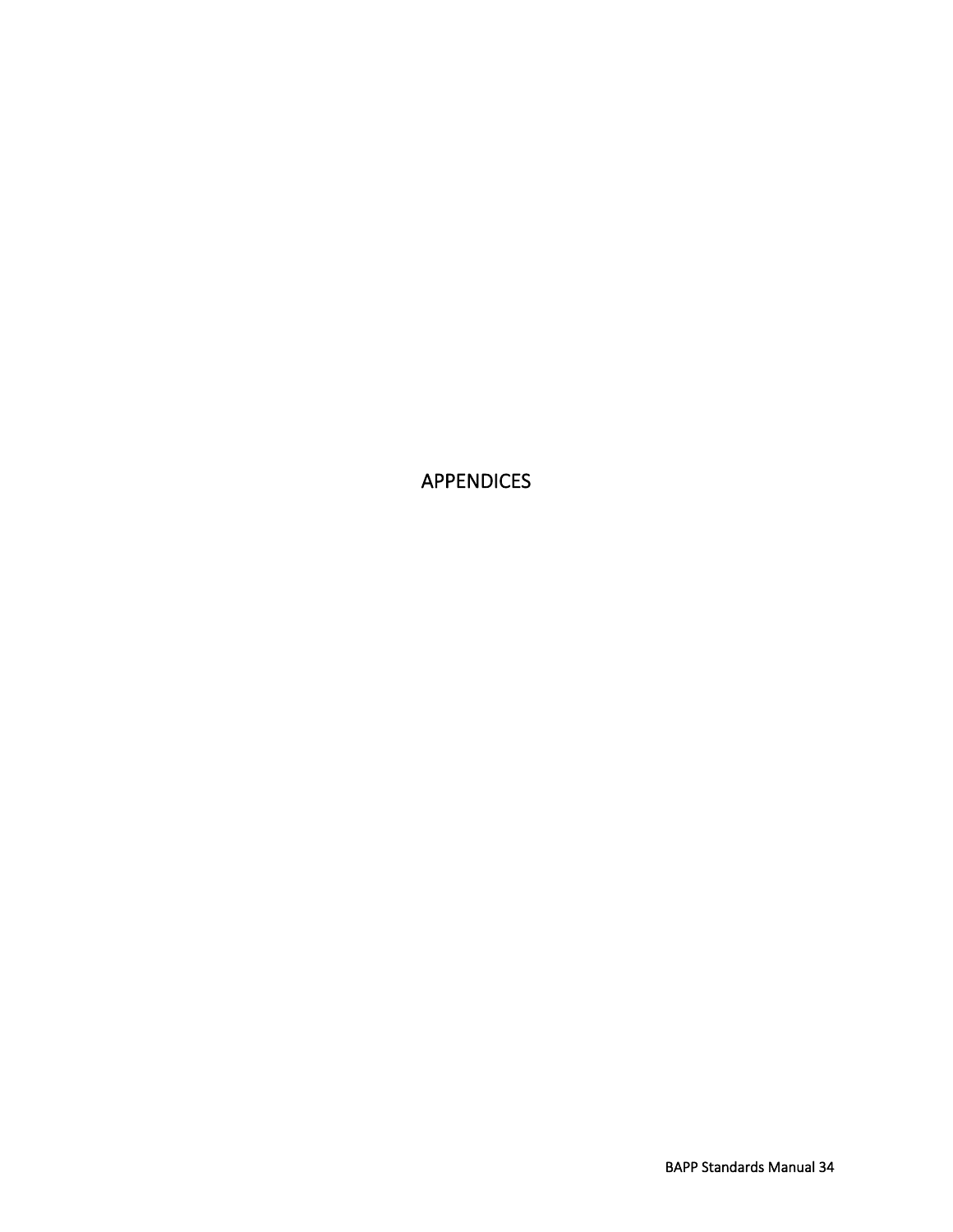<span id="page-35-0"></span>APPENDICES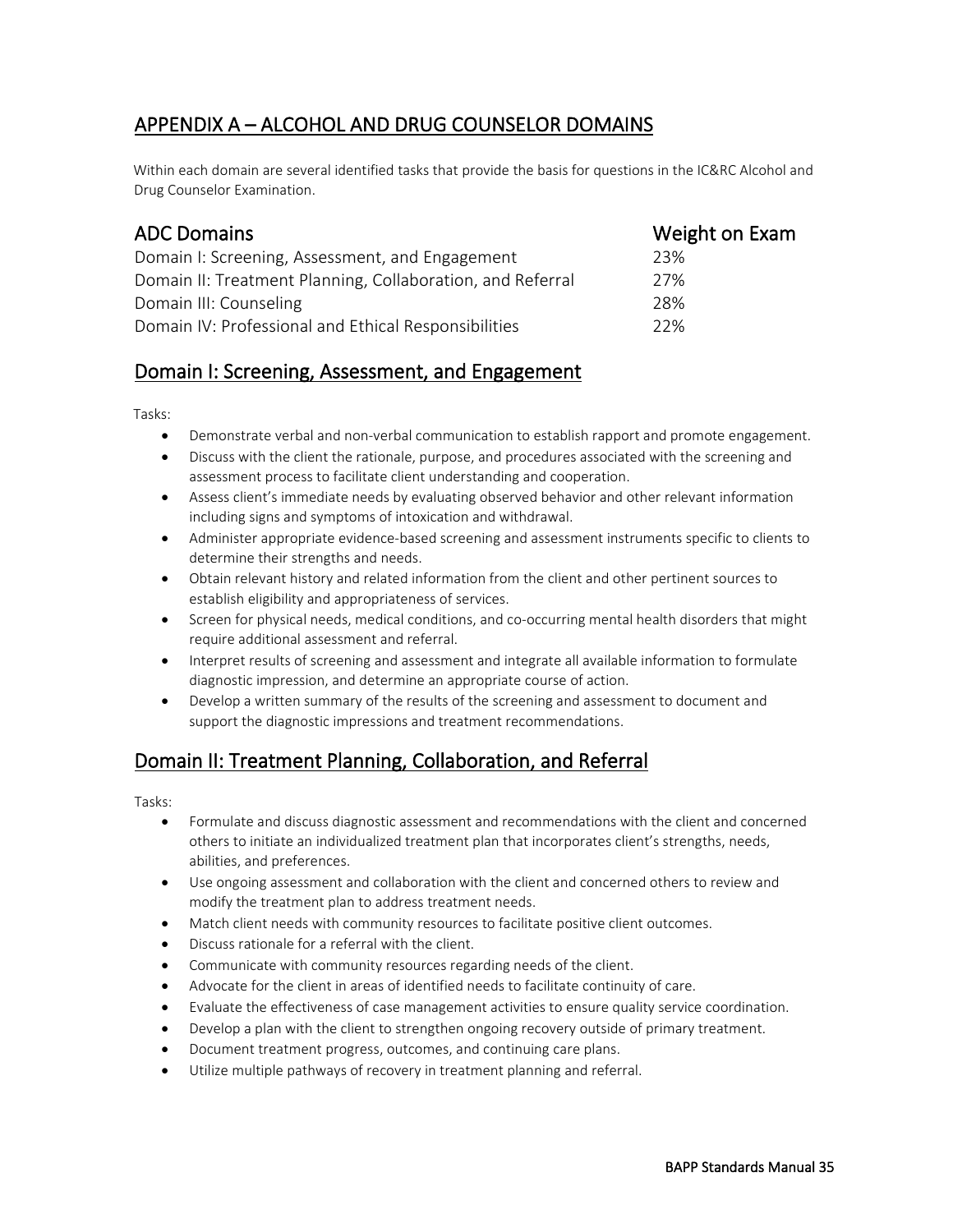# APPENDIX A – ALCOHOL AND DRUG COUNSELOR DOMAINS

Within each domain are several identified tasks that provide the basis for questions in the IC&RC Alcohol and Drug Counselor Examination.

| <b>ADC Domains</b>                                         | Weight on Exam |
|------------------------------------------------------------|----------------|
| Domain I: Screening, Assessment, and Engagement            | 23%            |
| Domain II: Treatment Planning, Collaboration, and Referral | 27%            |
| Domain III: Counseling                                     | 28%            |
| Domain IV: Professional and Ethical Responsibilities       | 22%            |

# Domain I: Screening, Assessment, and Engagement

Tasks:

- Demonstrate verbal and non-verbal communication to establish rapport and promote engagement.
- Discuss with the client the rationale, purpose, and procedures associated with the screening and assessment process to facilitate client understanding and cooperation.
- Assess client's immediate needs by evaluating observed behavior and other relevant information including signs and symptoms of intoxication and withdrawal.
- Administer appropriate evidence-based screening and assessment instruments specific to clients to determine their strengths and needs.
- Obtain relevant history and related information from the client and other pertinent sources to establish eligibility and appropriateness of services.
- Screen for physical needs, medical conditions, and co-occurring mental health disorders that might require additional assessment and referral.
- Interpret results of screening and assessment and integrate all available information to formulate diagnostic impression, and determine an appropriate course of action.
- Develop a written summary of the results of the screening and assessment to document and support the diagnostic impressions and treatment recommendations.

# Domain II: Treatment Planning, Collaboration, and Referral

Tasks:

- Formulate and discuss diagnostic assessment and recommendations with the client and concerned others to initiate an individualized treatment plan that incorporates client's strengths, needs, abilities, and preferences.
- Use ongoing assessment and collaboration with the client and concerned others to review and modify the treatment plan to address treatment needs.
- Match client needs with community resources to facilitate positive client outcomes.
- Discuss rationale for a referral with the client.
- Communicate with community resources regarding needs of the client.
- Advocate for the client in areas of identified needs to facilitate continuity of care.
- Evaluate the effectiveness of case management activities to ensure quality service coordination.
- Develop a plan with the client to strengthen ongoing recovery outside of primary treatment.
- Document treatment progress, outcomes, and continuing care plans.
- Utilize multiple pathways of recovery in treatment planning and referral.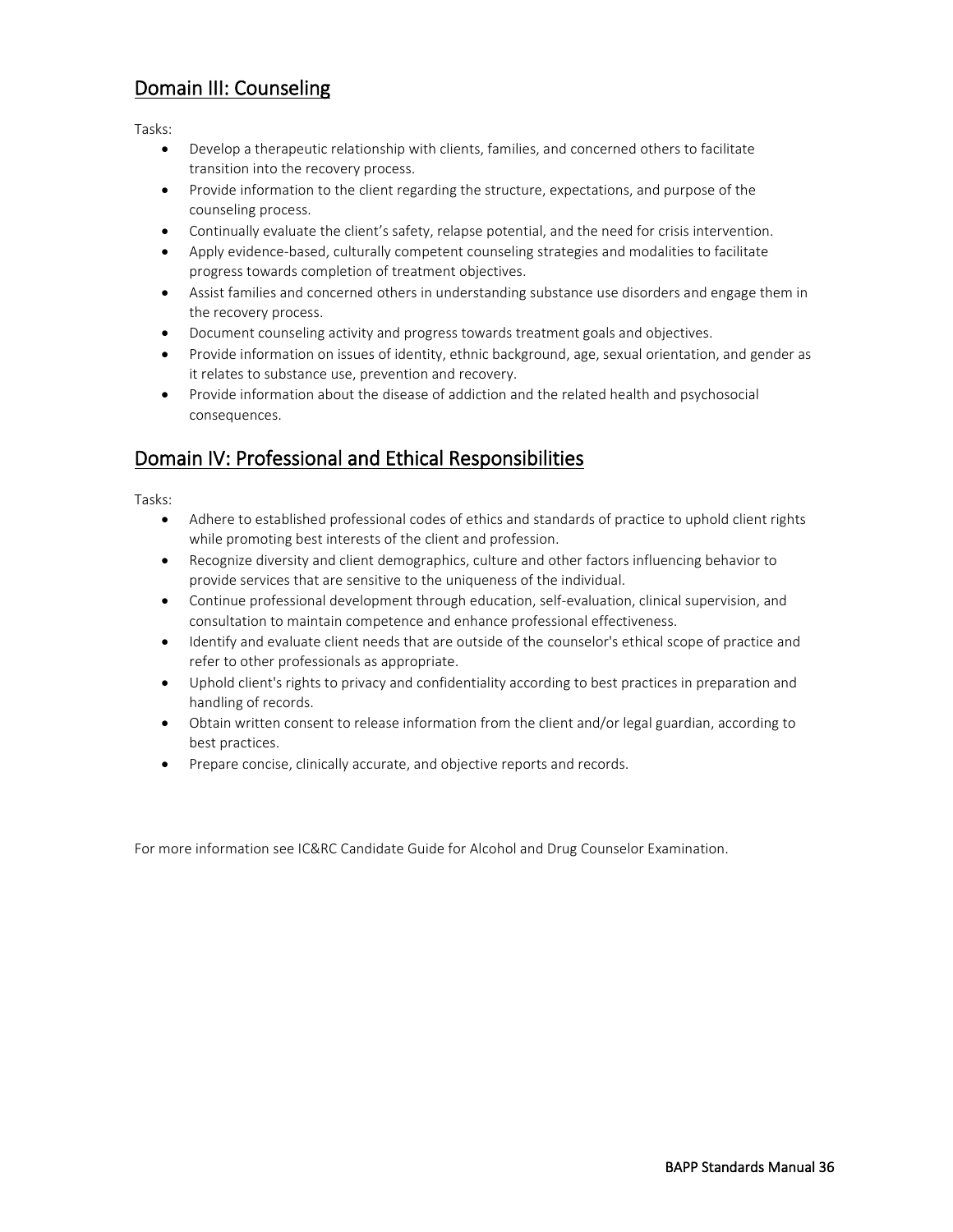# Domain III: Counseling

Tasks:

- Develop a therapeutic relationship with clients, families, and concerned others to facilitate transition into the recovery process.
- Provide information to the client regarding the structure, expectations, and purpose of the counseling process.
- Continually evaluate the client's safety, relapse potential, and the need for crisis intervention.
- Apply evidence-based, culturally competent counseling strategies and modalities to facilitate progress towards completion of treatment objectives.
- Assist families and concerned others in understanding substance use disorders and engage them in the recovery process.
- Document counseling activity and progress towards treatment goals and objectives.
- Provide information on issues of identity, ethnic background, age, sexual orientation, and gender as it relates to substance use, prevention and recovery.
- Provide information about the disease of addiction and the related health and psychosocial consequences.

# Domain IV: Professional and Ethical Responsibilities

Tasks:

- Adhere to established professional codes of ethics and standards of practice to uphold client rights while promoting best interests of the client and profession.
- Recognize diversity and client demographics, culture and other factors influencing behavior to provide services that are sensitive to the uniqueness of the individual.
- Continue professional development through education, self-evaluation, clinical supervision, and consultation to maintain competence and enhance professional effectiveness.
- Identify and evaluate client needs that are outside of the counselor's ethical scope of practice and refer to other professionals as appropriate.
- Uphold client's rights to privacy and confidentiality according to best practices in preparation and handling of records.
- Obtain written consent to release information from the client and/or legal guardian, according to best practices.
- Prepare concise, clinically accurate, and objective reports and records.

For more information see IC&RC Candidate Guide for Alcohol and Drug Counselor Examination.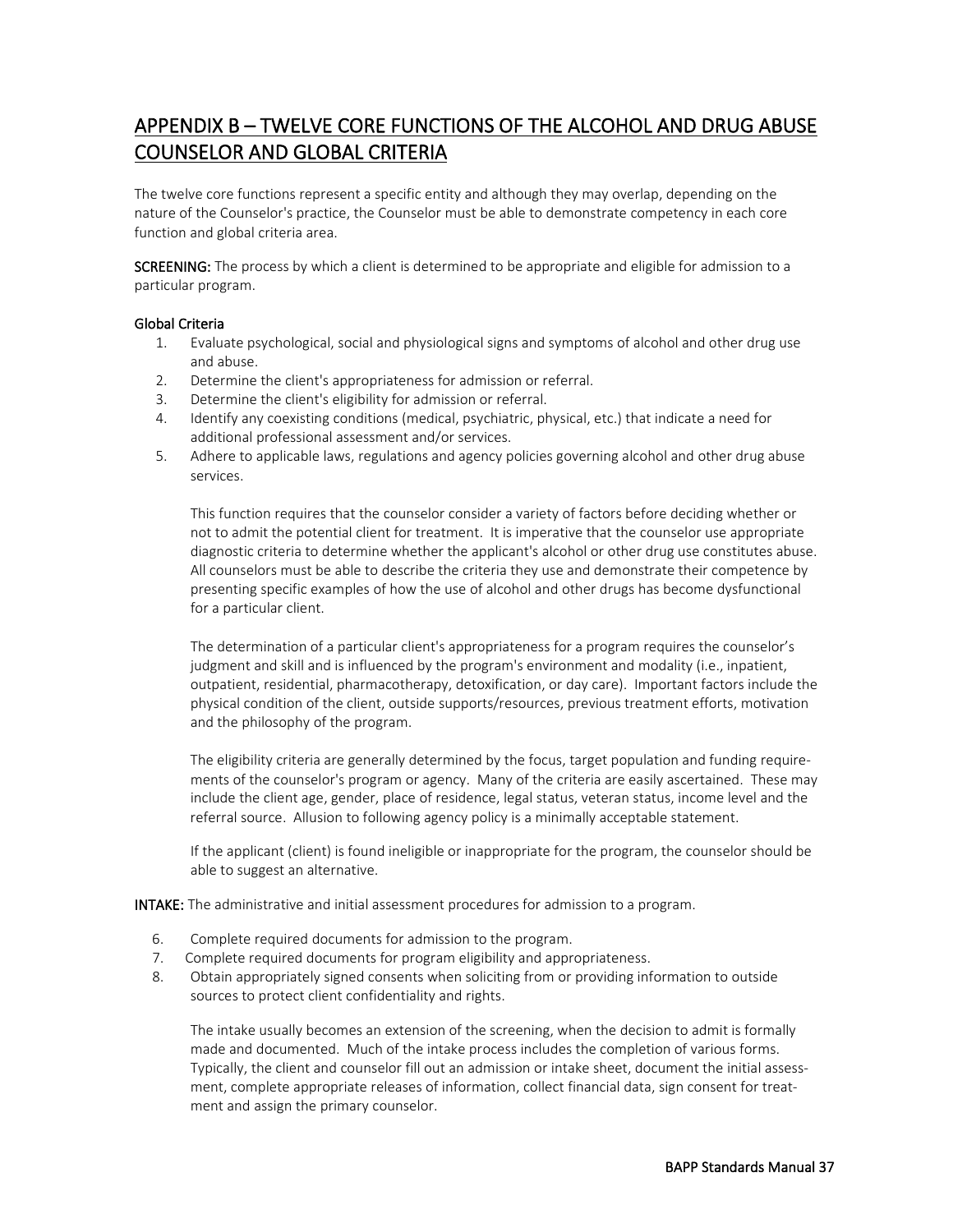# APPENDIX B – TWELVE CORE FUNCTIONS OF THE ALCOHOL AND DRUG ABUSE COUNSELOR AND GLOBAL CRITERIA

The twelve core functions represent a specific entity and although they may overlap, depending on the nature of the Counselor's practice, the Counselor must be able to demonstrate competency in each core function and global criteria area.

SCREENING: The process by which a client is determined to be appropriate and eligible for admission to a particular program.

#### Global Criteria

- 1. Evaluate psychological, social and physiological signs and symptoms of alcohol and other drug use and abuse.
- 2. Determine the client's appropriateness for admission or referral.
- 3. Determine the client's eligibility for admission or referral.
- 4. Identify any coexisting conditions (medical, psychiatric, physical, etc.) that indicate a need for additional professional assessment and/or services.
- 5. Adhere to applicable laws, regulations and agency policies governing alcohol and other drug abuse services.

This function requires that the counselor consider a variety of factors before deciding whether or not to admit the potential client for treatment. It is imperative that the counselor use appropriate diagnostic criteria to determine whether the applicant's alcohol or other drug use constitutes abuse. All counselors must be able to describe the criteria they use and demonstrate their competence by presenting specific examples of how the use of alcohol and other drugs has become dysfunctional for a particular client.

The determination of a particular client's appropriateness for a program requires the counselor's judgment and skill and is influenced by the program's environment and modality (i.e., inpatient, outpatient, residential, pharmacotherapy, detoxification, or day care). Important factors include the physical condition of the client, outside supports/resources, previous treatment efforts, motivation and the philosophy of the program.

The eligibility criteria are generally determined by the focus, target population and funding requirements of the counselor's program or agency. Many of the criteria are easily ascertained. These may include the client age, gender, place of residence, legal status, veteran status, income level and the referral source. Allusion to following agency policy is a minimally acceptable statement.

If the applicant (client) is found ineligible or inappropriate for the program, the counselor should be able to suggest an alternative.

INTAKE: The administrative and initial assessment procedures for admission to a program.

- 6. Complete required documents for admission to the program.
- 7. Complete required documents for program eligibility and appropriateness.
- 8. Obtain appropriately signed consents when soliciting from or providing information to outside sources to protect client confidentiality and rights.

The intake usually becomes an extension of the screening, when the decision to admit is formally made and documented. Much of the intake process includes the completion of various forms. Typically, the client and counselor fill out an admission or intake sheet, document the initial assessment, complete appropriate releases of information, collect financial data, sign consent for treatment and assign the primary counselor.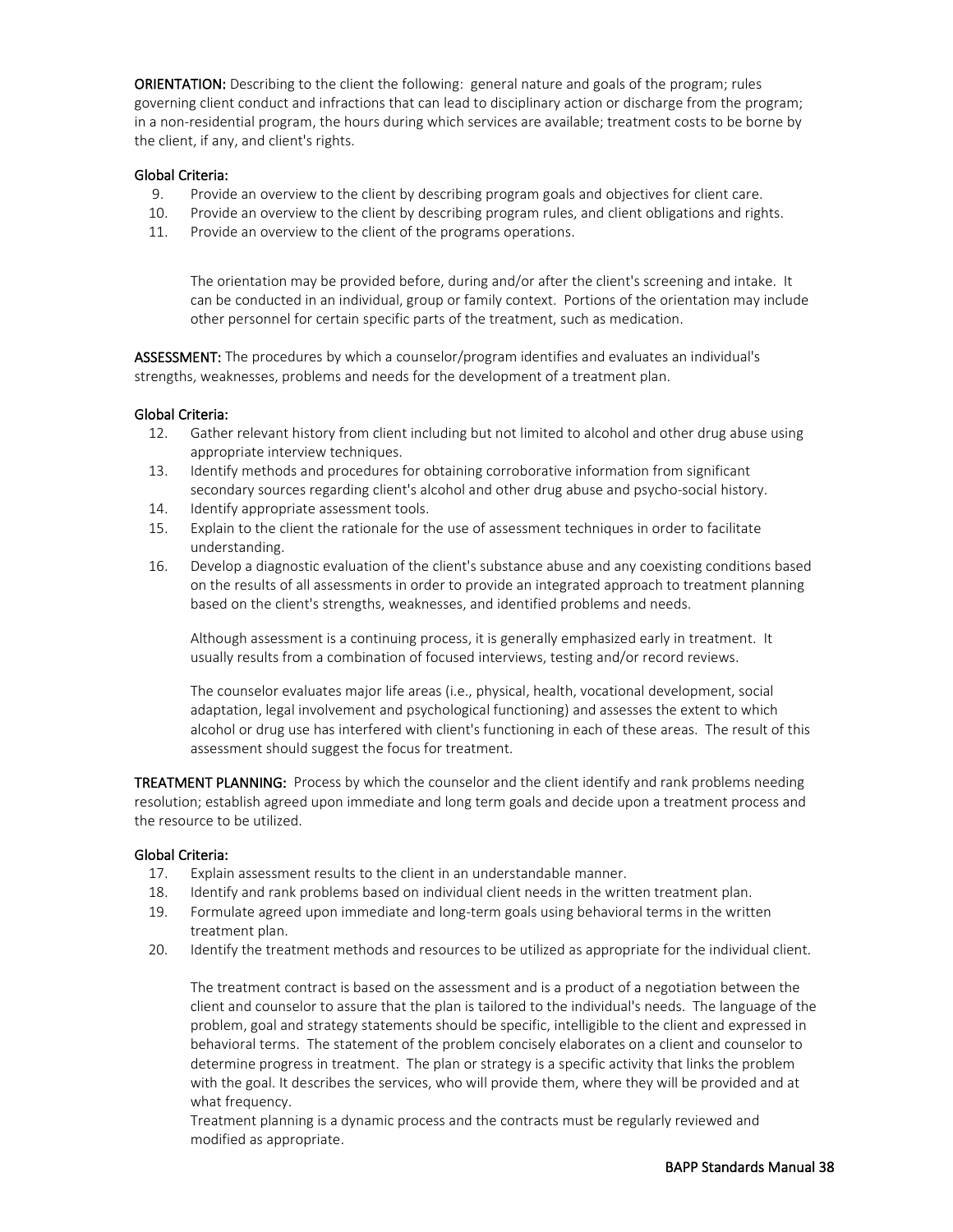ORIENTATION: Describing to the client the following: general nature and goals of the program; rules governing client conduct and infractions that can lead to disciplinary action or discharge from the program; in a non-residential program, the hours during which services are available; treatment costs to be borne by the client, if any, and client's rights.

#### Global Criteria:

- 9. Provide an overview to the client by describing program goals and objectives for client care.
- 10. Provide an overview to the client by describing program rules, and client obligations and rights.
- 11. Provide an overview to the client of the programs operations.

The orientation may be provided before, during and/or after the client's screening and intake. It can be conducted in an individual, group or family context. Portions of the orientation may include other personnel for certain specific parts of the treatment, such as medication.

ASSESSMENT: The procedures by which a counselor/program identifies and evaluates an individual's strengths, weaknesses, problems and needs for the development of a treatment plan.

#### Global Criteria:

- 12. Gather relevant history from client including but not limited to alcohol and other drug abuse using appropriate interview techniques.
- 13. Identify methods and procedures for obtaining corroborative information from significant secondary sources regarding client's alcohol and other drug abuse and psycho-social history.
- 14. Identify appropriate assessment tools.
- 15. Explain to the client the rationale for the use of assessment techniques in order to facilitate understanding.
- 16. Develop a diagnostic evaluation of the client's substance abuse and any coexisting conditions based on the results of all assessments in order to provide an integrated approach to treatment planning based on the client's strengths, weaknesses, and identified problems and needs.

Although assessment is a continuing process, it is generally emphasized early in treatment. It usually results from a combination of focused interviews, testing and/or record reviews.

The counselor evaluates major life areas (i.e., physical, health, vocational development, social adaptation, legal involvement and psychological functioning) and assesses the extent to which alcohol or drug use has interfered with client's functioning in each of these areas. The result of this assessment should suggest the focus for treatment.

TREATMENT PLANNING: Process by which the counselor and the client identify and rank problems needing resolution; establish agreed upon immediate and long term goals and decide upon a treatment process and the resource to be utilized.

#### Global Criteria:

- 17. Explain assessment results to the client in an understandable manner.
- 18. Identify and rank problems based on individual client needs in the written treatment plan.
- 19. Formulate agreed upon immediate and long-term goals using behavioral terms in the written treatment plan.
- 20. Identify the treatment methods and resources to be utilized as appropriate for the individual client.

The treatment contract is based on the assessment and is a product of a negotiation between the client and counselor to assure that the plan is tailored to the individual's needs. The language of the problem, goal and strategy statements should be specific, intelligible to the client and expressed in behavioral terms. The statement of the problem concisely elaborates on a client and counselor to determine progress in treatment. The plan or strategy is a specific activity that links the problem with the goal. It describes the services, who will provide them, where they will be provided and at what frequency.

Treatment planning is a dynamic process and the contracts must be regularly reviewed and modified as appropriate.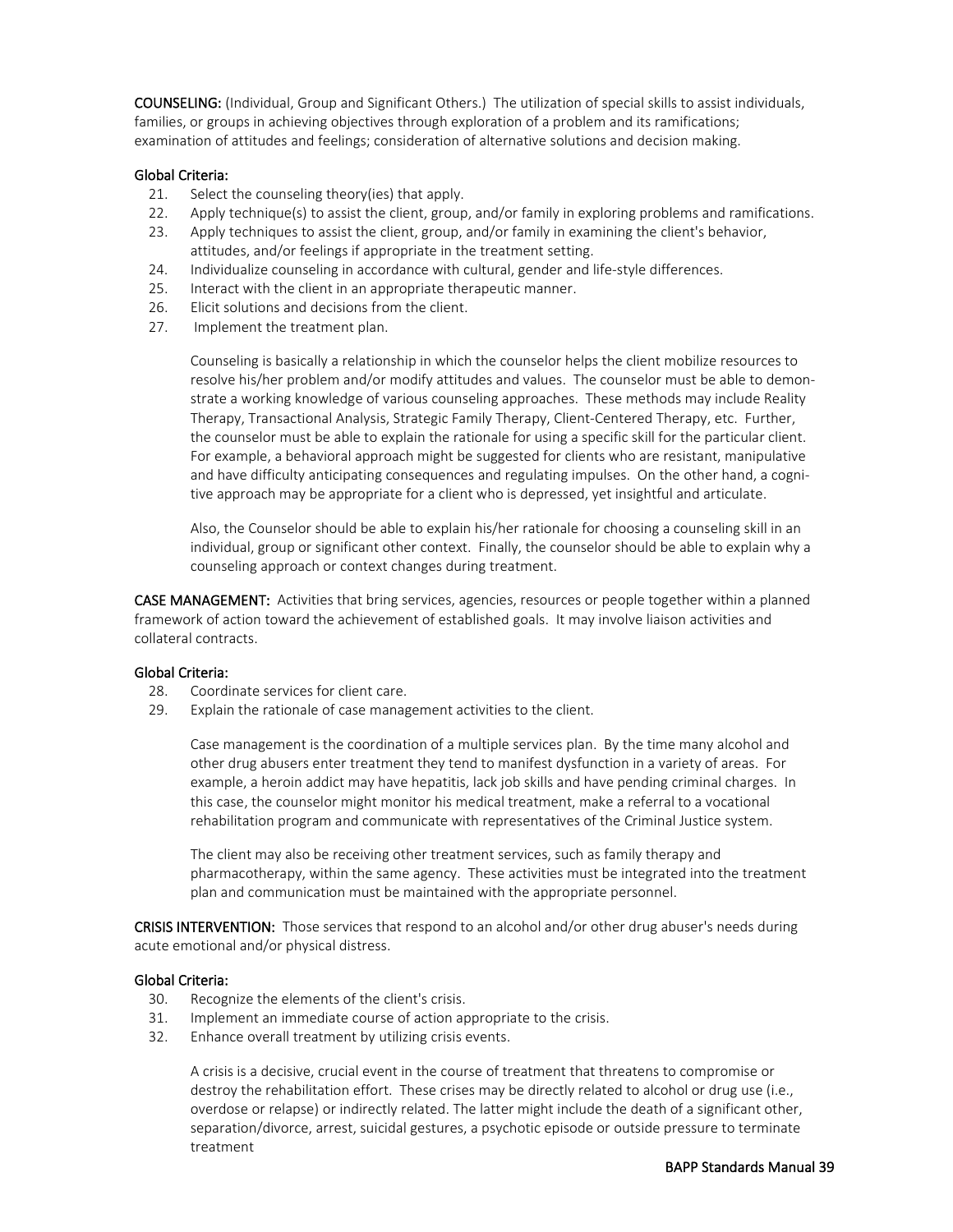COUNSELING: (Individual, Group and Significant Others.) The utilization of special skills to assist individuals, families, or groups in achieving objectives through exploration of a problem and its ramifications; examination of attitudes and feelings; consideration of alternative solutions and decision making.

#### Global Criteria:

- 21. Select the counseling theory(ies) that apply.
- 22. Apply technique(s) to assist the client, group, and/or family in exploring problems and ramifications.
- 23. Apply techniques to assist the client, group, and/or family in examining the client's behavior, attitudes, and/or feelings if appropriate in the treatment setting.
- 24. Individualize counseling in accordance with cultural, gender and life-style differences.
- 25. Interact with the client in an appropriate therapeutic manner.
- 26. Elicit solutions and decisions from the client.
- 27. Implement the treatment plan.

Counseling is basically a relationship in which the counselor helps the client mobilize resources to resolve his/her problem and/or modify attitudes and values. The counselor must be able to demonstrate a working knowledge of various counseling approaches. These methods may include Reality Therapy, Transactional Analysis, Strategic Family Therapy, Client-Centered Therapy, etc. Further, the counselor must be able to explain the rationale for using a specific skill for the particular client. For example, a behavioral approach might be suggested for clients who are resistant, manipulative and have difficulty anticipating consequences and regulating impulses. On the other hand, a cognitive approach may be appropriate for a client who is depressed, yet insightful and articulate.

Also, the Counselor should be able to explain his/her rationale for choosing a counseling skill in an individual, group or significant other context. Finally, the counselor should be able to explain why a counseling approach or context changes during treatment.

CASE MANAGEMENT: Activities that bring services, agencies, resources or people together within a planned framework of action toward the achievement of established goals. It may involve liaison activities and collateral contracts.

#### Global Criteria:

- 28. Coordinate services for client care.
- 29. Explain the rationale of case management activities to the client.

Case management is the coordination of a multiple services plan. By the time many alcohol and other drug abusers enter treatment they tend to manifest dysfunction in a variety of areas. For example, a heroin addict may have hepatitis, lack job skills and have pending criminal charges. In this case, the counselor might monitor his medical treatment, make a referral to a vocational rehabilitation program and communicate with representatives of the Criminal Justice system.

The client may also be receiving other treatment services, such as family therapy and pharmacotherapy, within the same agency. These activities must be integrated into the treatment plan and communication must be maintained with the appropriate personnel.

CRISIS INTERVENTION: Those services that respond to an alcohol and/or other drug abuser's needs during acute emotional and/or physical distress.

#### Global Criteria:

- 30. Recognize the elements of the client's crisis.
- 31. Implement an immediate course of action appropriate to the crisis.
- 32. Enhance overall treatment by utilizing crisis events.

A crisis is a decisive, crucial event in the course of treatment that threatens to compromise or destroy the rehabilitation effort. These crises may be directly related to alcohol or drug use (i.e., overdose or relapse) or indirectly related. The latter might include the death of a significant other, separation/divorce, arrest, suicidal gestures, a psychotic episode or outside pressure to terminate treatment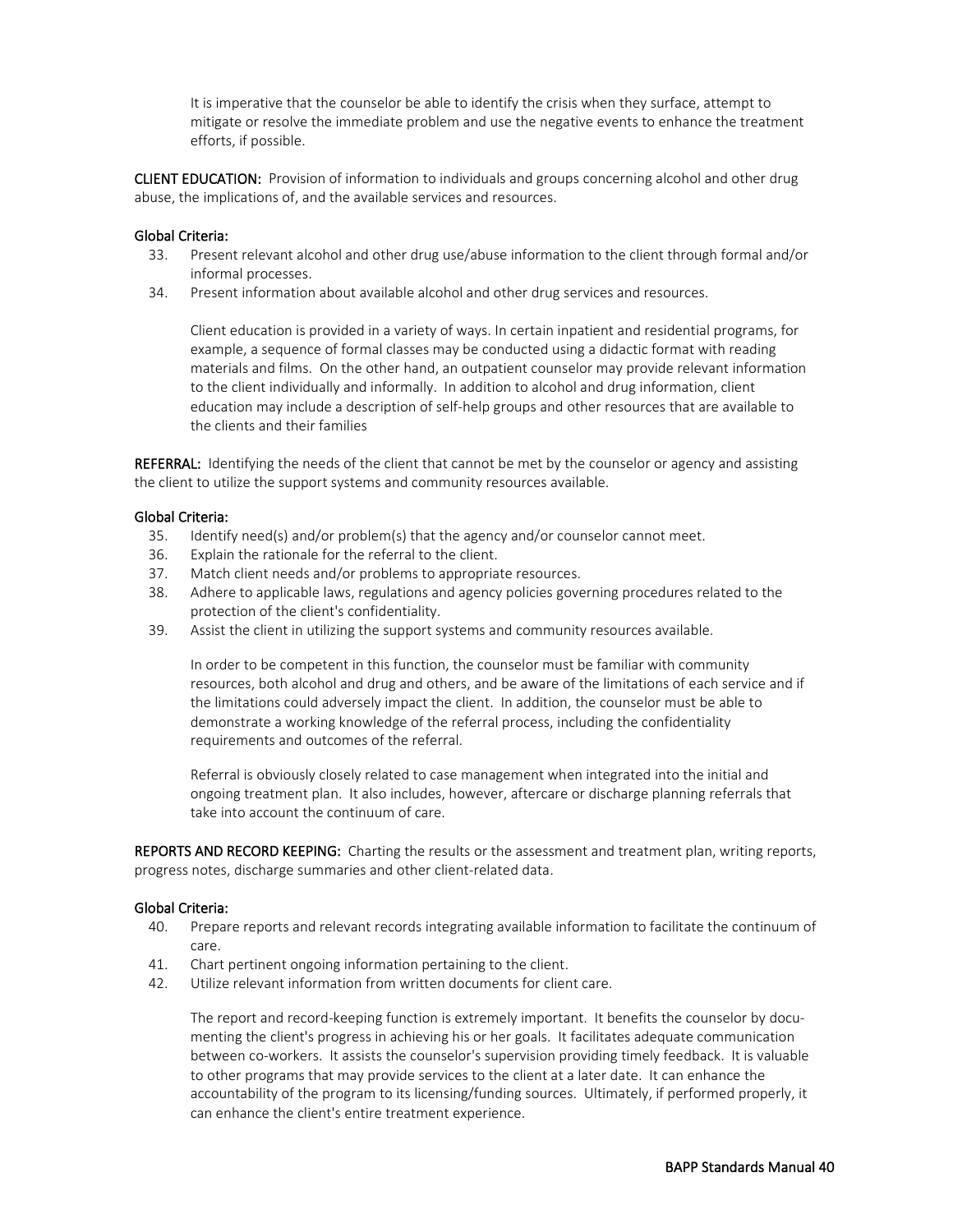It is imperative that the counselor be able to identify the crisis when they surface, attempt to mitigate or resolve the immediate problem and use the negative events to enhance the treatment efforts, if possible.

CLIENT EDUCATION: Provision of information to individuals and groups concerning alcohol and other drug abuse, the implications of, and the available services and resources.

#### Global Criteria:

- 33. Present relevant alcohol and other drug use/abuse information to the client through formal and/or informal processes.
- 34. Present information about available alcohol and other drug services and resources.

Client education is provided in a variety of ways. In certain inpatient and residential programs, for example, a sequence of formal classes may be conducted using a didactic format with reading materials and films. On the other hand, an outpatient counselor may provide relevant information to the client individually and informally. In addition to alcohol and drug information, client education may include a description of self-help groups and other resources that are available to the clients and their families

REFERRAL: Identifying the needs of the client that cannot be met by the counselor or agency and assisting the client to utilize the support systems and community resources available.

#### Global Criteria:

- 35. Identify need(s) and/or problem(s) that the agency and/or counselor cannot meet.
- 36. Explain the rationale for the referral to the client.
- 37. Match client needs and/or problems to appropriate resources.
- 38. Adhere to applicable laws, regulations and agency policies governing procedures related to the protection of the client's confidentiality.
- 39. Assist the client in utilizing the support systems and community resources available.

In order to be competent in this function, the counselor must be familiar with community resources, both alcohol and drug and others, and be aware of the limitations of each service and if the limitations could adversely impact the client. In addition, the counselor must be able to demonstrate a working knowledge of the referral process, including the confidentiality requirements and outcomes of the referral.

Referral is obviously closely related to case management when integrated into the initial and ongoing treatment plan. It also includes, however, aftercare or discharge planning referrals that take into account the continuum of care.

REPORTS AND RECORD KEEPING: Charting the results or the assessment and treatment plan, writing reports, progress notes, discharge summaries and other client-related data.

#### Global Criteria:

- 40. Prepare reports and relevant records integrating available information to facilitate the continuum of care.
- 41. Chart pertinent ongoing information pertaining to the client.
- 42. Utilize relevant information from written documents for client care.

The report and record-keeping function is extremely important. It benefits the counselor by documenting the client's progress in achieving his or her goals. It facilitates adequate communication between co-workers. It assists the counselor's supervision providing timely feedback. It is valuable to other programs that may provide services to the client at a later date. It can enhance the accountability of the program to its licensing/funding sources. Ultimately, if performed properly, it can enhance the client's entire treatment experience.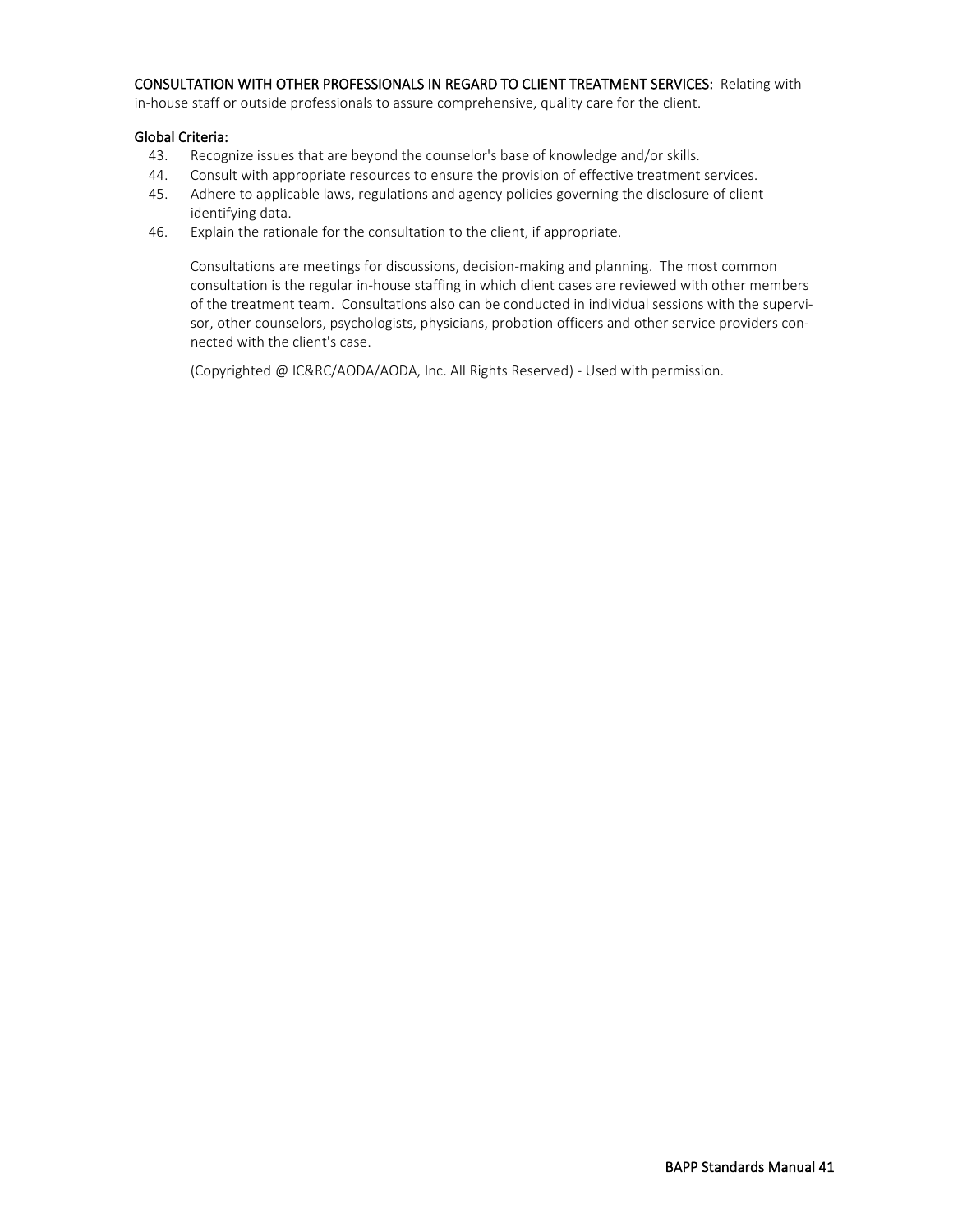#### CONSULTATION WITH OTHER PROFESSIONALS IN REGARD TO CLIENT TREATMENT SERVICES: Relating with

in-house staff or outside professionals to assure comprehensive, quality care for the client.

#### Global Criteria:

- 43. Recognize issues that are beyond the counselor's base of knowledge and/or skills.
- 44. Consult with appropriate resources to ensure the provision of effective treatment services.
- 45. Adhere to applicable laws, regulations and agency policies governing the disclosure of client identifying data.
- 46. Explain the rationale for the consultation to the client, if appropriate.

Consultations are meetings for discussions, decision-making and planning. The most common consultation is the regular in-house staffing in which client cases are reviewed with other members of the treatment team. Consultations also can be conducted in individual sessions with the supervisor, other counselors, psychologists, physicians, probation officers and other service providers connected with the client's case.

(Copyrighted @ IC&RC/AODA/AODA, Inc. All Rights Reserved) - Used with permission.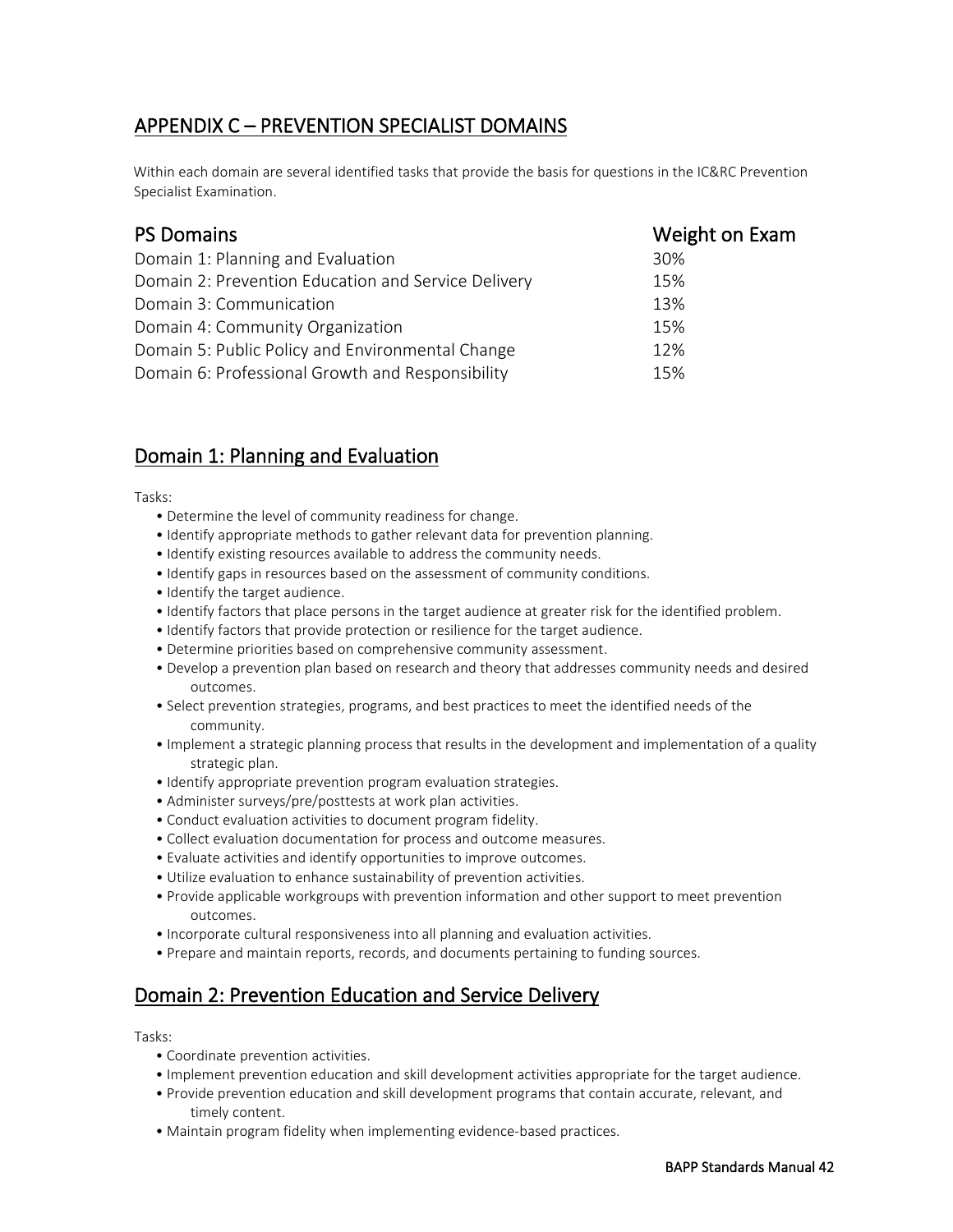# APPENDIX C – PREVENTION SPECIALIST DOMAINS

Within each domain are several identified tasks that provide the basis for questions in the IC&RC Prevention Specialist Examination.

| <b>PS Domains</b>                                   | Weight on Exam |
|-----------------------------------------------------|----------------|
| Domain 1: Planning and Evaluation                   | 30%            |
| Domain 2: Prevention Education and Service Delivery | 15%            |
| Domain 3: Communication                             | 13%            |
| Domain 4: Community Organization                    | 15%            |
| Domain 5: Public Policy and Environmental Change    | 12%            |
| Domain 6: Professional Growth and Responsibility    | 15%            |

# Domain 1: Planning and Evaluation

Tasks:

- Determine the level of community readiness for change.
- Identify appropriate methods to gather relevant data for prevention planning.
- Identify existing resources available to address the community needs.
- Identify gaps in resources based on the assessment of community conditions.
- Identify the target audience.
- Identify factors that place persons in the target audience at greater risk for the identified problem.
- Identify factors that provide protection or resilience for the target audience.
- Determine priorities based on comprehensive community assessment.
- Develop a prevention plan based on research and theory that addresses community needs and desired outcomes.
- Select prevention strategies, programs, and best practices to meet the identified needs of the community.
- Implement a strategic planning process that results in the development and implementation of a quality strategic plan.
- Identify appropriate prevention program evaluation strategies.
- Administer surveys/pre/posttests at work plan activities.
- Conduct evaluation activities to document program fidelity.
- Collect evaluation documentation for process and outcome measures.
- Evaluate activities and identify opportunities to improve outcomes.
- Utilize evaluation to enhance sustainability of prevention activities.
- Provide applicable workgroups with prevention information and other support to meet prevention outcomes.
- Incorporate cultural responsiveness into all planning and evaluation activities.
- Prepare and maintain reports, records, and documents pertaining to funding sources.

# Domain 2: Prevention Education and Service Delivery

Tasks:

- Coordinate prevention activities.
- Implement prevention education and skill development activities appropriate for the target audience.
- Provide prevention education and skill development programs that contain accurate, relevant, and timely content.
- Maintain program fidelity when implementing evidence-based practices.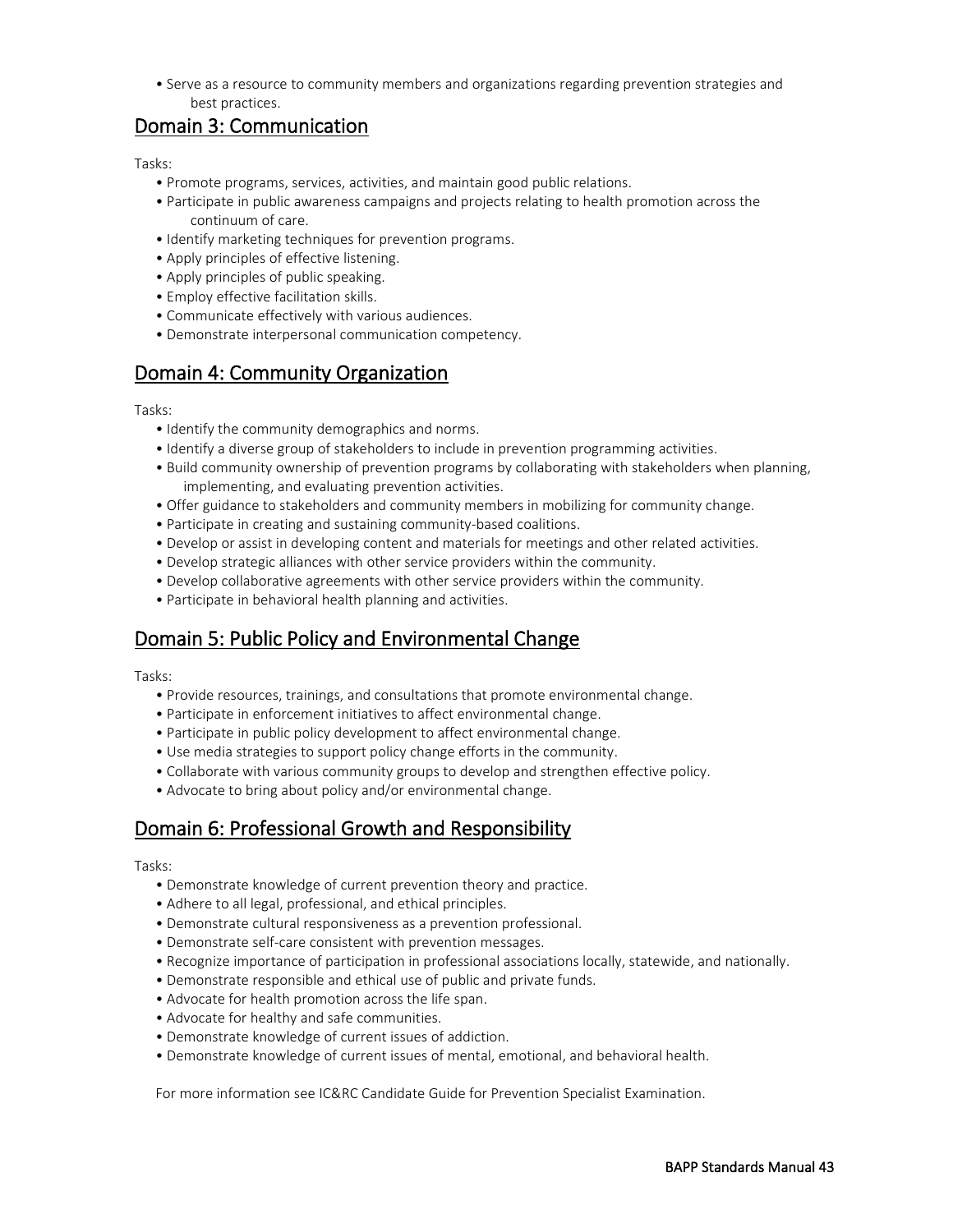• Serve as a resource to community members and organizations regarding prevention strategies and best practices.

# Domain 3: Communication

#### Tasks:

- Promote programs, services, activities, and maintain good public relations.
- Participate in public awareness campaigns and projects relating to health promotion across the continuum of care.
- Identify marketing techniques for prevention programs.
- Apply principles of effective listening.
- Apply principles of public speaking.
- Employ effective facilitation skills.
- Communicate effectively with various audiences.
- Demonstrate interpersonal communication competency.

# Domain 4: Community Organization

Tasks:

- Identify the community demographics and norms.
- Identify a diverse group of stakeholders to include in prevention programming activities.
- Build community ownership of prevention programs by collaborating with stakeholders when planning, implementing, and evaluating prevention activities.
- Offer guidance to stakeholders and community members in mobilizing for community change.
- Participate in creating and sustaining community-based coalitions.
- Develop or assist in developing content and materials for meetings and other related activities.
- Develop strategic alliances with other service providers within the community.
- Develop collaborative agreements with other service providers within the community.
- Participate in behavioral health planning and activities.

# Domain 5: Public Policy and Environmental Change

Tasks:

- Provide resources, trainings, and consultations that promote environmental change.
- Participate in enforcement initiatives to affect environmental change.
- Participate in public policy development to affect environmental change.
- Use media strategies to support policy change efforts in the community.
- Collaborate with various community groups to develop and strengthen effective policy.
- Advocate to bring about policy and/or environmental change.

# Domain 6: Professional Growth and Responsibility

Tasks:

- Demonstrate knowledge of current prevention theory and practice.
- Adhere to all legal, professional, and ethical principles.
- Demonstrate cultural responsiveness as a prevention professional.
- Demonstrate self-care consistent with prevention messages.
- Recognize importance of participation in professional associations locally, statewide, and nationally.
- Demonstrate responsible and ethical use of public and private funds.
- Advocate for health promotion across the life span.
- Advocate for healthy and safe communities.
- Demonstrate knowledge of current issues of addiction.
- Demonstrate knowledge of current issues of mental, emotional, and behavioral health.

For more information see IC&RC Candidate Guide for Prevention Specialist Examination.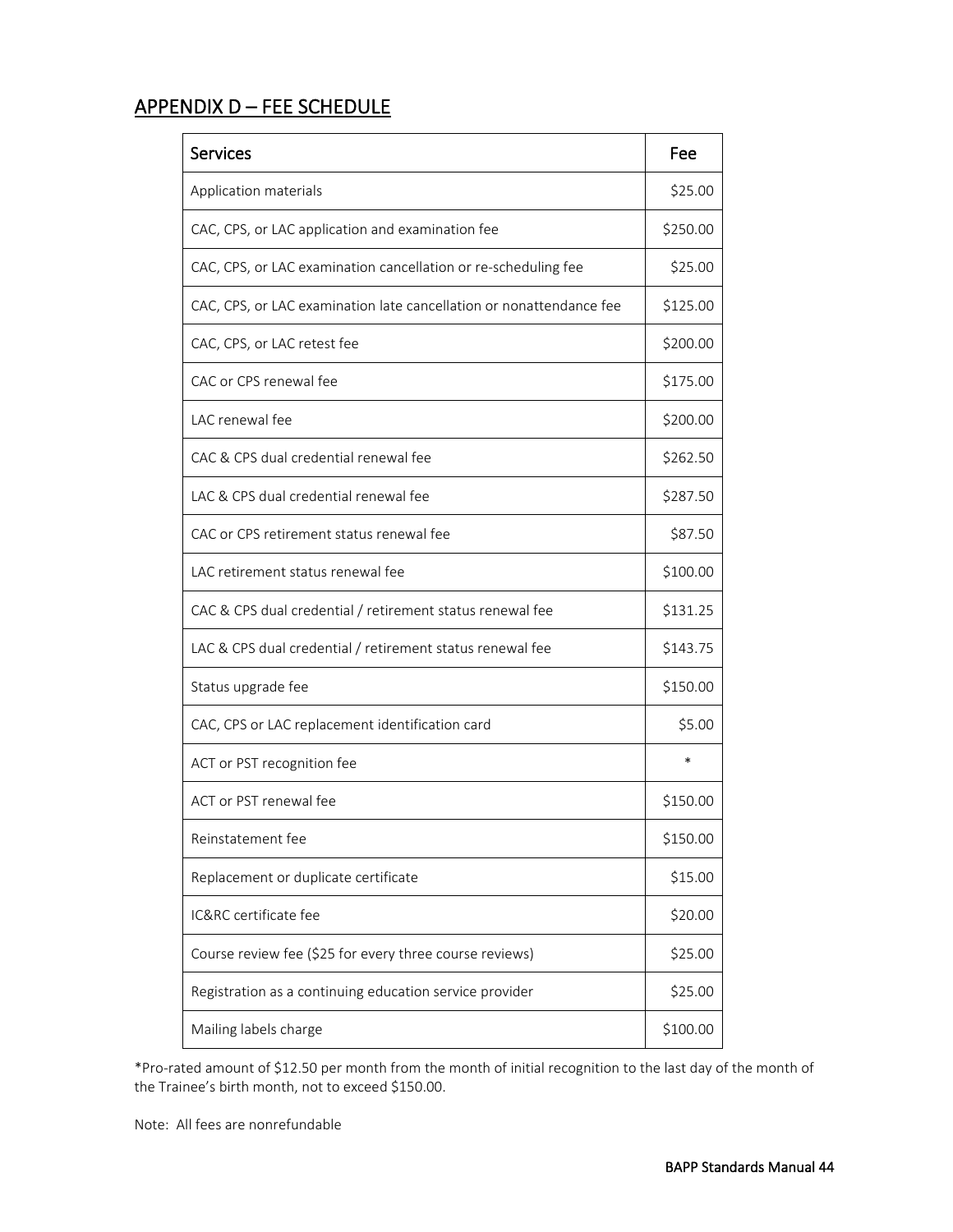# APPENDIX D – FEE SCHEDULE

| <b>Services</b>                                                     | Fee      |
|---------------------------------------------------------------------|----------|
| Application materials                                               | \$25.00  |
| CAC, CPS, or LAC application and examination fee                    | \$250.00 |
| CAC, CPS, or LAC examination cancellation or re-scheduling fee      | \$25.00  |
| CAC, CPS, or LAC examination late cancellation or nonattendance fee | \$125.00 |
| CAC, CPS, or LAC retest fee                                         | \$200.00 |
| CAC or CPS renewal fee                                              | \$175.00 |
| LAC renewal fee                                                     | \$200.00 |
| CAC & CPS dual credential renewal fee                               | \$262.50 |
| LAC & CPS dual credential renewal fee                               | \$287.50 |
| CAC or CPS retirement status renewal fee                            | \$87.50  |
| LAC retirement status renewal fee                                   | \$100.00 |
| CAC & CPS dual credential / retirement status renewal fee           | \$131.25 |
| LAC & CPS dual credential / retirement status renewal fee           | \$143.75 |
| Status upgrade fee                                                  | \$150.00 |
| CAC, CPS or LAC replacement identification card                     | \$5.00   |
| ACT or PST recognition fee                                          | $\ast$   |
| ACT or PST renewal fee                                              | \$150.00 |
| Reinstatement fee                                                   | \$150.00 |
| Replacement or duplicate certificate                                | \$15.00  |
| IC&RC certificate fee                                               | \$20.00  |
| Course review fee (\$25 for every three course reviews)             | \$25.00  |
| Registration as a continuing education service provider             | \$25.00  |
| Mailing labels charge                                               | \$100.00 |

\*Pro-rated amount of \$12.50 per month from the month of initial recognition to the last day of the month of the Trainee's birth month, not to exceed \$150.00.

Note: All fees are nonrefundable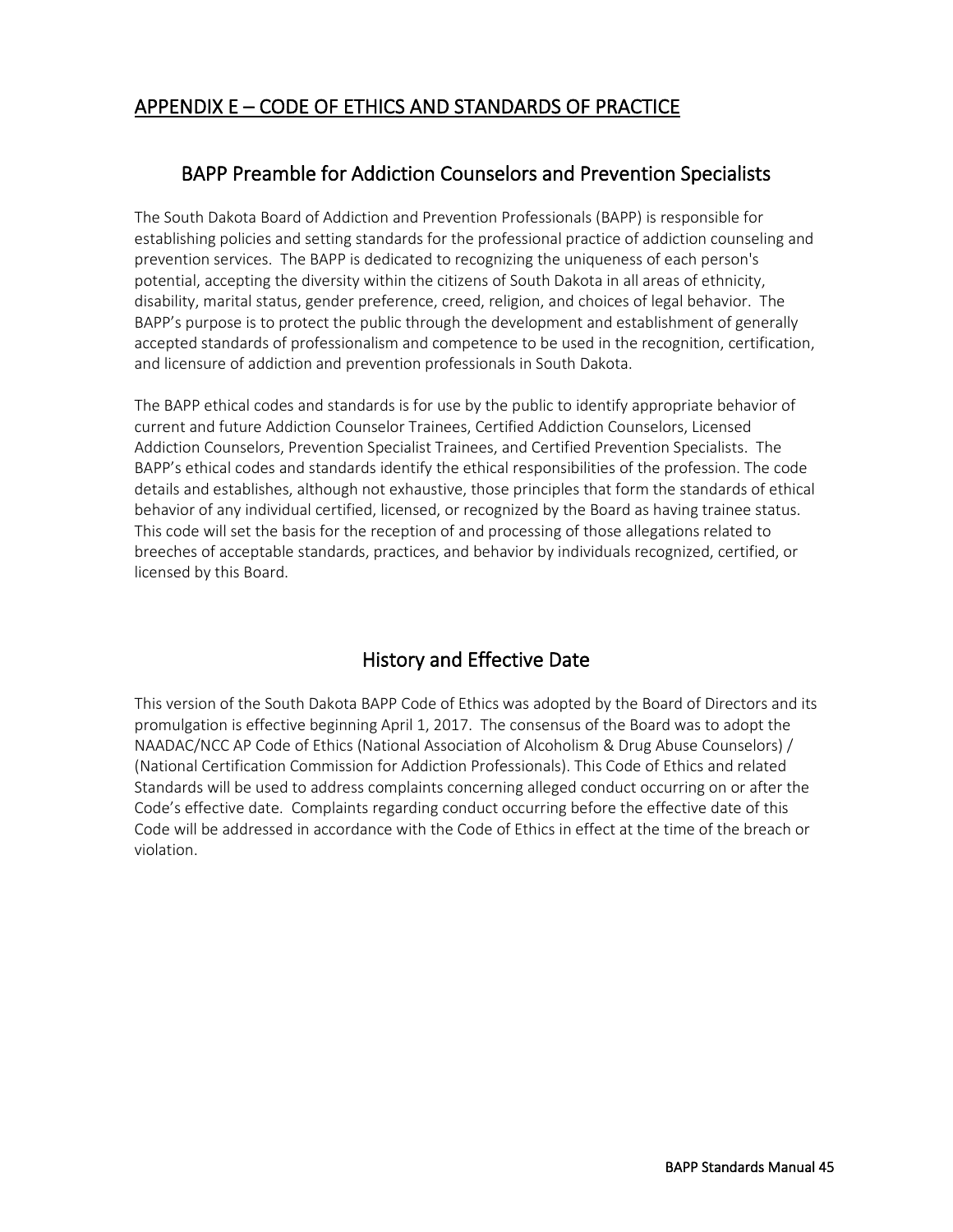# APPENDIX E – CODE OF ETHICS AND STANDARDS OF PRACTICE

# BAPP Preamble for Addiction Counselors and Prevention Specialists

The South Dakota Board of Addiction and Prevention Professionals (BAPP) is responsible for establishing policies and setting standards for the professional practice of addiction counseling and prevention services. The BAPP is dedicated to recognizing the uniqueness of each person's potential, accepting the diversity within the citizens of South Dakota in all areas of ethnicity, disability, marital status, gender preference, creed, religion, and choices of legal behavior. The BAPP's purpose is to protect the public through the development and establishment of generally accepted standards of professionalism and competence to be used in the recognition, certification, and licensure of addiction and prevention professionals in South Dakota.

The BAPP ethical codes and standards is for use by the public to identify appropriate behavior of current and future Addiction Counselor Trainees, Certified Addiction Counselors, Licensed Addiction Counselors, Prevention Specialist Trainees, and Certified Prevention Specialists. The BAPP's ethical codes and standards identify the ethical responsibilities of the profession. The code details and establishes, although not exhaustive, those principles that form the standards of ethical behavior of any individual certified, licensed, or recognized by the Board as having trainee status. This code will set the basis for the reception of and processing of those allegations related to breeches of acceptable standards, practices, and behavior by individuals recognized, certified, or licensed by this Board.

# History and Effective Date

This version of the South Dakota BAPP Code of Ethics was adopted by the Board of Directors and its promulgation is effective beginning April 1, 2017. The consensus of the Board was to adopt the NAADAC/NCC AP Code of Ethics (National Association of Alcoholism & Drug Abuse Counselors) / (National Certification Commission for Addiction Professionals). This Code of Ethics and related Standards will be used to address complaints concerning alleged conduct occurring on or after the Code's effective date. Complaints regarding conduct occurring before the effective date of this Code will be addressed in accordance with the Code of Ethics in effect at the time of the breach or violation.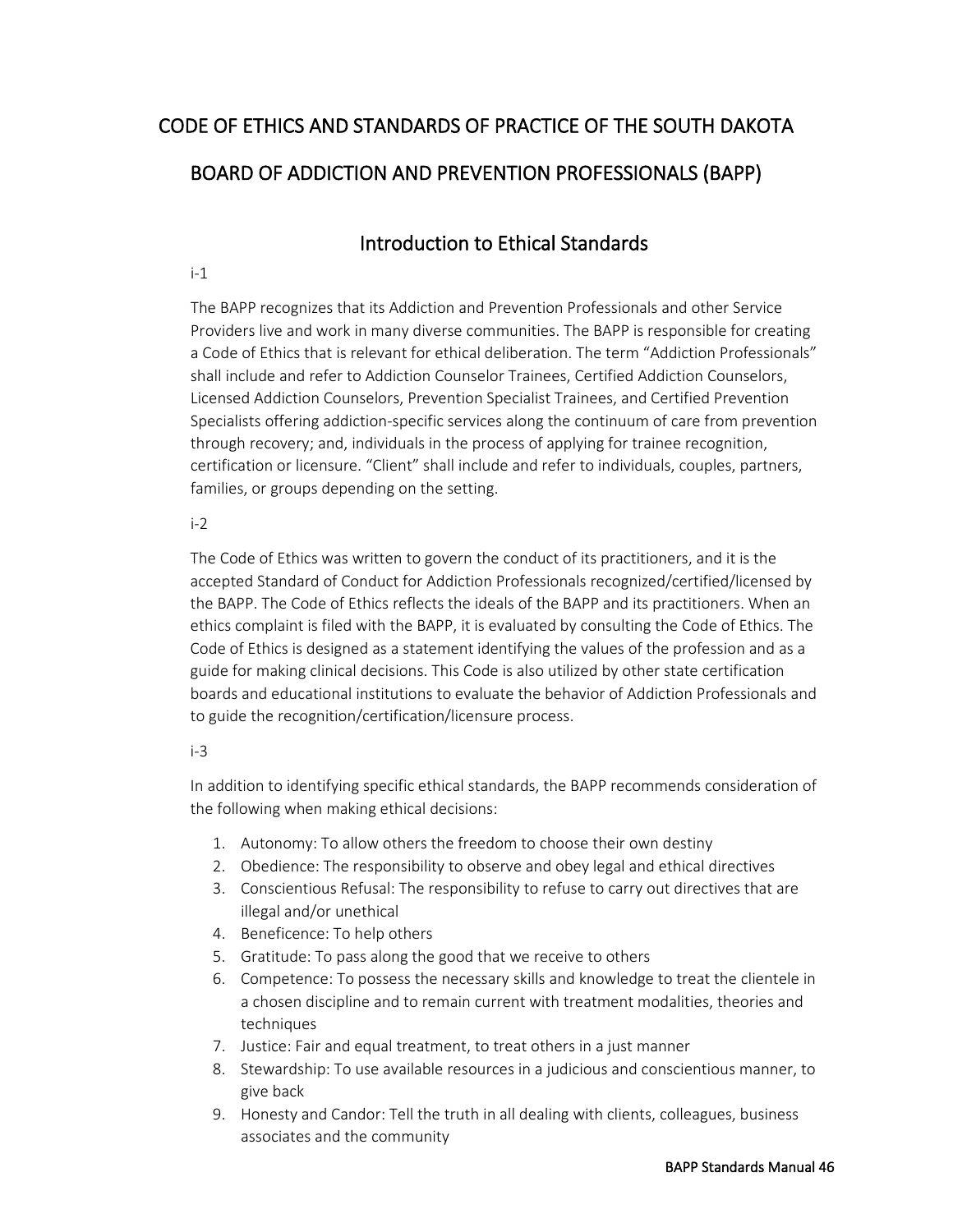# CODE OF ETHICS AND STANDARDS OF PRACTICE OF THE SOUTH DAKOTA BOARD OF ADDICTION AND PREVENTION PROFESSIONALS (BAPP)

# Introduction to Ethical Standards

#### i-1

The BAPP recognizes that its Addiction and Prevention Professionals and other Service Providers live and work in many diverse communities. The BAPP is responsible for creating a Code of Ethics that is relevant for ethical deliberation. The term "Addiction Professionals" shall include and refer to Addiction Counselor Trainees, Certified Addiction Counselors, Licensed Addiction Counselors, Prevention Specialist Trainees, and Certified Prevention Specialists offering addiction-specific services along the continuum of care from prevention through recovery; and, individuals in the process of applying for trainee recognition, certification or licensure. "Client" shall include and refer to individuals, couples, partners, families, or groups depending on the setting.

# $i-2$

The Code of Ethics was written to govern the conduct of its practitioners, and it is the accepted Standard of Conduct for Addiction Professionals recognized/certified/licensed by the BAPP. The Code of Ethics reflects the ideals of the BAPP and its practitioners. When an ethics complaint is filed with the BAPP, it is evaluated by consulting the Code of Ethics. The Code of Ethics is designed as a statement identifying the values of the profession and as a guide for making clinical decisions. This Code is also utilized by other state certification boards and educational institutions to evaluate the behavior of Addiction Professionals and to guide the recognition/certification/licensure process.

# i-3

In addition to identifying specific ethical standards, the BAPP recommends consideration of the following when making ethical decisions:

- 1. Autonomy: To allow others the freedom to choose their own destiny
- 2. Obedience: The responsibility to observe and obey legal and ethical directives
- 3. Conscientious Refusal: The responsibility to refuse to carry out directives that are illegal and/or unethical
- 4. Beneficence: To help others
- 5. Gratitude: To pass along the good that we receive to others
- 6. Competence: To possess the necessary skills and knowledge to treat the clientele in a chosen discipline and to remain current with treatment modalities, theories and techniques
- 7. Justice: Fair and equal treatment, to treat others in a just manner
- 8. Stewardship: To use available resources in a judicious and conscientious manner, to give back
- 9. Honesty and Candor: Tell the truth in all dealing with clients, colleagues, business associates and the community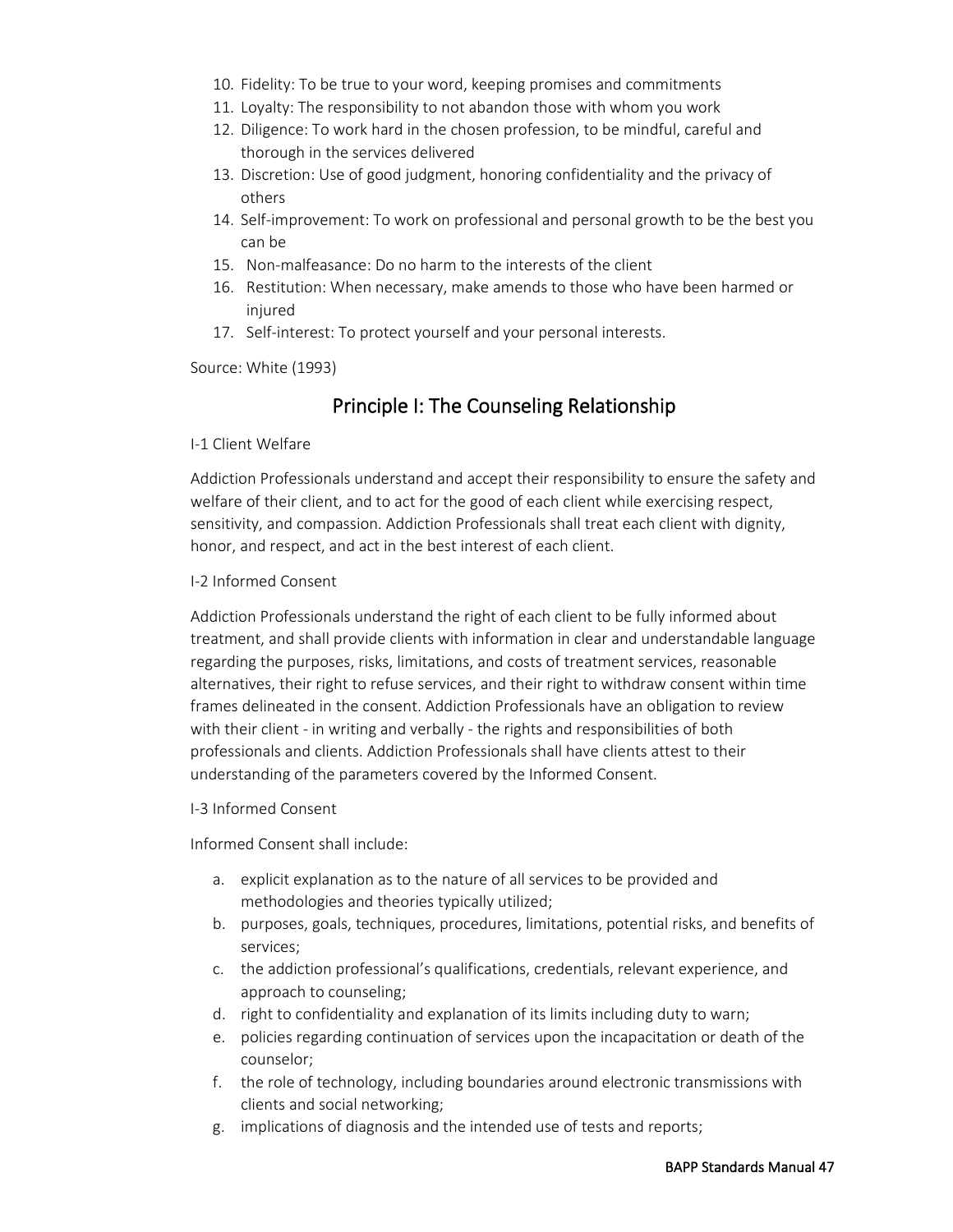- 10. Fidelity: To be true to your word, keeping promises and commitments
- 11. Loyalty: The responsibility to not abandon those with whom you work
- 12. Diligence: To work hard in the chosen profession, to be mindful, careful and thorough in the services delivered
- 13. Discretion: Use of good judgment, honoring confidentiality and the privacy of others
- 14. Self-improvement: To work on professional and personal growth to be the best you can be
- 15. Non-malfeasance: Do no harm to the interests of the client
- 16. Restitution: When necessary, make amends to those who have been harmed or injured
- 17. Self-interest: To protect yourself and your personal interests.

Source: White (1993)

# Principle I: The Counseling Relationship

#### I-1 Client Welfare

Addiction Professionals understand and accept their responsibility to ensure the safety and welfare of their client, and to act for the good of each client while exercising respect, sensitivity, and compassion. Addiction Professionals shall treat each client with dignity, honor, and respect, and act in the best interest of each client.

#### I-2 Informed Consent

Addiction Professionals understand the right of each client to be fully informed about treatment, and shall provide clients with information in clear and understandable language regarding the purposes, risks, limitations, and costs of treatment services, reasonable alternatives, their right to refuse services, and their right to withdraw consent within time frames delineated in the consent. Addiction Professionals have an obligation to review with their client - in writing and verbally - the rights and responsibilities of both professionals and clients. Addiction Professionals shall have clients attest to their understanding of the parameters covered by the Informed Consent.

#### I-3 Informed Consent

Informed Consent shall include:

- a. explicit explanation as to the nature of all services to be provided and methodologies and theories typically utilized;
- b. purposes, goals, techniques, procedures, limitations, potential risks, and benefits of services;
- c. the addiction professional's qualifications, credentials, relevant experience, and approach to counseling;
- d. right to confidentiality and explanation of its limits including duty to warn;
- e. policies regarding continuation of services upon the incapacitation or death of the counselor;
- f. the role of technology, including boundaries around electronic transmissions with clients and social networking;
- g. implications of diagnosis and the intended use of tests and reports;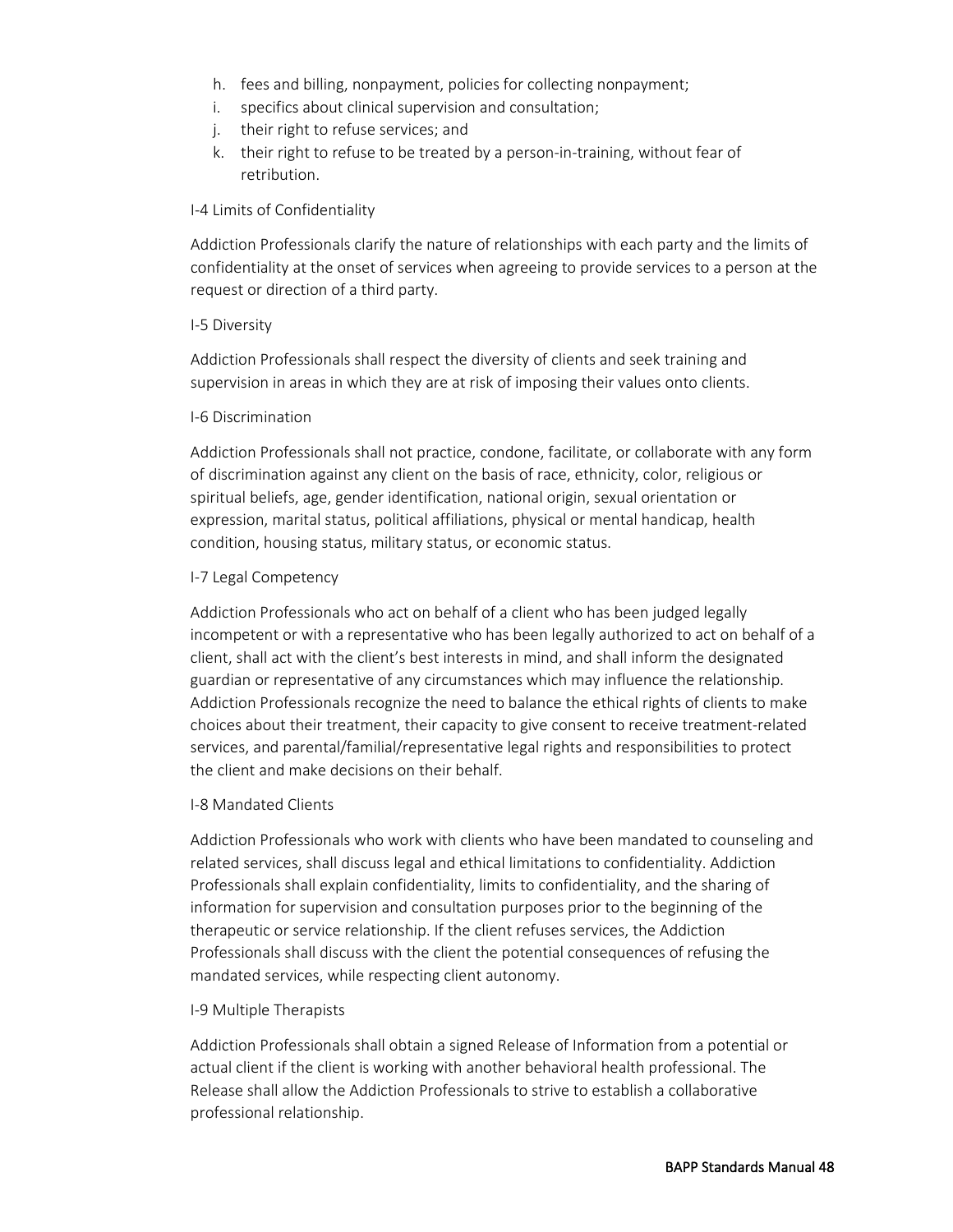- h. fees and billing, nonpayment, policies for collecting nonpayment;
- i. specifics about clinical supervision and consultation;
- j. their right to refuse services; and
- k. their right to refuse to be treated by a person-in-training, without fear of retribution.

#### I-4 Limits of Confidentiality

Addiction Professionals clarify the nature of relationships with each party and the limits of confidentiality at the onset of services when agreeing to provide services to a person at the request or direction of a third party.

#### I-5 Diversity

Addiction Professionals shall respect the diversity of clients and seek training and supervision in areas in which they are at risk of imposing their values onto clients.

#### I-6 Discrimination

Addiction Professionals shall not practice, condone, facilitate, or collaborate with any form of discrimination against any client on the basis of race, ethnicity, color, religious or spiritual beliefs, age, gender identification, national origin, sexual orientation or expression, marital status, political affiliations, physical or mental handicap, health condition, housing status, military status, or economic status.

#### I-7 Legal Competency

Addiction Professionals who act on behalf of a client who has been judged legally incompetent or with a representative who has been legally authorized to act on behalf of a client, shall act with the client's best interests in mind, and shall inform the designated guardian or representative of any circumstances which may influence the relationship. Addiction Professionals recognize the need to balance the ethical rights of clients to make choices about their treatment, their capacity to give consent to receive treatment-related services, and parental/familial/representative legal rights and responsibilities to protect the client and make decisions on their behalf.

#### I-8 Mandated Clients

Addiction Professionals who work with clients who have been mandated to counseling and related services, shall discuss legal and ethical limitations to confidentiality. Addiction Professionals shall explain confidentiality, limits to confidentiality, and the sharing of information for supervision and consultation purposes prior to the beginning of the therapeutic or service relationship. If the client refuses services, the Addiction Professionals shall discuss with the client the potential consequences of refusing the mandated services, while respecting client autonomy.

#### I-9 Multiple Therapists

Addiction Professionals shall obtain a signed Release of Information from a potential or actual client if the client is working with another behavioral health professional. The Release shall allow the Addiction Professionals to strive to establish a collaborative professional relationship.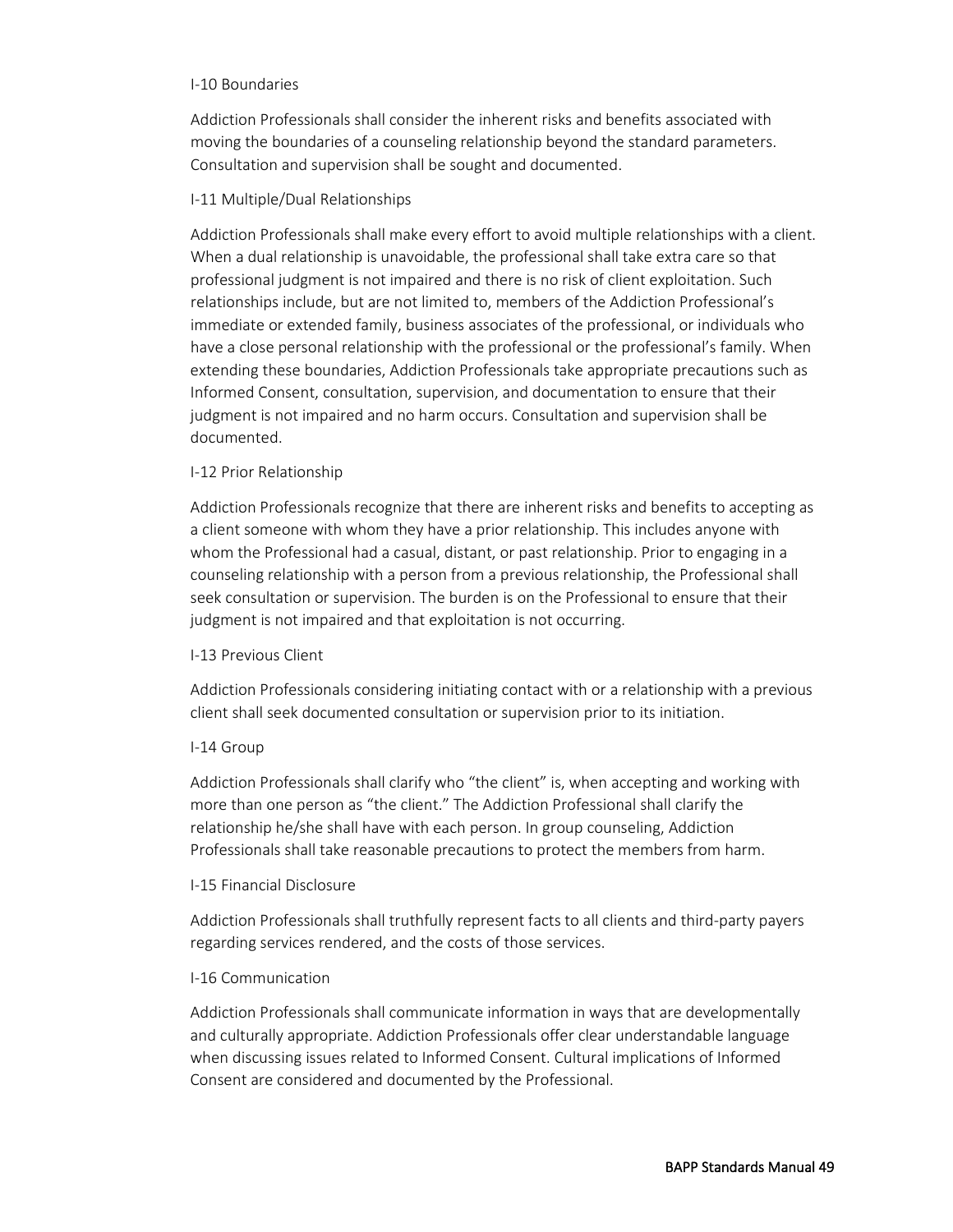#### I-10 Boundaries

Addiction Professionals shall consider the inherent risks and benefits associated with moving the boundaries of a counseling relationship beyond the standard parameters. Consultation and supervision shall be sought and documented.

#### I-11 Multiple/Dual Relationships

Addiction Professionals shall make every effort to avoid multiple relationships with a client. When a dual relationship is unavoidable, the professional shall take extra care so that professional judgment is not impaired and there is no risk of client exploitation. Such relationships include, but are not limited to, members of the Addiction Professional's immediate or extended family, business associates of the professional, or individuals who have a close personal relationship with the professional or the professional's family. When extending these boundaries, Addiction Professionals take appropriate precautions such as Informed Consent, consultation, supervision, and documentation to ensure that their judgment is not impaired and no harm occurs. Consultation and supervision shall be documented.

#### I-12 Prior Relationship

Addiction Professionals recognize that there are inherent risks and benefits to accepting as a client someone with whom they have a prior relationship. This includes anyone with whom the Professional had a casual, distant, or past relationship. Prior to engaging in a counseling relationship with a person from a previous relationship, the Professional shall seek consultation or supervision. The burden is on the Professional to ensure that their judgment is not impaired and that exploitation is not occurring.

#### I-13 Previous Client

Addiction Professionals considering initiating contact with or a relationship with a previous client shall seek documented consultation or supervision prior to its initiation.

# I-14 Group

Addiction Professionals shall clarify who "the client" is, when accepting and working with more than one person as "the client." The Addiction Professional shall clarify the relationship he/she shall have with each person. In group counseling, Addiction Professionals shall take reasonable precautions to protect the members from harm.

# I-15 Financial Disclosure

Addiction Professionals shall truthfully represent facts to all clients and third-party payers regarding services rendered, and the costs of those services.

#### I-16 Communication

Addiction Professionals shall communicate information in ways that are developmentally and culturally appropriate. Addiction Professionals offer clear understandable language when discussing issues related to Informed Consent. Cultural implications of Informed Consent are considered and documented by the Professional.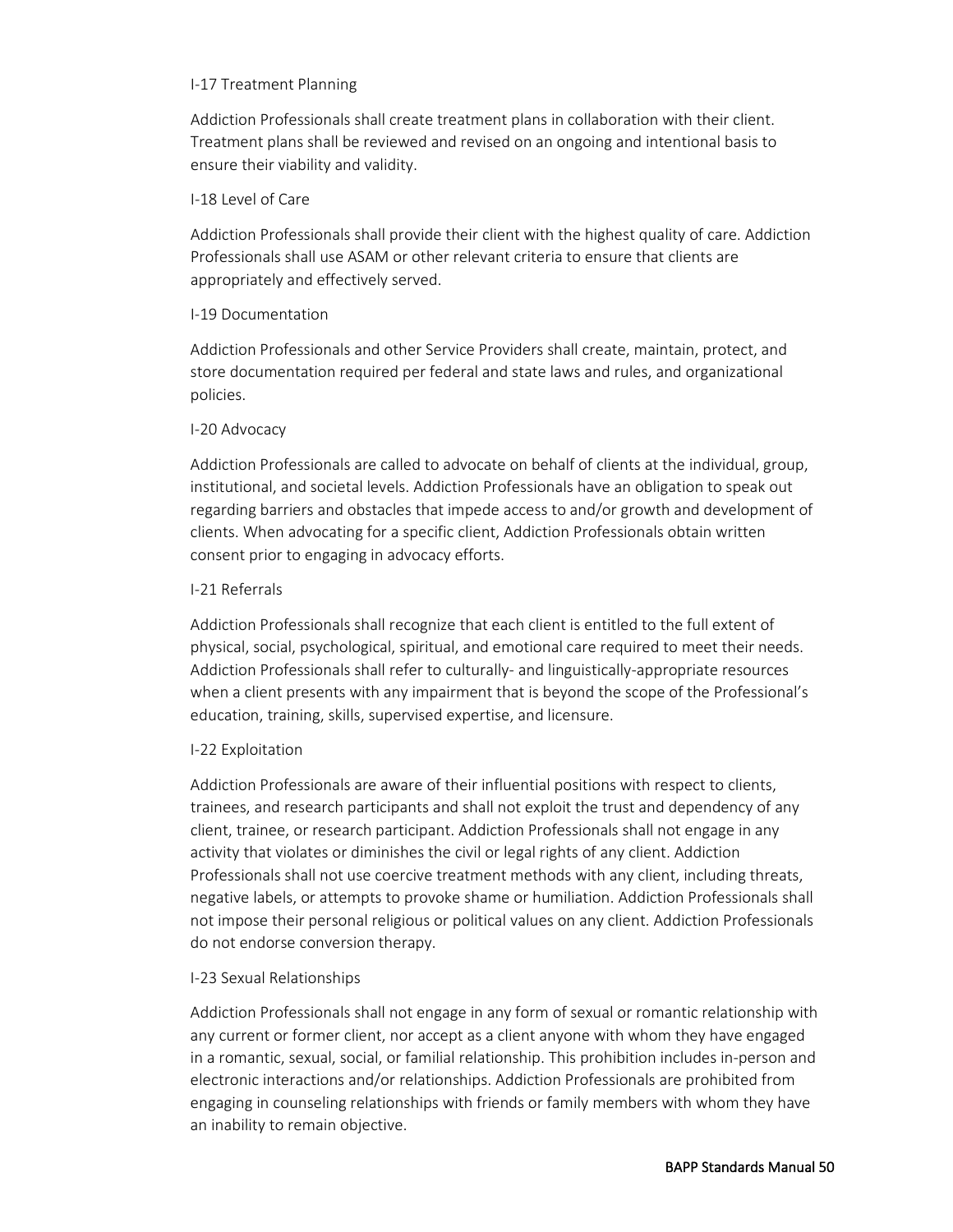#### I-17 Treatment Planning

Addiction Professionals shall create treatment plans in collaboration with their client. Treatment plans shall be reviewed and revised on an ongoing and intentional basis to ensure their viability and validity.

#### I-18 Level of Care

Addiction Professionals shall provide their client with the highest quality of care. Addiction Professionals shall use ASAM or other relevant criteria to ensure that clients are appropriately and effectively served.

#### I-19 Documentation

Addiction Professionals and other Service Providers shall create, maintain, protect, and store documentation required per federal and state laws and rules, and organizational policies.

#### I-20 Advocacy

Addiction Professionals are called to advocate on behalf of clients at the individual, group, institutional, and societal levels. Addiction Professionals have an obligation to speak out regarding barriers and obstacles that impede access to and/or growth and development of clients. When advocating for a specific client, Addiction Professionals obtain written consent prior to engaging in advocacy efforts.

# I-21 Referrals

Addiction Professionals shall recognize that each client is entitled to the full extent of physical, social, psychological, spiritual, and emotional care required to meet their needs. Addiction Professionals shall refer to culturally- and linguistically-appropriate resources when a client presents with any impairment that is beyond the scope of the Professional's education, training, skills, supervised expertise, and licensure.

# I-22 Exploitation

Addiction Professionals are aware of their influential positions with respect to clients, trainees, and research participants and shall not exploit the trust and dependency of any client, trainee, or research participant. Addiction Professionals shall not engage in any activity that violates or diminishes the civil or legal rights of any client. Addiction Professionals shall not use coercive treatment methods with any client, including threats, negative labels, or attempts to provoke shame or humiliation. Addiction Professionals shall not impose their personal religious or political values on any client. Addiction Professionals do not endorse conversion therapy.

# I-23 Sexual Relationships

Addiction Professionals shall not engage in any form of sexual or romantic relationship with any current or former client, nor accept as a client anyone with whom they have engaged in a romantic, sexual, social, or familial relationship. This prohibition includes in-person and electronic interactions and/or relationships. Addiction Professionals are prohibited from engaging in counseling relationships with friends or family members with whom they have an inability to remain objective.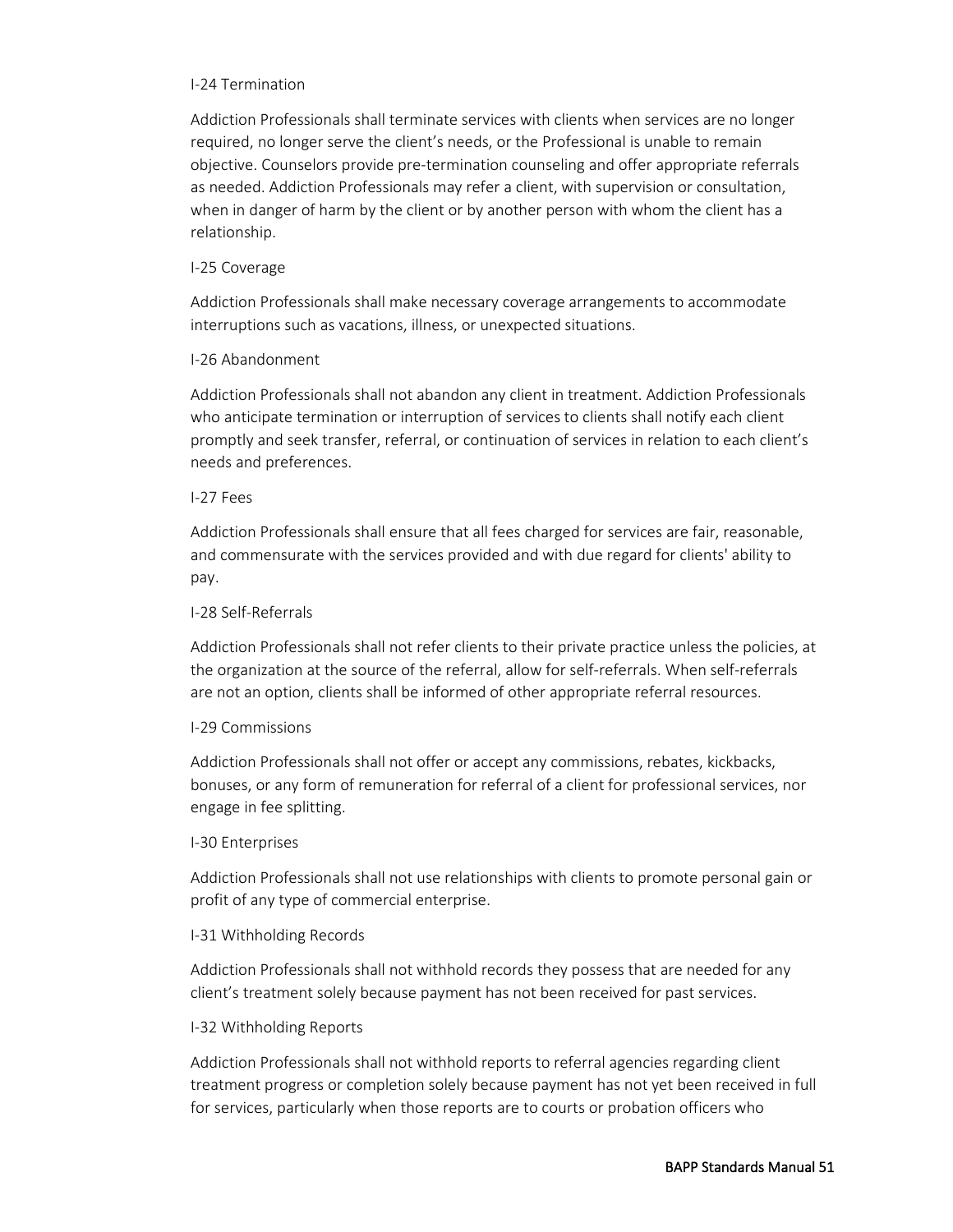#### I-24 Termination

Addiction Professionals shall terminate services with clients when services are no longer required, no longer serve the client's needs, or the Professional is unable to remain objective. Counselors provide pre-termination counseling and offer appropriate referrals as needed. Addiction Professionals may refer a client, with supervision or consultation, when in danger of harm by the client or by another person with whom the client has a relationship.

# I-25 Coverage

Addiction Professionals shall make necessary coverage arrangements to accommodate interruptions such as vacations, illness, or unexpected situations.

# I-26 Abandonment

Addiction Professionals shall not abandon any client in treatment. Addiction Professionals who anticipate termination or interruption of services to clients shall notify each client promptly and seek transfer, referral, or continuation of services in relation to each client's needs and preferences.

# I-27 Fees

Addiction Professionals shall ensure that all fees charged for services are fair, reasonable, and commensurate with the services provided and with due regard for clients' ability to pay.

#### I-28 Self-Referrals

Addiction Professionals shall not refer clients to their private practice unless the policies, at the organization at the source of the referral, allow for self-referrals. When self-referrals are not an option, clients shall be informed of other appropriate referral resources.

# I-29 Commissions

Addiction Professionals shall not offer or accept any commissions, rebates, kickbacks, bonuses, or any form of remuneration for referral of a client for professional services, nor engage in fee splitting.

# I-30 Enterprises

Addiction Professionals shall not use relationships with clients to promote personal gain or profit of any type of commercial enterprise.

# I-31 Withholding Records

Addiction Professionals shall not withhold records they possess that are needed for any client's treatment solely because payment has not been received for past services.

# I-32 Withholding Reports

Addiction Professionals shall not withhold reports to referral agencies regarding client treatment progress or completion solely because payment has not yet been received in full for services, particularly when those reports are to courts or probation officers who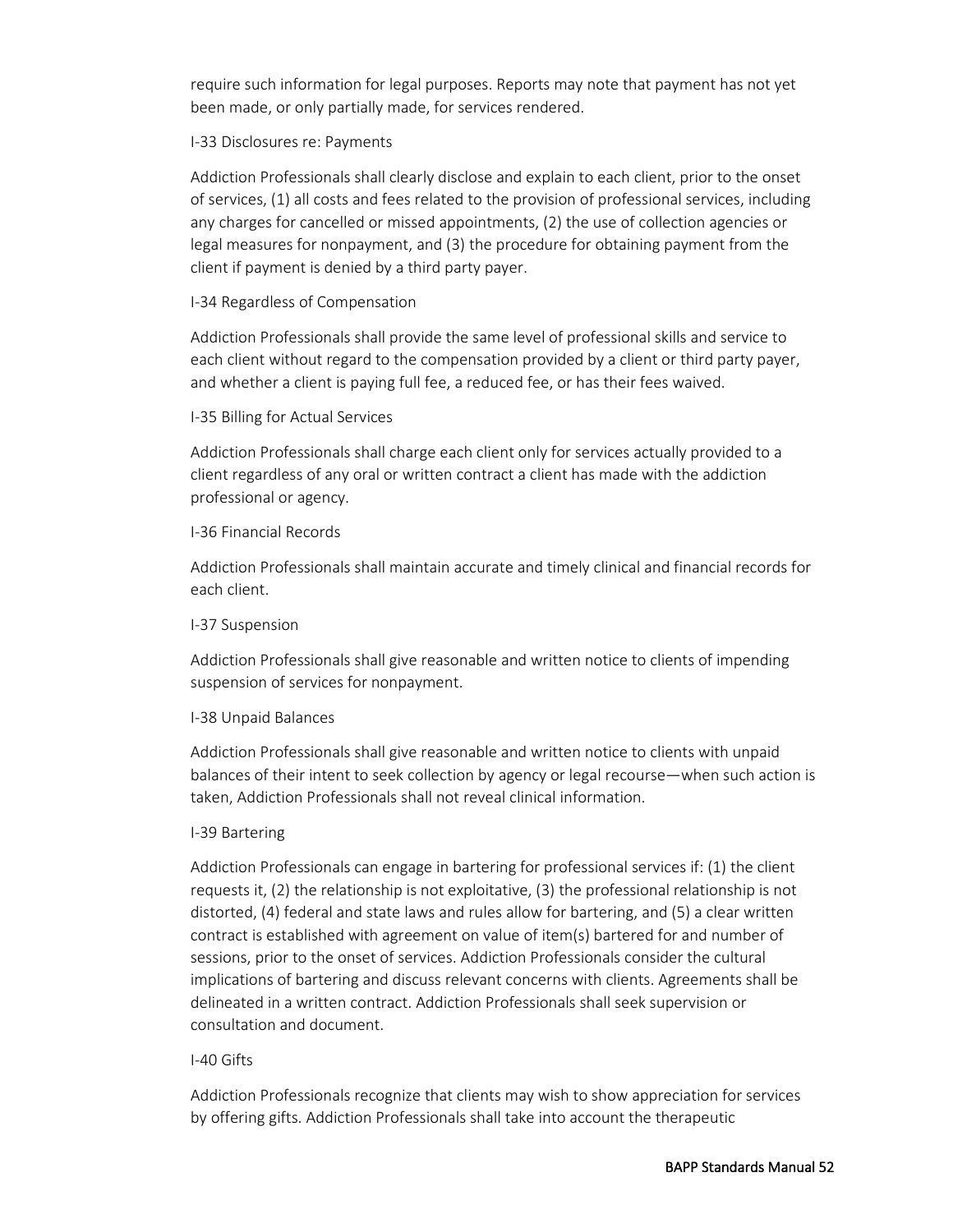require such information for legal purposes. Reports may note that payment has not yet been made, or only partially made, for services rendered.

# I-33 Disclosures re: Payments

Addiction Professionals shall clearly disclose and explain to each client, prior to the onset of services, (1) all costs and fees related to the provision of professional services, including any charges for cancelled or missed appointments, (2) the use of collection agencies or legal measures for nonpayment, and (3) the procedure for obtaining payment from the client if payment is denied by a third party payer.

# I-34 Regardless of Compensation

Addiction Professionals shall provide the same level of professional skills and service to each client without regard to the compensation provided by a client or third party payer, and whether a client is paying full fee, a reduced fee, or has their fees waived.

# I-35 Billing for Actual Services

Addiction Professionals shall charge each client only for services actually provided to a client regardless of any oral or written contract a client has made with the addiction professional or agency.

# I-36 Financial Records

Addiction Professionals shall maintain accurate and timely clinical and financial records for each client.

# I-37 Suspension

Addiction Professionals shall give reasonable and written notice to clients of impending suspension of services for nonpayment.

# I-38 Unpaid Balances

Addiction Professionals shall give reasonable and written notice to clients with unpaid balances of their intent to seek collection by agency or legal recourse—when such action is taken, Addiction Professionals shall not reveal clinical information.

# I-39 Bartering

Addiction Professionals can engage in bartering for professional services if: (1) the client requests it, (2) the relationship is not exploitative, (3) the professional relationship is not distorted, (4) federal and state laws and rules allow for bartering, and (5) a clear written contract is established with agreement on value of item(s) bartered for and number of sessions, prior to the onset of services. Addiction Professionals consider the cultural implications of bartering and discuss relevant concerns with clients. Agreements shall be delineated in a written contract. Addiction Professionals shall seek supervision or consultation and document.

# I-40 Gifts

Addiction Professionals recognize that clients may wish to show appreciation for services by offering gifts. Addiction Professionals shall take into account the therapeutic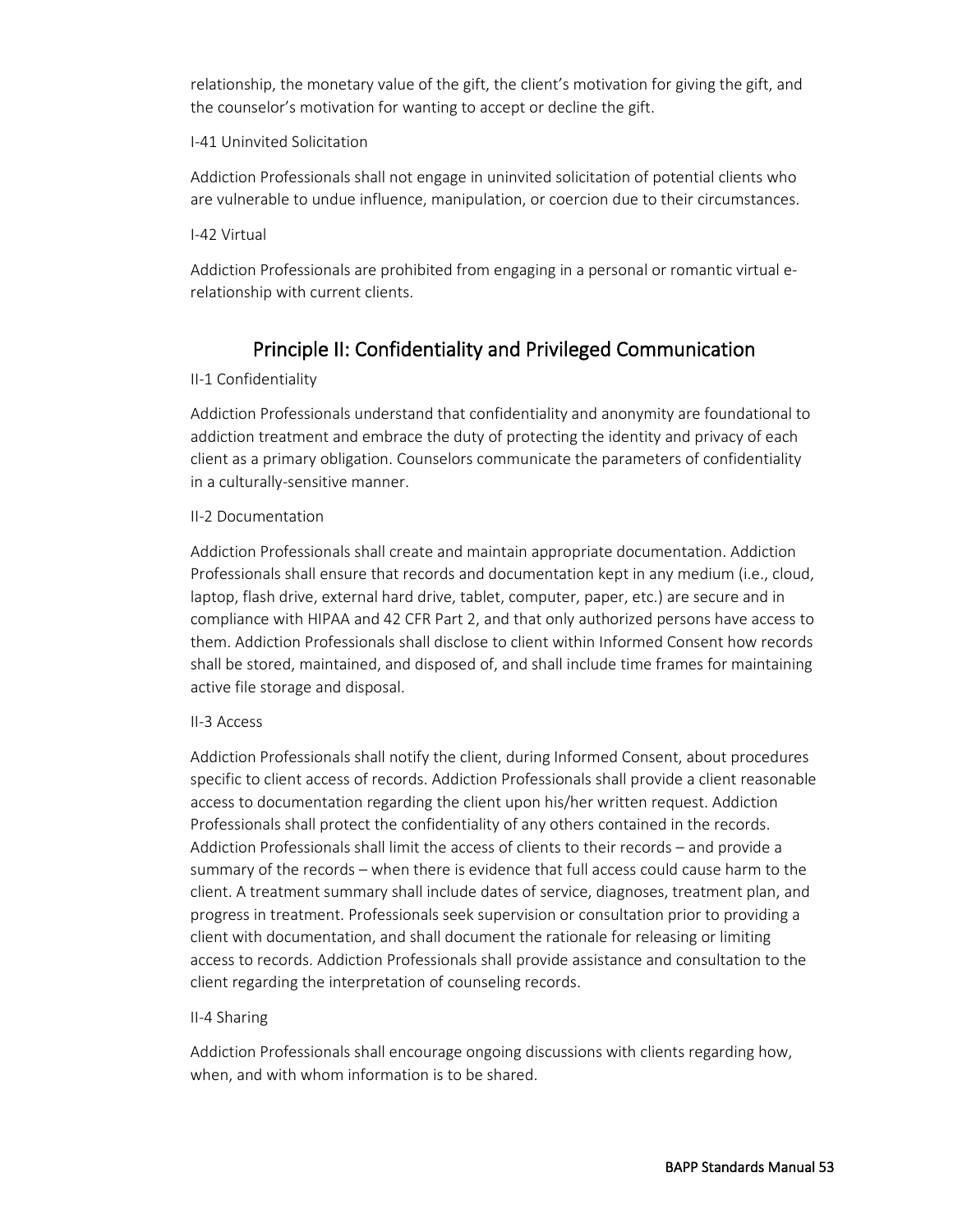relationship, the monetary value of the gift, the client's motivation for giving the gift, and the counselor's motivation for wanting to accept or decline the gift.

# I-41 Uninvited Solicitation

Addiction Professionals shall not engage in uninvited solicitation of potential clients who are vulnerable to undue influence, manipulation, or coercion due to their circumstances.

# I-42 Virtual

Addiction Professionals are prohibited from engaging in a personal or romantic virtual erelationship with current clients.

# Principle II: Confidentiality and Privileged Communication

# II-1 Confidentiality

Addiction Professionals understand that confidentiality and anonymity are foundational to addiction treatment and embrace the duty of protecting the identity and privacy of each client as a primary obligation. Counselors communicate the parameters of confidentiality in a culturally-sensitive manner.

# II-2 Documentation

Addiction Professionals shall create and maintain appropriate documentation. Addiction Professionals shall ensure that records and documentation kept in any medium (i.e., cloud, laptop, flash drive, external hard drive, tablet, computer, paper, etc.) are secure and in compliance with HIPAA and 42 CFR Part 2, and that only authorized persons have access to them. Addiction Professionals shall disclose to client within Informed Consent how records shall be stored, maintained, and disposed of, and shall include time frames for maintaining active file storage and disposal.

# II-3 Access

Addiction Professionals shall notify the client, during Informed Consent, about procedures specific to client access of records. Addiction Professionals shall provide a client reasonable access to documentation regarding the client upon his/her written request. Addiction Professionals shall protect the confidentiality of any others contained in the records. Addiction Professionals shall limit the access of clients to their records – and provide a summary of the records – when there is evidence that full access could cause harm to the client. A treatment summary shall include dates of service, diagnoses, treatment plan, and progress in treatment. Professionals seek supervision or consultation prior to providing a client with documentation, and shall document the rationale for releasing or limiting access to records. Addiction Professionals shall provide assistance and consultation to the client regarding the interpretation of counseling records.

# II-4 Sharing

Addiction Professionals shall encourage ongoing discussions with clients regarding how, when, and with whom information is to be shared.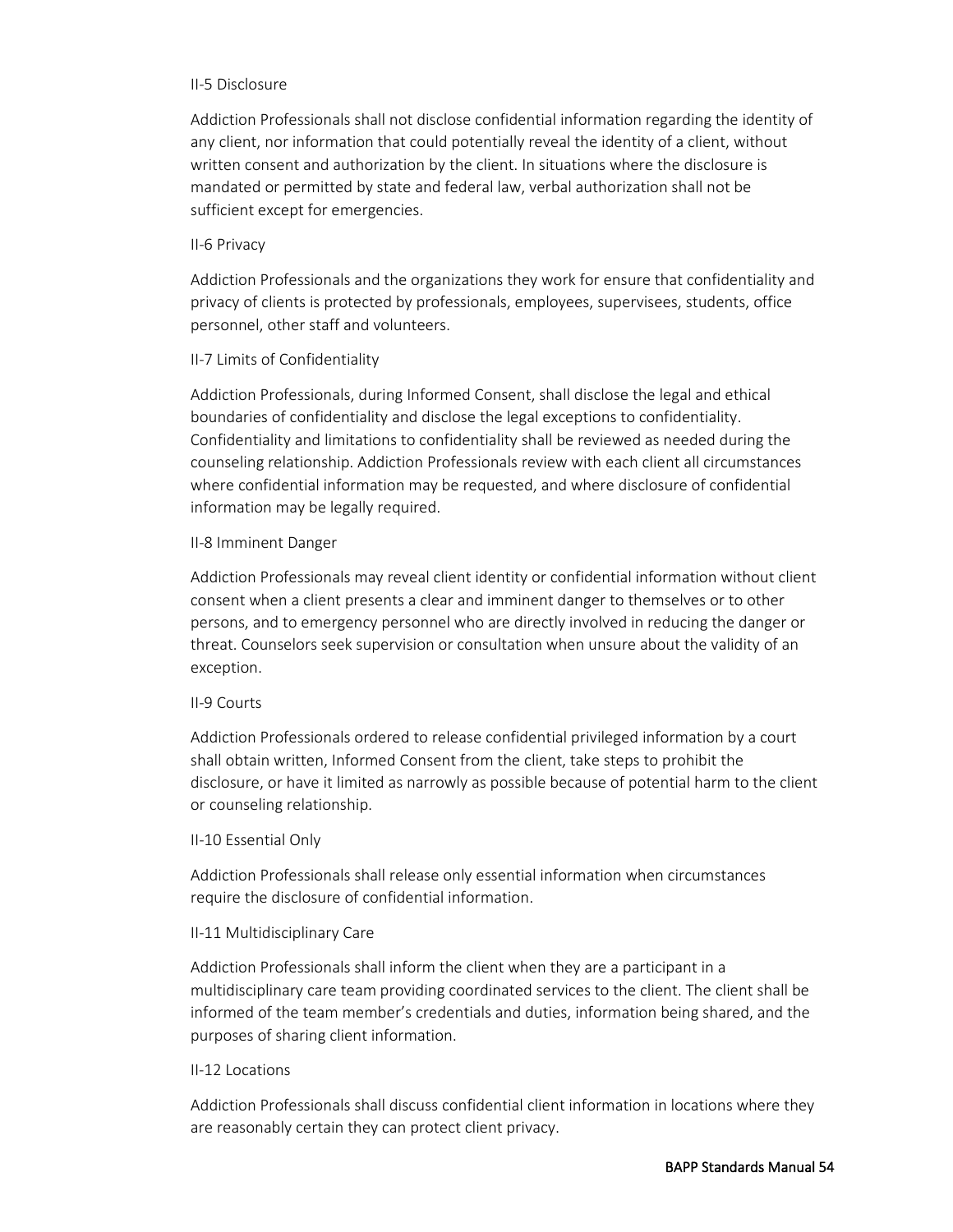#### II-5 Disclosure

Addiction Professionals shall not disclose confidential information regarding the identity of any client, nor information that could potentially reveal the identity of a client, without written consent and authorization by the client. In situations where the disclosure is mandated or permitted by state and federal law, verbal authorization shall not be sufficient except for emergencies.

#### II-6 Privacy

Addiction Professionals and the organizations they work for ensure that confidentiality and privacy of clients is protected by professionals, employees, supervisees, students, office personnel, other staff and volunteers.

#### II-7 Limits of Confidentiality

Addiction Professionals, during Informed Consent, shall disclose the legal and ethical boundaries of confidentiality and disclose the legal exceptions to confidentiality. Confidentiality and limitations to confidentiality shall be reviewed as needed during the counseling relationship. Addiction Professionals review with each client all circumstances where confidential information may be requested, and where disclosure of confidential information may be legally required.

#### II-8 Imminent Danger

Addiction Professionals may reveal client identity or confidential information without client consent when a client presents a clear and imminent danger to themselves or to other persons, and to emergency personnel who are directly involved in reducing the danger or threat. Counselors seek supervision or consultation when unsure about the validity of an exception.

#### II-9 Courts

Addiction Professionals ordered to release confidential privileged information by a court shall obtain written, Informed Consent from the client, take steps to prohibit the disclosure, or have it limited as narrowly as possible because of potential harm to the client or counseling relationship.

#### II-10 Essential Only

Addiction Professionals shall release only essential information when circumstances require the disclosure of confidential information.

# II-11 Multidisciplinary Care

Addiction Professionals shall inform the client when they are a participant in a multidisciplinary care team providing coordinated services to the client. The client shall be informed of the team member's credentials and duties, information being shared, and the purposes of sharing client information.

#### II-12 Locations

Addiction Professionals shall discuss confidential client information in locations where they are reasonably certain they can protect client privacy.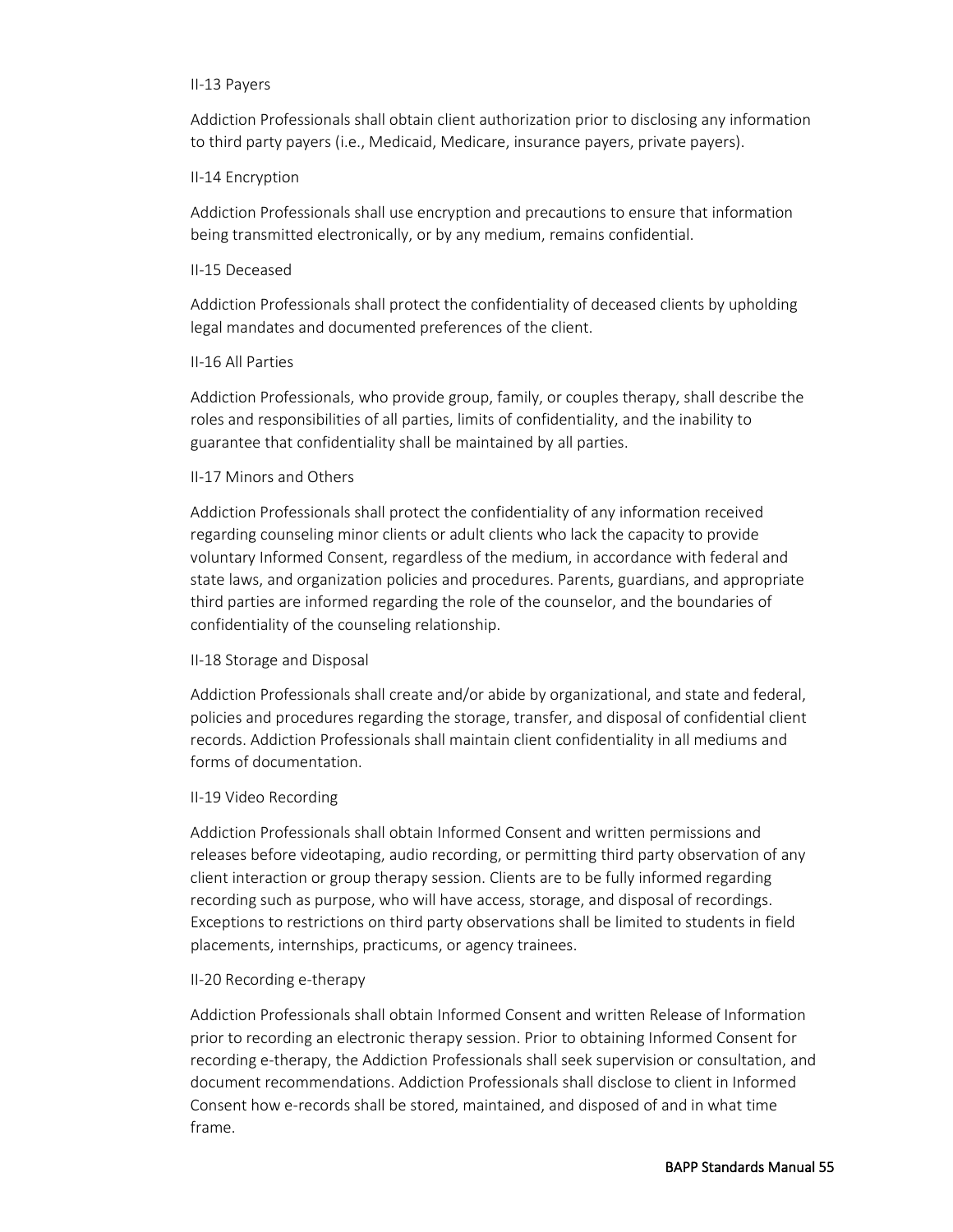#### II-13 Payers

Addiction Professionals shall obtain client authorization prior to disclosing any information to third party payers (i.e., Medicaid, Medicare, insurance payers, private payers).

# II-14 Encryption

Addiction Professionals shall use encryption and precautions to ensure that information being transmitted electronically, or by any medium, remains confidential.

# II-15 Deceased

Addiction Professionals shall protect the confidentiality of deceased clients by upholding legal mandates and documented preferences of the client.

# II-16 All Parties

Addiction Professionals, who provide group, family, or couples therapy, shall describe the roles and responsibilities of all parties, limits of confidentiality, and the inability to guarantee that confidentiality shall be maintained by all parties.

# II-17 Minors and Others

Addiction Professionals shall protect the confidentiality of any information received regarding counseling minor clients or adult clients who lack the capacity to provide voluntary Informed Consent, regardless of the medium, in accordance with federal and state laws, and organization policies and procedures. Parents, guardians, and appropriate third parties are informed regarding the role of the counselor, and the boundaries of confidentiality of the counseling relationship.

# II-18 Storage and Disposal

Addiction Professionals shall create and/or abide by organizational, and state and federal, policies and procedures regarding the storage, transfer, and disposal of confidential client records. Addiction Professionals shall maintain client confidentiality in all mediums and forms of documentation.

# II-19 Video Recording

Addiction Professionals shall obtain Informed Consent and written permissions and releases before videotaping, audio recording, or permitting third party observation of any client interaction or group therapy session. Clients are to be fully informed regarding recording such as purpose, who will have access, storage, and disposal of recordings. Exceptions to restrictions on third party observations shall be limited to students in field placements, internships, practicums, or agency trainees.

# II-20 Recording e-therapy

Addiction Professionals shall obtain Informed Consent and written Release of Information prior to recording an electronic therapy session. Prior to obtaining Informed Consent for recording e-therapy, the Addiction Professionals shall seek supervision or consultation, and document recommendations. Addiction Professionals shall disclose to client in Informed Consent how e-records shall be stored, maintained, and disposed of and in what time frame.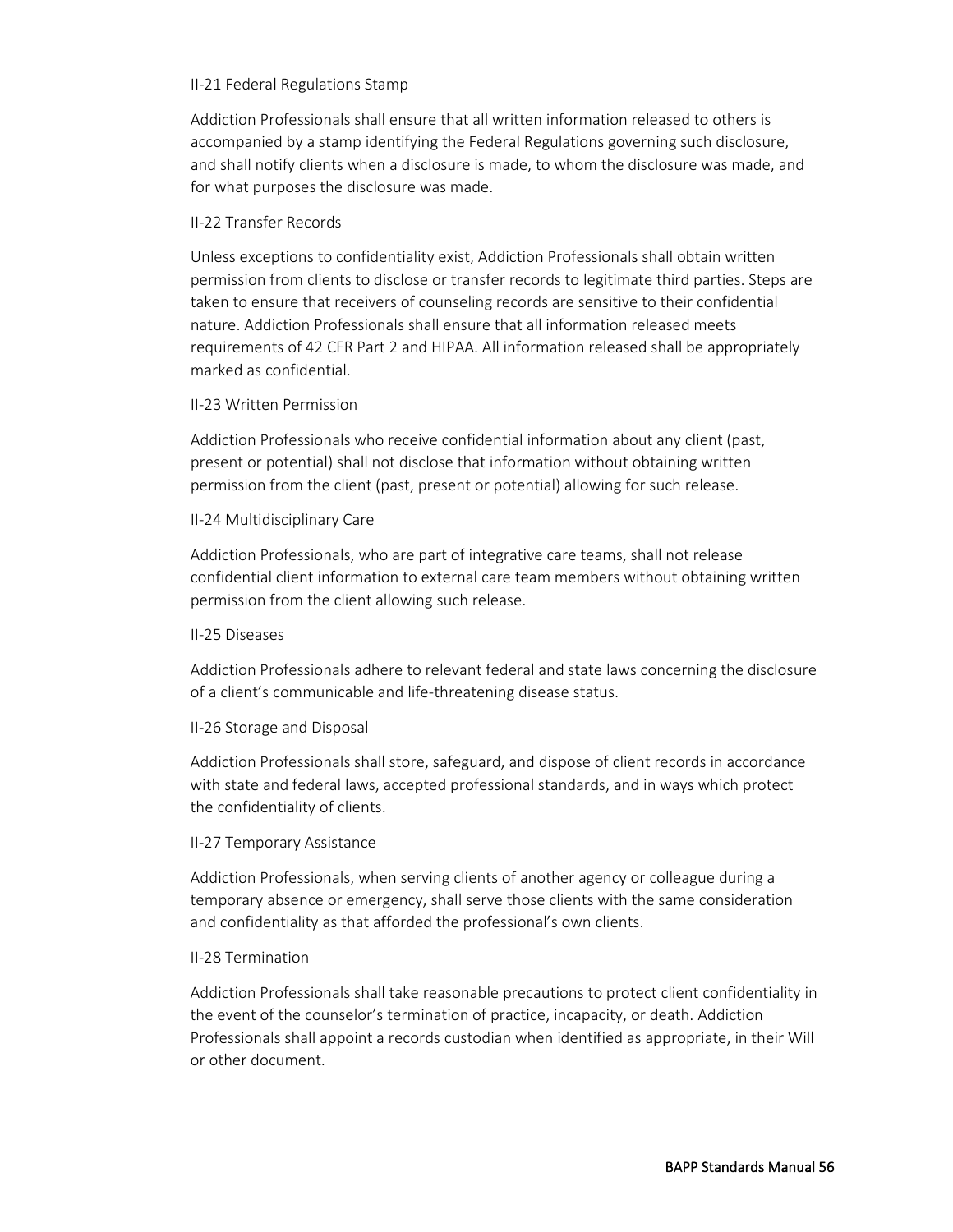#### II-21 Federal Regulations Stamp

Addiction Professionals shall ensure that all written information released to others is accompanied by a stamp identifying the Federal Regulations governing such disclosure, and shall notify clients when a disclosure is made, to whom the disclosure was made, and for what purposes the disclosure was made.

#### II-22 Transfer Records

Unless exceptions to confidentiality exist, Addiction Professionals shall obtain written permission from clients to disclose or transfer records to legitimate third parties. Steps are taken to ensure that receivers of counseling records are sensitive to their confidential nature. Addiction Professionals shall ensure that all information released meets requirements of 42 CFR Part 2 and HIPAA. All information released shall be appropriately marked as confidential.

#### II-23 Written Permission

Addiction Professionals who receive confidential information about any client (past, present or potential) shall not disclose that information without obtaining written permission from the client (past, present or potential) allowing for such release.

#### II-24 Multidisciplinary Care

Addiction Professionals, who are part of integrative care teams, shall not release confidential client information to external care team members without obtaining written permission from the client allowing such release.

#### II-25 Diseases

Addiction Professionals adhere to relevant federal and state laws concerning the disclosure of a client's communicable and life-threatening disease status.

# II-26 Storage and Disposal

Addiction Professionals shall store, safeguard, and dispose of client records in accordance with state and federal laws, accepted professional standards, and in ways which protect the confidentiality of clients.

# II-27 Temporary Assistance

Addiction Professionals, when serving clients of another agency or colleague during a temporary absence or emergency, shall serve those clients with the same consideration and confidentiality as that afforded the professional's own clients.

# II-28 Termination

Addiction Professionals shall take reasonable precautions to protect client confidentiality in the event of the counselor's termination of practice, incapacity, or death. Addiction Professionals shall appoint a records custodian when identified as appropriate, in their Will or other document.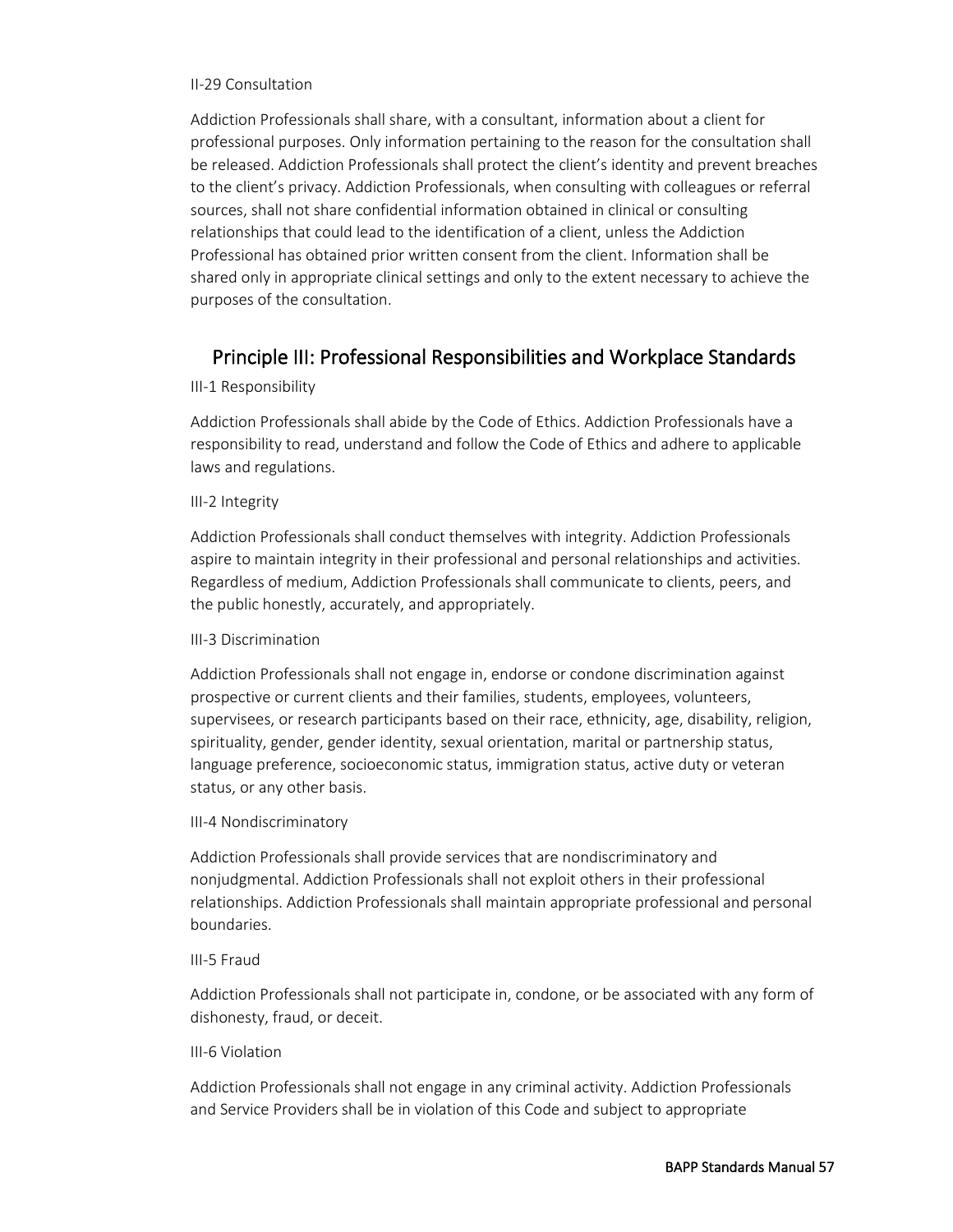#### II-29 Consultation

Addiction Professionals shall share, with a consultant, information about a client for professional purposes. Only information pertaining to the reason for the consultation shall be released. Addiction Professionals shall protect the client's identity and prevent breaches to the client's privacy. Addiction Professionals, when consulting with colleagues or referral sources, shall not share confidential information obtained in clinical or consulting relationships that could lead to the identification of a client, unless the Addiction Professional has obtained prior written consent from the client. Information shall be shared only in appropriate clinical settings and only to the extent necessary to achieve the purposes of the consultation.

# Principle III: Professional Responsibilities and Workplace Standards

# III-1 Responsibility

Addiction Professionals shall abide by the Code of Ethics. Addiction Professionals have a responsibility to read, understand and follow the Code of Ethics and adhere to applicable laws and regulations.

# III-2 Integrity

Addiction Professionals shall conduct themselves with integrity. Addiction Professionals aspire to maintain integrity in their professional and personal relationships and activities. Regardless of medium, Addiction Professionals shall communicate to clients, peers, and the public honestly, accurately, and appropriately.

# III-3 Discrimination

Addiction Professionals shall not engage in, endorse or condone discrimination against prospective or current clients and their families, students, employees, volunteers, supervisees, or research participants based on their race, ethnicity, age, disability, religion, spirituality, gender, gender identity, sexual orientation, marital or partnership status, language preference, socioeconomic status, immigration status, active duty or veteran status, or any other basis.

# III-4 Nondiscriminatory

Addiction Professionals shall provide services that are nondiscriminatory and nonjudgmental. Addiction Professionals shall not exploit others in their professional relationships. Addiction Professionals shall maintain appropriate professional and personal boundaries.

# III-5 Fraud

Addiction Professionals shall not participate in, condone, or be associated with any form of dishonesty, fraud, or deceit.

# III-6 Violation

Addiction Professionals shall not engage in any criminal activity. Addiction Professionals and Service Providers shall be in violation of this Code and subject to appropriate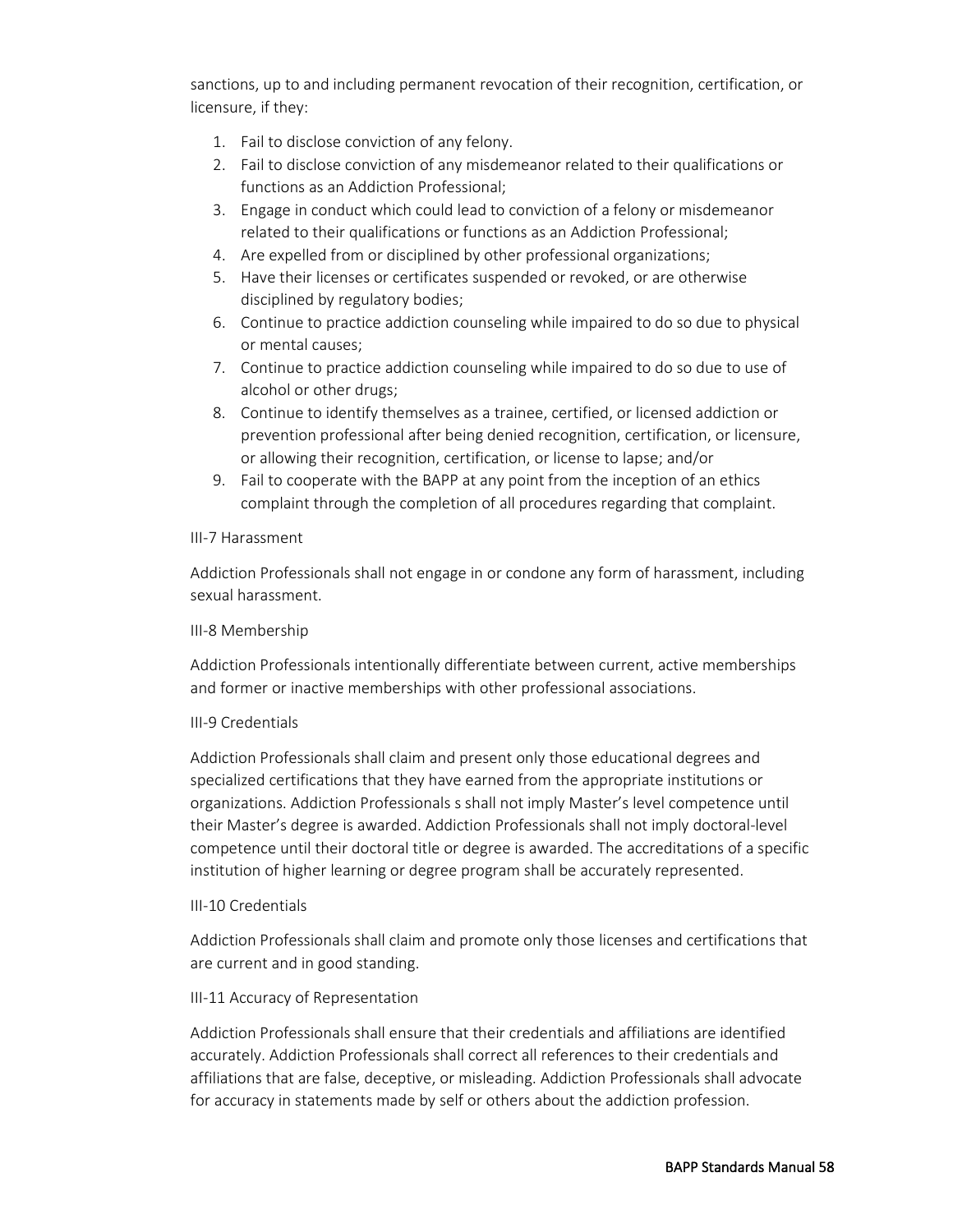sanctions, up to and including permanent revocation of their recognition, certification, or licensure, if they:

- 1. Fail to disclose conviction of any felony.
- 2. Fail to disclose conviction of any misdemeanor related to their qualifications or functions as an Addiction Professional;
- 3. Engage in conduct which could lead to conviction of a felony or misdemeanor related to their qualifications or functions as an Addiction Professional;
- 4. Are expelled from or disciplined by other professional organizations;
- 5. Have their licenses or certificates suspended or revoked, or are otherwise disciplined by regulatory bodies;
- 6. Continue to practice addiction counseling while impaired to do so due to physical or mental causes;
- 7. Continue to practice addiction counseling while impaired to do so due to use of alcohol or other drugs;
- 8. Continue to identify themselves as a trainee, certified, or licensed addiction or prevention professional after being denied recognition, certification, or licensure, or allowing their recognition, certification, or license to lapse; and/or
- 9. Fail to cooperate with the BAPP at any point from the inception of an ethics complaint through the completion of all procedures regarding that complaint.

# III-7 Harassment

Addiction Professionals shall not engage in or condone any form of harassment, including sexual harassment.

#### III-8 Membership

Addiction Professionals intentionally differentiate between current, active memberships and former or inactive memberships with other professional associations.

# III-9 Credentials

Addiction Professionals shall claim and present only those educational degrees and specialized certifications that they have earned from the appropriate institutions or organizations. Addiction Professionals s shall not imply Master's level competence until their Master's degree is awarded. Addiction Professionals shall not imply doctoral-level competence until their doctoral title or degree is awarded. The accreditations of a specific institution of higher learning or degree program shall be accurately represented.

#### III-10 Credentials

Addiction Professionals shall claim and promote only those licenses and certifications that are current and in good standing.

# III-11 Accuracy of Representation

Addiction Professionals shall ensure that their credentials and affiliations are identified accurately. Addiction Professionals shall correct all references to their credentials and affiliations that are false, deceptive, or misleading. Addiction Professionals shall advocate for accuracy in statements made by self or others about the addiction profession.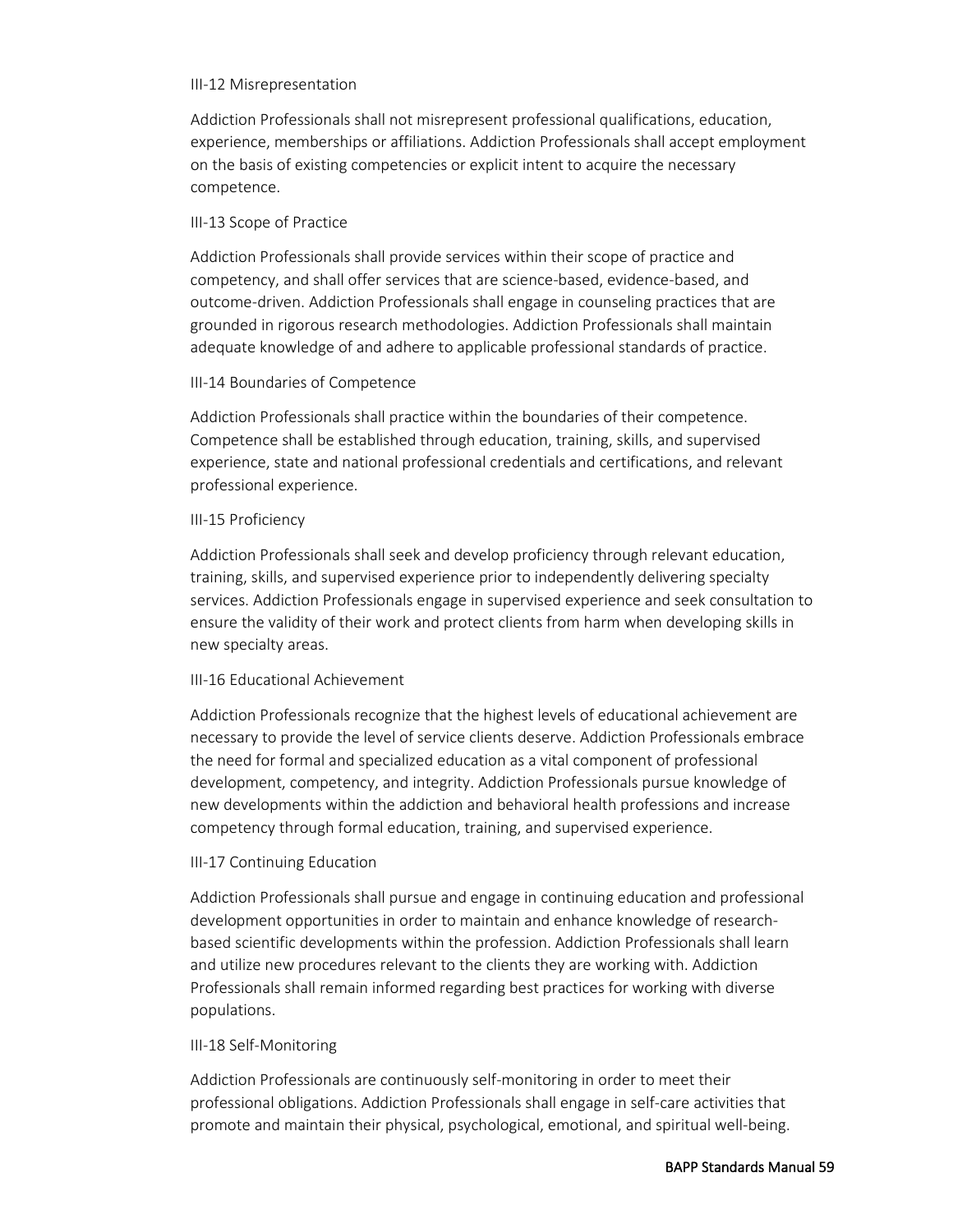#### III-12 Misrepresentation

Addiction Professionals shall not misrepresent professional qualifications, education, experience, memberships or affiliations. Addiction Professionals shall accept employment on the basis of existing competencies or explicit intent to acquire the necessary competence.

# III-13 Scope of Practice

Addiction Professionals shall provide services within their scope of practice and competency, and shall offer services that are science-based, evidence-based, and outcome-driven. Addiction Professionals shall engage in counseling practices that are grounded in rigorous research methodologies. Addiction Professionals shall maintain adequate knowledge of and adhere to applicable professional standards of practice.

# III-14 Boundaries of Competence

Addiction Professionals shall practice within the boundaries of their competence. Competence shall be established through education, training, skills, and supervised experience, state and national professional credentials and certifications, and relevant professional experience.

# III-15 Proficiency

Addiction Professionals shall seek and develop proficiency through relevant education, training, skills, and supervised experience prior to independently delivering specialty services. Addiction Professionals engage in supervised experience and seek consultation to ensure the validity of their work and protect clients from harm when developing skills in new specialty areas.

# III-16 Educational Achievement

Addiction Professionals recognize that the highest levels of educational achievement are necessary to provide the level of service clients deserve. Addiction Professionals embrace the need for formal and specialized education as a vital component of professional development, competency, and integrity. Addiction Professionals pursue knowledge of new developments within the addiction and behavioral health professions and increase competency through formal education, training, and supervised experience.

# III-17 Continuing Education

Addiction Professionals shall pursue and engage in continuing education and professional development opportunities in order to maintain and enhance knowledge of researchbased scientific developments within the profession. Addiction Professionals shall learn and utilize new procedures relevant to the clients they are working with. Addiction Professionals shall remain informed regarding best practices for working with diverse populations.

# III-18 Self-Monitoring

Addiction Professionals are continuously self-monitoring in order to meet their professional obligations. Addiction Professionals shall engage in self-care activities that promote and maintain their physical, psychological, emotional, and spiritual well-being.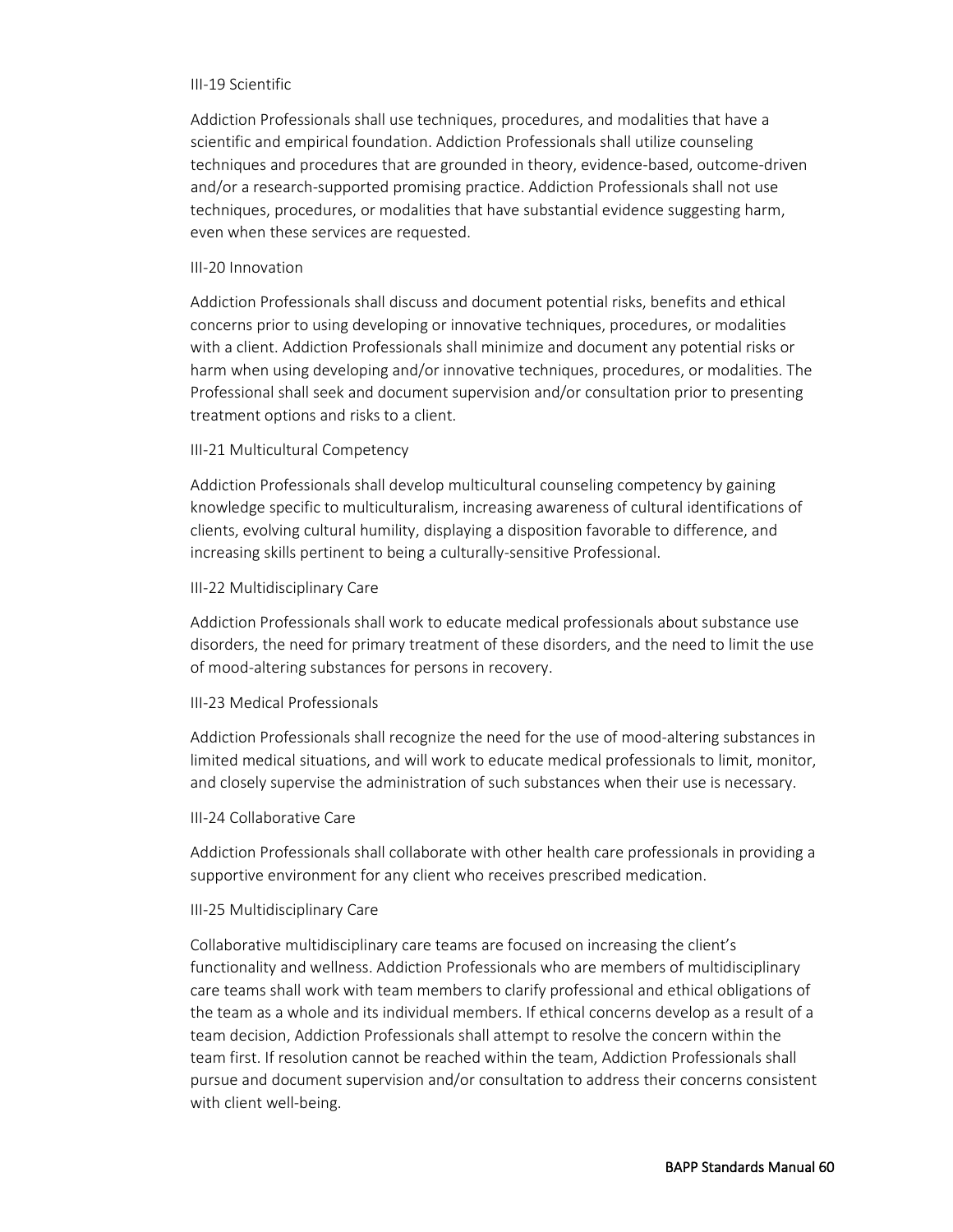#### III-19 Scientific

Addiction Professionals shall use techniques, procedures, and modalities that have a scientific and empirical foundation. Addiction Professionals shall utilize counseling techniques and procedures that are grounded in theory, evidence-based, outcome-driven and/or a research-supported promising practice. Addiction Professionals shall not use techniques, procedures, or modalities that have substantial evidence suggesting harm, even when these services are requested.

#### III-20 Innovation

Addiction Professionals shall discuss and document potential risks, benefits and ethical concerns prior to using developing or innovative techniques, procedures, or modalities with a client. Addiction Professionals shall minimize and document any potential risks or harm when using developing and/or innovative techniques, procedures, or modalities. The Professional shall seek and document supervision and/or consultation prior to presenting treatment options and risks to a client.

#### III-21 Multicultural Competency

Addiction Professionals shall develop multicultural counseling competency by gaining knowledge specific to multiculturalism, increasing awareness of cultural identifications of clients, evolving cultural humility, displaying a disposition favorable to difference, and increasing skills pertinent to being a culturally-sensitive Professional.

#### III-22 Multidisciplinary Care

Addiction Professionals shall work to educate medical professionals about substance use disorders, the need for primary treatment of these disorders, and the need to limit the use of mood-altering substances for persons in recovery.

#### III-23 Medical Professionals

Addiction Professionals shall recognize the need for the use of mood-altering substances in limited medical situations, and will work to educate medical professionals to limit, monitor, and closely supervise the administration of such substances when their use is necessary.

#### III-24 Collaborative Care

Addiction Professionals shall collaborate with other health care professionals in providing a supportive environment for any client who receives prescribed medication.

#### III-25 Multidisciplinary Care

Collaborative multidisciplinary care teams are focused on increasing the client's functionality and wellness. Addiction Professionals who are members of multidisciplinary care teams shall work with team members to clarify professional and ethical obligations of the team as a whole and its individual members. If ethical concerns develop as a result of a team decision, Addiction Professionals shall attempt to resolve the concern within the team first. If resolution cannot be reached within the team, Addiction Professionals shall pursue and document supervision and/or consultation to address their concerns consistent with client well-being.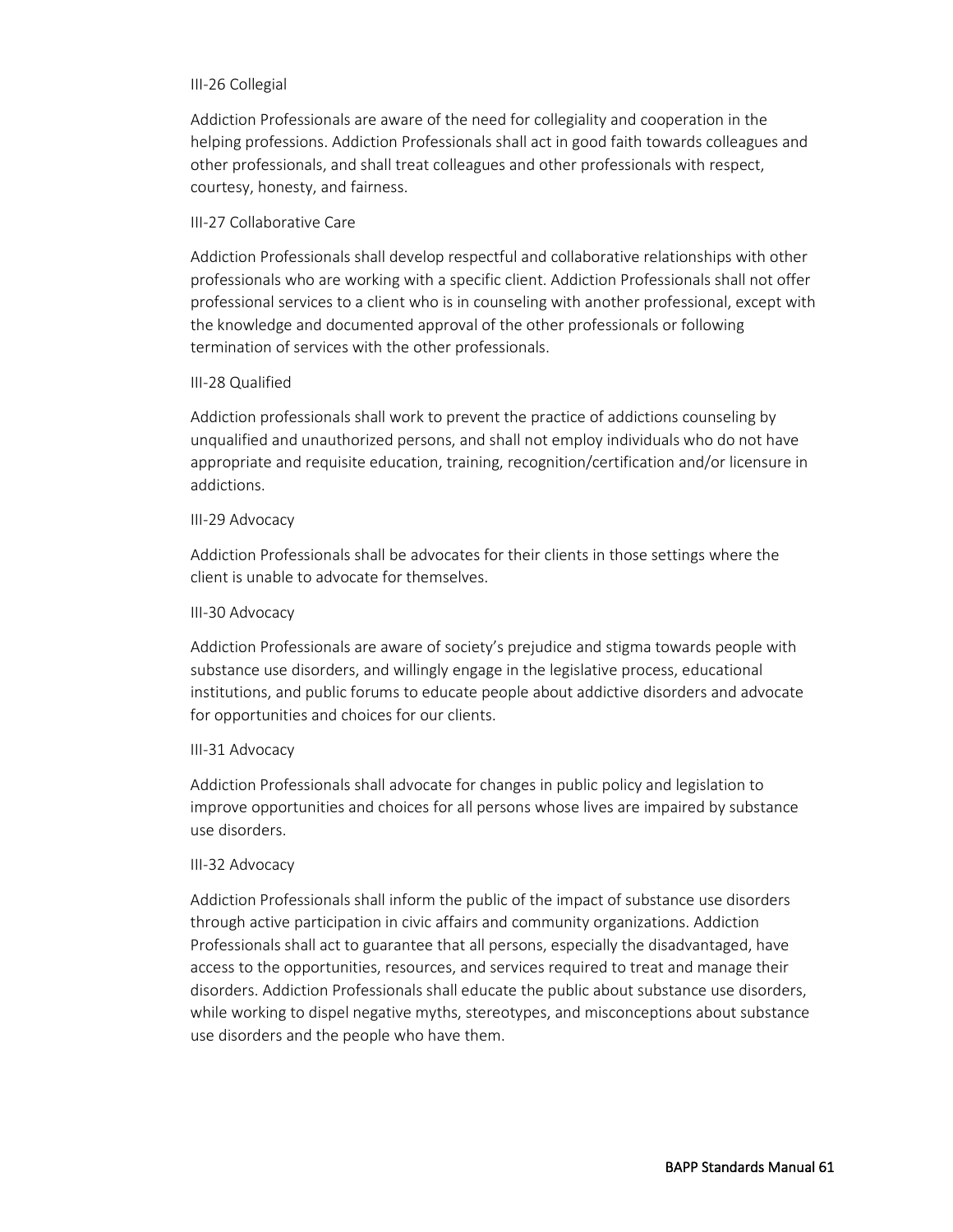#### III-26 Collegial

Addiction Professionals are aware of the need for collegiality and cooperation in the helping professions. Addiction Professionals shall act in good faith towards colleagues and other professionals, and shall treat colleagues and other professionals with respect, courtesy, honesty, and fairness.

#### III-27 Collaborative Care

Addiction Professionals shall develop respectful and collaborative relationships with other professionals who are working with a specific client. Addiction Professionals shall not offer professional services to a client who is in counseling with another professional, except with the knowledge and documented approval of the other professionals or following termination of services with the other professionals.

#### III-28 Qualified

Addiction professionals shall work to prevent the practice of addictions counseling by unqualified and unauthorized persons, and shall not employ individuals who do not have appropriate and requisite education, training, recognition/certification and/or licensure in addictions.

#### III-29 Advocacy

Addiction Professionals shall be advocates for their clients in those settings where the client is unable to advocate for themselves.

#### III-30 Advocacy

Addiction Professionals are aware of society's prejudice and stigma towards people with substance use disorders, and willingly engage in the legislative process, educational institutions, and public forums to educate people about addictive disorders and advocate for opportunities and choices for our clients.

#### III-31 Advocacy

Addiction Professionals shall advocate for changes in public policy and legislation to improve opportunities and choices for all persons whose lives are impaired by substance use disorders.

# III-32 Advocacy

Addiction Professionals shall inform the public of the impact of substance use disorders through active participation in civic affairs and community organizations. Addiction Professionals shall act to guarantee that all persons, especially the disadvantaged, have access to the opportunities, resources, and services required to treat and manage their disorders. Addiction Professionals shall educate the public about substance use disorders, while working to dispel negative myths, stereotypes, and misconceptions about substance use disorders and the people who have them.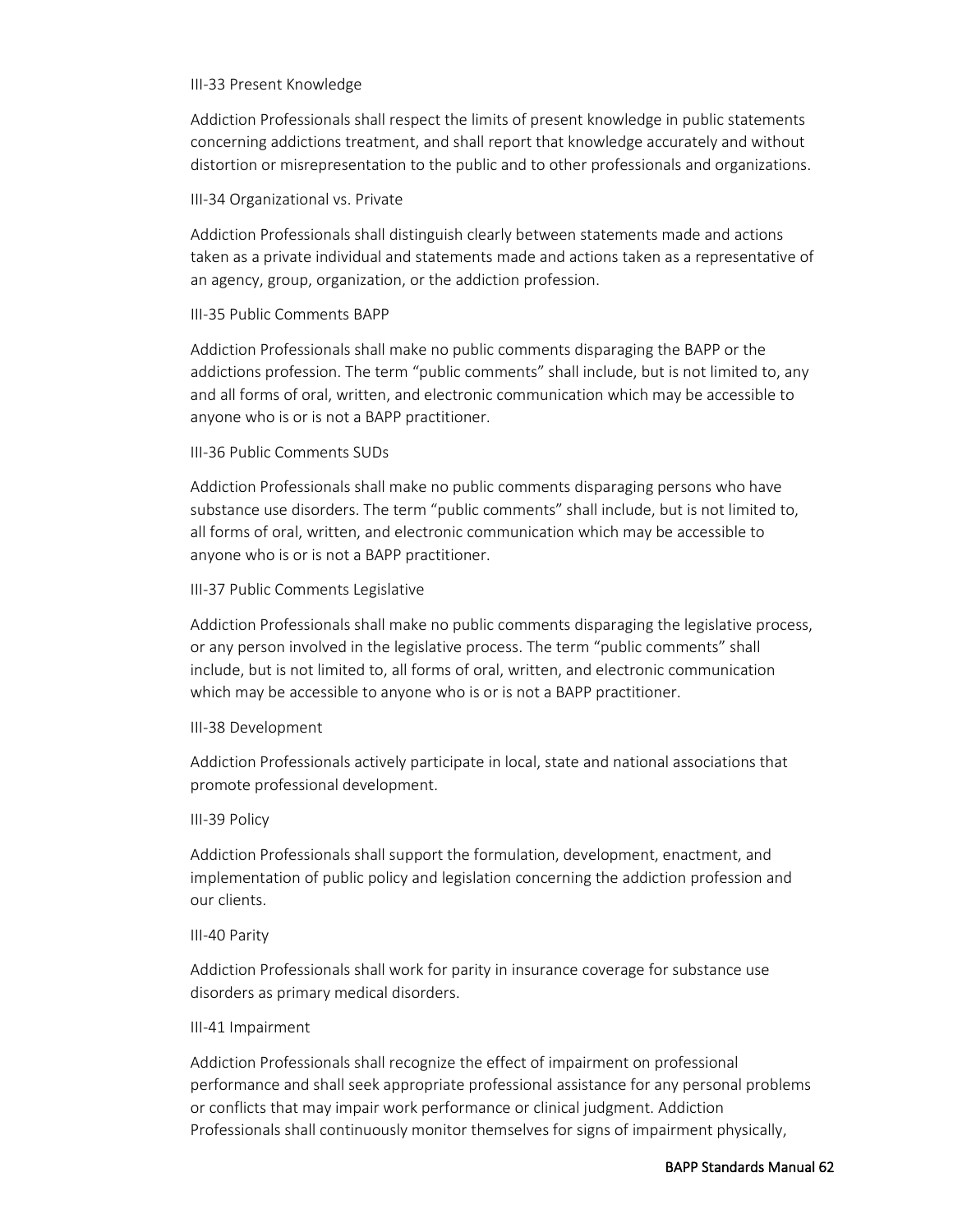#### III-33 Present Knowledge

Addiction Professionals shall respect the limits of present knowledge in public statements concerning addictions treatment, and shall report that knowledge accurately and without distortion or misrepresentation to the public and to other professionals and organizations.

# III-34 Organizational vs. Private

Addiction Professionals shall distinguish clearly between statements made and actions taken as a private individual and statements made and actions taken as a representative of an agency, group, organization, or the addiction profession.

# III-35 Public Comments BAPP

Addiction Professionals shall make no public comments disparaging the BAPP or the addictions profession. The term "public comments" shall include, but is not limited to, any and all forms of oral, written, and electronic communication which may be accessible to anyone who is or is not a BAPP practitioner.

# III-36 Public Comments SUDs

Addiction Professionals shall make no public comments disparaging persons who have substance use disorders. The term "public comments" shall include, but is not limited to, all forms of oral, written, and electronic communication which may be accessible to anyone who is or is not a BAPP practitioner.

# III-37 Public Comments Legislative

Addiction Professionals shall make no public comments disparaging the legislative process, or any person involved in the legislative process. The term "public comments" shall include, but is not limited to, all forms of oral, written, and electronic communication which may be accessible to anyone who is or is not a BAPP practitioner.

# III-38 Development

Addiction Professionals actively participate in local, state and national associations that promote professional development.

# III-39 Policy

Addiction Professionals shall support the formulation, development, enactment, and implementation of public policy and legislation concerning the addiction profession and our clients.

# III-40 Parity

Addiction Professionals shall work for parity in insurance coverage for substance use disorders as primary medical disorders.

# III-41 Impairment

Addiction Professionals shall recognize the effect of impairment on professional performance and shall seek appropriate professional assistance for any personal problems or conflicts that may impair work performance or clinical judgment. Addiction Professionals shall continuously monitor themselves for signs of impairment physically,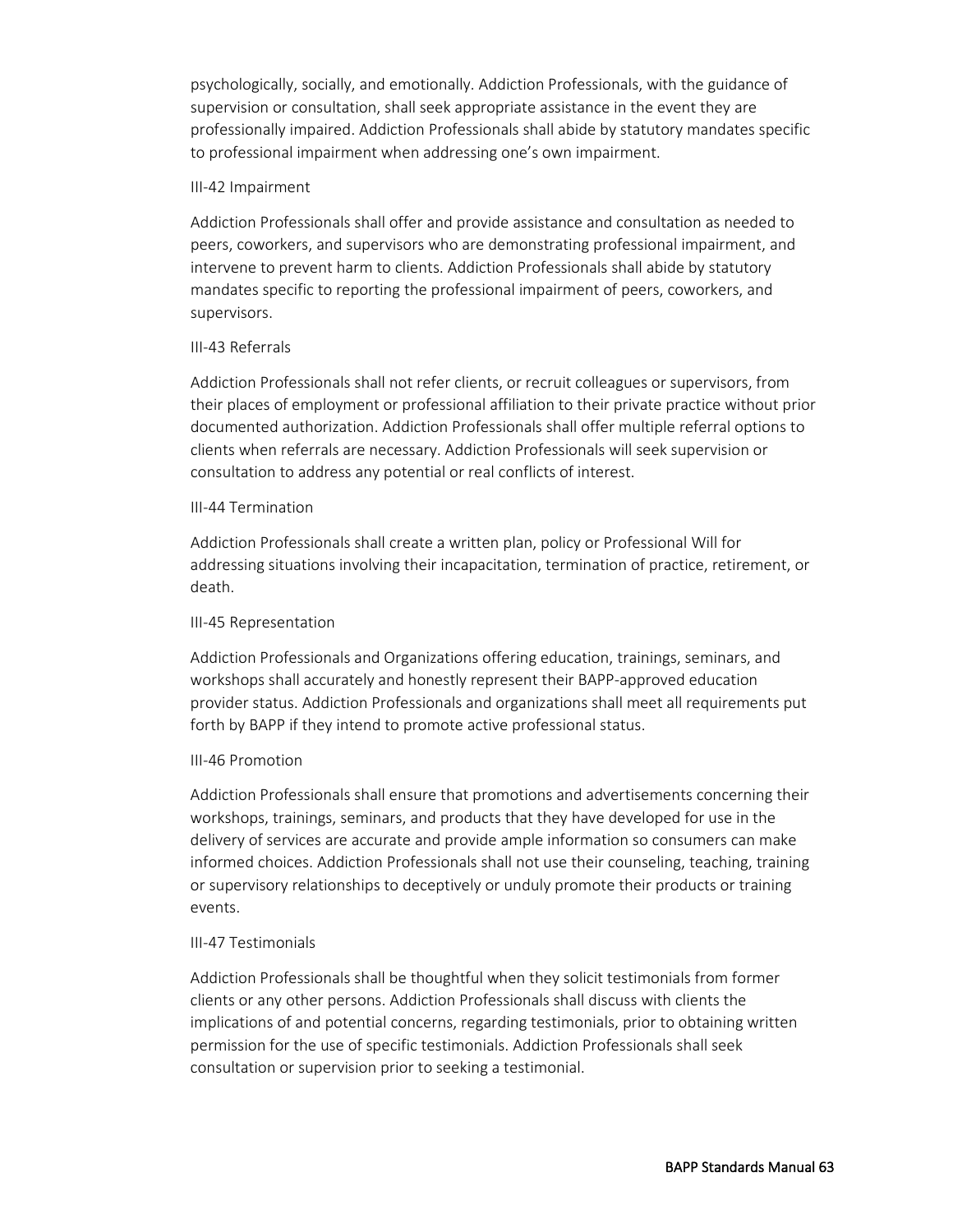psychologically, socially, and emotionally. Addiction Professionals, with the guidance of supervision or consultation, shall seek appropriate assistance in the event they are professionally impaired. Addiction Professionals shall abide by statutory mandates specific to professional impairment when addressing one's own impairment.

#### III-42 Impairment

Addiction Professionals shall offer and provide assistance and consultation as needed to peers, coworkers, and supervisors who are demonstrating professional impairment, and intervene to prevent harm to clients. Addiction Professionals shall abide by statutory mandates specific to reporting the professional impairment of peers, coworkers, and supervisors.

#### III-43 Referrals

Addiction Professionals shall not refer clients, or recruit colleagues or supervisors, from their places of employment or professional affiliation to their private practice without prior documented authorization. Addiction Professionals shall offer multiple referral options to clients when referrals are necessary. Addiction Professionals will seek supervision or consultation to address any potential or real conflicts of interest.

#### III-44 Termination

Addiction Professionals shall create a written plan, policy or Professional Will for addressing situations involving their incapacitation, termination of practice, retirement, or death.

#### III-45 Representation

Addiction Professionals and Organizations offering education, trainings, seminars, and workshops shall accurately and honestly represent their BAPP-approved education provider status. Addiction Professionals and organizations shall meet all requirements put forth by BAPP if they intend to promote active professional status.

# III-46 Promotion

Addiction Professionals shall ensure that promotions and advertisements concerning their workshops, trainings, seminars, and products that they have developed for use in the delivery of services are accurate and provide ample information so consumers can make informed choices. Addiction Professionals shall not use their counseling, teaching, training or supervisory relationships to deceptively or unduly promote their products or training events.

# III-47 Testimonials

Addiction Professionals shall be thoughtful when they solicit testimonials from former clients or any other persons. Addiction Professionals shall discuss with clients the implications of and potential concerns, regarding testimonials, prior to obtaining written permission for the use of specific testimonials. Addiction Professionals shall seek consultation or supervision prior to seeking a testimonial.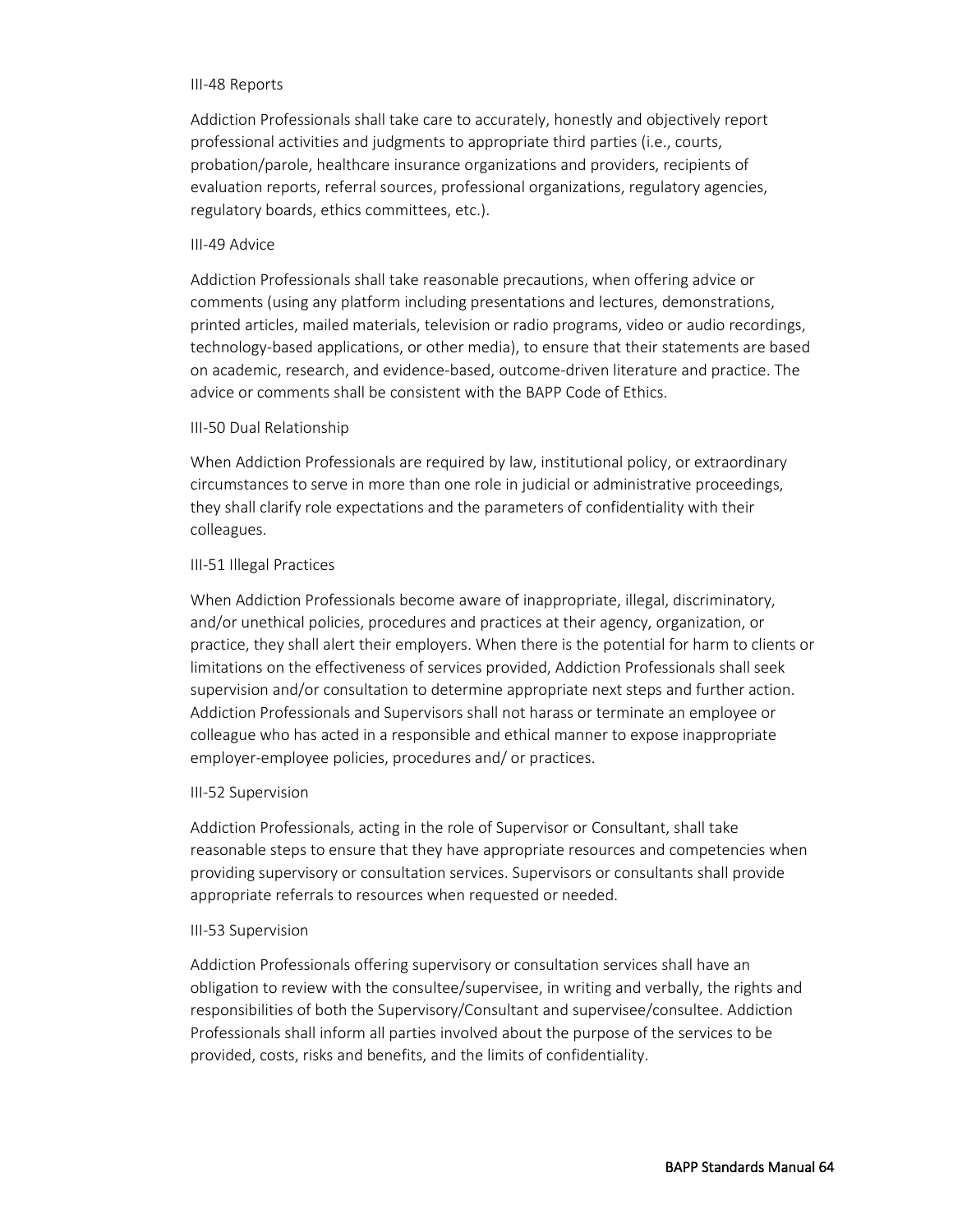#### III-48 Reports

Addiction Professionals shall take care to accurately, honestly and objectively report professional activities and judgments to appropriate third parties (i.e., courts, probation/parole, healthcare insurance organizations and providers, recipients of evaluation reports, referral sources, professional organizations, regulatory agencies, regulatory boards, ethics committees, etc.).

#### III-49 Advice

Addiction Professionals shall take reasonable precautions, when offering advice or comments (using any platform including presentations and lectures, demonstrations, printed articles, mailed materials, television or radio programs, video or audio recordings, technology-based applications, or other media), to ensure that their statements are based on academic, research, and evidence-based, outcome-driven literature and practice. The advice or comments shall be consistent with the BAPP Code of Ethics.

#### III-50 Dual Relationship

When Addiction Professionals are required by law, institutional policy, or extraordinary circumstances to serve in more than one role in judicial or administrative proceedings, they shall clarify role expectations and the parameters of confidentiality with their colleagues.

#### III-51 Illegal Practices

When Addiction Professionals become aware of inappropriate, illegal, discriminatory, and/or unethical policies, procedures and practices at their agency, organization, or practice, they shall alert their employers. When there is the potential for harm to clients or limitations on the effectiveness of services provided, Addiction Professionals shall seek supervision and/or consultation to determine appropriate next steps and further action. Addiction Professionals and Supervisors shall not harass or terminate an employee or colleague who has acted in a responsible and ethical manner to expose inappropriate employer-employee policies, procedures and/ or practices.

#### III-52 Supervision

Addiction Professionals, acting in the role of Supervisor or Consultant, shall take reasonable steps to ensure that they have appropriate resources and competencies when providing supervisory or consultation services. Supervisors or consultants shall provide appropriate referrals to resources when requested or needed.

#### III-53 Supervision

Addiction Professionals offering supervisory or consultation services shall have an obligation to review with the consultee/supervisee, in writing and verbally, the rights and responsibilities of both the Supervisory/Consultant and supervisee/consultee. Addiction Professionals shall inform all parties involved about the purpose of the services to be provided, costs, risks and benefits, and the limits of confidentiality.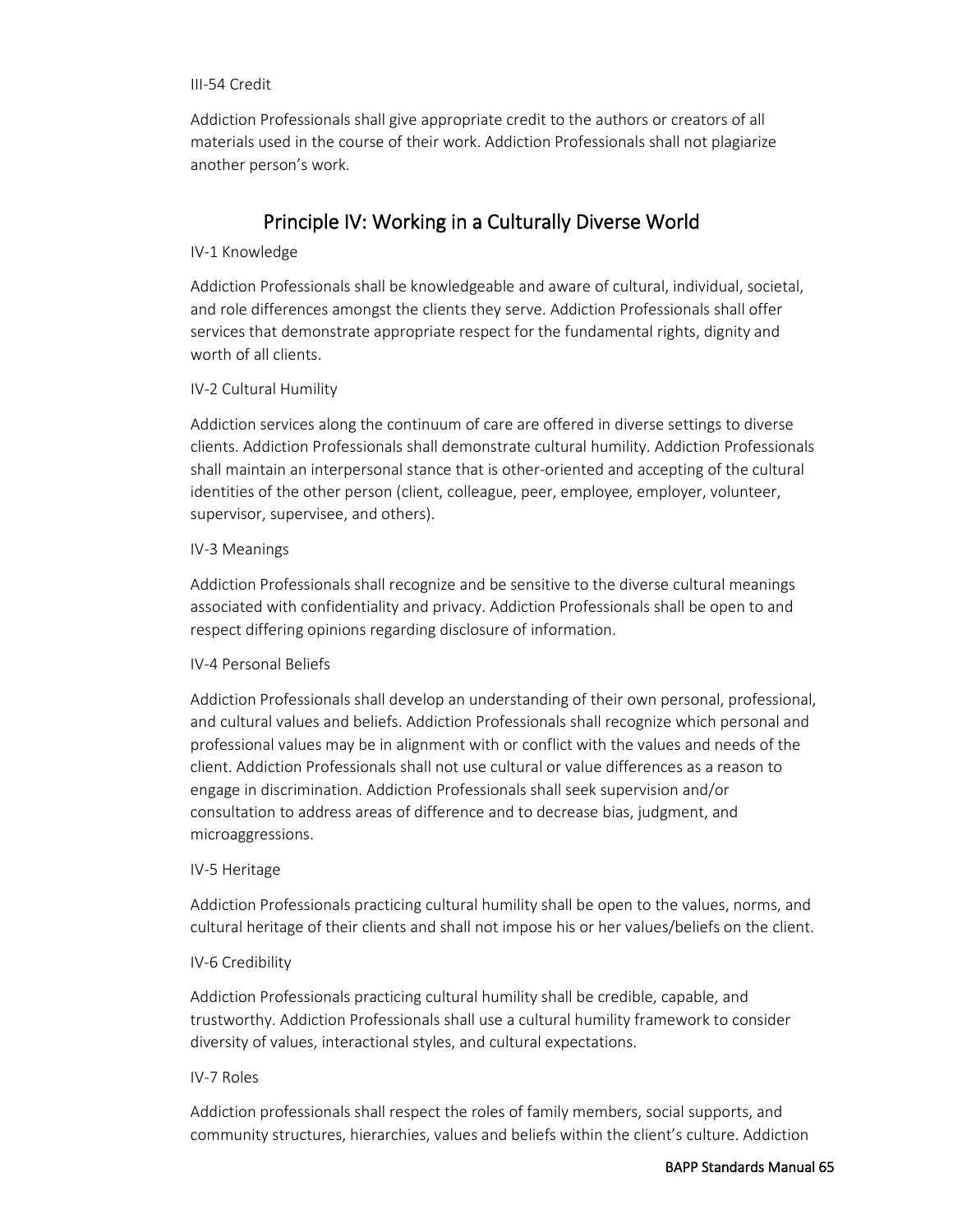#### III-54 Credit

Addiction Professionals shall give appropriate credit to the authors or creators of all materials used in the course of their work. Addiction Professionals shall not plagiarize another person's work.

# Principle IV: Working in a Culturally Diverse World

# IV-1 Knowledge

Addiction Professionals shall be knowledgeable and aware of cultural, individual, societal, and role differences amongst the clients they serve. Addiction Professionals shall offer services that demonstrate appropriate respect for the fundamental rights, dignity and worth of all clients.

# IV-2 Cultural Humility

Addiction services along the continuum of care are offered in diverse settings to diverse clients. Addiction Professionals shall demonstrate cultural humility. Addiction Professionals shall maintain an interpersonal stance that is other-oriented and accepting of the cultural identities of the other person (client, colleague, peer, employee, employer, volunteer, supervisor, supervisee, and others).

# IV-3 Meanings

Addiction Professionals shall recognize and be sensitive to the diverse cultural meanings associated with confidentiality and privacy. Addiction Professionals shall be open to and respect differing opinions regarding disclosure of information.

# IV-4 Personal Beliefs

Addiction Professionals shall develop an understanding of their own personal, professional, and cultural values and beliefs. Addiction Professionals shall recognize which personal and professional values may be in alignment with or conflict with the values and needs of the client. Addiction Professionals shall not use cultural or value differences as a reason to engage in discrimination. Addiction Professionals shall seek supervision and/or consultation to address areas of difference and to decrease bias, judgment, and microaggressions.

# IV-5 Heritage

Addiction Professionals practicing cultural humility shall be open to the values, norms, and cultural heritage of their clients and shall not impose his or her values/beliefs on the client.

# IV-6 Credibility

Addiction Professionals practicing cultural humility shall be credible, capable, and trustworthy. Addiction Professionals shall use a cultural humility framework to consider diversity of values, interactional styles, and cultural expectations.

# IV-7 Roles

Addiction professionals shall respect the roles of family members, social supports, and community structures, hierarchies, values and beliefs within the client's culture. Addiction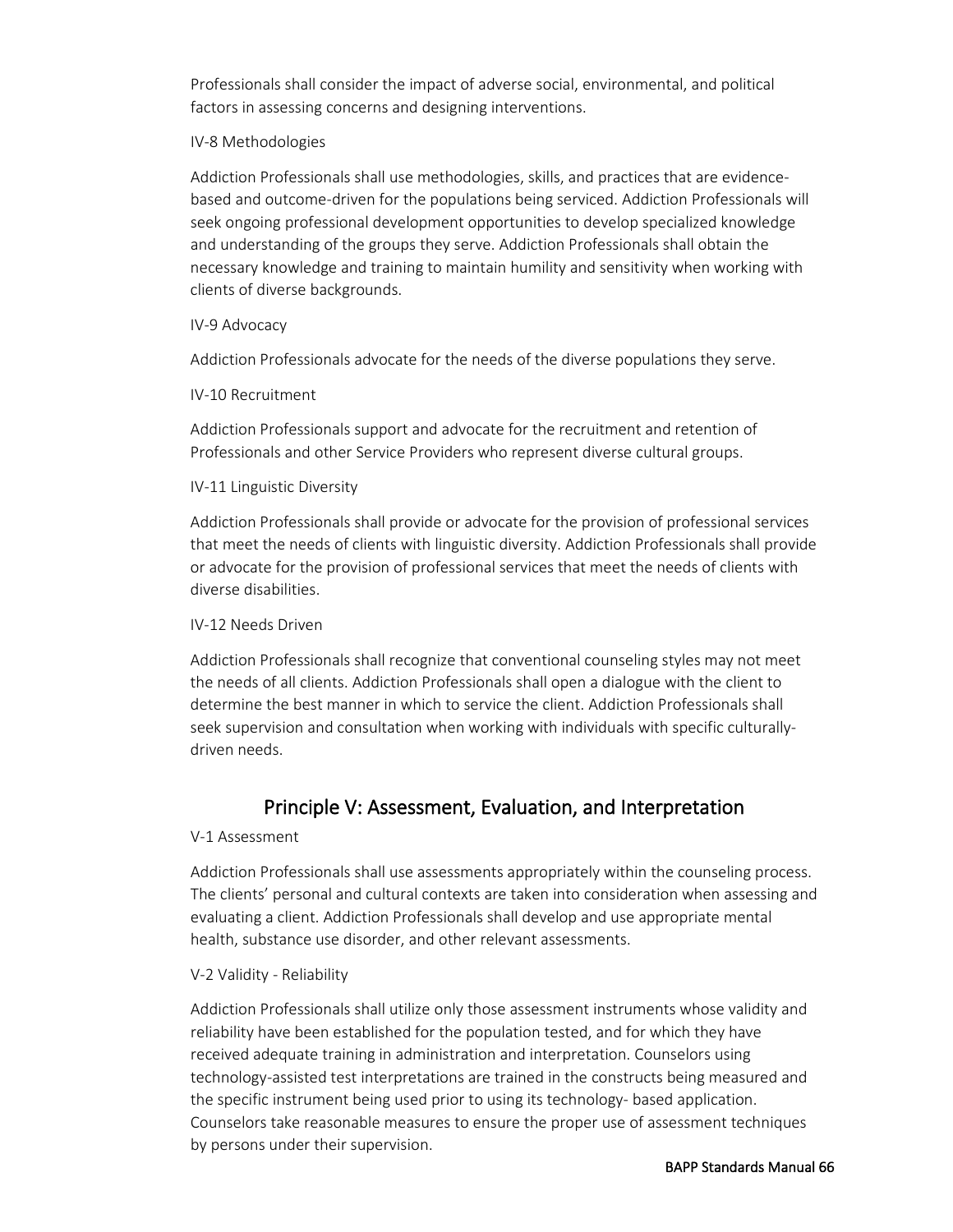Professionals shall consider the impact of adverse social, environmental, and political factors in assessing concerns and designing interventions.

# IV-8 Methodologies

Addiction Professionals shall use methodologies, skills, and practices that are evidencebased and outcome-driven for the populations being serviced. Addiction Professionals will seek ongoing professional development opportunities to develop specialized knowledge and understanding of the groups they serve. Addiction Professionals shall obtain the necessary knowledge and training to maintain humility and sensitivity when working with clients of diverse backgrounds.

# IV-9 Advocacy

Addiction Professionals advocate for the needs of the diverse populations they serve.

# IV-10 Recruitment

Addiction Professionals support and advocate for the recruitment and retention of Professionals and other Service Providers who represent diverse cultural groups.

# IV-11 Linguistic Diversity

Addiction Professionals shall provide or advocate for the provision of professional services that meet the needs of clients with linguistic diversity. Addiction Professionals shall provide or advocate for the provision of professional services that meet the needs of clients with diverse disabilities.

# IV-12 Needs Driven

Addiction Professionals shall recognize that conventional counseling styles may not meet the needs of all clients. Addiction Professionals shall open a dialogue with the client to determine the best manner in which to service the client. Addiction Professionals shall seek supervision and consultation when working with individuals with specific culturallydriven needs.

# Principle V: Assessment, Evaluation, and Interpretation

# V-1 Assessment

Addiction Professionals shall use assessments appropriately within the counseling process. The clients' personal and cultural contexts are taken into consideration when assessing and evaluating a client. Addiction Professionals shall develop and use appropriate mental health, substance use disorder, and other relevant assessments.

# V-2 Validity - Reliability

Addiction Professionals shall utilize only those assessment instruments whose validity and reliability have been established for the population tested, and for which they have received adequate training in administration and interpretation. Counselors using technology-assisted test interpretations are trained in the constructs being measured and the specific instrument being used prior to using its technology- based application. Counselors take reasonable measures to ensure the proper use of assessment techniques by persons under their supervision.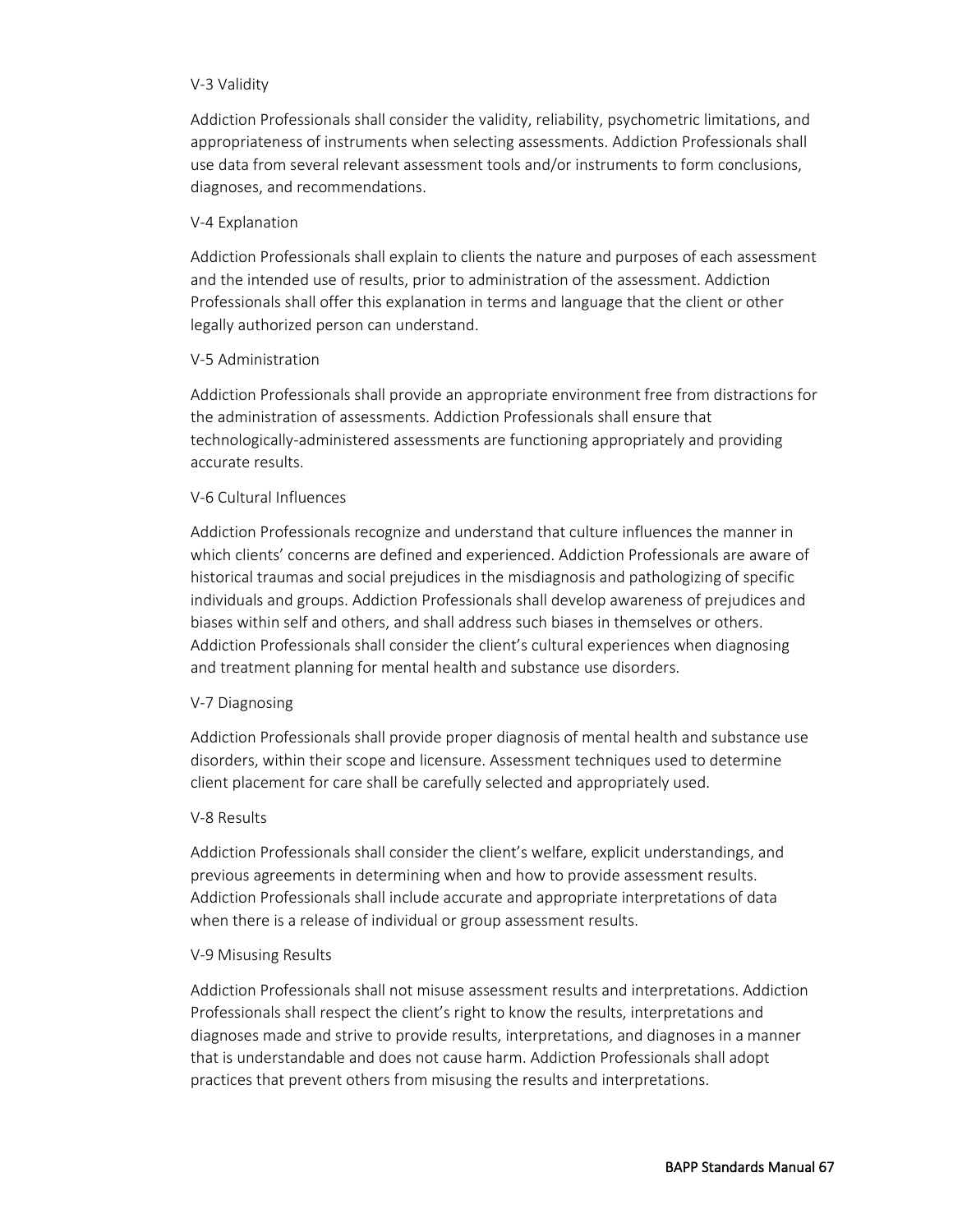#### V-3 Validity

Addiction Professionals shall consider the validity, reliability, psychometric limitations, and appropriateness of instruments when selecting assessments. Addiction Professionals shall use data from several relevant assessment tools and/or instruments to form conclusions, diagnoses, and recommendations.

#### V-4 Explanation

Addiction Professionals shall explain to clients the nature and purposes of each assessment and the intended use of results, prior to administration of the assessment. Addiction Professionals shall offer this explanation in terms and language that the client or other legally authorized person can understand.

#### V-5 Administration

Addiction Professionals shall provide an appropriate environment free from distractions for the administration of assessments. Addiction Professionals shall ensure that technologically-administered assessments are functioning appropriately and providing accurate results.

# V-6 Cultural Influences

Addiction Professionals recognize and understand that culture influences the manner in which clients' concerns are defined and experienced. Addiction Professionals are aware of historical traumas and social prejudices in the misdiagnosis and pathologizing of specific individuals and groups. Addiction Professionals shall develop awareness of prejudices and biases within self and others, and shall address such biases in themselves or others. Addiction Professionals shall consider the client's cultural experiences when diagnosing and treatment planning for mental health and substance use disorders.

# V-7 Diagnosing

Addiction Professionals shall provide proper diagnosis of mental health and substance use disorders, within their scope and licensure. Assessment techniques used to determine client placement for care shall be carefully selected and appropriately used.

#### V-8 Results

Addiction Professionals shall consider the client's welfare, explicit understandings, and previous agreements in determining when and how to provide assessment results. Addiction Professionals shall include accurate and appropriate interpretations of data when there is a release of individual or group assessment results.

#### V-9 Misusing Results

Addiction Professionals shall not misuse assessment results and interpretations. Addiction Professionals shall respect the client's right to know the results, interpretations and diagnoses made and strive to provide results, interpretations, and diagnoses in a manner that is understandable and does not cause harm. Addiction Professionals shall adopt practices that prevent others from misusing the results and interpretations.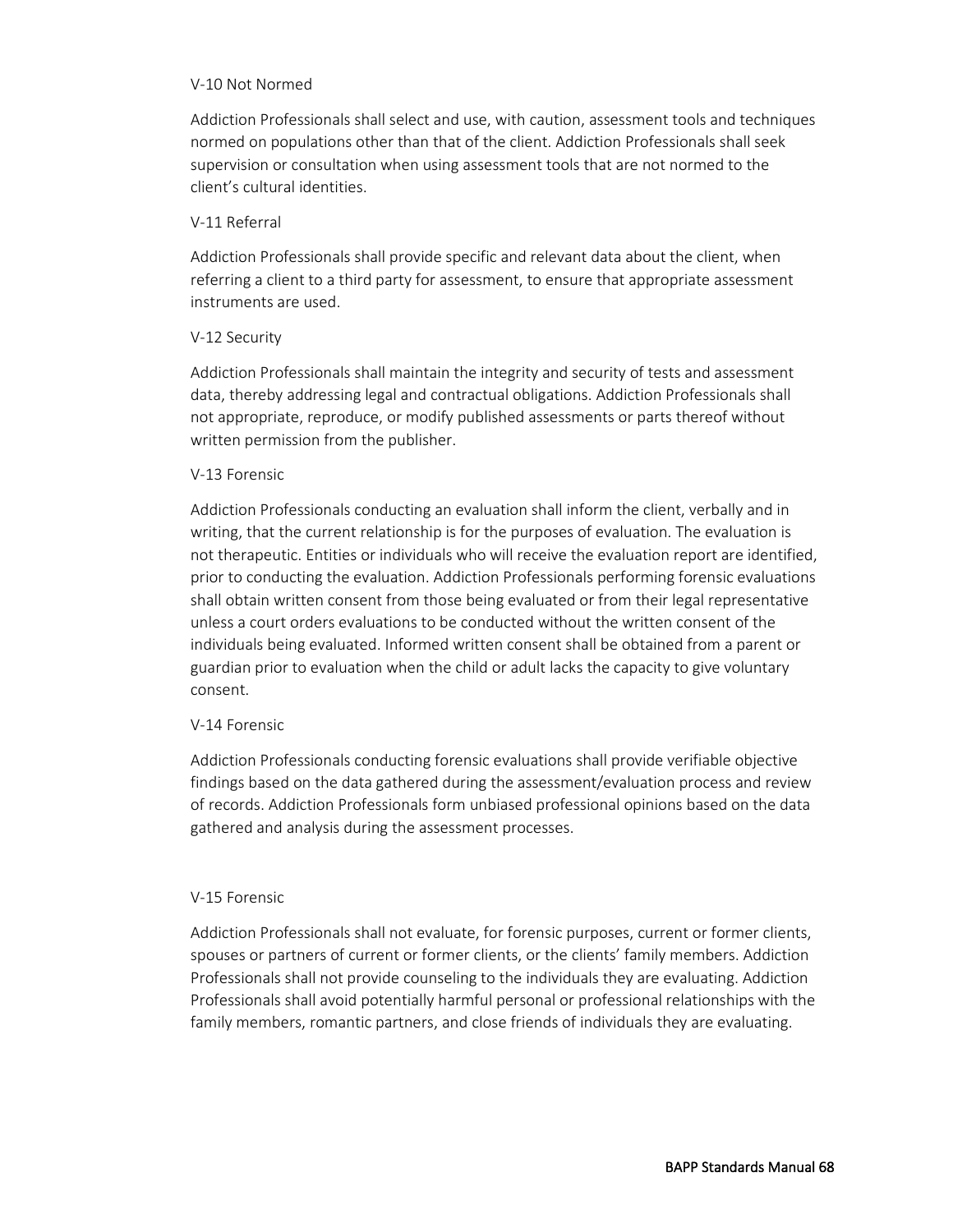#### V-10 Not Normed

Addiction Professionals shall select and use, with caution, assessment tools and techniques normed on populations other than that of the client. Addiction Professionals shall seek supervision or consultation when using assessment tools that are not normed to the client's cultural identities.

#### V-11 Referral

Addiction Professionals shall provide specific and relevant data about the client, when referring a client to a third party for assessment, to ensure that appropriate assessment instruments are used.

# V-12 Security

Addiction Professionals shall maintain the integrity and security of tests and assessment data, thereby addressing legal and contractual obligations. Addiction Professionals shall not appropriate, reproduce, or modify published assessments or parts thereof without written permission from the publisher.

#### V-13 Forensic

Addiction Professionals conducting an evaluation shall inform the client, verbally and in writing, that the current relationship is for the purposes of evaluation. The evaluation is not therapeutic. Entities or individuals who will receive the evaluation report are identified, prior to conducting the evaluation. Addiction Professionals performing forensic evaluations shall obtain written consent from those being evaluated or from their legal representative unless a court orders evaluations to be conducted without the written consent of the individuals being evaluated. Informed written consent shall be obtained from a parent or guardian prior to evaluation when the child or adult lacks the capacity to give voluntary consent.

# V-14 Forensic

Addiction Professionals conducting forensic evaluations shall provide verifiable objective findings based on the data gathered during the assessment/evaluation process and review of records. Addiction Professionals form unbiased professional opinions based on the data gathered and analysis during the assessment processes.

# V-15 Forensic

Addiction Professionals shall not evaluate, for forensic purposes, current or former clients, spouses or partners of current or former clients, or the clients' family members. Addiction Professionals shall not provide counseling to the individuals they are evaluating. Addiction Professionals shall avoid potentially harmful personal or professional relationships with the family members, romantic partners, and close friends of individuals they are evaluating.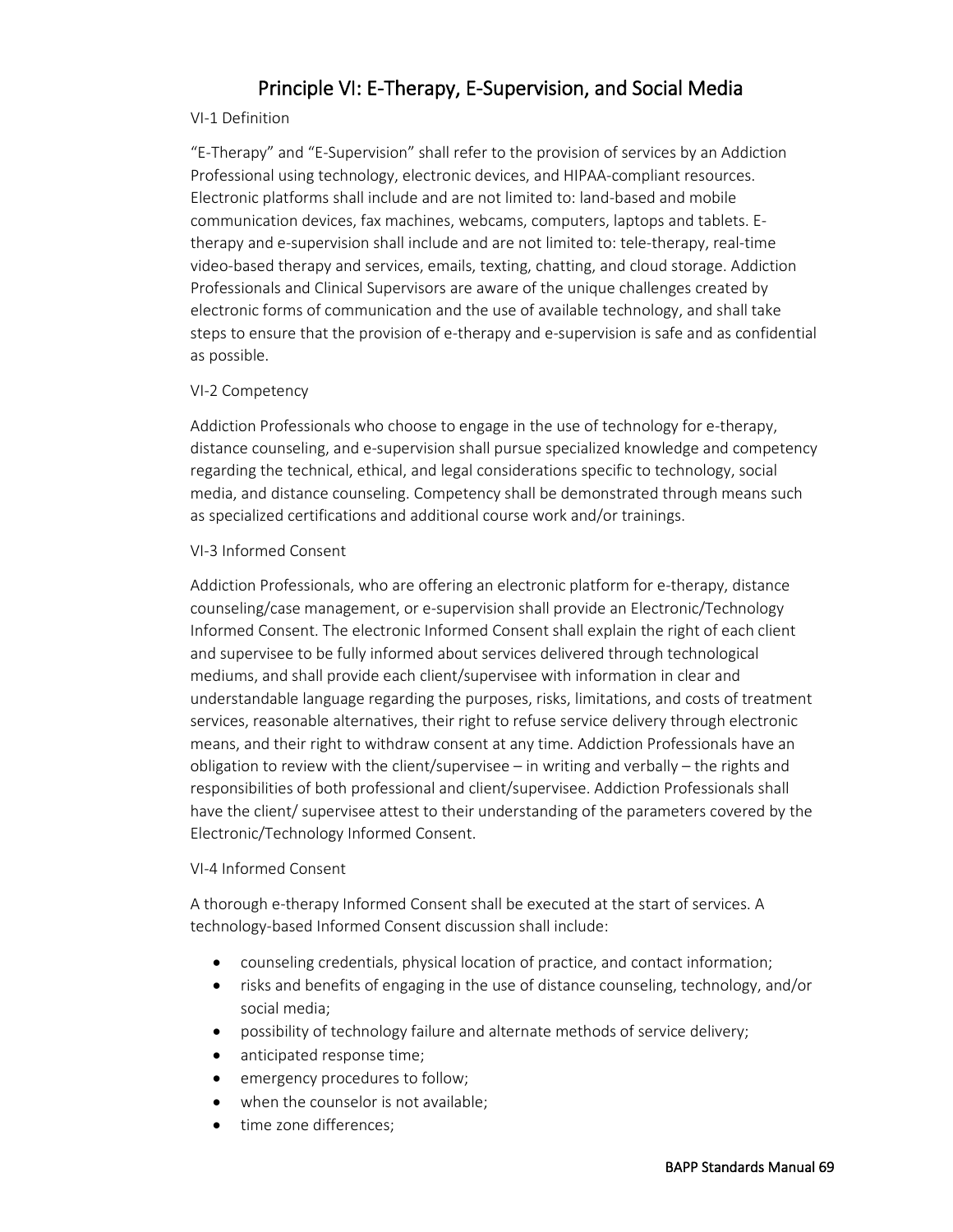# Principle VI: E-Therapy, E-Supervision, and Social Media

#### VI-1 Definition

"E-Therapy" and "E-Supervision" shall refer to the provision of services by an Addiction Professional using technology, electronic devices, and HIPAA-compliant resources. Electronic platforms shall include and are not limited to: land-based and mobile communication devices, fax machines, webcams, computers, laptops and tablets. Etherapy and e-supervision shall include and are not limited to: tele-therapy, real-time video-based therapy and services, emails, texting, chatting, and cloud storage. Addiction Professionals and Clinical Supervisors are aware of the unique challenges created by electronic forms of communication and the use of available technology, and shall take steps to ensure that the provision of e-therapy and e-supervision is safe and as confidential as possible.

#### VI-2 Competency

Addiction Professionals who choose to engage in the use of technology for e-therapy, distance counseling, and e-supervision shall pursue specialized knowledge and competency regarding the technical, ethical, and legal considerations specific to technology, social media, and distance counseling. Competency shall be demonstrated through means such as specialized certifications and additional course work and/or trainings.

#### VI-3 Informed Consent

Addiction Professionals, who are offering an electronic platform for e-therapy, distance counseling/case management, or e-supervision shall provide an Electronic/Technology Informed Consent. The electronic Informed Consent shall explain the right of each client and supervisee to be fully informed about services delivered through technological mediums, and shall provide each client/supervisee with information in clear and understandable language regarding the purposes, risks, limitations, and costs of treatment services, reasonable alternatives, their right to refuse service delivery through electronic means, and their right to withdraw consent at any time. Addiction Professionals have an obligation to review with the client/supervisee – in writing and verbally – the rights and responsibilities of both professional and client/supervisee. Addiction Professionals shall have the client/ supervisee attest to their understanding of the parameters covered by the Electronic/Technology Informed Consent.

#### VI-4 Informed Consent

A thorough e-therapy Informed Consent shall be executed at the start of services. A technology-based Informed Consent discussion shall include:

- counseling credentials, physical location of practice, and contact information;
- risks and benefits of engaging in the use of distance counseling, technology, and/or social media;
- possibility of technology failure and alternate methods of service delivery;
- anticipated response time;
- emergency procedures to follow;
- when the counselor is not available;
- time zone differences: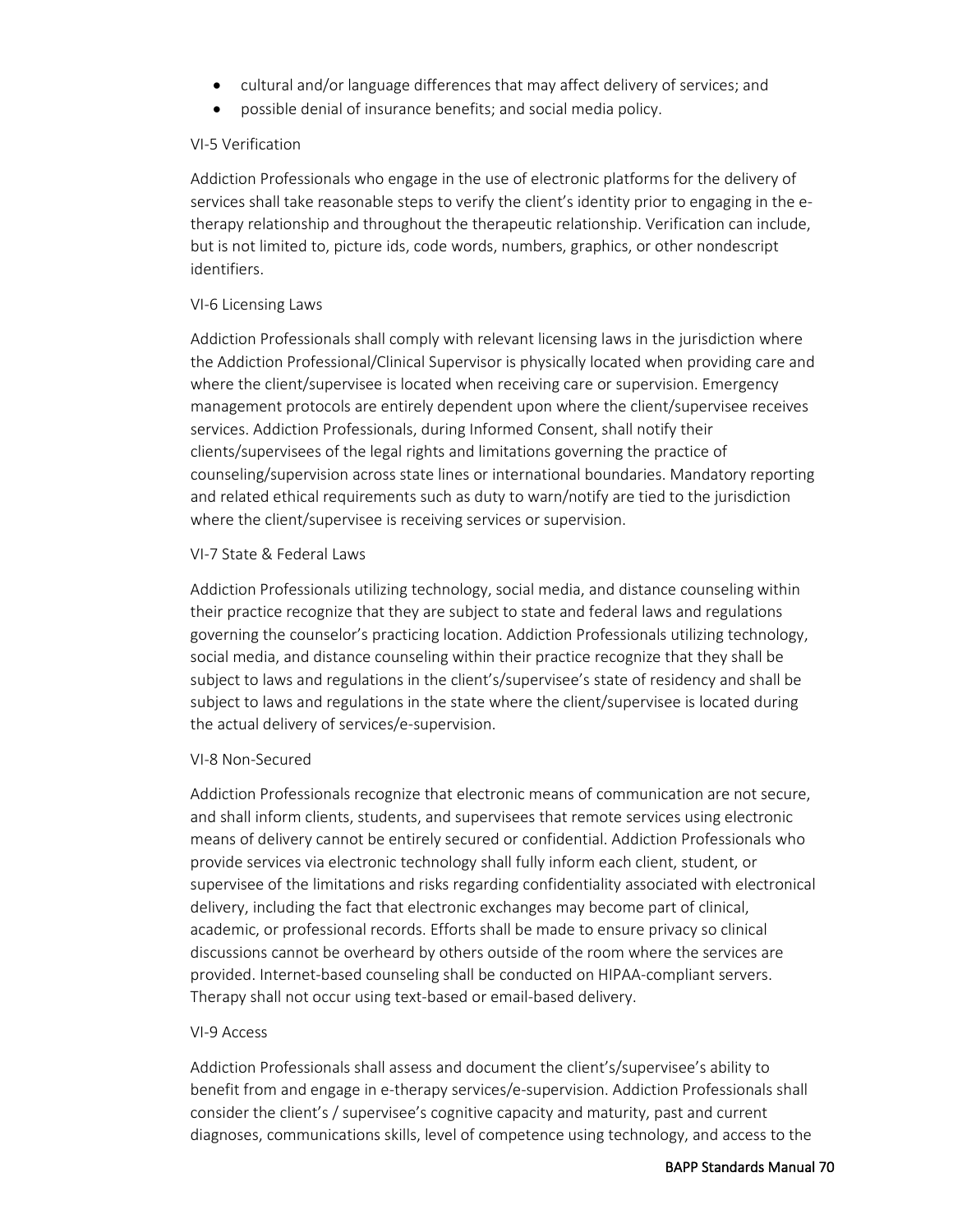- cultural and/or language differences that may affect delivery of services; and
- possible denial of insurance benefits; and social media policy.

#### VI-5 Verification

Addiction Professionals who engage in the use of electronic platforms for the delivery of services shall take reasonable steps to verify the client's identity prior to engaging in the etherapy relationship and throughout the therapeutic relationship. Verification can include, but is not limited to, picture ids, code words, numbers, graphics, or other nondescript identifiers.

#### VI-6 Licensing Laws

Addiction Professionals shall comply with relevant licensing laws in the jurisdiction where the Addiction Professional/Clinical Supervisor is physically located when providing care and where the client/supervisee is located when receiving care or supervision. Emergency management protocols are entirely dependent upon where the client/supervisee receives services. Addiction Professionals, during Informed Consent, shall notify their clients/supervisees of the legal rights and limitations governing the practice of counseling/supervision across state lines or international boundaries. Mandatory reporting and related ethical requirements such as duty to warn/notify are tied to the jurisdiction where the client/supervisee is receiving services or supervision.

#### VI-7 State & Federal Laws

Addiction Professionals utilizing technology, social media, and distance counseling within their practice recognize that they are subject to state and federal laws and regulations governing the counselor's practicing location. Addiction Professionals utilizing technology, social media, and distance counseling within their practice recognize that they shall be subject to laws and regulations in the client's/supervisee's state of residency and shall be subject to laws and regulations in the state where the client/supervisee is located during the actual delivery of services/e-supervision.

#### VI-8 Non-Secured

Addiction Professionals recognize that electronic means of communication are not secure, and shall inform clients, students, and supervisees that remote services using electronic means of delivery cannot be entirely secured or confidential. Addiction Professionals who provide services via electronic technology shall fully inform each client, student, or supervisee of the limitations and risks regarding confidentiality associated with electronical delivery, including the fact that electronic exchanges may become part of clinical, academic, or professional records. Efforts shall be made to ensure privacy so clinical discussions cannot be overheard by others outside of the room where the services are provided. Internet-based counseling shall be conducted on HIPAA-compliant servers. Therapy shall not occur using text-based or email-based delivery.

#### VI-9 Access

Addiction Professionals shall assess and document the client's/supervisee's ability to benefit from and engage in e-therapy services/e-supervision. Addiction Professionals shall consider the client's / supervisee's cognitive capacity and maturity, past and current diagnoses, communications skills, level of competence using technology, and access to the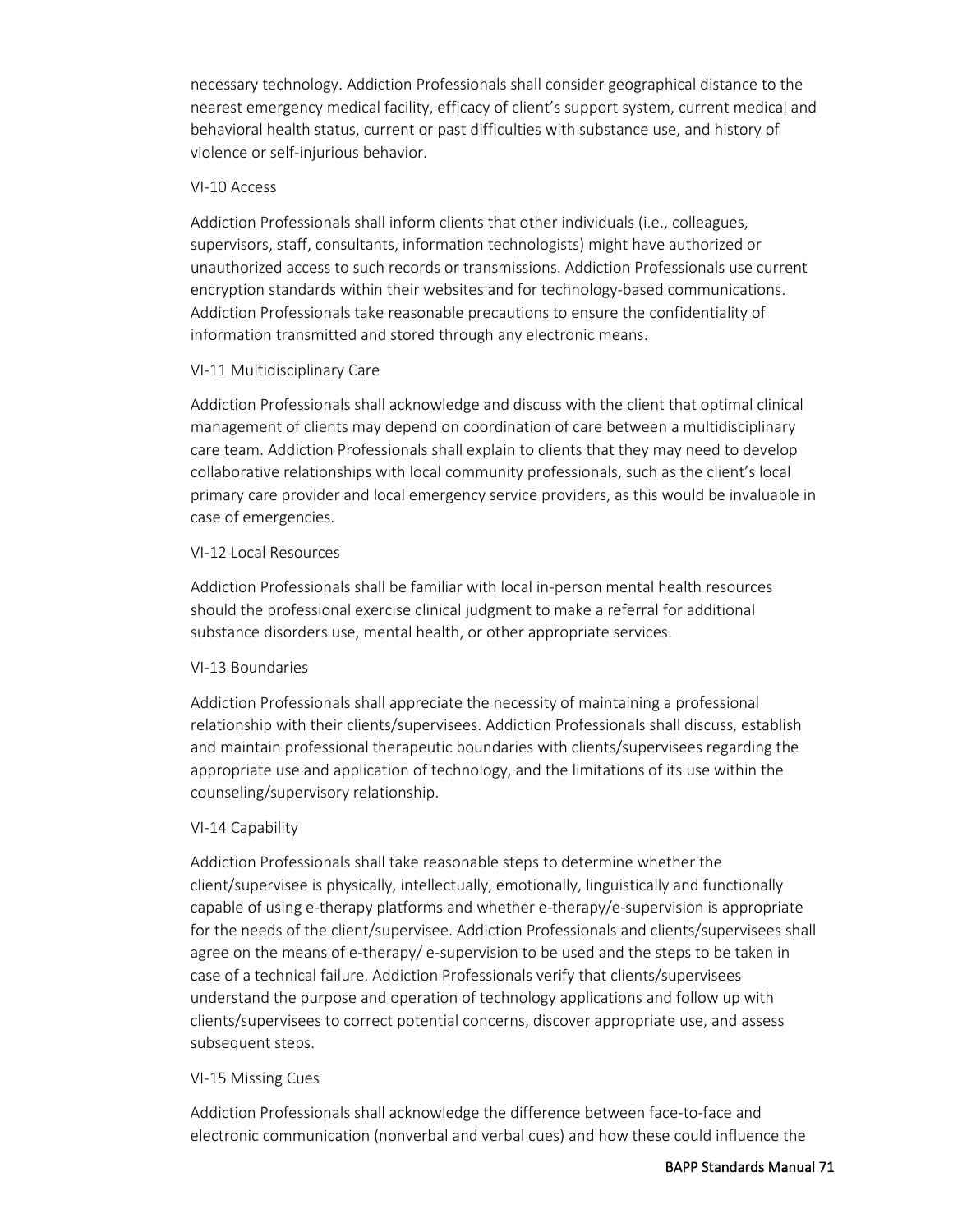necessary technology. Addiction Professionals shall consider geographical distance to the nearest emergency medical facility, efficacy of client's support system, current medical and behavioral health status, current or past difficulties with substance use, and history of violence or self-injurious behavior.

#### VI-10 Access

Addiction Professionals shall inform clients that other individuals (i.e., colleagues, supervisors, staff, consultants, information technologists) might have authorized or unauthorized access to such records or transmissions. Addiction Professionals use current encryption standards within their websites and for technology-based communications. Addiction Professionals take reasonable precautions to ensure the confidentiality of information transmitted and stored through any electronic means.

## VI-11 Multidisciplinary Care

Addiction Professionals shall acknowledge and discuss with the client that optimal clinical management of clients may depend on coordination of care between a multidisciplinary care team. Addiction Professionals shall explain to clients that they may need to develop collaborative relationships with local community professionals, such as the client's local primary care provider and local emergency service providers, as this would be invaluable in case of emergencies.

#### VI-12 Local Resources

Addiction Professionals shall be familiar with local in-person mental health resources should the professional exercise clinical judgment to make a referral for additional substance disorders use, mental health, or other appropriate services.

## VI-13 Boundaries

Addiction Professionals shall appreciate the necessity of maintaining a professional relationship with their clients/supervisees. Addiction Professionals shall discuss, establish and maintain professional therapeutic boundaries with clients/supervisees regarding the appropriate use and application of technology, and the limitations of its use within the counseling/supervisory relationship.

## VI-14 Capability

Addiction Professionals shall take reasonable steps to determine whether the client/supervisee is physically, intellectually, emotionally, linguistically and functionally capable of using e-therapy platforms and whether e-therapy/e-supervision is appropriate for the needs of the client/supervisee. Addiction Professionals and clients/supervisees shall agree on the means of e-therapy/ e-supervision to be used and the steps to be taken in case of a technical failure. Addiction Professionals verify that clients/supervisees understand the purpose and operation of technology applications and follow up with clients/supervisees to correct potential concerns, discover appropriate use, and assess subsequent steps.

## VI-15 Missing Cues

Addiction Professionals shall acknowledge the difference between face-to-face and electronic communication (nonverbal and verbal cues) and how these could influence the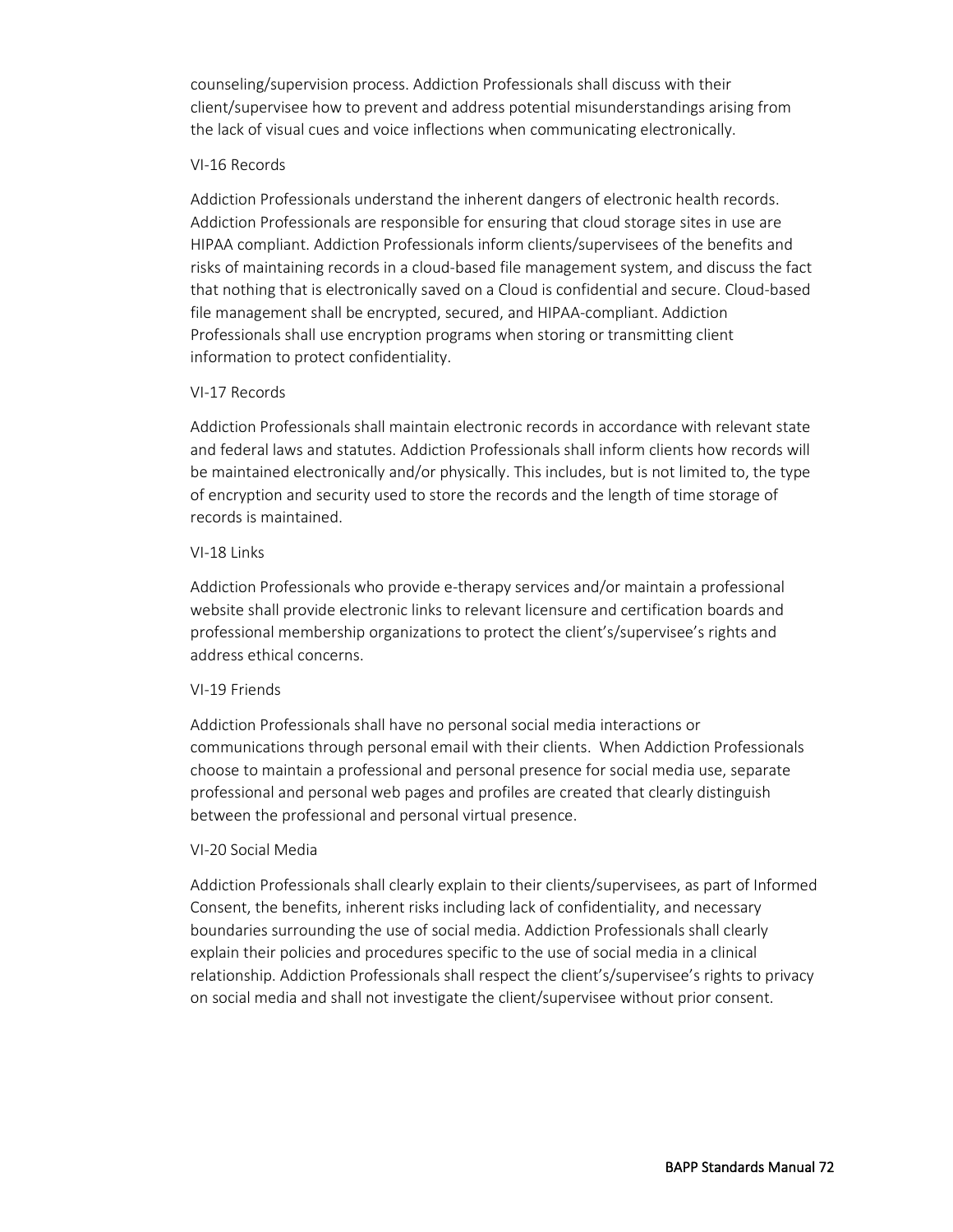counseling/supervision process. Addiction Professionals shall discuss with their client/supervisee how to prevent and address potential misunderstandings arising from the lack of visual cues and voice inflections when communicating electronically.

#### VI-16 Records

Addiction Professionals understand the inherent dangers of electronic health records. Addiction Professionals are responsible for ensuring that cloud storage sites in use are HIPAA compliant. Addiction Professionals inform clients/supervisees of the benefits and risks of maintaining records in a cloud-based file management system, and discuss the fact that nothing that is electronically saved on a Cloud is confidential and secure. Cloud-based file management shall be encrypted, secured, and HIPAA-compliant. Addiction Professionals shall use encryption programs when storing or transmitting client information to protect confidentiality.

## VI-17 Records

Addiction Professionals shall maintain electronic records in accordance with relevant state and federal laws and statutes. Addiction Professionals shall inform clients how records will be maintained electronically and/or physically. This includes, but is not limited to, the type of encryption and security used to store the records and the length of time storage of records is maintained.

#### VI-18 Links

Addiction Professionals who provide e-therapy services and/or maintain a professional website shall provide electronic links to relevant licensure and certification boards and professional membership organizations to protect the client's/supervisee's rights and address ethical concerns.

## VI-19 Friends

Addiction Professionals shall have no personal social media interactions or communications through personal email with their clients. When Addiction Professionals choose to maintain a professional and personal presence for social media use, separate professional and personal web pages and profiles are created that clearly distinguish between the professional and personal virtual presence.

## VI-20 Social Media

Addiction Professionals shall clearly explain to their clients/supervisees, as part of Informed Consent, the benefits, inherent risks including lack of confidentiality, and necessary boundaries surrounding the use of social media. Addiction Professionals shall clearly explain their policies and procedures specific to the use of social media in a clinical relationship. Addiction Professionals shall respect the client's/supervisee's rights to privacy on social media and shall not investigate the client/supervisee without prior consent.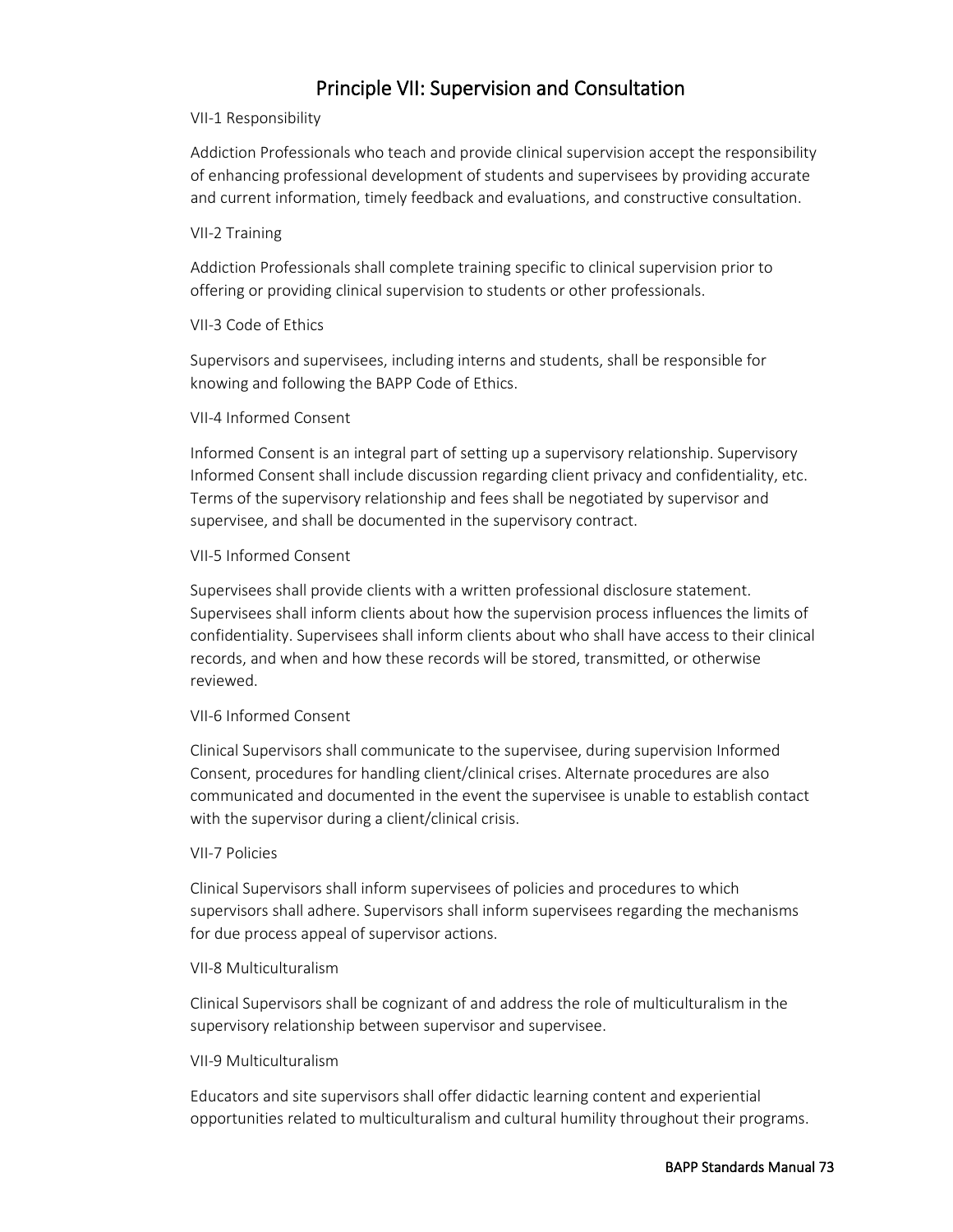# Principle VII: Supervision and Consultation

#### VII-1 Responsibility

Addiction Professionals who teach and provide clinical supervision accept the responsibility of enhancing professional development of students and supervisees by providing accurate and current information, timely feedback and evaluations, and constructive consultation.

#### VII-2 Training

Addiction Professionals shall complete training specific to clinical supervision prior to offering or providing clinical supervision to students or other professionals.

## VII-3 Code of Ethics

Supervisors and supervisees, including interns and students, shall be responsible for knowing and following the BAPP Code of Ethics.

## VII-4 Informed Consent

Informed Consent is an integral part of setting up a supervisory relationship. Supervisory Informed Consent shall include discussion regarding client privacy and confidentiality, etc. Terms of the supervisory relationship and fees shall be negotiated by supervisor and supervisee, and shall be documented in the supervisory contract.

## VII-5 Informed Consent

Supervisees shall provide clients with a written professional disclosure statement. Supervisees shall inform clients about how the supervision process influences the limits of confidentiality. Supervisees shall inform clients about who shall have access to their clinical records, and when and how these records will be stored, transmitted, or otherwise reviewed.

## VII-6 Informed Consent

Clinical Supervisors shall communicate to the supervisee, during supervision Informed Consent, procedures for handling client/clinical crises. Alternate procedures are also communicated and documented in the event the supervisee is unable to establish contact with the supervisor during a client/clinical crisis.

## VII-7 Policies

Clinical Supervisors shall inform supervisees of policies and procedures to which supervisors shall adhere. Supervisors shall inform supervisees regarding the mechanisms for due process appeal of supervisor actions.

## VII-8 Multiculturalism

Clinical Supervisors shall be cognizant of and address the role of multiculturalism in the supervisory relationship between supervisor and supervisee.

## VII-9 Multiculturalism

Educators and site supervisors shall offer didactic learning content and experiential opportunities related to multiculturalism and cultural humility throughout their programs.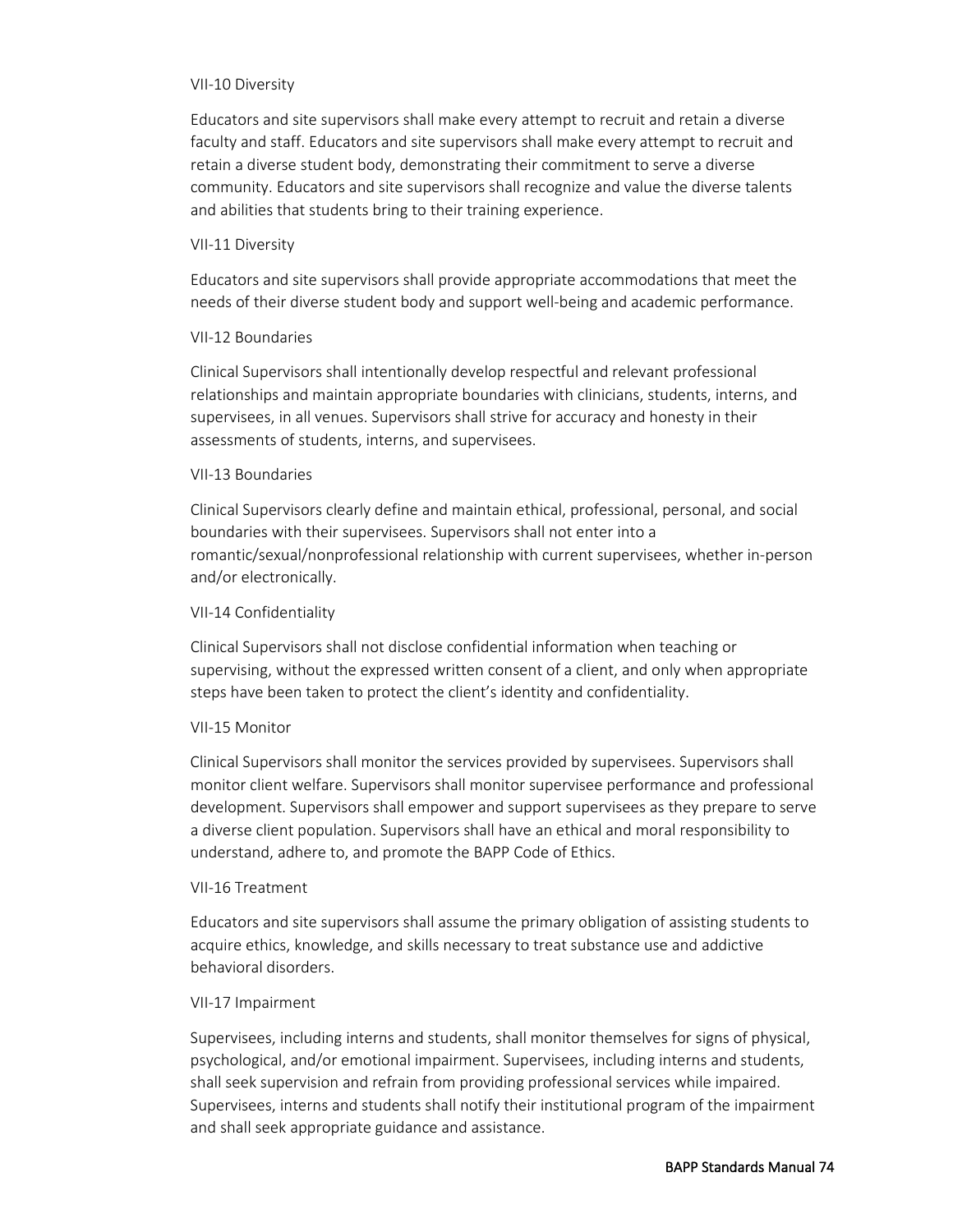#### VII-10 Diversity

Educators and site supervisors shall make every attempt to recruit and retain a diverse faculty and staff. Educators and site supervisors shall make every attempt to recruit and retain a diverse student body, demonstrating their commitment to serve a diverse community. Educators and site supervisors shall recognize and value the diverse talents and abilities that students bring to their training experience.

#### VII-11 Diversity

Educators and site supervisors shall provide appropriate accommodations that meet the needs of their diverse student body and support well-being and academic performance.

#### VII-12 Boundaries

Clinical Supervisors shall intentionally develop respectful and relevant professional relationships and maintain appropriate boundaries with clinicians, students, interns, and supervisees, in all venues. Supervisors shall strive for accuracy and honesty in their assessments of students, interns, and supervisees.

#### VII-13 Boundaries

Clinical Supervisors clearly define and maintain ethical, professional, personal, and social boundaries with their supervisees. Supervisors shall not enter into a romantic/sexual/nonprofessional relationship with current supervisees, whether in-person and/or electronically.

#### VII-14 Confidentiality

Clinical Supervisors shall not disclose confidential information when teaching or supervising, without the expressed written consent of a client, and only when appropriate steps have been taken to protect the client's identity and confidentiality.

## VII-15 Monitor

Clinical Supervisors shall monitor the services provided by supervisees. Supervisors shall monitor client welfare. Supervisors shall monitor supervisee performance and professional development. Supervisors shall empower and support supervisees as they prepare to serve a diverse client population. Supervisors shall have an ethical and moral responsibility to understand, adhere to, and promote the BAPP Code of Ethics.

#### VII-16 Treatment

Educators and site supervisors shall assume the primary obligation of assisting students to acquire ethics, knowledge, and skills necessary to treat substance use and addictive behavioral disorders.

#### VII-17 Impairment

Supervisees, including interns and students, shall monitor themselves for signs of physical, psychological, and/or emotional impairment. Supervisees, including interns and students, shall seek supervision and refrain from providing professional services while impaired. Supervisees, interns and students shall notify their institutional program of the impairment and shall seek appropriate guidance and assistance.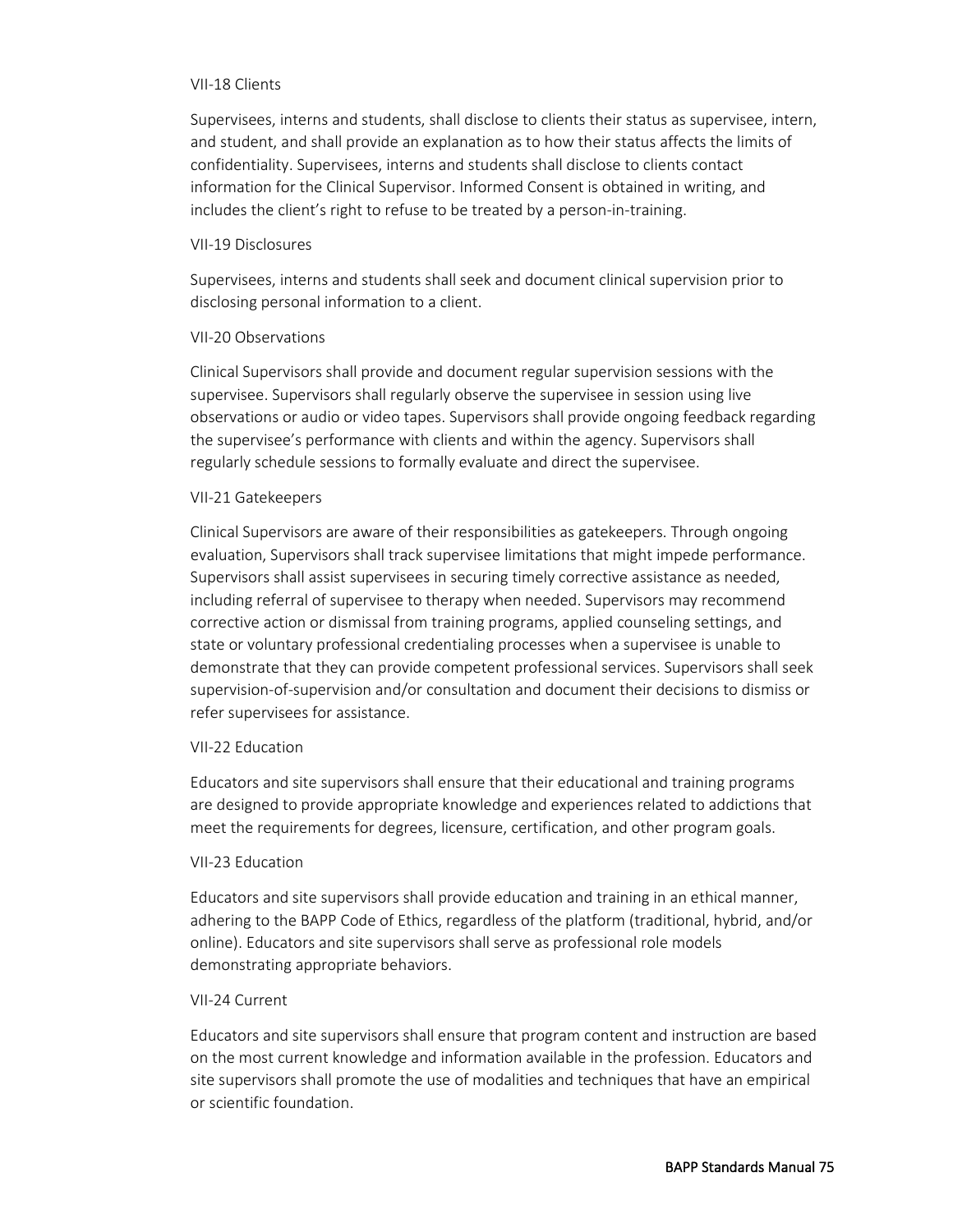#### VII-18 Clients

Supervisees, interns and students, shall disclose to clients their status as supervisee, intern, and student, and shall provide an explanation as to how their status affects the limits of confidentiality. Supervisees, interns and students shall disclose to clients contact information for the Clinical Supervisor. Informed Consent is obtained in writing, and includes the client's right to refuse to be treated by a person-in-training.

#### VII-19 Disclosures

Supervisees, interns and students shall seek and document clinical supervision prior to disclosing personal information to a client.

#### VII-20 Observations

Clinical Supervisors shall provide and document regular supervision sessions with the supervisee. Supervisors shall regularly observe the supervisee in session using live observations or audio or video tapes. Supervisors shall provide ongoing feedback regarding the supervisee's performance with clients and within the agency. Supervisors shall regularly schedule sessions to formally evaluate and direct the supervisee.

#### VII-21 Gatekeepers

Clinical Supervisors are aware of their responsibilities as gatekeepers. Through ongoing evaluation, Supervisors shall track supervisee limitations that might impede performance. Supervisors shall assist supervisees in securing timely corrective assistance as needed, including referral of supervisee to therapy when needed. Supervisors may recommend corrective action or dismissal from training programs, applied counseling settings, and state or voluntary professional credentialing processes when a supervisee is unable to demonstrate that they can provide competent professional services. Supervisors shall seek supervision-of-supervision and/or consultation and document their decisions to dismiss or refer supervisees for assistance.

#### VII-22 Education

Educators and site supervisors shall ensure that their educational and training programs are designed to provide appropriate knowledge and experiences related to addictions that meet the requirements for degrees, licensure, certification, and other program goals.

#### VII-23 Education

Educators and site supervisors shall provide education and training in an ethical manner, adhering to the BAPP Code of Ethics, regardless of the platform (traditional, hybrid, and/or online). Educators and site supervisors shall serve as professional role models demonstrating appropriate behaviors.

#### VII-24 Current

Educators and site supervisors shall ensure that program content and instruction are based on the most current knowledge and information available in the profession. Educators and site supervisors shall promote the use of modalities and techniques that have an empirical or scientific foundation.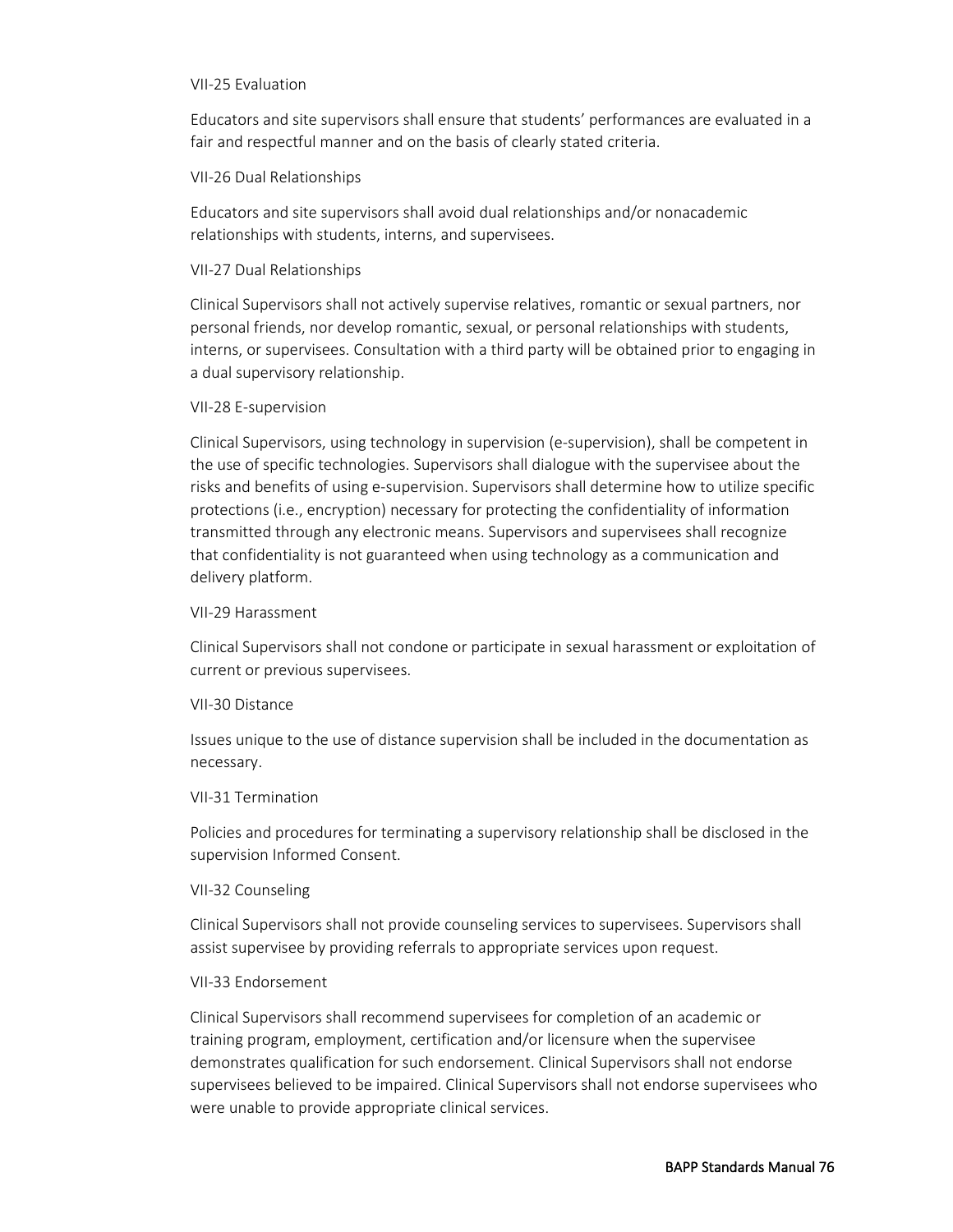#### VII-25 Evaluation

Educators and site supervisors shall ensure that students' performances are evaluated in a fair and respectful manner and on the basis of clearly stated criteria.

#### VII-26 Dual Relationships

Educators and site supervisors shall avoid dual relationships and/or nonacademic relationships with students, interns, and supervisees.

#### VII-27 Dual Relationships

Clinical Supervisors shall not actively supervise relatives, romantic or sexual partners, nor personal friends, nor develop romantic, sexual, or personal relationships with students, interns, or supervisees. Consultation with a third party will be obtained prior to engaging in a dual supervisory relationship.

#### VII-28 E-supervision

Clinical Supervisors, using technology in supervision (e-supervision), shall be competent in the use of specific technologies. Supervisors shall dialogue with the supervisee about the risks and benefits of using e-supervision. Supervisors shall determine how to utilize specific protections (i.e., encryption) necessary for protecting the confidentiality of information transmitted through any electronic means. Supervisors and supervisees shall recognize that confidentiality is not guaranteed when using technology as a communication and delivery platform.

#### VII-29 Harassment

Clinical Supervisors shall not condone or participate in sexual harassment or exploitation of current or previous supervisees.

#### VII-30 Distance

Issues unique to the use of distance supervision shall be included in the documentation as necessary.

#### VII-31 Termination

Policies and procedures for terminating a supervisory relationship shall be disclosed in the supervision Informed Consent.

#### VII-32 Counseling

Clinical Supervisors shall not provide counseling services to supervisees. Supervisors shall assist supervisee by providing referrals to appropriate services upon request.

#### VII-33 Endorsement

Clinical Supervisors shall recommend supervisees for completion of an academic or training program, employment, certification and/or licensure when the supervisee demonstrates qualification for such endorsement. Clinical Supervisors shall not endorse supervisees believed to be impaired. Clinical Supervisors shall not endorse supervisees who were unable to provide appropriate clinical services.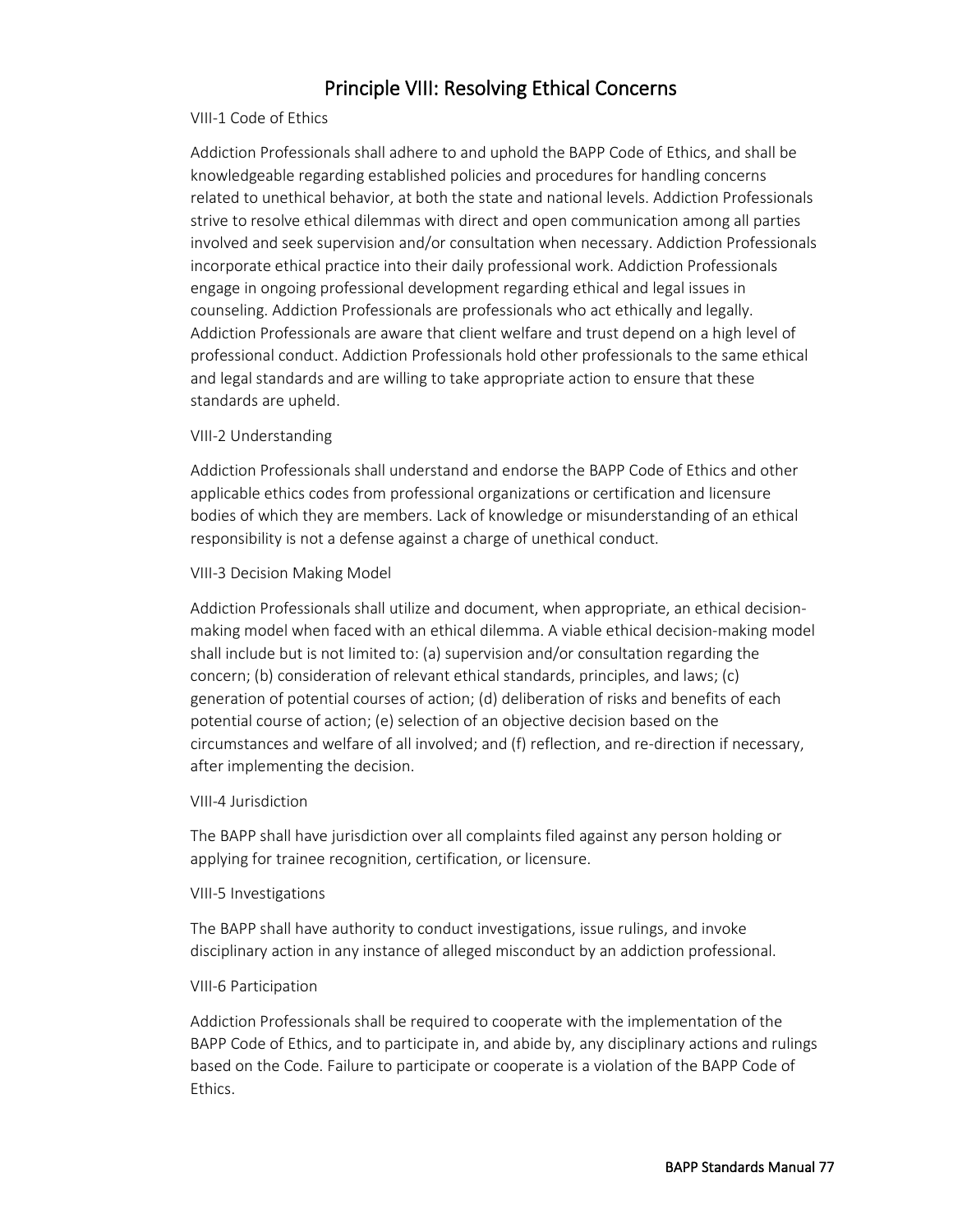# Principle VIII: Resolving Ethical Concerns

#### VIII-1 Code of Ethics

Addiction Professionals shall adhere to and uphold the BAPP Code of Ethics, and shall be knowledgeable regarding established policies and procedures for handling concerns related to unethical behavior, at both the state and national levels. Addiction Professionals strive to resolve ethical dilemmas with direct and open communication among all parties involved and seek supervision and/or consultation when necessary. Addiction Professionals incorporate ethical practice into their daily professional work. Addiction Professionals engage in ongoing professional development regarding ethical and legal issues in counseling. Addiction Professionals are professionals who act ethically and legally. Addiction Professionals are aware that client welfare and trust depend on a high level of professional conduct. Addiction Professionals hold other professionals to the same ethical and legal standards and are willing to take appropriate action to ensure that these standards are upheld.

#### VIII-2 Understanding

Addiction Professionals shall understand and endorse the BAPP Code of Ethics and other applicable ethics codes from professional organizations or certification and licensure bodies of which they are members. Lack of knowledge or misunderstanding of an ethical responsibility is not a defense against a charge of unethical conduct.

#### VIII-3 Decision Making Model

Addiction Professionals shall utilize and document, when appropriate, an ethical decisionmaking model when faced with an ethical dilemma. A viable ethical decision-making model shall include but is not limited to: (a) supervision and/or consultation regarding the concern; (b) consideration of relevant ethical standards, principles, and laws; (c) generation of potential courses of action; (d) deliberation of risks and benefits of each potential course of action; (e) selection of an objective decision based on the circumstances and welfare of all involved; and (f) reflection, and re-direction if necessary, after implementing the decision.

#### VIII-4 Jurisdiction

The BAPP shall have jurisdiction over all complaints filed against any person holding or applying for trainee recognition, certification, or licensure.

#### VIII-5 Investigations

The BAPP shall have authority to conduct investigations, issue rulings, and invoke disciplinary action in any instance of alleged misconduct by an addiction professional.

#### VIII-6 Participation

Addiction Professionals shall be required to cooperate with the implementation of the BAPP Code of Ethics, and to participate in, and abide by, any disciplinary actions and rulings based on the Code. Failure to participate or cooperate is a violation of the BAPP Code of Ethics.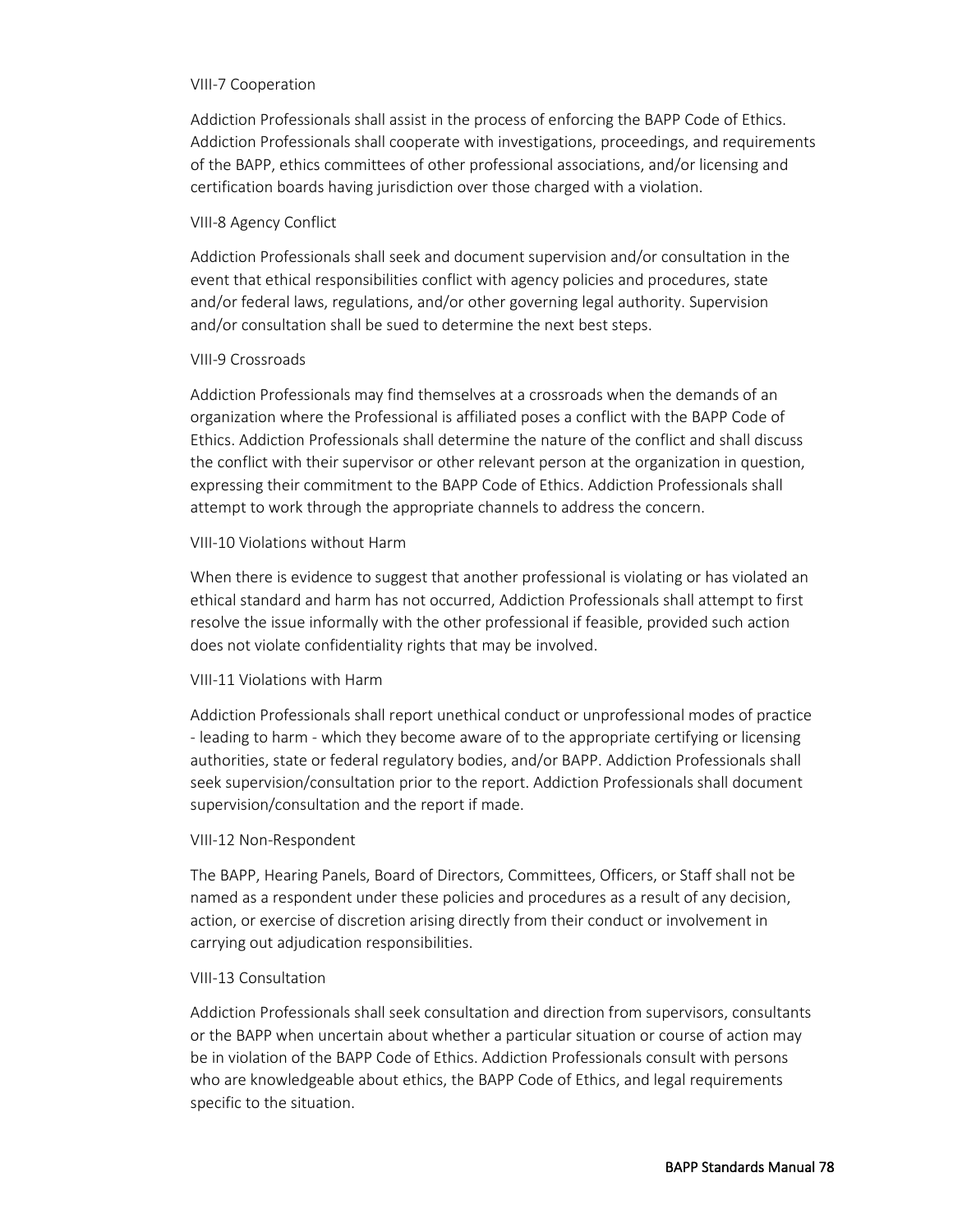#### VIII-7 Cooperation

Addiction Professionals shall assist in the process of enforcing the BAPP Code of Ethics. Addiction Professionals shall cooperate with investigations, proceedings, and requirements of the BAPP, ethics committees of other professional associations, and/or licensing and certification boards having jurisdiction over those charged with a violation.

#### VIII-8 Agency Conflict

Addiction Professionals shall seek and document supervision and/or consultation in the event that ethical responsibilities conflict with agency policies and procedures, state and/or federal laws, regulations, and/or other governing legal authority. Supervision and/or consultation shall be sued to determine the next best steps.

#### VIII-9 Crossroads

Addiction Professionals may find themselves at a crossroads when the demands of an organization where the Professional is affiliated poses a conflict with the BAPP Code of Ethics. Addiction Professionals shall determine the nature of the conflict and shall discuss the conflict with their supervisor or other relevant person at the organization in question, expressing their commitment to the BAPP Code of Ethics. Addiction Professionals shall attempt to work through the appropriate channels to address the concern.

#### VIII-10 Violations without Harm

When there is evidence to suggest that another professional is violating or has violated an ethical standard and harm has not occurred, Addiction Professionals shall attempt to first resolve the issue informally with the other professional if feasible, provided such action does not violate confidentiality rights that may be involved.

## VIII-11 Violations with Harm

Addiction Professionals shall report unethical conduct or unprofessional modes of practice - leading to harm - which they become aware of to the appropriate certifying or licensing authorities, state or federal regulatory bodies, and/or BAPP. Addiction Professionals shall seek supervision/consultation prior to the report. Addiction Professionals shall document supervision/consultation and the report if made.

## VIII-12 Non-Respondent

The BAPP, Hearing Panels, Board of Directors, Committees, Officers, or Staff shall not be named as a respondent under these policies and procedures as a result of any decision, action, or exercise of discretion arising directly from their conduct or involvement in carrying out adjudication responsibilities.

## VIII-13 Consultation

Addiction Professionals shall seek consultation and direction from supervisors, consultants or the BAPP when uncertain about whether a particular situation or course of action may be in violation of the BAPP Code of Ethics. Addiction Professionals consult with persons who are knowledgeable about ethics, the BAPP Code of Ethics, and legal requirements specific to the situation.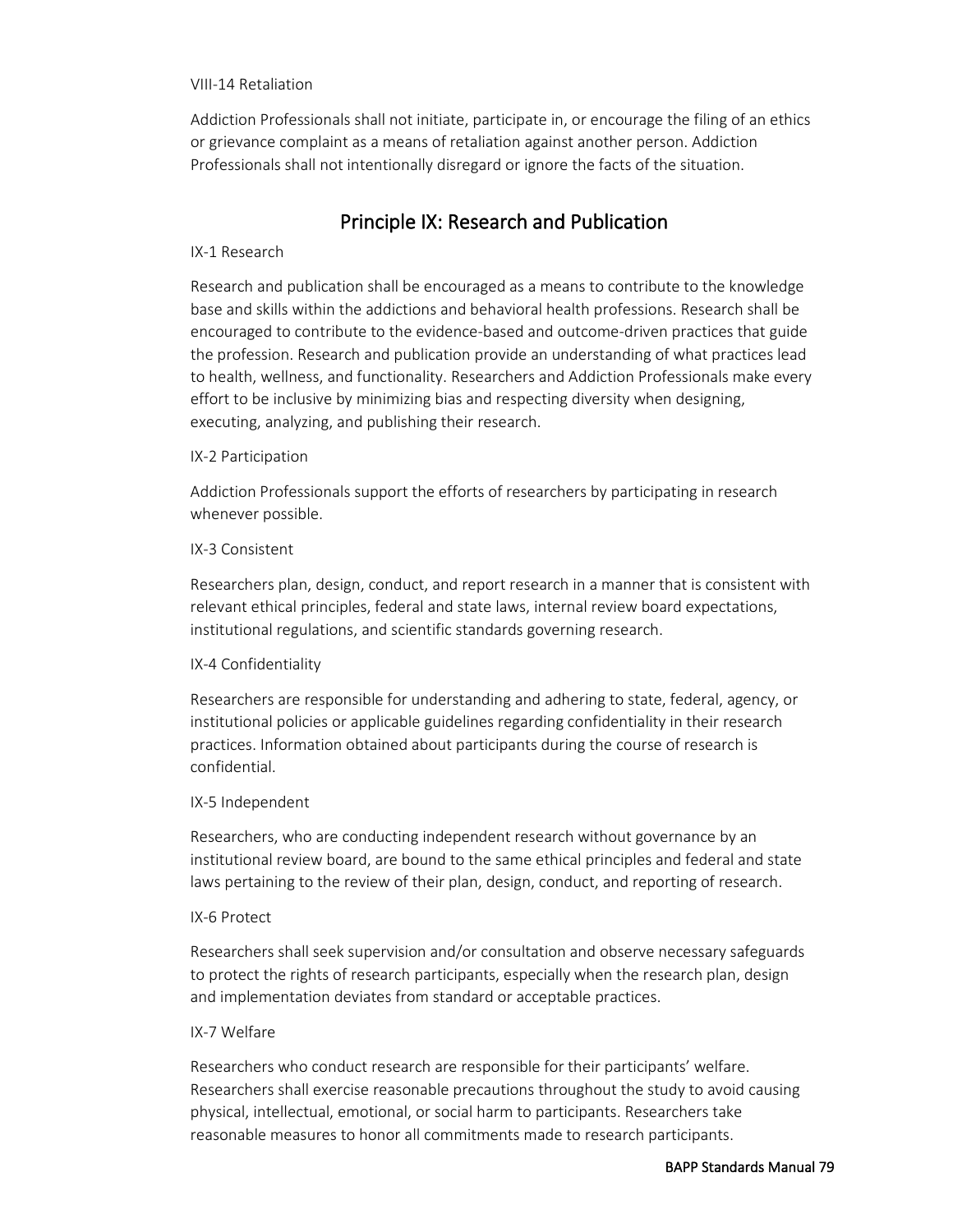#### VIII-14 Retaliation

Addiction Professionals shall not initiate, participate in, or encourage the filing of an ethics or grievance complaint as a means of retaliation against another person. Addiction Professionals shall not intentionally disregard or ignore the facts of the situation.

# Principle IX: Research and Publication

#### IX-1 Research

Research and publication shall be encouraged as a means to contribute to the knowledge base and skills within the addictions and behavioral health professions. Research shall be encouraged to contribute to the evidence-based and outcome-driven practices that guide the profession. Research and publication provide an understanding of what practices lead to health, wellness, and functionality. Researchers and Addiction Professionals make every effort to be inclusive by minimizing bias and respecting diversity when designing, executing, analyzing, and publishing their research.

#### IX-2 Participation

Addiction Professionals support the efforts of researchers by participating in research whenever possible.

#### IX-3 Consistent

Researchers plan, design, conduct, and report research in a manner that is consistent with relevant ethical principles, federal and state laws, internal review board expectations, institutional regulations, and scientific standards governing research.

## IX-4 Confidentiality

Researchers are responsible for understanding and adhering to state, federal, agency, or institutional policies or applicable guidelines regarding confidentiality in their research practices. Information obtained about participants during the course of research is confidential.

#### IX-5 Independent

Researchers, who are conducting independent research without governance by an institutional review board, are bound to the same ethical principles and federal and state laws pertaining to the review of their plan, design, conduct, and reporting of research.

#### IX-6 Protect

Researchers shall seek supervision and/or consultation and observe necessary safeguards to protect the rights of research participants, especially when the research plan, design and implementation deviates from standard or acceptable practices.

#### IX-7 Welfare

Researchers who conduct research are responsible for their participants' welfare. Researchers shall exercise reasonable precautions throughout the study to avoid causing physical, intellectual, emotional, or social harm to participants. Researchers take reasonable measures to honor all commitments made to research participants.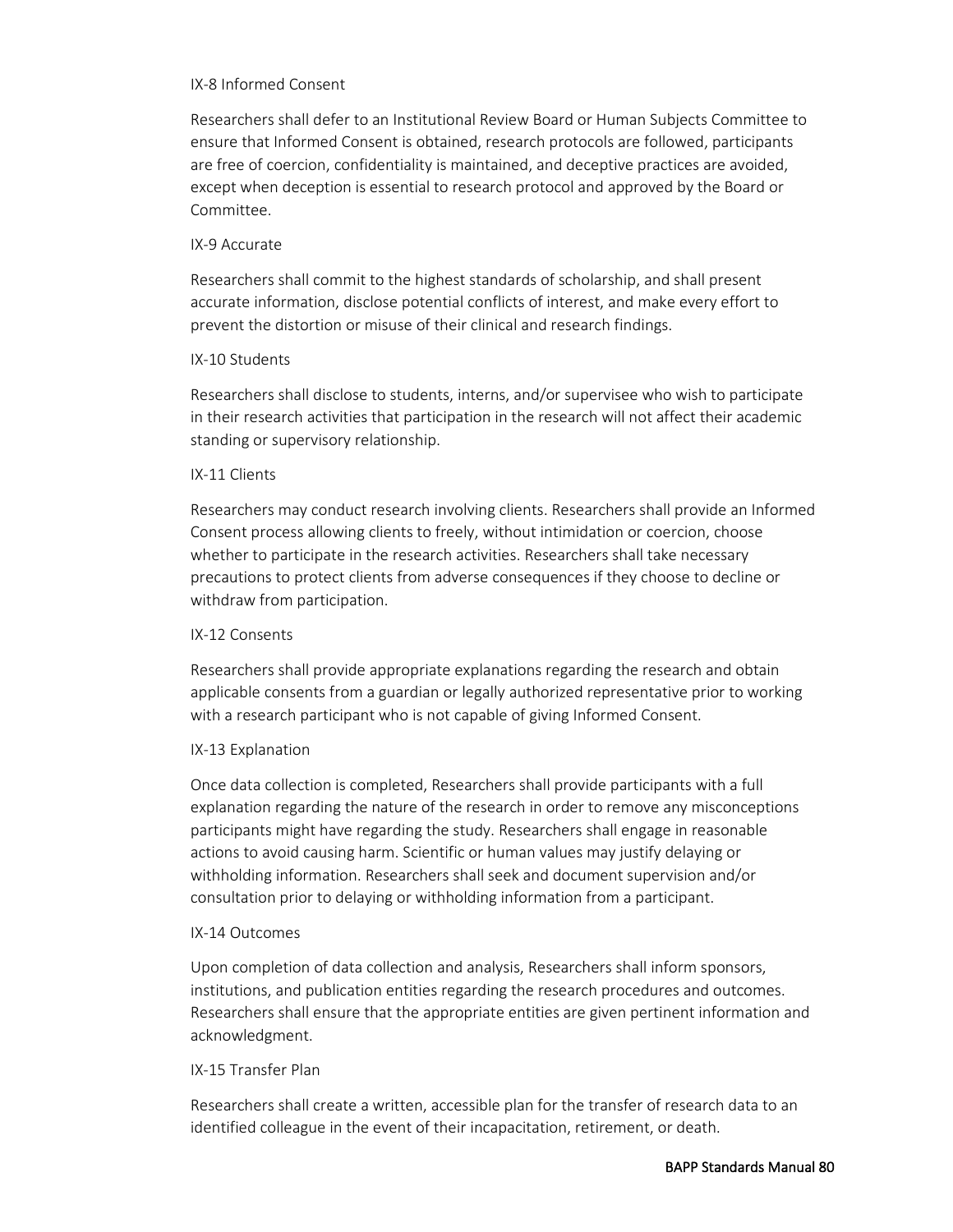#### IX-8 Informed Consent

Researchers shall defer to an Institutional Review Board or Human Subjects Committee to ensure that Informed Consent is obtained, research protocols are followed, participants are free of coercion, confidentiality is maintained, and deceptive practices are avoided, except when deception is essential to research protocol and approved by the Board or Committee.

#### IX-9 Accurate

Researchers shall commit to the highest standards of scholarship, and shall present accurate information, disclose potential conflicts of interest, and make every effort to prevent the distortion or misuse of their clinical and research findings.

#### IX-10 Students

Researchers shall disclose to students, interns, and/or supervisee who wish to participate in their research activities that participation in the research will not affect their academic standing or supervisory relationship.

#### IX-11 Clients

Researchers may conduct research involving clients. Researchers shall provide an Informed Consent process allowing clients to freely, without intimidation or coercion, choose whether to participate in the research activities. Researchers shall take necessary precautions to protect clients from adverse consequences if they choose to decline or withdraw from participation.

## IX-12 Consents

Researchers shall provide appropriate explanations regarding the research and obtain applicable consents from a guardian or legally authorized representative prior to working with a research participant who is not capable of giving Informed Consent.

## IX-13 Explanation

Once data collection is completed, Researchers shall provide participants with a full explanation regarding the nature of the research in order to remove any misconceptions participants might have regarding the study. Researchers shall engage in reasonable actions to avoid causing harm. Scientific or human values may justify delaying or withholding information. Researchers shall seek and document supervision and/or consultation prior to delaying or withholding information from a participant.

## IX-14 Outcomes

Upon completion of data collection and analysis, Researchers shall inform sponsors, institutions, and publication entities regarding the research procedures and outcomes. Researchers shall ensure that the appropriate entities are given pertinent information and acknowledgment.

## IX-15 Transfer Plan

Researchers shall create a written, accessible plan for the transfer of research data to an identified colleague in the event of their incapacitation, retirement, or death.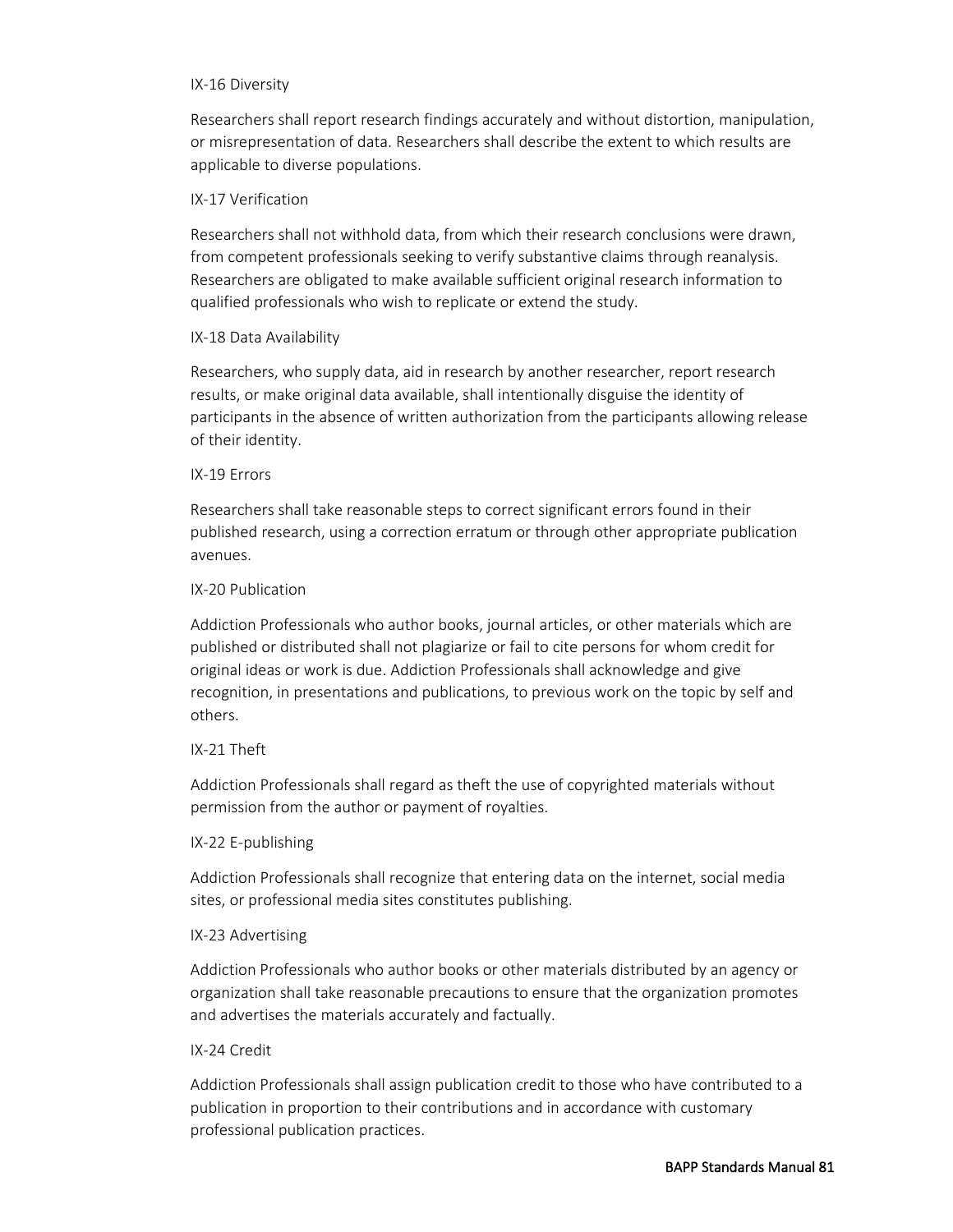#### IX-16 Diversity

Researchers shall report research findings accurately and without distortion, manipulation, or misrepresentation of data. Researchers shall describe the extent to which results are applicable to diverse populations.

## IX-17 Verification

Researchers shall not withhold data, from which their research conclusions were drawn, from competent professionals seeking to verify substantive claims through reanalysis. Researchers are obligated to make available sufficient original research information to qualified professionals who wish to replicate or extend the study.

## IX-18 Data Availability

Researchers, who supply data, aid in research by another researcher, report research results, or make original data available, shall intentionally disguise the identity of participants in the absence of written authorization from the participants allowing release of their identity.

## IX-19 Errors

Researchers shall take reasonable steps to correct significant errors found in their published research, using a correction erratum or through other appropriate publication avenues.

## IX-20 Publication

Addiction Professionals who author books, journal articles, or other materials which are published or distributed shall not plagiarize or fail to cite persons for whom credit for original ideas or work is due. Addiction Professionals shall acknowledge and give recognition, in presentations and publications, to previous work on the topic by self and others.

## IX-21 Theft

Addiction Professionals shall regard as theft the use of copyrighted materials without permission from the author or payment of royalties.

## IX-22 E-publishing

Addiction Professionals shall recognize that entering data on the internet, social media sites, or professional media sites constitutes publishing.

## IX-23 Advertising

Addiction Professionals who author books or other materials distributed by an agency or organization shall take reasonable precautions to ensure that the organization promotes and advertises the materials accurately and factually.

## IX-24 Credit

Addiction Professionals shall assign publication credit to those who have contributed to a publication in proportion to their contributions and in accordance with customary professional publication practices.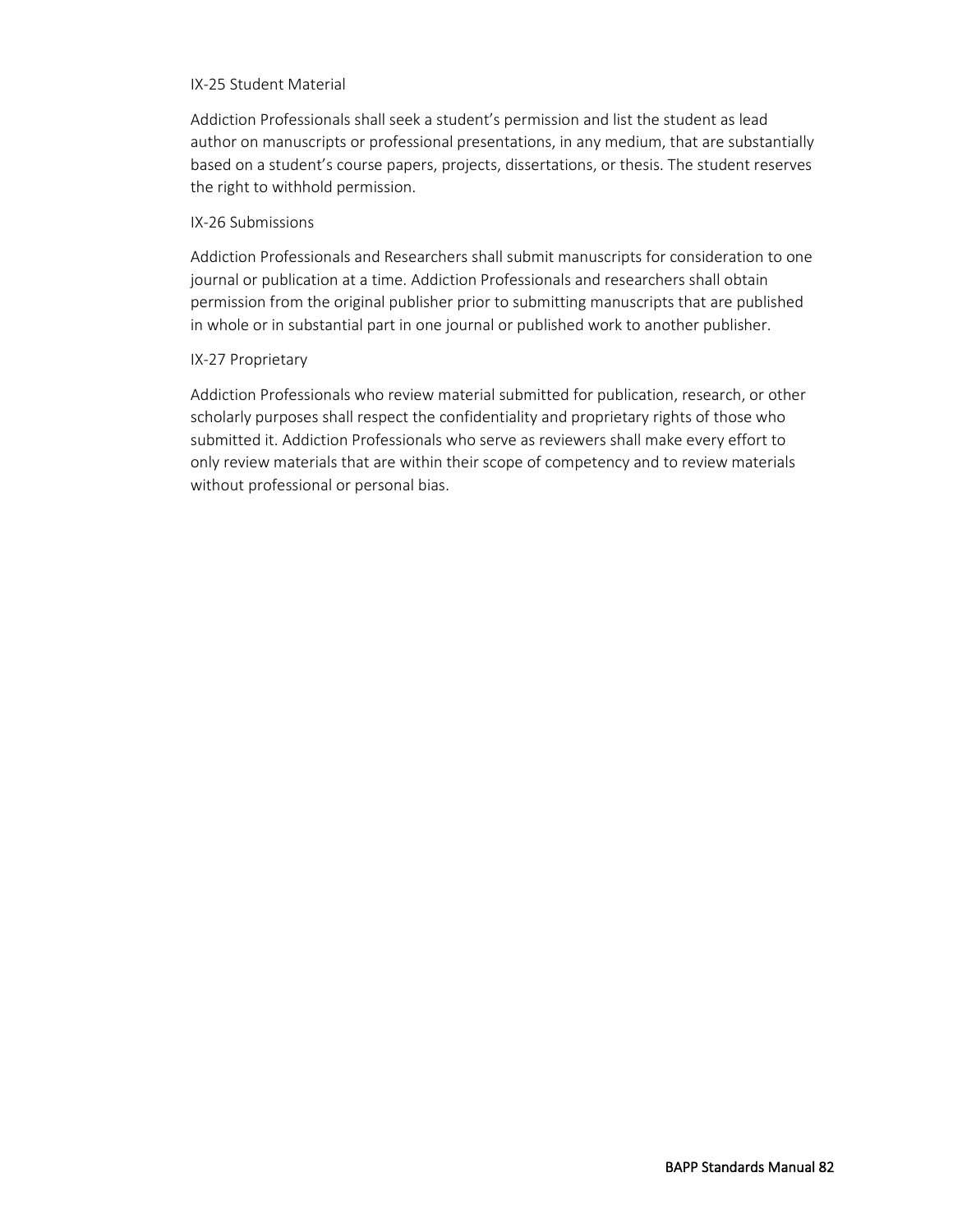#### IX-25 Student Material

Addiction Professionals shall seek a student's permission and list the student as lead author on manuscripts or professional presentations, in any medium, that are substantially based on a student's course papers, projects, dissertations, or thesis. The student reserves the right to withhold permission.

## IX-26 Submissions

Addiction Professionals and Researchers shall submit manuscripts for consideration to one journal or publication at a time. Addiction Professionals and researchers shall obtain permission from the original publisher prior to submitting manuscripts that are published in whole or in substantial part in one journal or published work to another publisher.

## IX-27 Proprietary

Addiction Professionals who review material submitted for publication, research, or other scholarly purposes shall respect the confidentiality and proprietary rights of those who submitted it. Addiction Professionals who serve as reviewers shall make every effort to only review materials that are within their scope of competency and to review materials without professional or personal bias.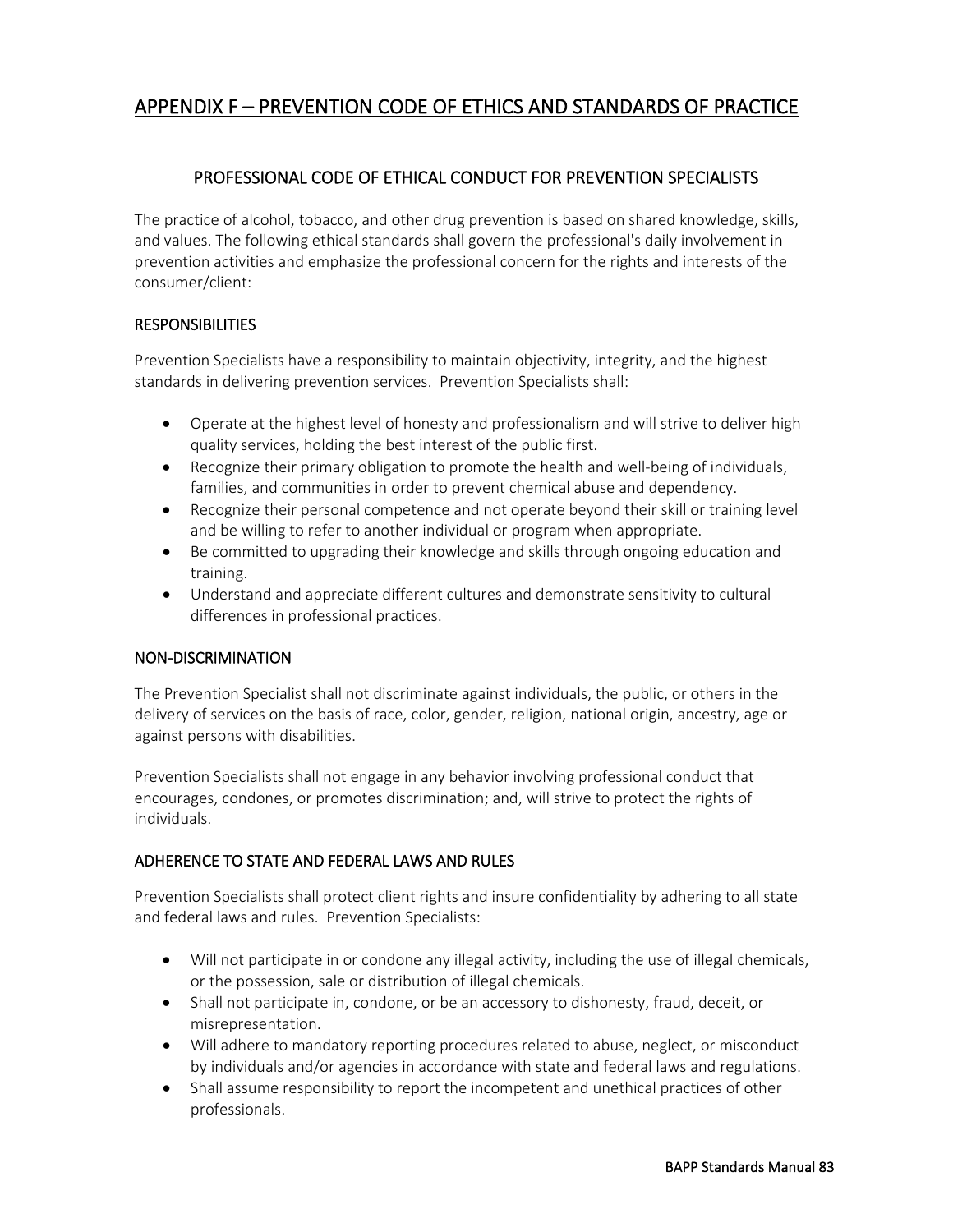# APPENDIX F – PREVENTION CODE OF ETHICS AND STANDARDS OF PRACTICE

# PROFESSIONAL CODE OF ETHICAL CONDUCT FOR PREVENTION SPECIALISTS

The practice of alcohol, tobacco, and other drug prevention is based on shared knowledge, skills, and values. The following ethical standards shall govern the professional's daily involvement in prevention activities and emphasize the professional concern for the rights and interests of the consumer/client:

## **RESPONSIBILITIES**

Prevention Specialists have a responsibility to maintain objectivity, integrity, and the highest standards in delivering prevention services. Prevention Specialists shall:

- Operate at the highest level of honesty and professionalism and will strive to deliver high quality services, holding the best interest of the public first.
- Recognize their primary obligation to promote the health and well-being of individuals, families, and communities in order to prevent chemical abuse and dependency.
- Recognize their personal competence and not operate beyond their skill or training level and be willing to refer to another individual or program when appropriate.
- Be committed to upgrading their knowledge and skills through ongoing education and training.
- Understand and appreciate different cultures and demonstrate sensitivity to cultural differences in professional practices.

## NON-DISCRIMINATION

The Prevention Specialist shall not discriminate against individuals, the public, or others in the delivery of services on the basis of race, color, gender, religion, national origin, ancestry, age or against persons with disabilities.

Prevention Specialists shall not engage in any behavior involving professional conduct that encourages, condones, or promotes discrimination; and, will strive to protect the rights of individuals.

## ADHERENCE TO STATE AND FEDERAL LAWS AND RULES

Prevention Specialists shall protect client rights and insure confidentiality by adhering to all state and federal laws and rules. Prevention Specialists:

- Will not participate in or condone any illegal activity, including the use of illegal chemicals, or the possession, sale or distribution of illegal chemicals.
- Shall not participate in, condone, or be an accessory to dishonesty, fraud, deceit, or misrepresentation.
- Will adhere to mandatory reporting procedures related to abuse, neglect, or misconduct by individuals and/or agencies in accordance with state and federal laws and regulations.
- Shall assume responsibility to report the incompetent and unethical practices of other professionals.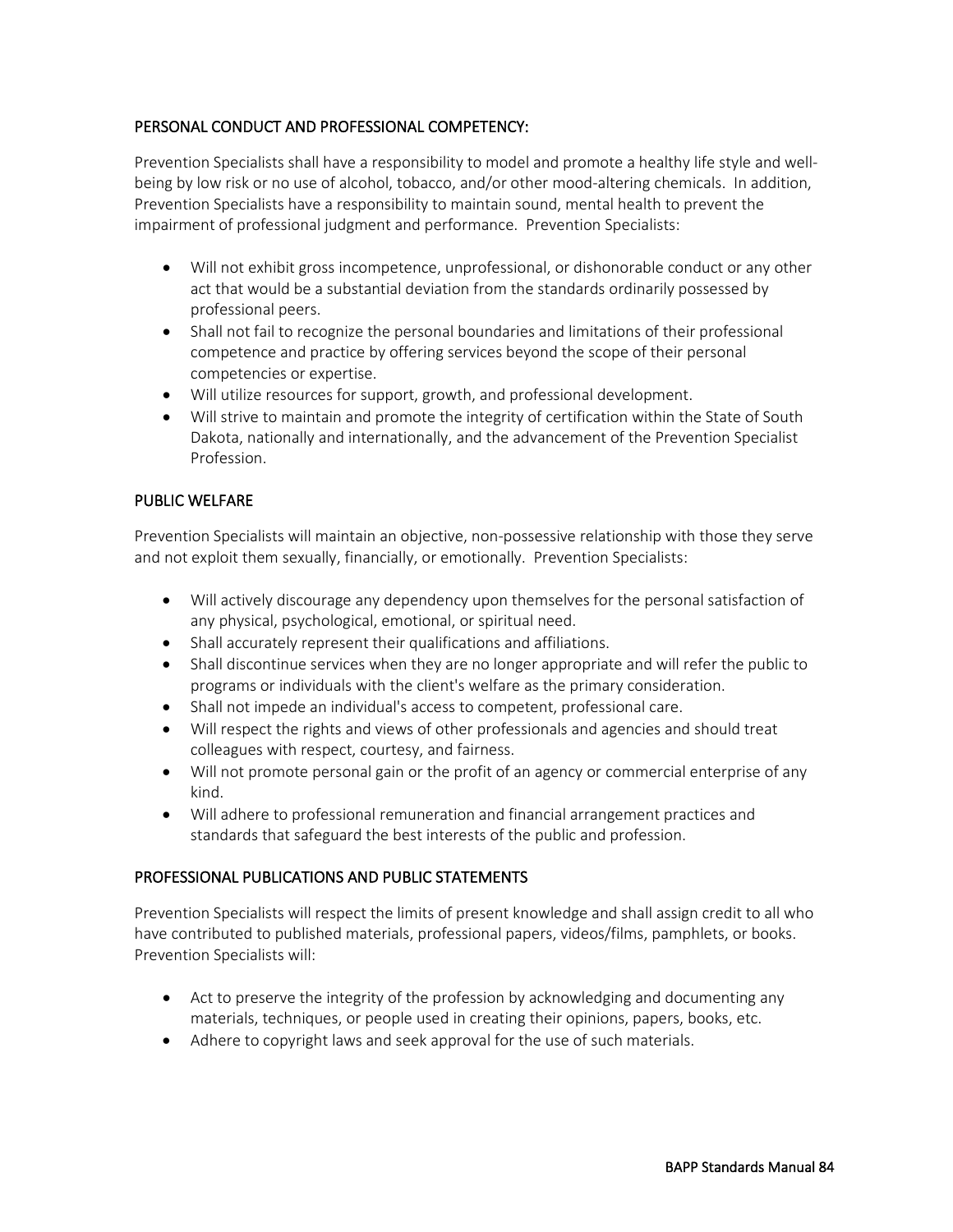## PERSONAL CONDUCT AND PROFESSIONAL COMPETENCY:

Prevention Specialists shall have a responsibility to model and promote a healthy life style and wellbeing by low risk or no use of alcohol, tobacco, and/or other mood-altering chemicals. In addition, Prevention Specialists have a responsibility to maintain sound, mental health to prevent the impairment of professional judgment and performance. Prevention Specialists:

- Will not exhibit gross incompetence, unprofessional, or dishonorable conduct or any other act that would be a substantial deviation from the standards ordinarily possessed by professional peers.
- Shall not fail to recognize the personal boundaries and limitations of their professional competence and practice by offering services beyond the scope of their personal competencies or expertise.
- Will utilize resources for support, growth, and professional development.
- Will strive to maintain and promote the integrity of certification within the State of South Dakota, nationally and internationally, and the advancement of the Prevention Specialist Profession.

## PUBLIC WELFARE

Prevention Specialists will maintain an objective, non-possessive relationship with those they serve and not exploit them sexually, financially, or emotionally. Prevention Specialists:

- Will actively discourage any dependency upon themselves for the personal satisfaction of any physical, psychological, emotional, or spiritual need.
- Shall accurately represent their qualifications and affiliations.
- Shall discontinue services when they are no longer appropriate and will refer the public to programs or individuals with the client's welfare as the primary consideration.
- Shall not impede an individual's access to competent, professional care.
- Will respect the rights and views of other professionals and agencies and should treat colleagues with respect, courtesy, and fairness.
- Will not promote personal gain or the profit of an agency or commercial enterprise of any kind.
- Will adhere to professional remuneration and financial arrangement practices and standards that safeguard the best interests of the public and profession.

## PROFESSIONAL PUBLICATIONS AND PUBLIC STATEMENTS

Prevention Specialists will respect the limits of present knowledge and shall assign credit to all who have contributed to published materials, professional papers, videos/films, pamphlets, or books. Prevention Specialists will:

- Act to preserve the integrity of the profession by acknowledging and documenting any materials, techniques, or people used in creating their opinions, papers, books, etc.
- Adhere to copyright laws and seek approval for the use of such materials.